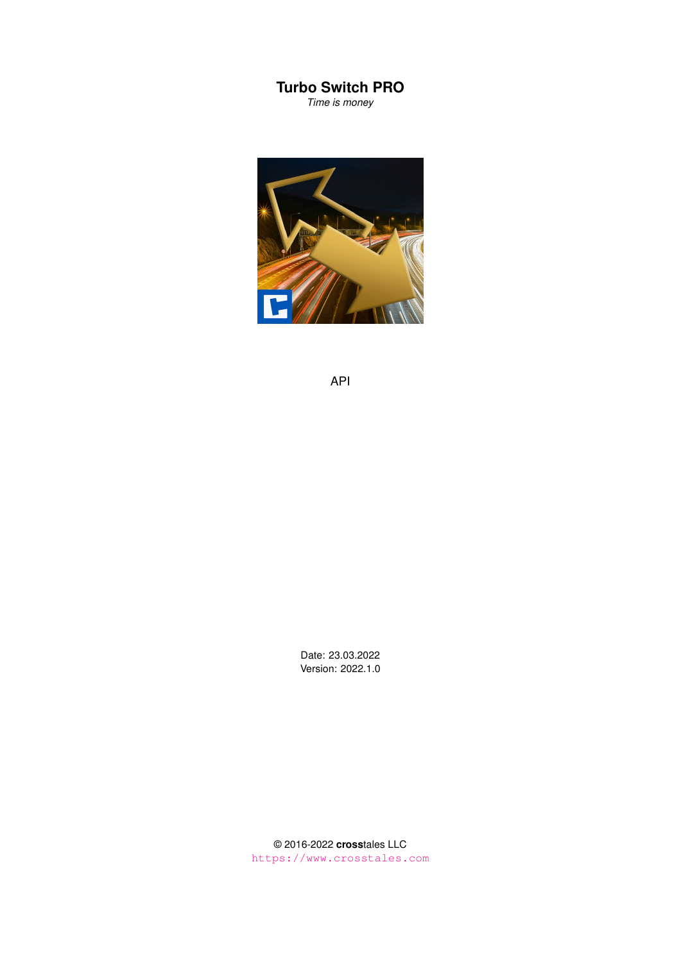## **Turbo Switch PRO**

*Time is money*



API

Date: 23.03.2022 Version: 2022.1.0

© 2016-2022 **cross**tales LLC <https://www.crosstales.com>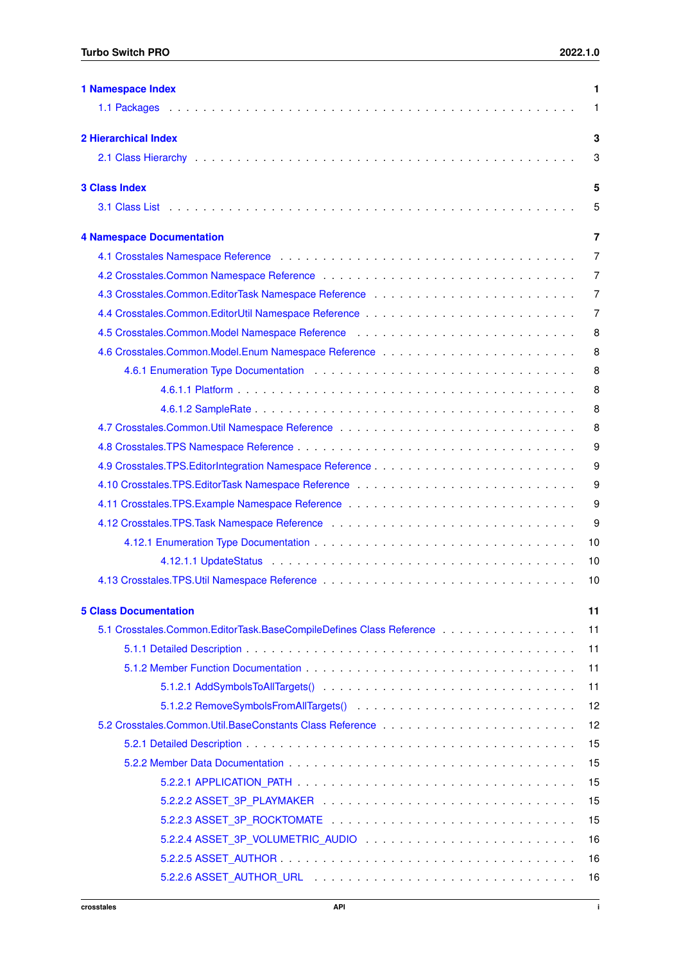| <b>1 Namespace Index</b>                                                                                                                     | 1  |
|----------------------------------------------------------------------------------------------------------------------------------------------|----|
|                                                                                                                                              | 1  |
| <b>2 Hierarchical Index</b>                                                                                                                  | 3  |
|                                                                                                                                              | 3  |
| <b>3 Class Index</b>                                                                                                                         | 5  |
|                                                                                                                                              | 5  |
| <b>4 Namespace Documentation</b>                                                                                                             | 7  |
|                                                                                                                                              | 7  |
|                                                                                                                                              | 7  |
|                                                                                                                                              | 7  |
|                                                                                                                                              | 7  |
| 4.5 Crosstales.Common.Model Namespace Reference entertainment of the crosstales.Common.Model Namespace Reference entertainment of the cross- | 8  |
|                                                                                                                                              | 8  |
|                                                                                                                                              | 8  |
|                                                                                                                                              | 8  |
|                                                                                                                                              | 8  |
|                                                                                                                                              | 8  |
|                                                                                                                                              | 9  |
|                                                                                                                                              | 9  |
|                                                                                                                                              | 9  |
|                                                                                                                                              | 9  |
|                                                                                                                                              | 9  |
|                                                                                                                                              | 10 |
|                                                                                                                                              | 10 |
|                                                                                                                                              | 10 |
|                                                                                                                                              |    |
| <b>5 Class Documentation</b>                                                                                                                 | 11 |
|                                                                                                                                              | 11 |
|                                                                                                                                              | 11 |
|                                                                                                                                              | 11 |
|                                                                                                                                              | 11 |
|                                                                                                                                              | 12 |
|                                                                                                                                              | 12 |
|                                                                                                                                              | 15 |
|                                                                                                                                              | 15 |
|                                                                                                                                              | 15 |
|                                                                                                                                              | 15 |
|                                                                                                                                              | 15 |
| 5.2.2.4 ASSET_3P_VOLUMETRIC_AUDIO                                                                                                            | 16 |
|                                                                                                                                              | 16 |
|                                                                                                                                              | 16 |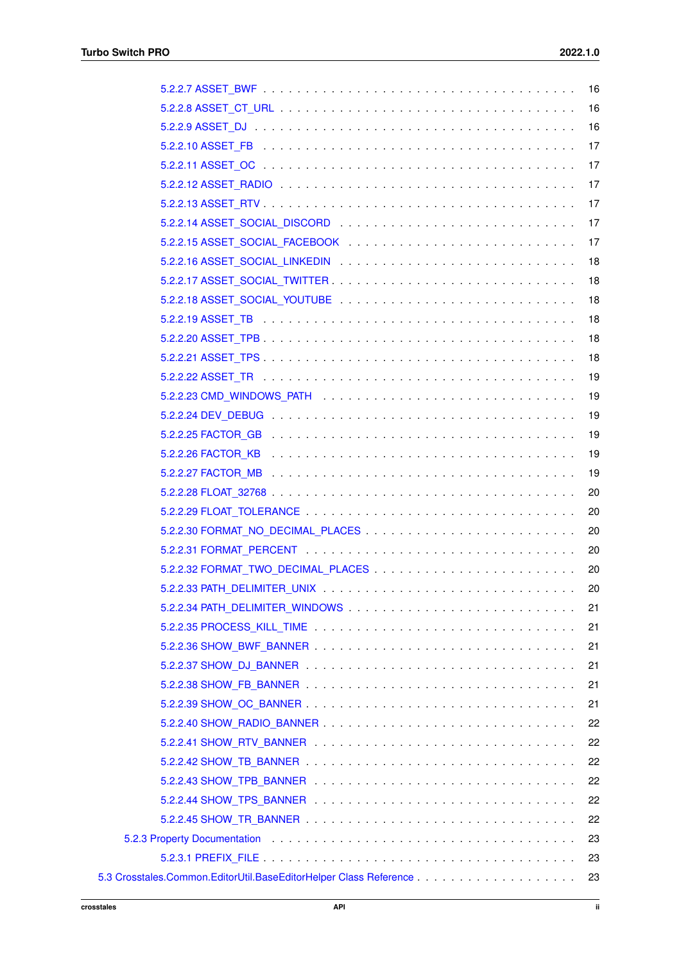|                                                                                                                                                                                                                                | 16  |
|--------------------------------------------------------------------------------------------------------------------------------------------------------------------------------------------------------------------------------|-----|
|                                                                                                                                                                                                                                | 16  |
|                                                                                                                                                                                                                                | 17  |
|                                                                                                                                                                                                                                | 17  |
|                                                                                                                                                                                                                                | 17  |
|                                                                                                                                                                                                                                | 17  |
|                                                                                                                                                                                                                                | 17  |
|                                                                                                                                                                                                                                | 17  |
|                                                                                                                                                                                                                                | 18  |
|                                                                                                                                                                                                                                | 18  |
|                                                                                                                                                                                                                                | 18  |
|                                                                                                                                                                                                                                | 18  |
|                                                                                                                                                                                                                                | 18  |
|                                                                                                                                                                                                                                | 18  |
|                                                                                                                                                                                                                                | 19  |
|                                                                                                                                                                                                                                | 19  |
|                                                                                                                                                                                                                                | 19  |
|                                                                                                                                                                                                                                | 19  |
|                                                                                                                                                                                                                                | 19  |
|                                                                                                                                                                                                                                | 19  |
|                                                                                                                                                                                                                                | 20  |
|                                                                                                                                                                                                                                | 20  |
|                                                                                                                                                                                                                                | 20  |
|                                                                                                                                                                                                                                | -20 |
|                                                                                                                                                                                                                                |     |
|                                                                                                                                                                                                                                | 20  |
|                                                                                                                                                                                                                                | 21  |
|                                                                                                                                                                                                                                | 21  |
|                                                                                                                                                                                                                                | 21  |
|                                                                                                                                                                                                                                | 21  |
|                                                                                                                                                                                                                                | 21  |
|                                                                                                                                                                                                                                | 21  |
|                                                                                                                                                                                                                                | 22  |
|                                                                                                                                                                                                                                | 22  |
|                                                                                                                                                                                                                                | 22  |
|                                                                                                                                                                                                                                | 22  |
|                                                                                                                                                                                                                                | 22  |
|                                                                                                                                                                                                                                | 22  |
| 5.2.3 Property Documentation (and all contact of the contact of the contact of the contact of the contact of the contact of the contact of the contact of the contact of the contact of the contact of the contact of the cont | 23  |
|                                                                                                                                                                                                                                | 23  |
|                                                                                                                                                                                                                                | 23  |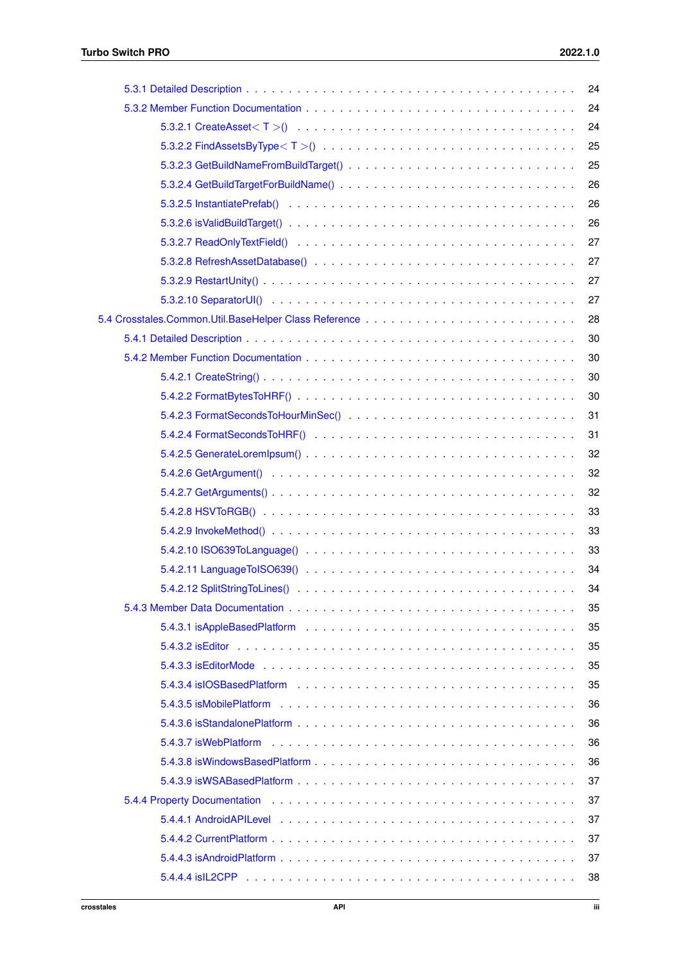|                                                                                                                                                                                                                               | 24 |
|-------------------------------------------------------------------------------------------------------------------------------------------------------------------------------------------------------------------------------|----|
|                                                                                                                                                                                                                               | 24 |
|                                                                                                                                                                                                                               | 24 |
|                                                                                                                                                                                                                               | 25 |
|                                                                                                                                                                                                                               | 25 |
|                                                                                                                                                                                                                               | 26 |
|                                                                                                                                                                                                                               | 26 |
|                                                                                                                                                                                                                               | 26 |
|                                                                                                                                                                                                                               | 27 |
|                                                                                                                                                                                                                               | 27 |
|                                                                                                                                                                                                                               | 27 |
|                                                                                                                                                                                                                               | 27 |
|                                                                                                                                                                                                                               | 28 |
|                                                                                                                                                                                                                               | 30 |
|                                                                                                                                                                                                                               | 30 |
|                                                                                                                                                                                                                               | 30 |
|                                                                                                                                                                                                                               | 30 |
|                                                                                                                                                                                                                               | 31 |
|                                                                                                                                                                                                                               | 31 |
|                                                                                                                                                                                                                               | 32 |
|                                                                                                                                                                                                                               | 32 |
|                                                                                                                                                                                                                               | 32 |
|                                                                                                                                                                                                                               | 33 |
|                                                                                                                                                                                                                               | 33 |
|                                                                                                                                                                                                                               | 33 |
| 5.4.2.11 Language To ISO 639 $($ $\ldots$ $\ldots$ $\ldots$ $\ldots$ $\ldots$ $\ldots$ $\ldots$ $\ldots$ $\ldots$ $\ldots$ $\ldots$                                                                                           | 34 |
|                                                                                                                                                                                                                               |    |
|                                                                                                                                                                                                                               | 35 |
|                                                                                                                                                                                                                               | 35 |
|                                                                                                                                                                                                                               | 35 |
|                                                                                                                                                                                                                               | 35 |
|                                                                                                                                                                                                                               | 35 |
|                                                                                                                                                                                                                               | 36 |
|                                                                                                                                                                                                                               | 36 |
|                                                                                                                                                                                                                               | 36 |
|                                                                                                                                                                                                                               | 36 |
|                                                                                                                                                                                                                               | 37 |
| 5.4.4 Property Documentation education of the contract of the contract of the contract of the contract of the contract of the contract of the contract of the contract of the contract of the contract of the contract of the | 37 |
|                                                                                                                                                                                                                               | 37 |
|                                                                                                                                                                                                                               | 37 |
|                                                                                                                                                                                                                               | 37 |
|                                                                                                                                                                                                                               | 38 |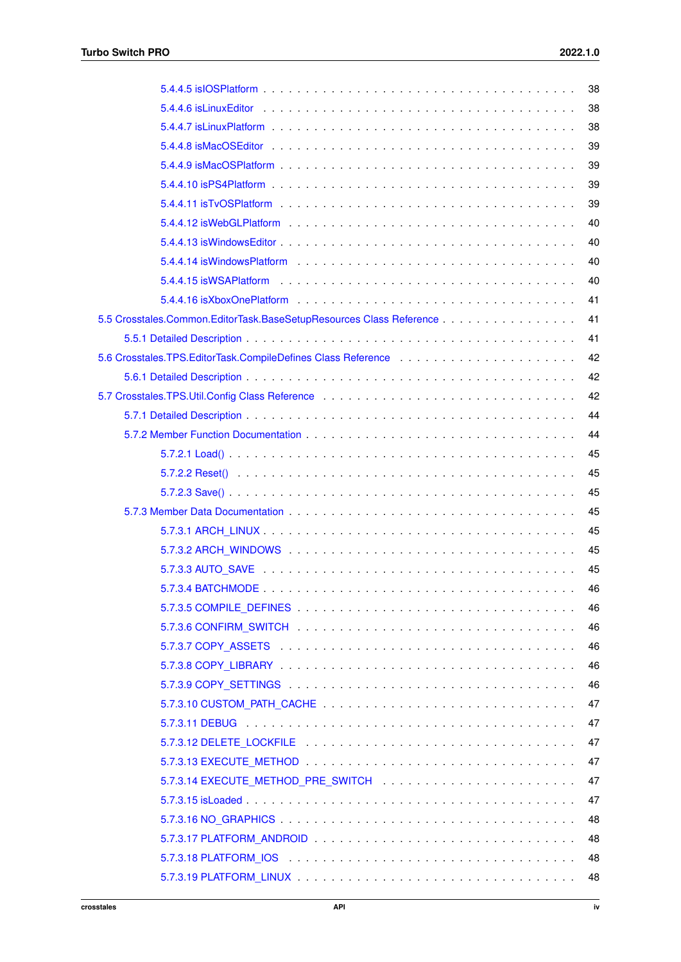| 38 |
|----|
| 38 |
| 38 |
| 39 |
| 39 |
| 39 |
| 39 |
| 40 |
| 40 |
| 40 |
| 40 |
| 41 |
| 41 |
| 41 |
| 42 |
| 42 |
| 42 |
| 44 |
| 44 |
| 45 |
| 45 |
| 45 |
| 45 |
| 45 |
| 45 |
| 45 |
| 46 |
| 46 |
| 46 |
| 46 |
| 46 |
| 46 |
| 47 |
| 47 |
| 47 |
| 47 |
| 47 |
| 47 |
| 48 |
| 48 |
| 48 |
| 48 |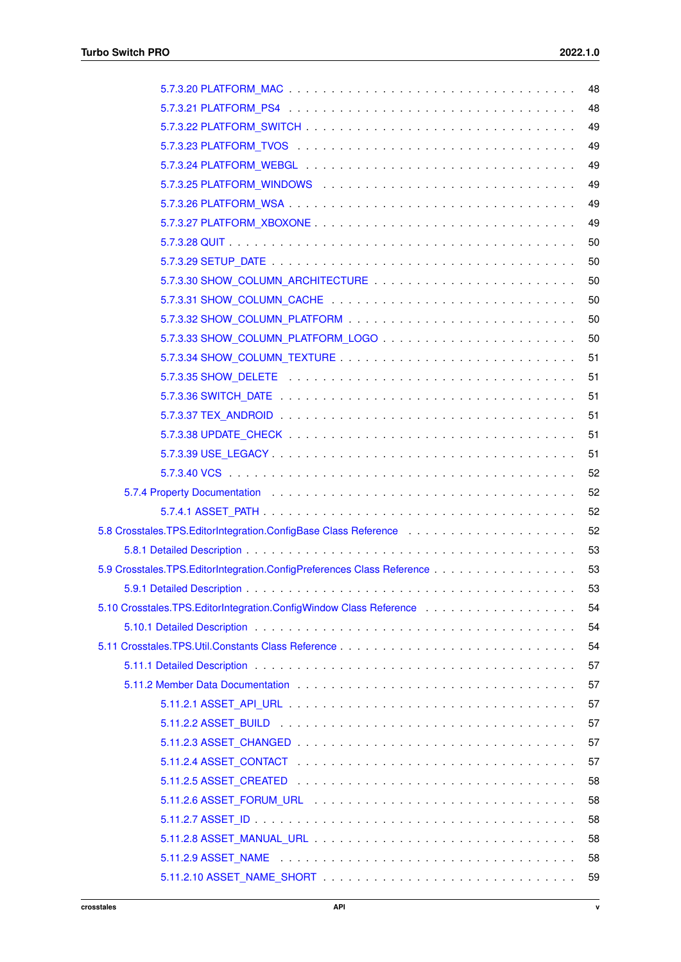|                                                                                                                                               | 48 |
|-----------------------------------------------------------------------------------------------------------------------------------------------|----|
|                                                                                                                                               | 48 |
|                                                                                                                                               | 49 |
|                                                                                                                                               | 49 |
|                                                                                                                                               | 49 |
|                                                                                                                                               | 49 |
|                                                                                                                                               | 49 |
|                                                                                                                                               | 49 |
|                                                                                                                                               | 50 |
|                                                                                                                                               | 50 |
|                                                                                                                                               | 50 |
|                                                                                                                                               | 50 |
|                                                                                                                                               | 50 |
|                                                                                                                                               | 50 |
|                                                                                                                                               | 51 |
|                                                                                                                                               | 51 |
|                                                                                                                                               | 51 |
|                                                                                                                                               | 51 |
|                                                                                                                                               | 51 |
|                                                                                                                                               | 51 |
|                                                                                                                                               | 52 |
| 5.7.4 Property Documentation enterstanding to the contract of the contract of the contract of the contract of                                 | 52 |
|                                                                                                                                               | 52 |
| 5.8 Crosstales.TPS.EditorIntegration.ConfigBase Class Reference <b>Communist Crosstales.TPS.EditorIntegration</b> .ConfigBase Class Reference | 52 |
|                                                                                                                                               | 53 |
|                                                                                                                                               | 53 |
|                                                                                                                                               |    |
| 5.10 Crosstales.TPS.EditorIntegration.ConfigWindow Class Reference <b>Container Activity Container</b> 5.10 Crosstales                        | 54 |
|                                                                                                                                               | 54 |
|                                                                                                                                               | 54 |
|                                                                                                                                               | 57 |
|                                                                                                                                               | 57 |
|                                                                                                                                               | 57 |
|                                                                                                                                               | 57 |
|                                                                                                                                               | 57 |
|                                                                                                                                               | 57 |
|                                                                                                                                               | 58 |
|                                                                                                                                               | 58 |
|                                                                                                                                               | 58 |
|                                                                                                                                               | 58 |
|                                                                                                                                               | 58 |
|                                                                                                                                               | 59 |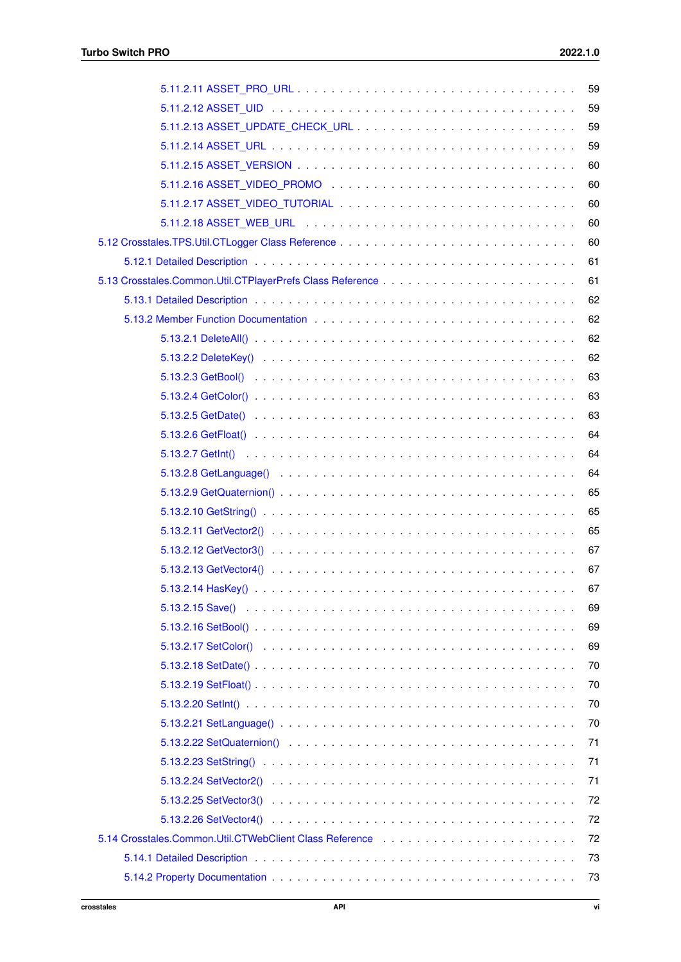| 59 |
|----|
| 59 |
| 59 |
| 59 |
| 60 |
| 60 |
| 60 |
| 60 |
| 60 |
| 61 |
| 61 |
| 62 |
| 62 |
| 62 |
| 62 |
| 63 |
| 63 |
| 63 |
| 64 |
| 64 |
| 64 |
| 65 |
| 65 |
| 65 |
| 67 |
| 67 |
| 67 |
| 69 |
| 69 |
| 69 |
| 70 |
| 70 |
| 70 |
| 70 |
| 71 |
| 71 |
| 71 |
| 72 |
| 72 |
| 72 |
| 73 |
| 73 |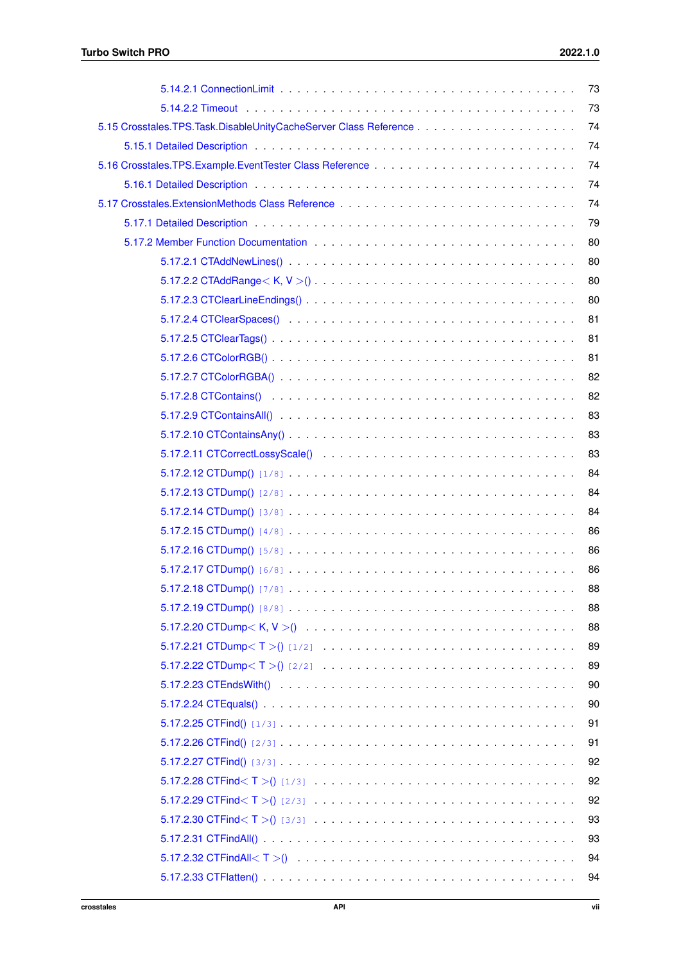| 73 |
|----|
| 73 |
| 74 |
| 74 |
| 74 |
| 74 |
| 74 |
| 79 |
| 80 |
| 80 |
| 80 |
| 80 |
| 81 |
| 81 |
| 81 |
| 82 |
| 82 |
| 83 |
| 83 |
| 83 |
| 84 |
| 84 |
| 84 |
| 86 |
| 86 |
| 86 |
| 88 |
| 88 |
| 88 |
| 89 |
| 89 |
| 90 |
| 90 |
| 91 |
| 91 |
| 92 |
| 92 |
| 92 |
| 93 |
| 93 |
| 94 |
| 94 |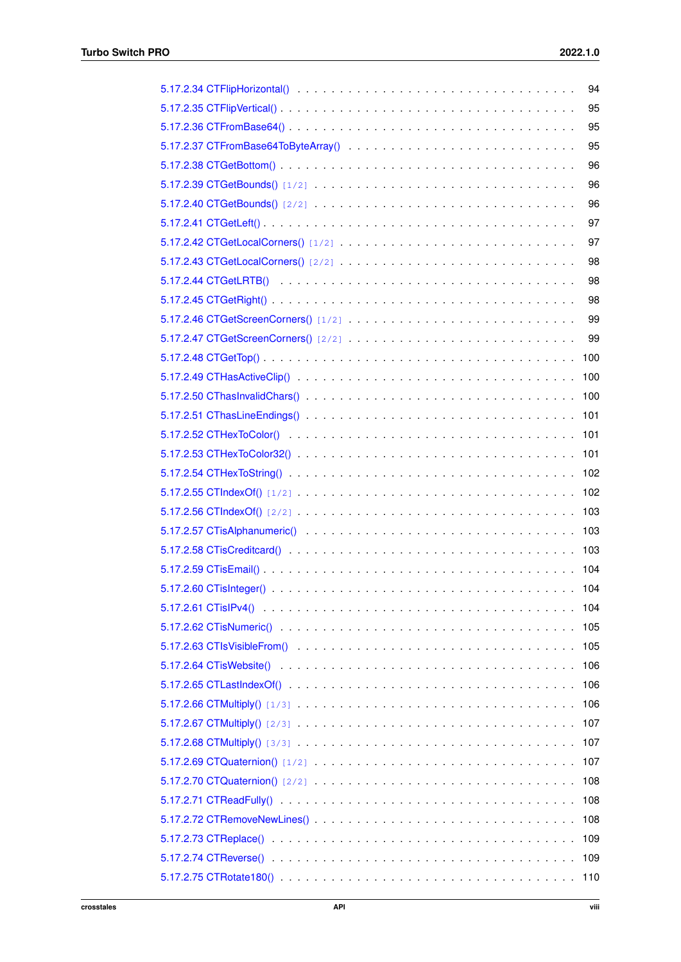| 94  |
|-----|
| 95  |
| 95  |
| 95  |
| 96  |
| 96  |
| 96  |
| 97  |
| 97  |
| 98  |
| 98  |
| 98  |
| 99  |
| 99  |
| 100 |
| 100 |
| 100 |
| 101 |
| 101 |
| 101 |
| 102 |
| 102 |
| 103 |
| 103 |
| 103 |
| 104 |
|     |
| 104 |
| 105 |
| 105 |
| 106 |
| 106 |
| 106 |
| 107 |
| 107 |
| 107 |
| 108 |
| 108 |
| 108 |
| 109 |
| 109 |
| 110 |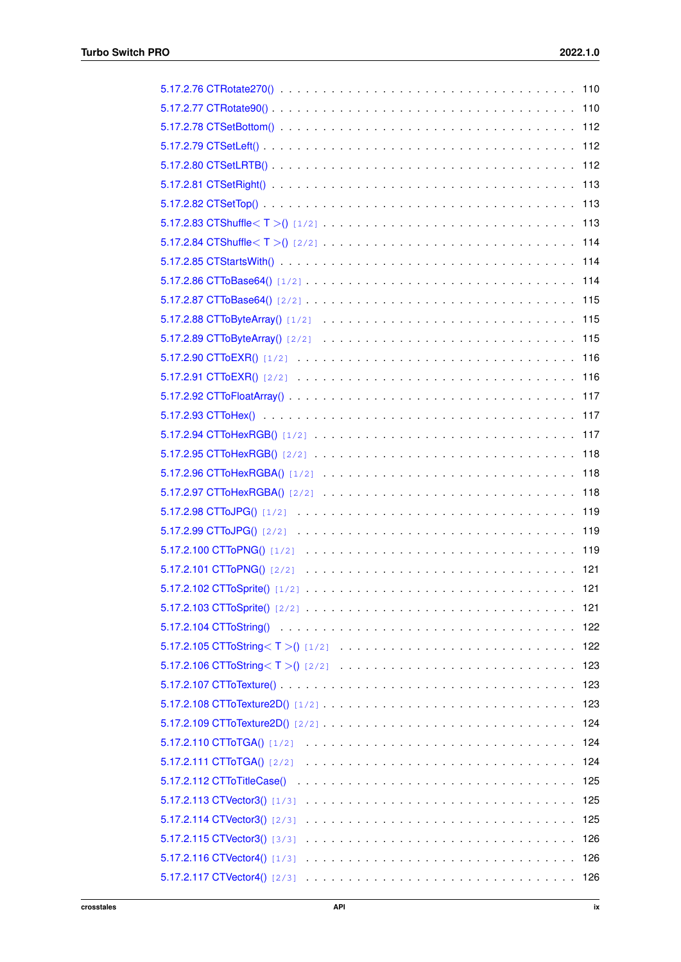| 5.17.2.83 CTShuffle $\langle T \rangle$ [1/2]<br>113 |
|------------------------------------------------------|
|                                                      |
|                                                      |
|                                                      |
|                                                      |
|                                                      |
|                                                      |
| 116                                                  |
| 116                                                  |
|                                                      |
| 117                                                  |
| 117                                                  |
| 118                                                  |
| 118                                                  |
| 118                                                  |
| 119                                                  |
| 119                                                  |
|                                                      |
|                                                      |
|                                                      |
|                                                      |
|                                                      |
| 122                                                  |
| 123                                                  |
| 123                                                  |
| 123                                                  |
|                                                      |
| 124                                                  |
| 124                                                  |
| 125                                                  |
| 125                                                  |
| 125                                                  |
| 126                                                  |
| 126                                                  |
|                                                      |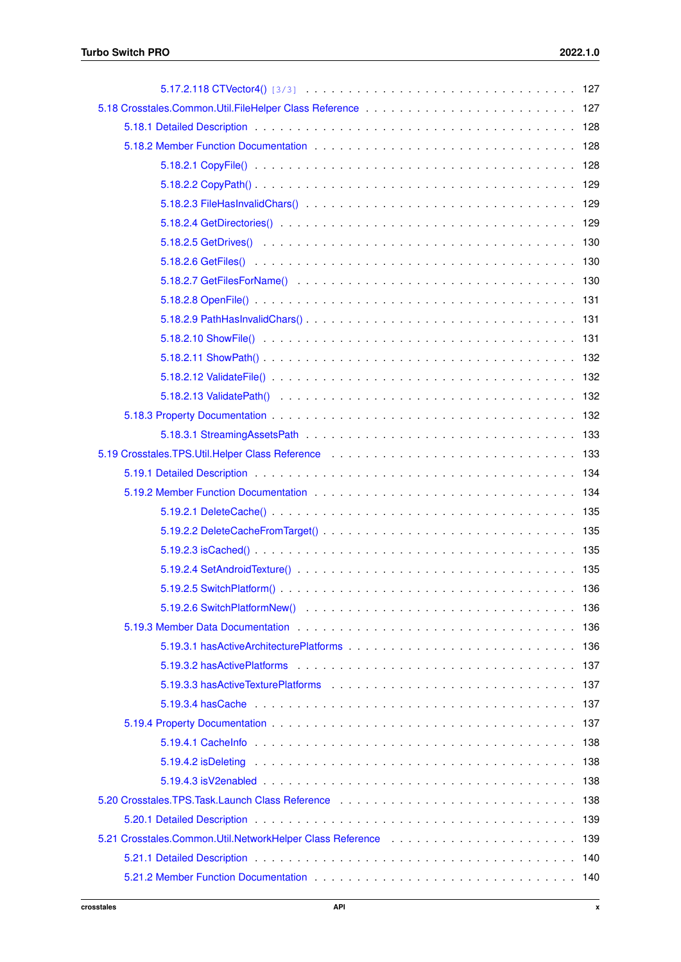| 5.19.3 Member Data Documentation enterstanding to the state of the state of the state of the state of the state of the state of the state of the state of the state of the state of the state of the state of the state of the |
|--------------------------------------------------------------------------------------------------------------------------------------------------------------------------------------------------------------------------------|
|                                                                                                                                                                                                                                |
|                                                                                                                                                                                                                                |
|                                                                                                                                                                                                                                |
|                                                                                                                                                                                                                                |
|                                                                                                                                                                                                                                |
|                                                                                                                                                                                                                                |
|                                                                                                                                                                                                                                |
|                                                                                                                                                                                                                                |
|                                                                                                                                                                                                                                |
|                                                                                                                                                                                                                                |
| 5.21 Crosstales.Common.Util.NetworkHelper Class Reference enterprised and contact the control of 139                                                                                                                           |
|                                                                                                                                                                                                                                |
|                                                                                                                                                                                                                                |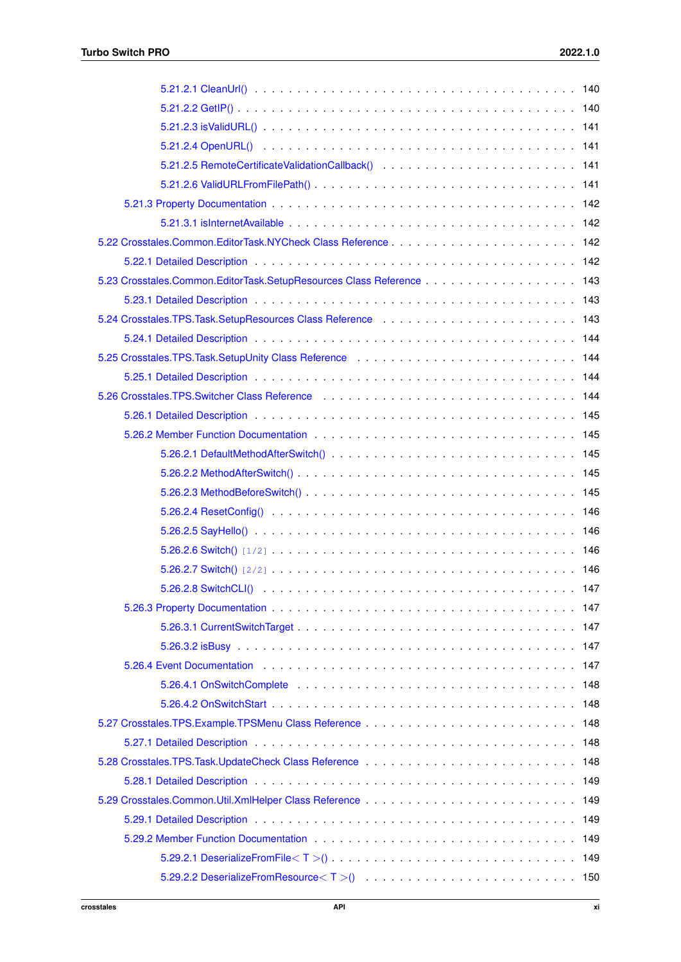| 5.23 Crosstales.Common.EditorTask.SetupResources Class Reference 143                                                                                                                                                          |
|-------------------------------------------------------------------------------------------------------------------------------------------------------------------------------------------------------------------------------|
|                                                                                                                                                                                                                               |
|                                                                                                                                                                                                                               |
|                                                                                                                                                                                                                               |
| 5.25 Crosstales.TPS.Task.SetupUnity Class Reference enterprise in the control of the 144                                                                                                                                      |
|                                                                                                                                                                                                                               |
| 5.26 Crosstales.TPS.Switcher Class Reference enterprise in the state of the cross and the state of the state o                                                                                                                |
|                                                                                                                                                                                                                               |
|                                                                                                                                                                                                                               |
|                                                                                                                                                                                                                               |
|                                                                                                                                                                                                                               |
|                                                                                                                                                                                                                               |
|                                                                                                                                                                                                                               |
|                                                                                                                                                                                                                               |
|                                                                                                                                                                                                                               |
|                                                                                                                                                                                                                               |
|                                                                                                                                                                                                                               |
|                                                                                                                                                                                                                               |
|                                                                                                                                                                                                                               |
|                                                                                                                                                                                                                               |
| 5.26.4 Event Documentation extension of the state of the state of the state of the state of the state of the state of the state of the state of the state of the state of the state of the state of the state of the state of |
|                                                                                                                                                                                                                               |
|                                                                                                                                                                                                                               |
|                                                                                                                                                                                                                               |
|                                                                                                                                                                                                                               |
|                                                                                                                                                                                                                               |
|                                                                                                                                                                                                                               |
|                                                                                                                                                                                                                               |
|                                                                                                                                                                                                                               |
|                                                                                                                                                                                                                               |
| 5.29.2.1 DeserializeFromFile $(T > 0, \ldots, \ldots, \ldots, \ldots, \ldots, \ldots, \ldots, \ldots, \ldots, 149)$                                                                                                           |
|                                                                                                                                                                                                                               |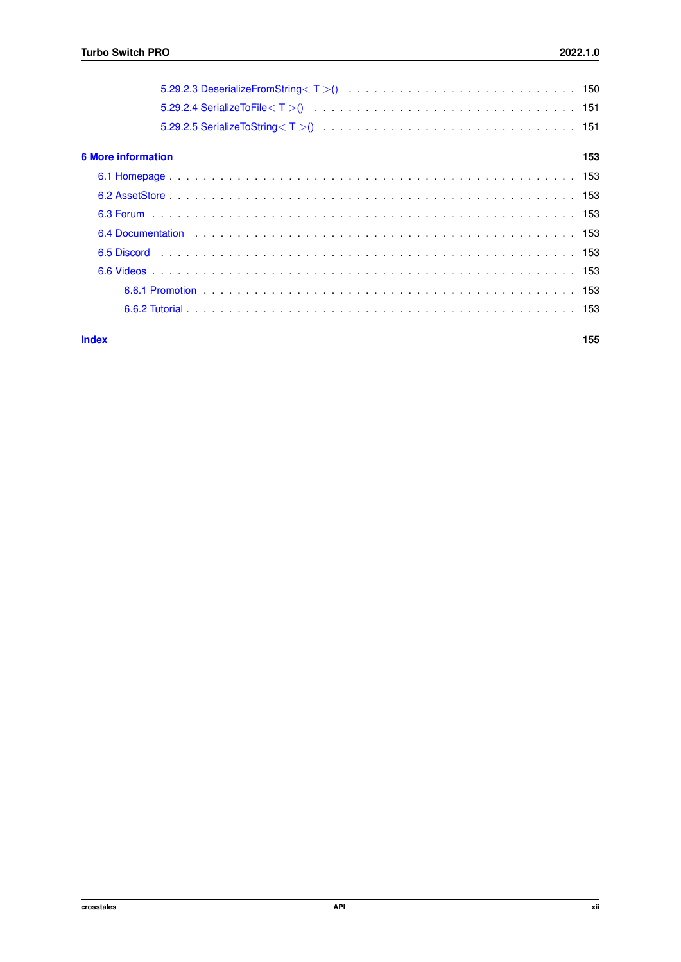| <b>6 More information</b> |  |  |  |  |  |  |  |  |  |  |  | 153 |
|---------------------------|--|--|--|--|--|--|--|--|--|--|--|-----|
|                           |  |  |  |  |  |  |  |  |  |  |  |     |
|                           |  |  |  |  |  |  |  |  |  |  |  |     |
|                           |  |  |  |  |  |  |  |  |  |  |  |     |
|                           |  |  |  |  |  |  |  |  |  |  |  |     |
|                           |  |  |  |  |  |  |  |  |  |  |  |     |
|                           |  |  |  |  |  |  |  |  |  |  |  |     |
|                           |  |  |  |  |  |  |  |  |  |  |  |     |
|                           |  |  |  |  |  |  |  |  |  |  |  |     |
| <b>Index</b>              |  |  |  |  |  |  |  |  |  |  |  | 155 |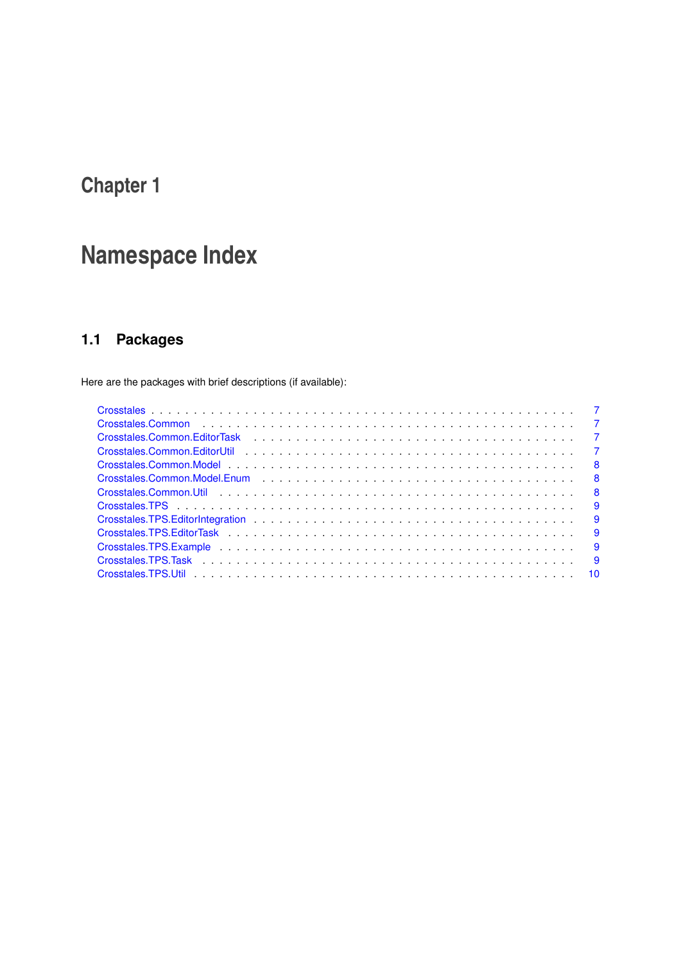# <span id="page-13-0"></span>**Namespace Index**

## <span id="page-13-1"></span>**1.1 Packages**

Here are the packages with brief descriptions (if available):

| Crosstales.Common.Util 8                                                                                                                                                                                                       |  |
|--------------------------------------------------------------------------------------------------------------------------------------------------------------------------------------------------------------------------------|--|
|                                                                                                                                                                                                                                |  |
|                                                                                                                                                                                                                                |  |
|                                                                                                                                                                                                                                |  |
| Crosstales.TPS.Example entertainment in the set of the set of the set of the set of the set of the set of the set of the set of the set of the set of the set of the set of the set of the set of the set of the set of the se |  |
|                                                                                                                                                                                                                                |  |
|                                                                                                                                                                                                                                |  |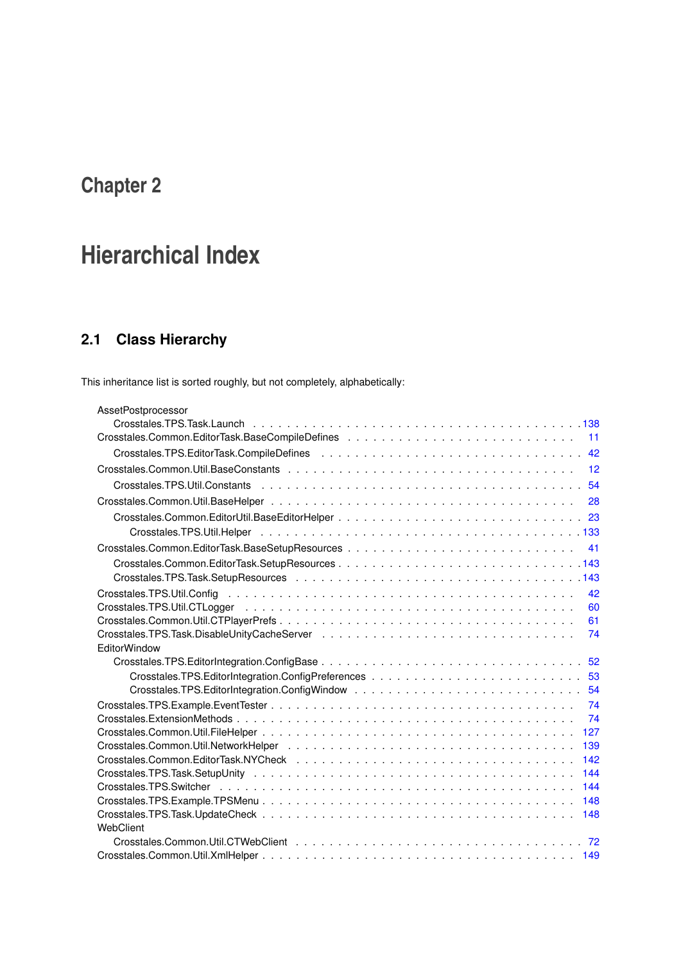# <span id="page-15-0"></span>**Hierarchical Index**

## <span id="page-15-1"></span>**2.1 Class Hierarchy**

This inheritance list is sorted roughly, but not completely, alphabetically:

| AssetPostprocessor  |
|---------------------|
|                     |
| 11                  |
| 42                  |
| 12                  |
|                     |
| 28                  |
|                     |
|                     |
| 41                  |
|                     |
|                     |
| 42                  |
| 60                  |
| 61                  |
| 74                  |
| <b>EditorWindow</b> |
|                     |
|                     |
| 54                  |
| 74                  |
| 74                  |
| 127                 |
| 139                 |
| 142                 |
| 144                 |
| 144                 |
| 148                 |
|                     |
| WebClient           |
|                     |
|                     |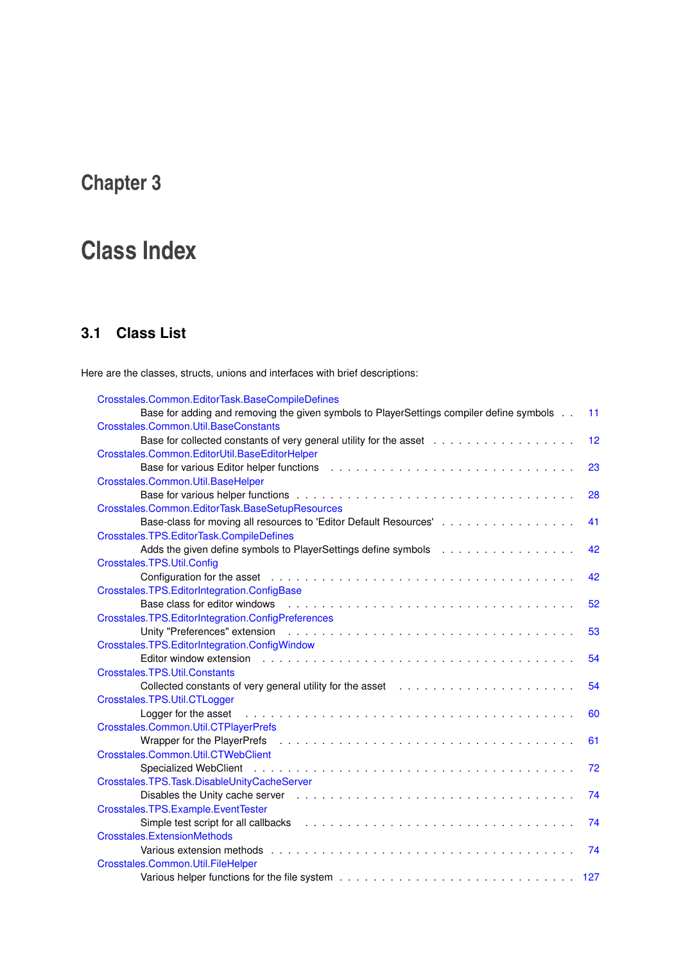# <span id="page-17-0"></span>**Class Index**

## <span id="page-17-1"></span>**3.1 Class List**

Here are the classes, structs, unions and interfaces with brief descriptions:

| Crosstales.Common.EditorTask.BaseCompileDefines                                                                                                                                                                                |     |
|--------------------------------------------------------------------------------------------------------------------------------------------------------------------------------------------------------------------------------|-----|
| Base for adding and removing the given symbols to PlayerSettings compiler define symbols                                                                                                                                       | 11  |
| Crosstales.Common.Util.BaseConstants                                                                                                                                                                                           |     |
|                                                                                                                                                                                                                                | 12  |
| Crosstales.Common.EditorUtil.BaseEditorHelper                                                                                                                                                                                  |     |
| Base for various Editor helper functions                                                                                                                                                                                       | 23  |
| Crosstales.Common.Util.BaseHelper                                                                                                                                                                                              |     |
|                                                                                                                                                                                                                                | 28  |
| Crosstales.Common.EditorTask.BaseSetupResources                                                                                                                                                                                |     |
| Base-class for moving all resources to 'Editor Default Resources'                                                                                                                                                              | 41  |
| Crosstales.TPS.EditorTask.CompileDefines                                                                                                                                                                                       |     |
| Adds the given define symbols to PlayerSettings define symbols                                                                                                                                                                 | 42  |
| Crosstales.TPS.Util.Config                                                                                                                                                                                                     |     |
|                                                                                                                                                                                                                                | 42  |
| Crosstales.TPS.EditorIntegration.ConfigBase                                                                                                                                                                                    |     |
| Base class for editor windows                                                                                                                                                                                                  | 52  |
| Crosstales.TPS.EditorIntegration.ConfigPreferences                                                                                                                                                                             |     |
| Unity "Preferences" extension enterpretational contact to contact the contact of the Unit of Termina contact t                                                                                                                 | 53  |
| Crosstales.TPS.EditorIntegration.ConfigWindow                                                                                                                                                                                  |     |
| Editor window extension education of the contract of the contract of the contract of the contract of the contract of the contract of the contract of the contract of the contract of the contract of the contract of the contr | 54  |
| Crosstales.TPS.Util.Constants                                                                                                                                                                                                  |     |
|                                                                                                                                                                                                                                | 54  |
| Crosstales.TPS.Util.CTLogger                                                                                                                                                                                                   |     |
| Logger for the asset                                                                                                                                                                                                           | 60  |
| Crosstales.Common.Util.CTPlayerPrefs                                                                                                                                                                                           |     |
| Wrapper for the PlayerPrefs                                                                                                                                                                                                    | 61  |
| Crosstales.Common.Util.CTWebClient                                                                                                                                                                                             |     |
|                                                                                                                                                                                                                                | 72  |
| Crosstales.TPS.Task.DisableUnityCacheServer                                                                                                                                                                                    |     |
|                                                                                                                                                                                                                                | 74  |
| Crosstales.TPS.Example.EventTester                                                                                                                                                                                             |     |
|                                                                                                                                                                                                                                | 74  |
| <b>Crosstales.ExtensionMethods</b>                                                                                                                                                                                             |     |
| Various extension methods enterpreteration of the contract of the contract of the contract of the contract of the contract of the contract of the contract of the contract of the contract of the contract of the contract of  | 74  |
| Crosstales.Common.Util.FileHelper                                                                                                                                                                                              |     |
|                                                                                                                                                                                                                                | 127 |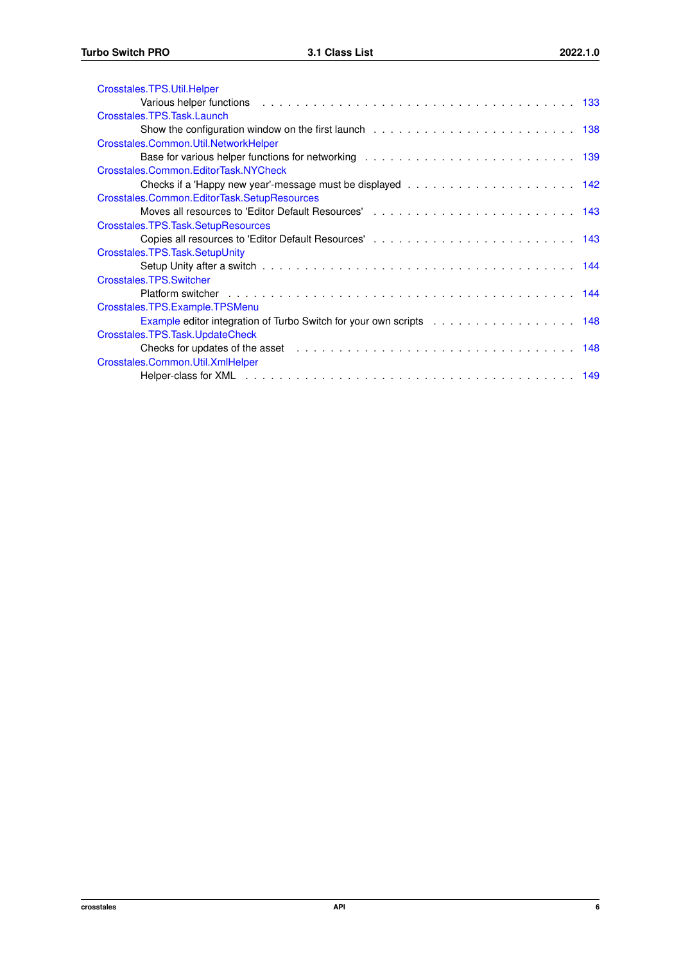| Crosstales.TPS.Util.Helper                                          |  |
|---------------------------------------------------------------------|--|
|                                                                     |  |
| Crosstales.TPS.Task.Launch                                          |  |
|                                                                     |  |
| Crosstales.Common.Util.NetworkHelper                                |  |
|                                                                     |  |
| Crosstales.Common.EditorTask.NYCheck                                |  |
|                                                                     |  |
| Crosstales.Common.EditorTask.SetupResources                         |  |
|                                                                     |  |
| Crosstales.TPS.Task.SetupResources                                  |  |
|                                                                     |  |
| Crosstales.TPS.Task.SetupUnity                                      |  |
|                                                                     |  |
| Crosstales.TPS.Switcher                                             |  |
|                                                                     |  |
| Crosstales.TPS.Example.TPSMenu                                      |  |
| Example editor integration of Turbo Switch for your own scripts 148 |  |
| Crosstales.TPS.Task.UpdateCheck                                     |  |
|                                                                     |  |
| Crosstales.Common.Util.XmlHelper                                    |  |
|                                                                     |  |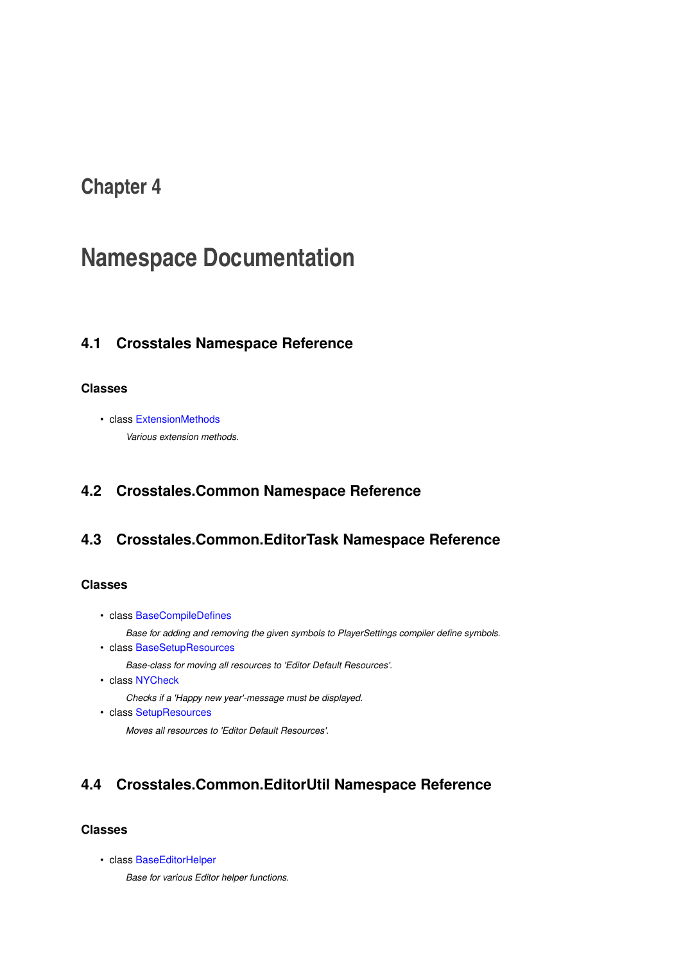## <span id="page-19-0"></span>**Namespace Documentation**

## <span id="page-19-1"></span>**4.1 Crosstales Namespace Reference**

#### **Classes**

• class [ExtensionMethods](#page-86-6) *Various extension methods.*

## <span id="page-19-5"></span><span id="page-19-2"></span>**4.2 Crosstales.Common Namespace Reference**

## <span id="page-19-3"></span>**4.3 Crosstales.Common.EditorTask Namespace Reference**

#### **Classes**

- class [BaseCompileDefines](#page-23-1)
	- *Base for adding and removing the given symbols to PlayerSettings compiler define symbols.*
- class [BaseSetupResources](#page-53-3)

*Base-class for moving all resources to 'Editor Default Resources'.*

- class [NYCheck](#page-154-4)
	- *Checks if a 'Happy new year'-message must be displayed.*
- class [SetupResources](#page-154-5)

*Moves all resources to 'Editor Default Resources'.*

## <span id="page-19-6"></span><span id="page-19-4"></span>**4.4 Crosstales.Common.EditorUtil Namespace Reference**

#### **Classes**

<span id="page-19-7"></span>• class [BaseEditorHelper](#page-35-3)

*Base for various Editor helper functions.*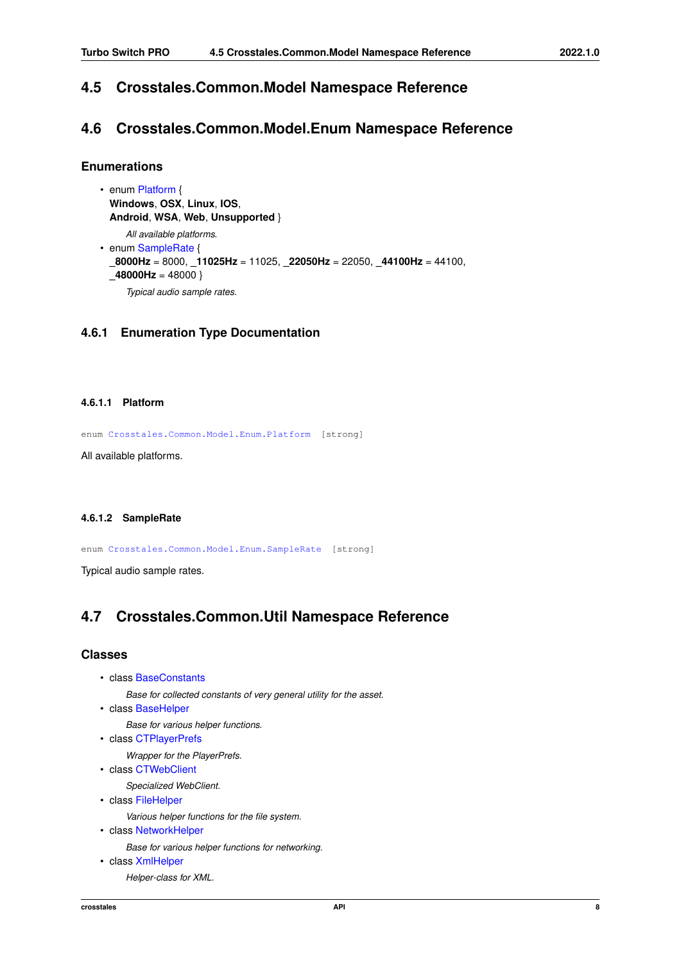### <span id="page-20-0"></span>**4.5 Crosstales.Common.Model Namespace Reference**

### <span id="page-20-1"></span>**4.6 Crosstales.Common.Model.Enum Namespace Reference**

#### **Enumerations**

• enum [Platform](#page-20-8) { **Windows**, **OSX**, **Linux**, **IOS**, **Android**, **WSA**, **Web**, **Unsupported** } *All available platforms.* • enum [SampleRate](#page-20-9) { **\_8000Hz** = 8000, **\_11025Hz** = 11025, **\_22050Hz** = 22050, **\_44100Hz** = 44100, **48000Hz** = 48000 } *Typical audio sample rates.*

#### <span id="page-20-8"></span><span id="page-20-2"></span>**4.6.1 Enumeration Type Documentation**

#### <span id="page-20-3"></span>**4.6.1.1 Platform**

```
Crosstales.Common.Model.Enum.Platform [strong]
```
<span id="page-20-9"></span>All available platforms.

#### <span id="page-20-4"></span>**4.6.1.2 SampleRate**

enum [Crosstales.Common.Model.Enum.SampleRate](#page-20-9) [strong]

<span id="page-20-6"></span>Typical audio sample rates.

## <span id="page-20-5"></span>**4.7 Crosstales.Common.Util Namespace Reference**

#### **Classes**

- class [BaseConstants](#page-24-2)
	- *Base for collected constants of very general utility for the asset.*
- class [BaseHelper](#page-40-1)

*Base for various helper functions.*

• class [CTPlayerPrefs](#page-73-2)

*Wrapper for the PlayerPrefs.*

• class [CTWebClient](#page-84-3)

*Specialized WebClient.*

• class [FileHelper](#page-139-2)

*Various helper functions for the file system.*

• class [NetworkHelper](#page-151-2)

*Base for various helper functions for networking.*

<span id="page-20-7"></span>• class [XmlHelper](#page-161-5)

*Helper-class for XML.*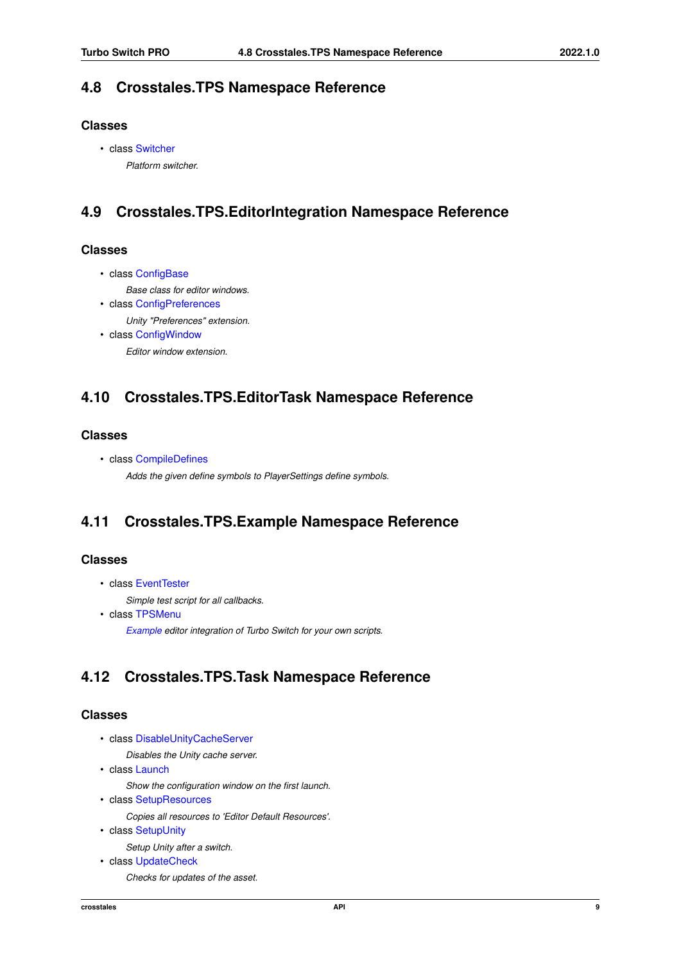### <span id="page-21-0"></span>**4.8 Crosstales.TPS Namespace Reference**

#### **Classes**

• class [Switcher](#page-156-5) *Platform switcher.*

## <span id="page-21-5"></span><span id="page-21-1"></span>**4.9 Crosstales.TPS.EditorIntegration Namespace Reference**

#### **Classes**

• class [ConfigBase](#page-64-4)

*Base class for editor windows.*

- class [ConfigPreferences](#page-65-3) *Unity "Preferences" extension.*
- class [ConfigWindow](#page-65-4)

*Editor window extension.*

## <span id="page-21-6"></span><span id="page-21-2"></span>**4.10 Crosstales.TPS.EditorTask Namespace Reference**

#### **Classes**

- class [CompileDefines](#page-53-4)
	- *Adds the given define symbols to PlayerSettings define symbols.*

## <span id="page-21-7"></span><span id="page-21-3"></span>**4.11 Crosstales.TPS.Example Namespace Reference**

#### **Classes**

- class [EventTester](#page-86-5)
	- *Simple test script for all callbacks.*
- class [TPSMenu](#page-160-5)

*[Example](#page-21-7) editor integration of Turbo Switch for your own scripts.*

## <span id="page-21-8"></span><span id="page-21-4"></span>**4.12 Crosstales.TPS.Task Namespace Reference**

#### **Classes**

• class [DisableUnityCacheServer](#page-85-4)

*Disables the Unity cache server.*

• class [Launch](#page-150-4)

*Show the configuration window on the first launch.*

• class [SetupResources](#page-155-3)

```
Copies all resources to 'Editor Default Resources'.
```
• class [SetupUnity](#page-156-4)

*Setup Unity after a switch.*

• class [UpdateCheck](#page-160-6) *Checks for updates of the asset.*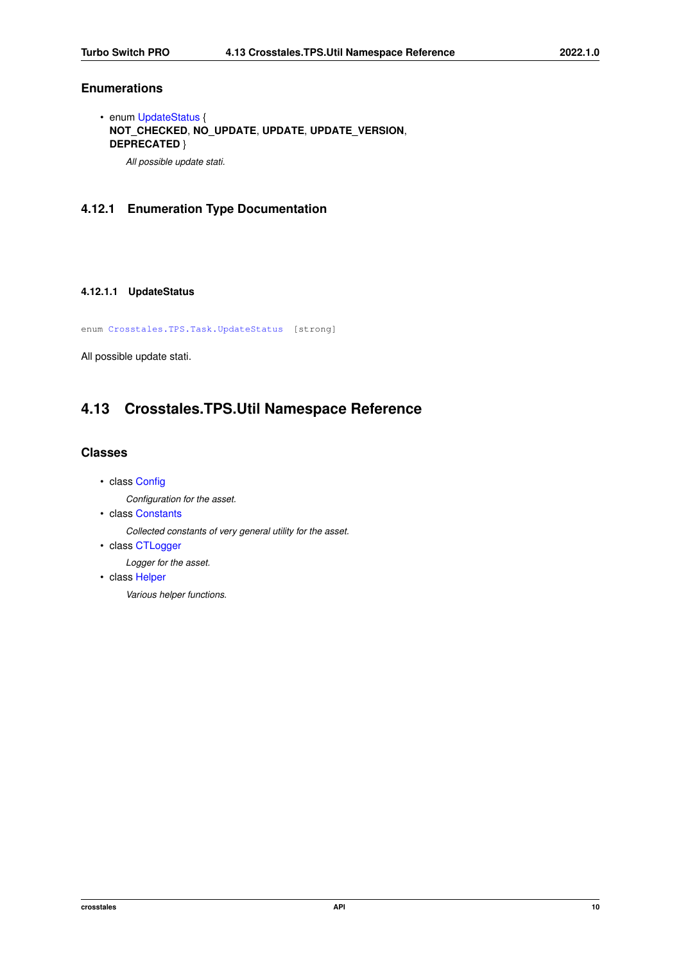#### **Enumerations**

• enum [UpdateStatus](#page-22-4) { **NOT\_CHECKED**, **NO\_UPDATE**, **UPDATE**, **UPDATE\_VERSION**, **DEPRECATED** }

*All possible update stati.*

#### <span id="page-22-4"></span><span id="page-22-0"></span>**4.12.1 Enumeration Type Documentation**

#### <span id="page-22-1"></span>**4.12.1.1 UpdateStatus**

enum [Crosstales.TPS.Task.UpdateStatus](#page-22-4) [strong]

<span id="page-22-3"></span>All possible update stati.

## <span id="page-22-2"></span>**4.13 Crosstales.TPS.Util Namespace Reference**

#### **Classes**

- class [Config](#page-54-3)
	- *Configuration for the asset.*
- class [Constants](#page-66-3)

*Collected constants of very general utility for the asset.*

• class [CTLogger](#page-72-5)

*Logger for the asset.*

• class [Helper](#page-145-2)

*Various helper functions.*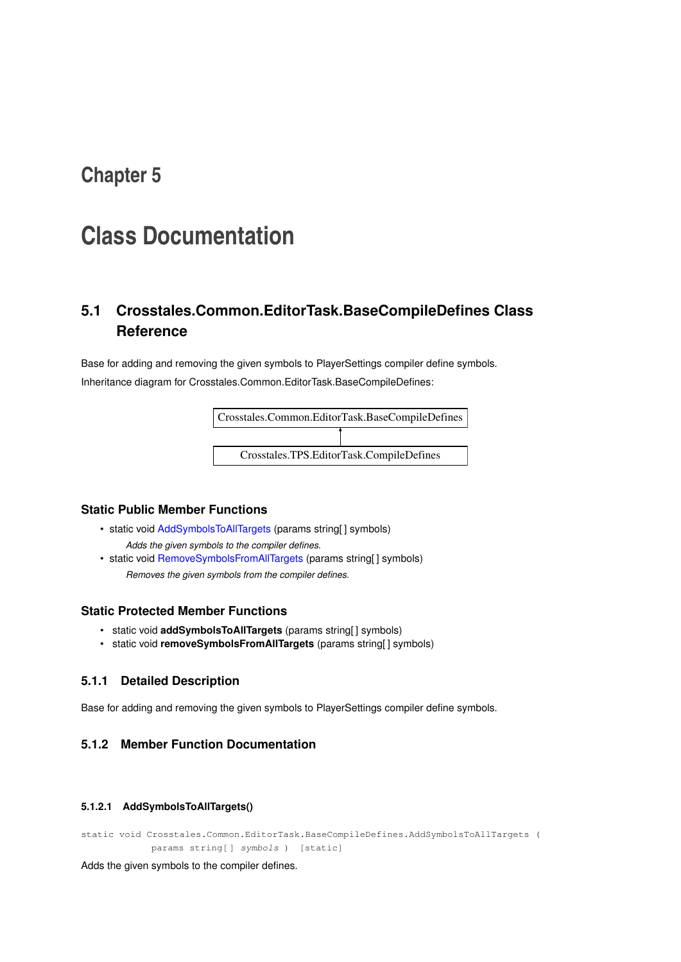## <span id="page-23-0"></span>**Class Documentation**

## <span id="page-23-1"></span>**5.1 Crosstales.Common.EditorTask.BaseCompileDefines Class Reference**

Base for adding and removing the given symbols to PlayerSettings compiler define symbols. Inheritance diagram for Crosstales.Common.EditorTask.BaseCompileDefines:



#### **Static Public Member Functions**

- static void [AddSymbolsToAllTargets](#page-23-5) (params string[] symbols) *Adds the given symbols to the compiler defines.*
- static void [RemoveSymbolsFromAllTargets](#page-24-3) (params string[] symbols) *Removes the given symbols from the compiler defines.*

#### **Static Protected Member Functions**

- static void **addSymbolsToAllTargets** (params string[ ] symbols)
- static void **removeSymbolsFromAllTargets** (params string[ ] symbols)

#### <span id="page-23-2"></span>**5.1.1 Detailed Description**

Base for adding and removing the given symbols to PlayerSettings compiler define symbols.

#### <span id="page-23-5"></span><span id="page-23-3"></span>**5.1.2 Member Function Documentation**

#### <span id="page-23-4"></span>**5.1.2.1 AddSymbolsToAllTargets()**

static void Crosstales.Common.EditorTask.BaseCompileDefines.AddSymbolsToAllTargets ( params string[ ] symbols ) [static]

Adds the given symbols to the compiler defines.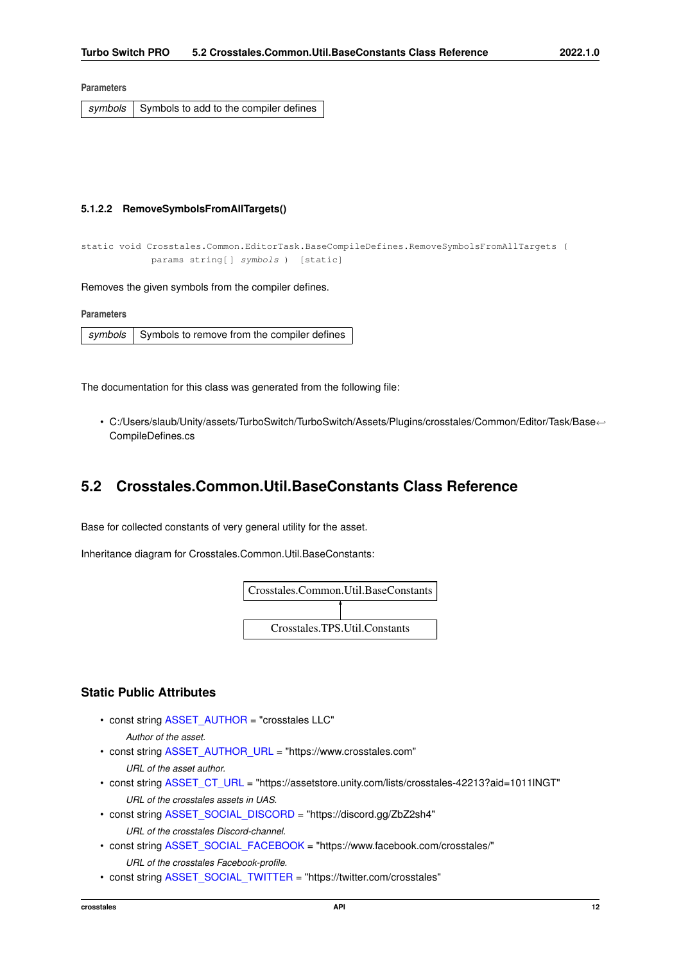#### **Parameters**

<span id="page-24-3"></span>symbols Symbols to add to the compiler defines

#### <span id="page-24-0"></span>**5.1.2.2 RemoveSymbolsFromAllTargets()**

```
static void Crosstales.Common.EditorTask.BaseCompileDefines.RemoveSymbolsFromAllTargets (
            params string[] symbols ) [static]
```
Removes the given symbols from the compiler defines.

| <b>Parameters</b> |                                                     |
|-------------------|-----------------------------------------------------|
|                   | symbols Symbols to remove from the compiler defines |
|                   |                                                     |

The documentation for this class was generated from the following file:

• C:/Users/slaub/Unity/assets/TurboSwitch/TurboSwitch/Assets/Plugins/crosstales/Common/Editor/Task/Base←- CompileDefines.cs

### <span id="page-24-2"></span><span id="page-24-1"></span>**5.2 Crosstales.Common.Util.BaseConstants Class Reference**

Base for collected constants of very general utility for the asset.

Inheritance diagram for Crosstales.Common.Util.BaseConstants:



#### **Static Public Attributes**

- const string [ASSET\\_AUTHOR](#page-28-6) = "crosstales LLC"
	- *Author of the asset.*
- const string [ASSET\\_AUTHOR\\_URL](#page-28-7) = "https://www.crosstales.com"
	- *URL of the asset author.*
- const string [ASSET\\_CT\\_URL](#page-28-8) = "https://assetstore.unity.com/lists/crosstales-42213?aid=1011lNGT" *URL of the crosstales assets in UAS.*
- const string [ASSET\\_SOCIAL\\_DISCORD](#page-29-6) = "https://discord.gg/ZbZ2sh4"
	- *URL of the crosstales Discord-channel.*
- const string [ASSET\\_SOCIAL\\_FACEBOOK](#page-29-7) = "https://www.facebook.com/crosstales/" *URL of the crosstales Facebook-profile.*
- const string [ASSET\\_SOCIAL\\_TWITTER](#page-30-6) = "https://twitter.com/crosstales"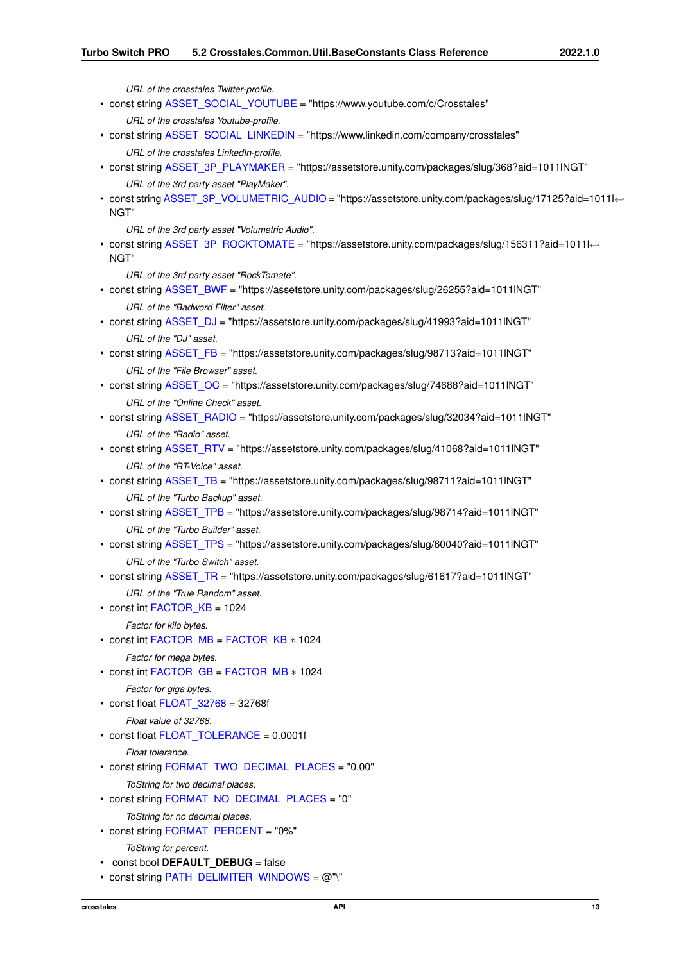*URL of the crosstales Twitter-profile.*

```
ASSET_SOCIAL_YOUTUBE = "https://www.youtube.com/c/Crosstales"
     URL of the crosstales Youtube-profile.
ASSET_SOCIAL_LINKEDIN = "https://www.linkedin.com/company/crosstales"
     URL of the crosstales LinkedIn-profile.
ASSET_3P_PLAYMAKER = "https://assetstore.unity.com/packages/slug/368?aid=1011lNGT"
     URL of the 3rd party asset "PlayMaker".
ASSET_3P_VOLUMETRIC_AUDIO = "https://assetstore.unity.com/packages/slug/17125?aid=1011l←-
 NGT"
     URL of the 3rd party asset "Volumetric Audio".
• const string ASSET_3P_ROCKTOMATE = "https://assetstore.unity.com/packages/slug/156311?aid=1011l←-
 NGT"
     URL of the 3rd party asset "RockTomate".
• const string ASSET_BWF = "https://assetstore.unity.com/packages/slug/26255?aid=1011lNGT"
     URL of the "Badword Filter" asset.
• const string ASSET_DJ = "https://assetstore.unity.com/packages/slug/41993?aid=1011lNGT"
     URL of the "DJ" asset.
• const string ASSET_FB = "https://assetstore.unity.com/packages/slug/98713?aid=1011lNGT"
     URL of the "File Browser" asset.
ASSET_OC = "https://assetstore.unity.com/packages/slug/74688?aid=1011lNGT"
     URL of the "Online Check" asset.
ASSET_RADIO = "https://assetstore.unity.com/packages/slug/32034?aid=1011lNGT"
     URL of the "Radio" asset.
ASSET_RTV = "https://assetstore.unity.com/packages/slug/41068?aid=1011lNGT"
     URL of the "RT-Voice" asset.
ASSET_TB = "https://assetstore.unity.com/packages/slug/98711?aid=1011lNGT"
     URL of the "Turbo Backup" asset.
ASSET_TPB = "https://assetstore.unity.com/packages/slug/98714?aid=1011lNGT"
     URL of the "Turbo Builder" asset.
ASSET_TPS = "https://assetstore.unity.com/packages/slug/60040?aid=1011lNGT"
     URL of the "Turbo Switch" asset.
• const string ASSET_TR = "https://assetstore.unity.com/packages/slug/61617?aid=1011lNGT"
     URL of the "True Random" asset.
• const int FACTOR KB = 1024
     Factor for kilo bytes.
• const int FACTOR_MB = FACTOR_KB ∗ 1024
     Factor for mega bytes.
FACTOR_GBFACTOR_MB * 1024
     Factor for giga bytes.
• const float FLOAT_32768 = 32768f
     Float value of 32768.
FLOAT_TOLERANCE = 0.0001f
     Float tolerance.
• const string FORMAT_TWO_DECIMAL_PLACES = "0.00"
     ToString for two decimal places.
• const string FORMAT_NO_DECIMAL_PLACES = "0"
     ToString for no decimal places.
• const string FORMAT_PERCENT = "0%"
     ToString for percent.
• const bool DEFAULT DEBUG = false
```

```
PATH_DELIMITER_WINDOWS = @"\"
```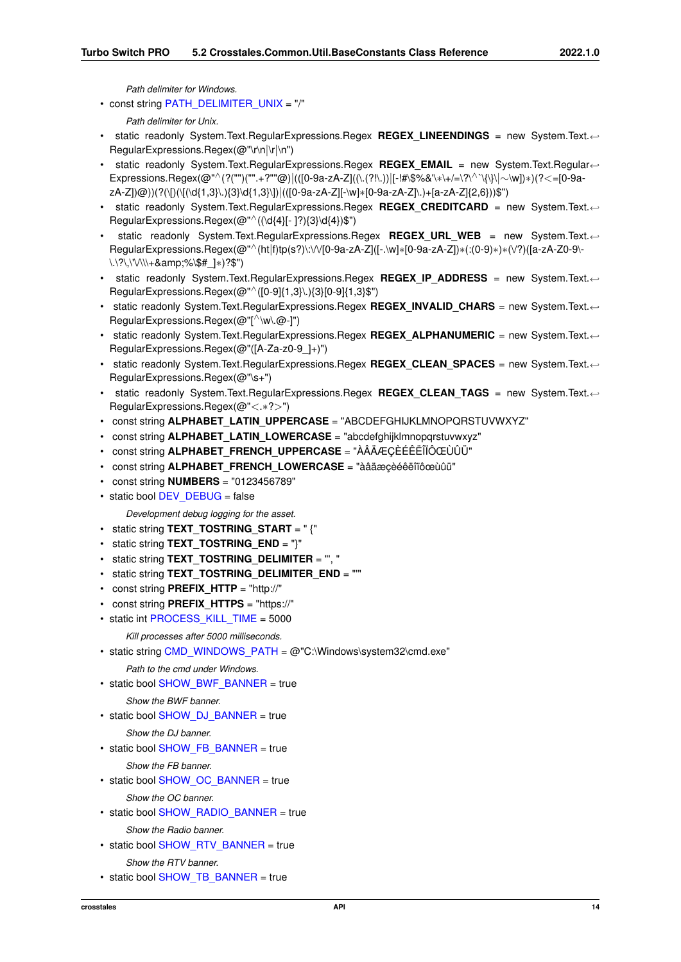*Path delimiter for Windows.*

• const string [PATH\\_DELIMITER\\_UNIX](#page-32-11) = "/"

```
Path delimiter for Unix.
```
- static readonly System.Text.RegularExpressions.Regex **REGEX\_LINEENDINGS** = new System.Text.←- RegularExpressions.Regex(@"\r\n|\r|\n")
- static readonly System.Text.RegularExpressions.Regex **REGEX\_EMAIL** = new System.Text.Regular←- Expressions.Regex(@"∧(?("")("".+?""@)|(([0-9a-zA-Z]((\.(?!\.))|[-!#\\$%&'\∗\+/=\?\∧`\{\}\|∼\w])∗)(?<=[0-9azA-Z])@))(?(\[)(\[(\d{1,3}\.){3}\d{1,3}\])|(([0-9a-zA-Z][-\w]∗[0-9a-zA-Z]\.)+[a-zA-Z]{2,6}))\$")
- static readonly System.Text.RegularExpressions.Regex REGEX CREDITCARD = new System.Text.← RegularExpressions.Regex( $@^{\prime\prime}$ ((\d{4}[- ]?){3}\d{4})\$")
- static readonly System.Text.RegularExpressions.Regex **REGEX\_URL\_WEB** = new System.Text.←- RegularExpressions.Regex(@"∧(ht|f)tp(s?)\:\/\/[0-9a-zA-Z]([-.\w]∗[0-9a-zA-Z])∗(:(0-9)∗)∗(\/?)([a-zA-Z0-9\- \.\?\,\'\/\\\+&%\\$#\_]∗)?\$")
- static readonly System.Text.RegularExpressions.Regex **REGEX\_IP\_ADDRESS** = new System.Text.←- RegularExpressions.Regex(@"∧([0-9]{1,3}\.){3}[0-9]{1,3}\$")
- static readonly System.Text.RegularExpressions.Regex REGEX INVALID CHARS = new System.Text.← RegularExpressions.Regex(@" $\lceil^{\wedge} \mathsf{w} \rceil$ .@-]")
- static readonly System.Text.RegularExpressions.Regex REGEX ALPHANUMERIC = new System.Text.← RegularExpressions.Regex(@"([A-Za-z0-9\_]+)")
- static readonly System.Text.RegularExpressions.Regex **REGEX\_CLEAN\_SPACES** = new System.Text.←- RegularExpressions.Regex(@"\s+")
- static readonly System.Text.RegularExpressions.Regex **REGEX\_CLEAN\_TAGS** = new System.Text.←- RegularExpressions.Regex(@"<.∗?>")
- const string **ALPHABET\_LATIN\_UPPERCASE** = "ABCDEFGHIJKLMNOPQRSTUVWXYZ"
- const string **ALPHABET\_LATIN\_LOWERCASE** = "abcdefghijklmnopgrstuvwxyz"
- const string **ALPHABET\_FRENCH\_UPPERCASE** = "ÀÂÄÆÇÈÉÊËÎÏÔŒÙÛÜ"
- const string **ALPHABET\_FRENCH\_LOWERCASE** = "àâäæçèéêëîïôœùûü"
- const string **NUMBERS** = "0123456789"
- static bool [DEV\\_DEBUG](#page-31-10) = false

*Development debug logging for the asset.*

- static string **TEXT\_TOSTRING\_START** = " {"
- static string **TEXT\_TOSTRING\_END** = "}"
- static string **TEXT\_TOSTRING\_DELIMITER** = "', "
- static string **TEXT\_TOSTRING\_DELIMITER\_END** = "'"
- const string **PREFIX\_HTTP** = "http://"
- const string **PREFIX\_HTTPS** = "https://"
- static int [PROCESS\\_KILL\\_TIME](#page-33-6) = 5000

*Kill processes after 5000 milliseconds.*

• static string [CMD\\_WINDOWS\\_PATH](#page-31-11) =  $@"C:\Windown\s$  stem32\cmd.exe"

#### *Path to the cmd under Windows.*

• static bool [SHOW\\_BWF\\_BANNER](#page-33-7) = true

```
Show the BWF banner.
```
• static bool [SHOW\\_DJ\\_BANNER](#page-33-8) = true

*Show the DJ banner.*

• static bool [SHOW\\_FB\\_BANNER](#page-33-9) = true

*Show the FB banner.*

• static bool [SHOW\\_OC\\_BANNER](#page-33-10) = true

*Show the OC banner.*

• static bool [SHOW\\_RADIO\\_BANNER](#page-33-11) = true

*Show the Radio banner.*

- static bool [SHOW\\_RTV\\_BANNER](#page-34-6) = true *Show the RTV banner.*
- static bool [SHOW\\_TB\\_BANNER](#page-34-7) = true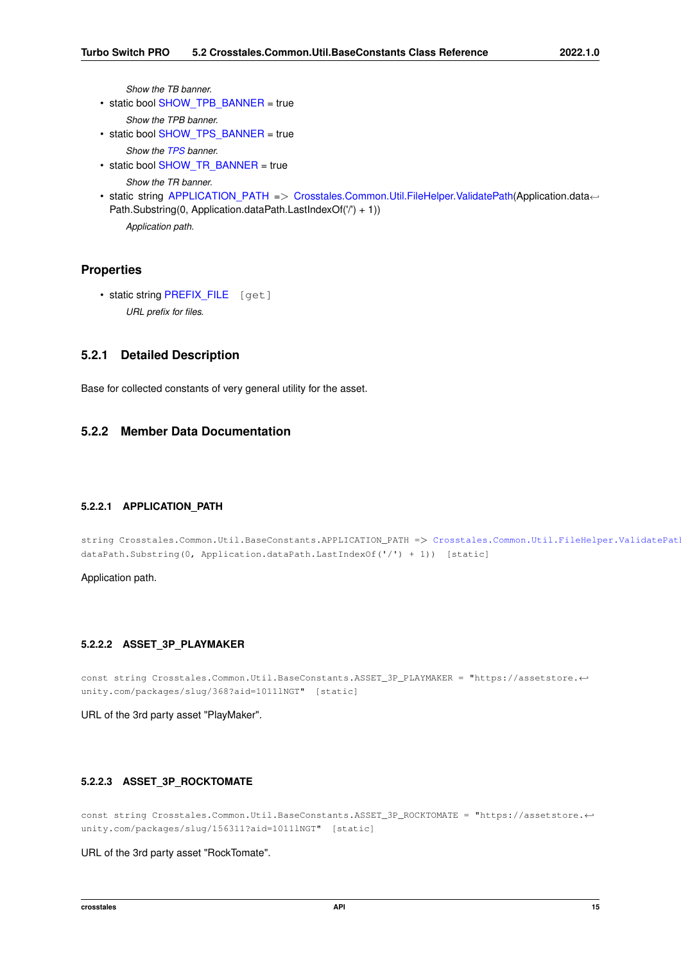*Show the TB banner.*

- static bool [SHOW\\_TPB\\_BANNER](#page-34-8) = true
	- *Show the TPB banner.*
- static bool [SHOW\\_TPS\\_BANNER](#page-34-9) = true

*Show the [TPS](#page-20-7) banner.*

- static bool [SHOW\\_TR\\_BANNER](#page-34-10) = true *Show the TR banner.*
- static string [APPLICATION\\_PATH](#page-27-8) => [Crosstales.Common.Util.FileHelper.ValidatePath\(](#page-144-4)Application.data← Path.Substring(0, Application.dataPath.LastIndexOf('/') + 1)) *Application path.*

#### **Properties**

• static string [PREFIX\\_FILE](#page-35-4) [get] *URL prefix for files.*

#### <span id="page-27-0"></span>**5.2.1 Detailed Description**

Base for collected constants of very general utility for the asset.

#### <span id="page-27-8"></span><span id="page-27-1"></span>**5.2.2 Member Data Documentation**

#### <span id="page-27-2"></span>**5.2.2.1 APPLICATION\_PATH**

string Crosstales.Common.Util.BaseConstants.APPLICATION\_PATH => Crosstales.Common.Util.FileHelper.ValidatePat dataPath.Substring(0, Application.dataPath.LastIndexOf('/') + 1)) [static]

<span id="page-27-5"></span>Application path.

#### <span id="page-27-3"></span>**5.2.2.2 ASSET\_3P\_PLAYMAKER**

const string Crosstales.Common.Util.BaseConstants.ASSET\_3P\_PLAYMAKER = "https://assetstore.← unity.com/packages/slug/368?aid=1011lNGT" [static]

<span id="page-27-7"></span>URL of the 3rd party asset "PlayMaker".

#### <span id="page-27-4"></span>**5.2.2.3 ASSET\_3P\_ROCKTOMATE**

const string Crosstales.Common.Util.BaseConstants.ASSET\_3P\_ROCKTOMATE = "https://assetstore.← unity.com/packages/slug/156311?aid=1011lNGT" [static]

<span id="page-27-6"></span>URL of the 3rd party asset "RockTomate".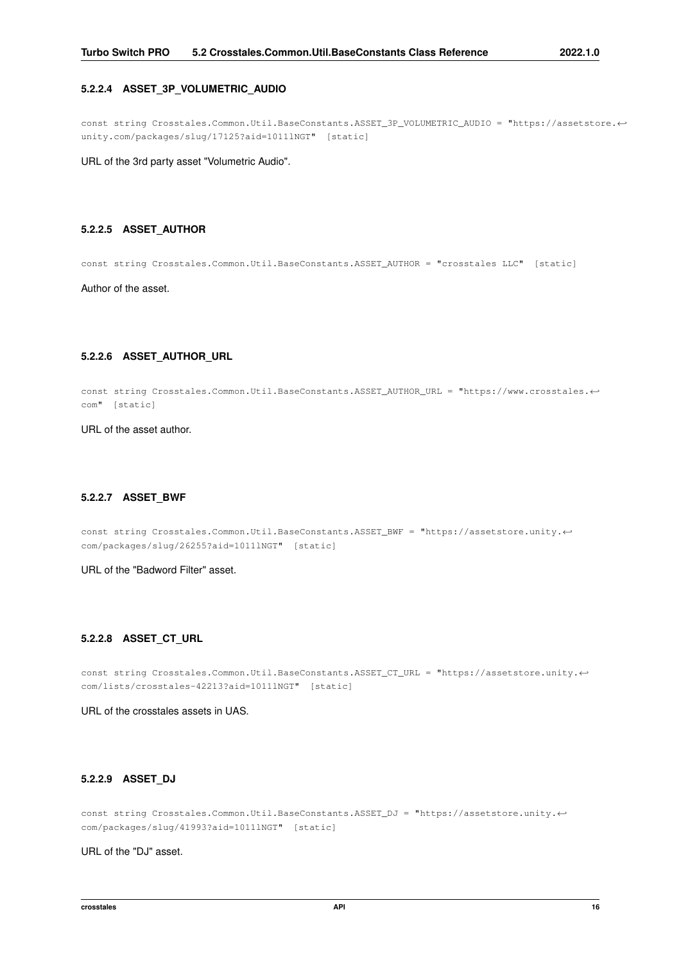#### <span id="page-28-0"></span>**5.2.2.4 ASSET\_3P\_VOLUMETRIC\_AUDIO**

const string Crosstales.Common.Util.BaseConstants.ASSET\_3P\_VOLUMETRIC\_AUDIO = "https://assetstore.← unity.com/packages/slug/17125?aid=1011lNGT" [static]

<span id="page-28-6"></span>URL of the 3rd party asset "Volumetric Audio".

#### <span id="page-28-1"></span>**5.2.2.5 ASSET\_AUTHOR**

const string Crosstales.Common.Util.BaseConstants.ASSET\_AUTHOR = "crosstales LLC" [static]

<span id="page-28-7"></span>Author of the asset.

#### <span id="page-28-2"></span>**5.2.2.6 ASSET\_AUTHOR\_URL**

const string Crosstales.Common.Util.BaseConstants.ASSET\_AUTHOR\_URL = "https://www.crosstales.← com" [static]

<span id="page-28-9"></span>URL of the asset author.

#### <span id="page-28-3"></span>**5.2.2.7 ASSET\_BWF**

const string Crosstales.Common.Util.BaseConstants.ASSET\_BWF = "https://assetstore.unity.← com/packages/slug/26255?aid=1011lNGT" [static]

<span id="page-28-8"></span>URL of the "Badword Filter" asset.

#### <span id="page-28-4"></span>**5.2.2.8 ASSET\_CT\_URL**

const string Crosstales.Common.Util.BaseConstants.ASSET\_CT\_URL = "https://assetstore.unity.← com/lists/crosstales-42213?aid=1011lNGT" [static]

<span id="page-28-10"></span>URL of the crosstales assets in UAS.

#### <span id="page-28-5"></span>**5.2.2.9 ASSET\_DJ**

const string Crosstales.Common.Util.BaseConstants.ASSET\_DJ = "https://assetstore.unity.← com/packages/slug/41993?aid=1011lNGT" [static]

<span id="page-28-11"></span>URL of the "DJ" asset.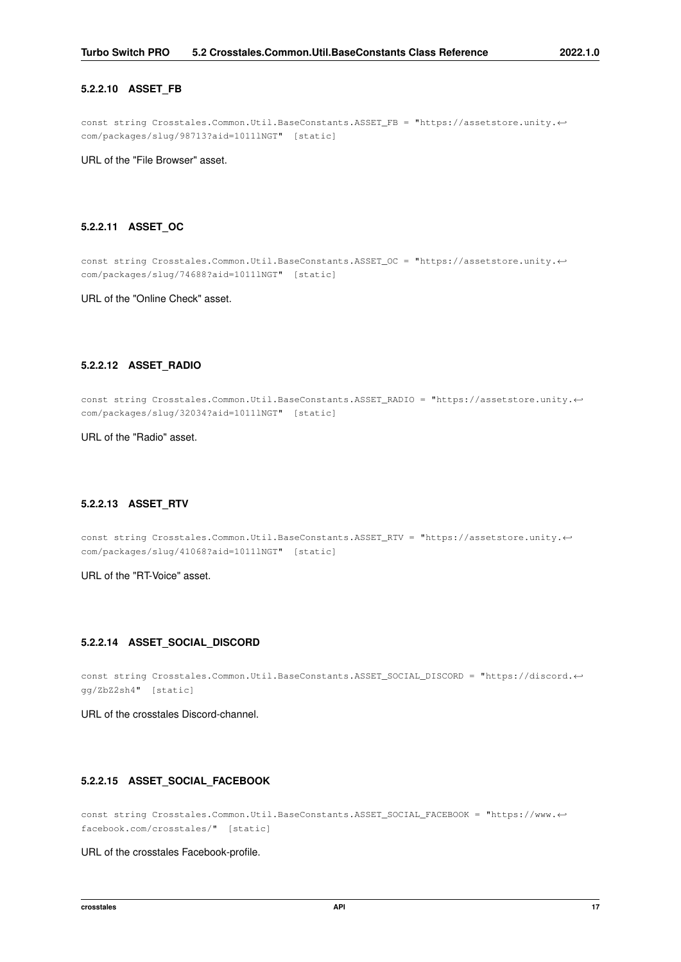#### <span id="page-29-0"></span>**5.2.2.10 ASSET\_FB**

const string Crosstales.Common.Util.BaseConstants.ASSET\_FB = "https://assetstore.unity.← com/packages/slug/98713?aid=1011lNGT" [static]

<span id="page-29-9"></span>URL of the "File Browser" asset.

#### <span id="page-29-1"></span>**5.2.2.11 ASSET\_OC**

const string Crosstales.Common.Util.BaseConstants.ASSET\_OC = "https://assetstore.unity.← com/packages/slug/74688?aid=1011lNGT" [static]

<span id="page-29-10"></span>URL of the "Online Check" asset.

#### <span id="page-29-2"></span>**5.2.2.12 ASSET\_RADIO**

const string Crosstales.Common.Util.BaseConstants.ASSET\_RADIO = "https://assetstore.unity.← com/packages/slug/32034?aid=1011lNGT" [static]

<span id="page-29-11"></span>URL of the "Radio" asset.

#### <span id="page-29-3"></span>**5.2.2.13 ASSET\_RTV**

const string Crosstales.Common.Util.BaseConstants.ASSET\_RTV = "https://assetstore.unity.← com/packages/slug/41068?aid=1011lNGT" [static]

<span id="page-29-6"></span>URL of the "RT-Voice" asset.

#### <span id="page-29-4"></span>**5.2.2.14 ASSET\_SOCIAL\_DISCORD**

const string Crosstales.Common.Util.BaseConstants.ASSET\_SOCIAL\_DISCORD = "https://discord.← gg/ZbZ2sh4" [static]

<span id="page-29-7"></span>URL of the crosstales Discord-channel.

#### <span id="page-29-5"></span>**5.2.2.15 ASSET\_SOCIAL\_FACEBOOK**

const string Crosstales.Common.Util.BaseConstants.ASSET\_SOCIAL\_FACEBOOK = "https://www.← facebook.com/crosstales/" [static]

<span id="page-29-8"></span>URL of the crosstales Facebook-profile.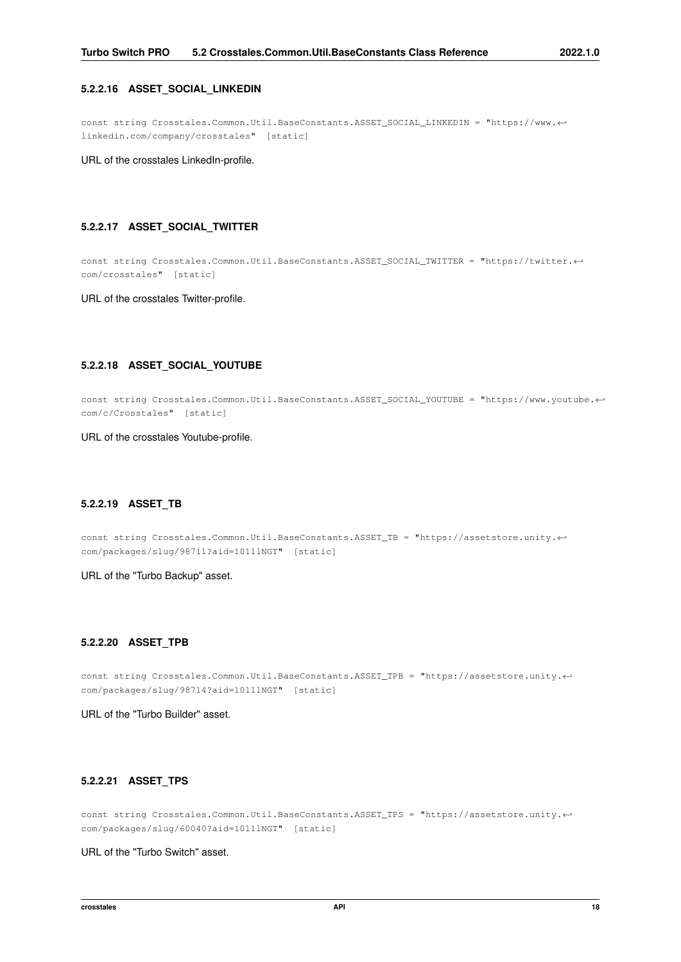#### <span id="page-30-0"></span>**5.2.2.16 ASSET\_SOCIAL\_LINKEDIN**

const string Crosstales.Common.Util.BaseConstants.ASSET\_SOCIAL\_LINKEDIN = "https://www.← linkedin.com/company/crosstales" [static]

<span id="page-30-6"></span>URL of the crosstales LinkedIn-profile.

#### <span id="page-30-1"></span>**5.2.2.17 ASSET\_SOCIAL\_TWITTER**

const string Crosstales.Common.Util.BaseConstants.ASSET\_SOCIAL\_TWITTER = "https://twitter.← com/crosstales" [static]

<span id="page-30-7"></span>URL of the crosstales Twitter-profile.

#### <span id="page-30-2"></span>**5.2.2.18 ASSET\_SOCIAL\_YOUTUBE**

const string Crosstales.Common.Util.BaseConstants.ASSET\_SOCIAL\_YOUTUBE = "https://www.youtube.← com/c/Crosstales" [static]

<span id="page-30-8"></span>URL of the crosstales Youtube-profile.

#### <span id="page-30-3"></span>**5.2.2.19 ASSET\_TB**

const string Crosstales.Common.Util.BaseConstants.ASSET\_TB = "https://assetstore.unity.← com/packages/slug/98711?aid=1011lNGT" [static]

<span id="page-30-9"></span>URL of the "Turbo Backup" asset.

#### <span id="page-30-4"></span>**5.2.2.20 ASSET\_TPB**

const string Crosstales.Common.Util.BaseConstants.ASSET\_TPB = "https://assetstore.unity.← com/packages/slug/98714?aid=1011lNGT" [static]

<span id="page-30-10"></span>URL of the "Turbo Builder" asset.

#### <span id="page-30-5"></span>**5.2.2.21 ASSET\_TPS**

const string Crosstales.Common.Util.BaseConstants.ASSET\_TPS = "https://assetstore.unity.← com/packages/slug/60040?aid=1011lNGT" [static]

<span id="page-30-11"></span>URL of the "Turbo Switch" asset.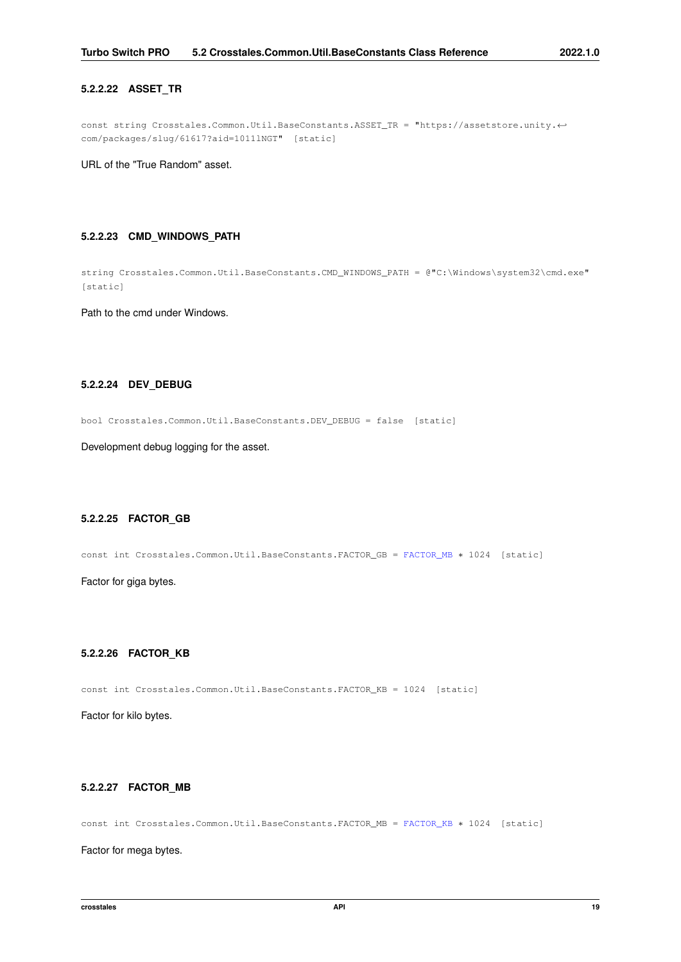#### <span id="page-31-0"></span>**5.2.2.22 ASSET\_TR**

const string Crosstales.Common.Util.BaseConstants.ASSET\_TR = "https://assetstore.unity.← com/packages/slug/61617?aid=1011lNGT" [static]

<span id="page-31-11"></span>URL of the "True Random" asset.

#### <span id="page-31-1"></span>**5.2.2.23 CMD\_WINDOWS\_PATH**

string Crosstales.Common.Util.BaseConstants.CMD\_WINDOWS\_PATH = @"C:\Windows\system32\cmd.exe" [static]

<span id="page-31-10"></span>Path to the cmd under Windows.

#### <span id="page-31-2"></span>**5.2.2.24 DEV\_DEBUG**

bool Crosstales.Common.Util.BaseConstants.DEV\_DEBUG = false [static]

<span id="page-31-8"></span>Development debug logging for the asset.

#### <span id="page-31-3"></span>**5.2.2.25 FACTOR\_GB**

const int Crosstales.Common.Util.BaseConstants.FACTOR\_GB = [FACTOR\\_MB](#page-31-7) ∗ 1024 [static]

<span id="page-31-6"></span>Factor for giga bytes.

#### <span id="page-31-4"></span>**5.2.2.26 FACTOR\_KB**

const int Crosstales.Common.Util.BaseConstants.FACTOR\_KB = 1024 [static]

<span id="page-31-7"></span>Factor for kilo bytes.

#### <span id="page-31-5"></span>**5.2.2.27 FACTOR\_MB**

const int Crosstales.Common.Util.BaseConstants.FACTOR\_MB = [FACTOR\\_KB](#page-31-6) ∗ 1024 [static]

<span id="page-31-9"></span>Factor for mega bytes.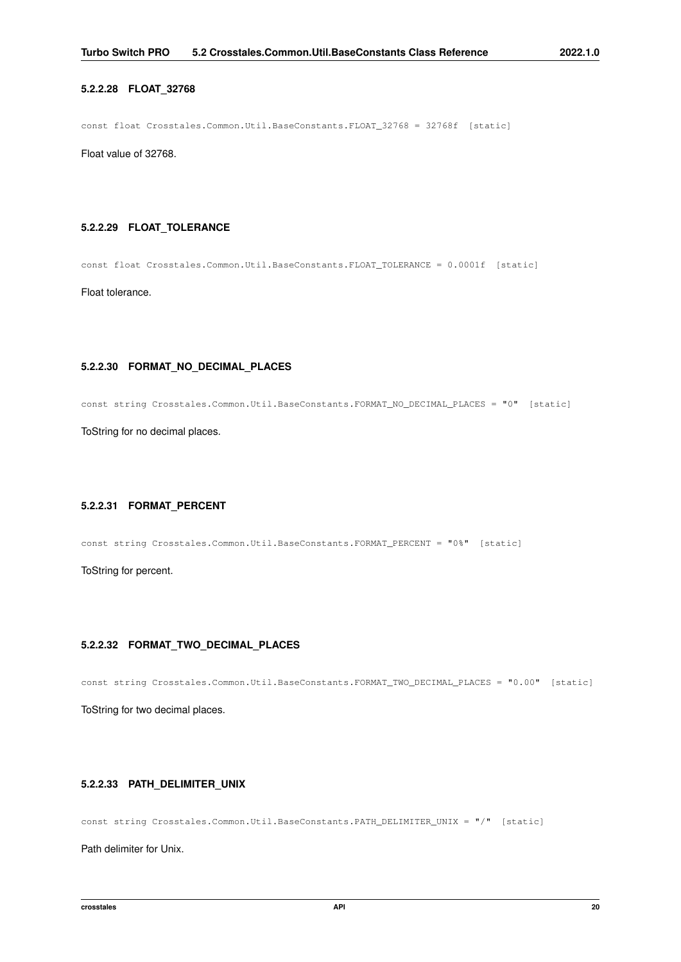#### <span id="page-32-0"></span>**5.2.2.28 FLOAT\_32768**

const float Crosstales.Common.Util.BaseConstants.FLOAT\_32768 = 32768f [static]

<span id="page-32-6"></span>Float value of 32768.

#### <span id="page-32-1"></span>**5.2.2.29 FLOAT\_TOLERANCE**

const float Crosstales.Common.Util.BaseConstants.FLOAT\_TOLERANCE = 0.0001f [static]

<span id="page-32-8"></span>Float tolerance.

#### <span id="page-32-2"></span>**5.2.2.30 FORMAT\_NO\_DECIMAL\_PLACES**

const string Crosstales.Common.Util.BaseConstants.FORMAT\_NO\_DECIMAL\_PLACES = "0" [static]

<span id="page-32-9"></span>ToString for no decimal places.

#### <span id="page-32-3"></span>**5.2.2.31 FORMAT\_PERCENT**

const string Crosstales.Common.Util.BaseConstants.FORMAT\_PERCENT = "0%" [static]

<span id="page-32-7"></span>ToString for percent.

#### <span id="page-32-4"></span>**5.2.2.32 FORMAT\_TWO\_DECIMAL\_PLACES**

const string Crosstales.Common.Util.BaseConstants.FORMAT\_TWO\_DECIMAL\_PLACES = "0.00" [static]

<span id="page-32-11"></span>ToString for two decimal places.

#### <span id="page-32-5"></span>**5.2.2.33 PATH\_DELIMITER\_UNIX**

const string Crosstales.Common.Util.BaseConstants.PATH\_DELIMITER\_UNIX = "/" [static]

<span id="page-32-10"></span>Path delimiter for Unix.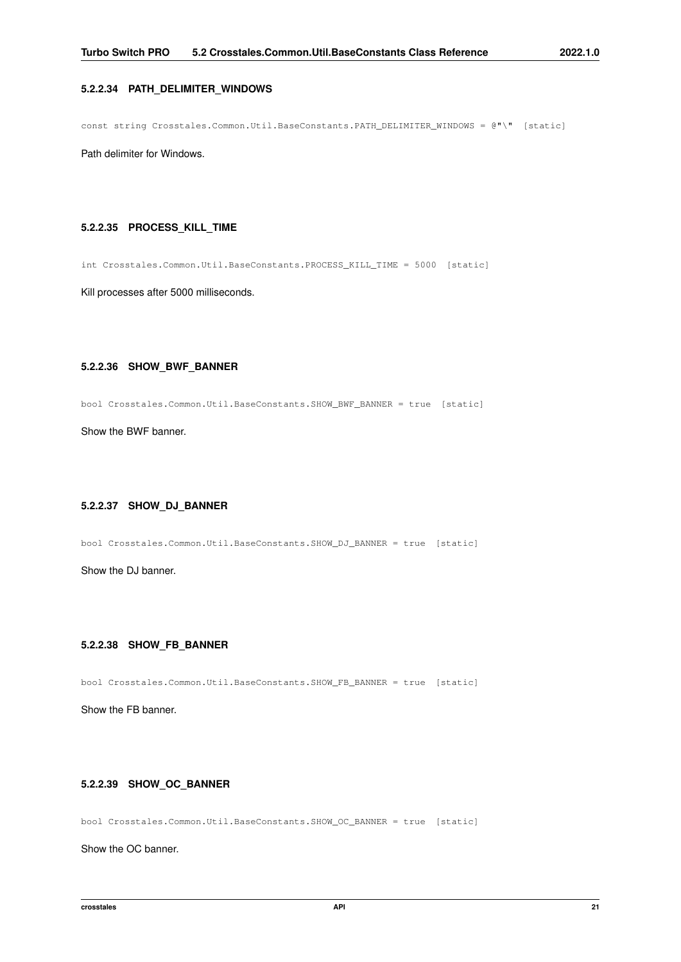#### <span id="page-33-0"></span>**5.2.2.34 PATH\_DELIMITER\_WINDOWS**

const string Crosstales.Common.Util.BaseConstants.PATH\_DELIMITER\_WINDOWS = @"\" [static]

<span id="page-33-6"></span>Path delimiter for Windows.

#### <span id="page-33-1"></span>**5.2.2.35 PROCESS\_KILL\_TIME**

int Crosstales.Common.Util.BaseConstants.PROCESS\_KILL\_TIME = 5000 [static]

<span id="page-33-7"></span>Kill processes after 5000 milliseconds.

#### <span id="page-33-2"></span>**5.2.2.36 SHOW\_BWF\_BANNER**

bool Crosstales.Common.Util.BaseConstants.SHOW\_BWF\_BANNER = true [static]

<span id="page-33-8"></span>Show the BWF banner.

#### <span id="page-33-3"></span>**5.2.2.37 SHOW\_DJ\_BANNER**

bool Crosstales.Common.Util.BaseConstants.SHOW\_DJ\_BANNER = true [static]

<span id="page-33-9"></span>Show the DJ banner.

#### <span id="page-33-4"></span>**5.2.2.38 SHOW\_FB\_BANNER**

bool Crosstales.Common.Util.BaseConstants.SHOW\_FB\_BANNER = true [static]

<span id="page-33-10"></span>Show the FB banner.

#### <span id="page-33-5"></span>**5.2.2.39 SHOW\_OC\_BANNER**

bool Crosstales.Common.Util.BaseConstants.SHOW\_OC\_BANNER = true [static]

<span id="page-33-11"></span>Show the OC banner.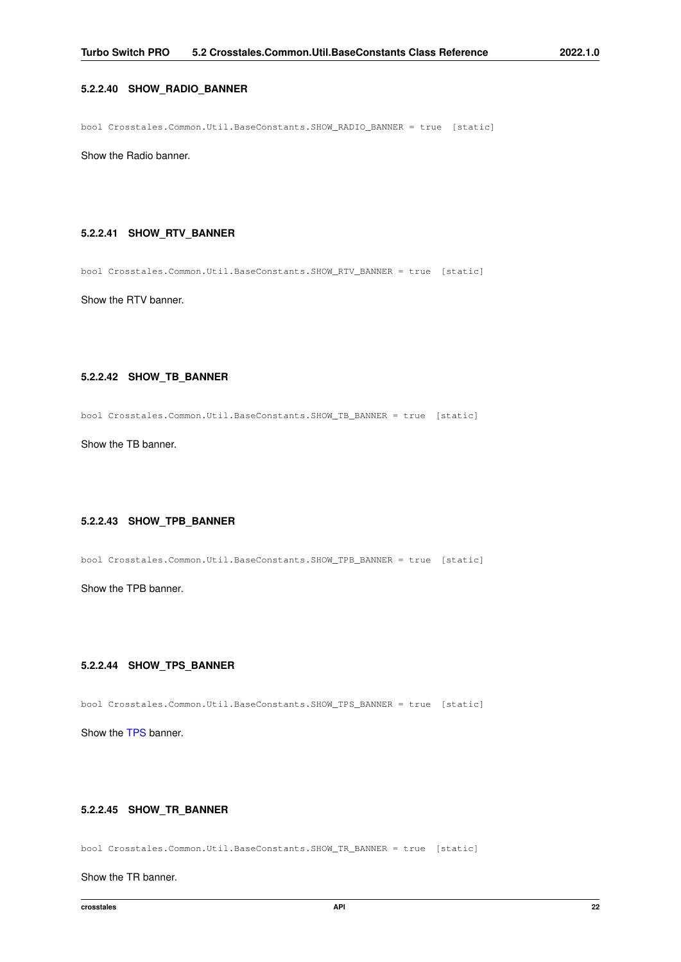#### <span id="page-34-0"></span>**5.2.2.40 SHOW\_RADIO\_BANNER**

bool Crosstales.Common.Util.BaseConstants.SHOW\_RADIO\_BANNER = true [static]

<span id="page-34-6"></span>Show the Radio banner.

#### <span id="page-34-1"></span>**5.2.2.41 SHOW\_RTV\_BANNER**

bool Crosstales.Common.Util.BaseConstants.SHOW\_RTV\_BANNER = true [static]

<span id="page-34-7"></span>Show the RTV banner.

#### <span id="page-34-2"></span>**5.2.2.42 SHOW\_TB\_BANNER**

bool Crosstales.Common.Util.BaseConstants.SHOW\_TB\_BANNER = true [static]

<span id="page-34-8"></span>Show the TB banner.

#### <span id="page-34-3"></span>**5.2.2.43 SHOW\_TPB\_BANNER**

bool Crosstales.Common.Util.BaseConstants.SHOW\_TPB\_BANNER = true [static]

<span id="page-34-9"></span>Show the TPB banner.

#### <span id="page-34-4"></span>**5.2.2.44 SHOW\_TPS\_BANNER**

bool Crosstales.Common.Util.BaseConstants.SHOW\_TPS\_BANNER = true [static]

<span id="page-34-10"></span>Show the [TPS](#page-20-7) banner.

#### <span id="page-34-5"></span>**5.2.2.45 SHOW\_TR\_BANNER**

bool Crosstales.Common.Util.BaseConstants.SHOW\_TR\_BANNER = true [static]

Show the TR banner.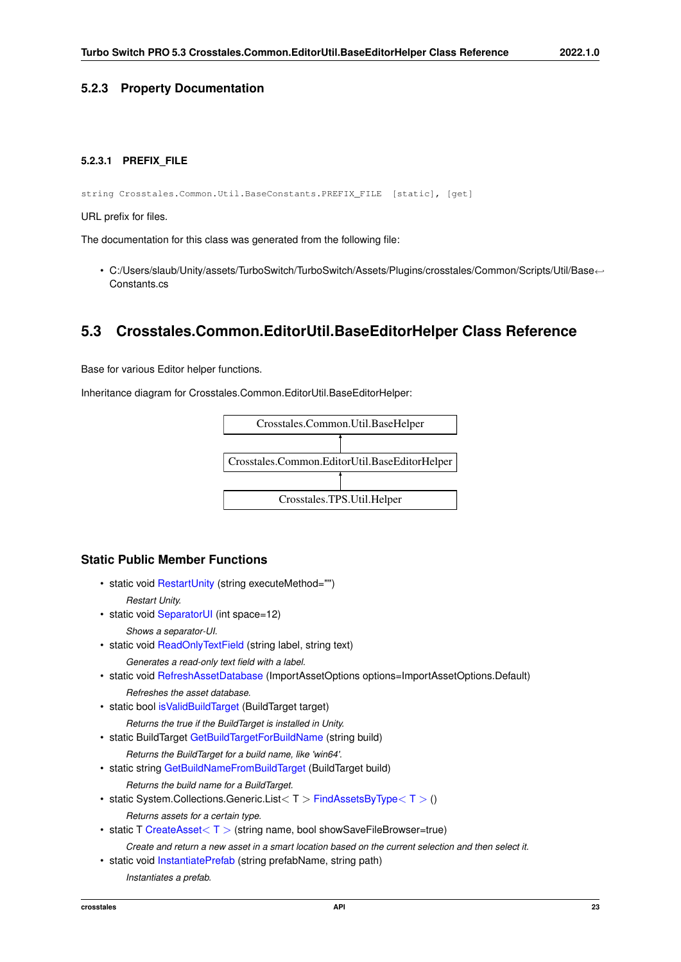#### <span id="page-35-4"></span><span id="page-35-0"></span>**5.2.3 Property Documentation**

#### <span id="page-35-1"></span>**5.2.3.1 PREFIX\_FILE**

string Crosstales.Common.Util.BaseConstants.PREFIX\_FILE [static], [get]

URL prefix for files.

The documentation for this class was generated from the following file:

• C:/Users/slaub/Unity/assets/TurboSwitch/TurboSwitch/Assets/Plugins/crosstales/Common/Scripts/Util/Base←- Constants.cs

### <span id="page-35-3"></span><span id="page-35-2"></span>**5.3 Crosstales.Common.EditorUtil.BaseEditorHelper Class Reference**

Base for various Editor helper functions.

Inheritance diagram for Crosstales.Common.EditorUtil.BaseEditorHelper:



#### **Static Public Member Functions**

- static void [RestartUnity](#page-39-4) (string executeMethod="") *Restart Unity.*
- static void [SeparatorUI](#page-39-5) (int space=12)
	- *Shows a separator-UI.*
- static void [ReadOnlyTextField](#page-38-3) (string label, string text) *Generates a read-only text field with a label.*
- static void [RefreshAssetDatabase](#page-39-6) (ImportAssetOptions options=ImportAssetOptions.Default) *Refreshes the asset database.*
- static bool [isValidBuildTarget](#page-38-4) (BuildTarget target)

*Returns the true if the BuildTarget is installed in Unity.*

• static BuildTarget [GetBuildTargetForBuildName](#page-37-2) (string build)

*Returns the BuildTarget for a build name, like 'win64'.*

• static string [GetBuildNameFromBuildTarget](#page-37-3) (BuildTarget build)

*Returns the build name for a BuildTarget.*

- static System.Collections.Generic.List $< T >$  [FindAssetsByType](#page-37-4) $< T > ()$ *Returns assets for a certain type.*
- static T [CreateAsset](#page-36-3) $<$  T  $>$  (string name, bool showSaveFileBrowser=true)

*Create and return a new asset in a smart location based on the current selection and then select it.*

• static void [InstantiatePrefab](#page-38-5) (string prefabName, string path)

*Instantiates a prefab.*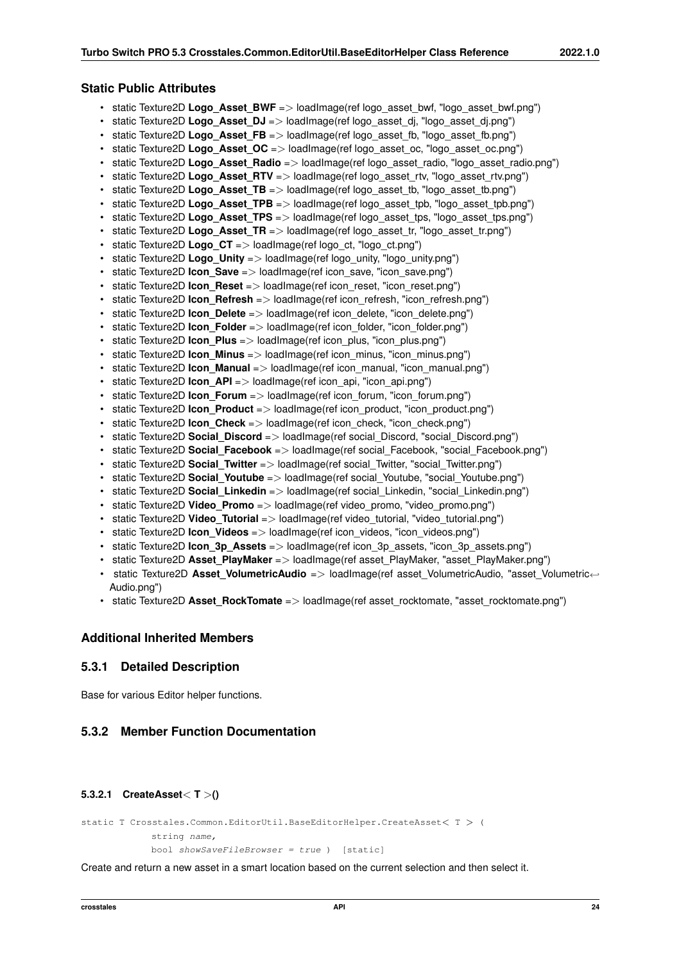## **Static Public Attributes**

- static Texture2D **Logo Asset BWF** => loadImage(ref logo asset bwf, "logo asset bwf.png")
- static Texture2D **Logo Asset DJ** => loadImage(ref logo asset di, "logo asset di.png")
- static Texture2D **Logo Asset FB** => loadImage(ref logo asset fb, "logo asset fb.png")
- static Texture2D **Logo\_Asset\_OC** => loadImage(ref logo\_asset\_oc, "logo\_asset\_oc.png")
- static Texture2D **Logo\_Asset\_Radio** => loadImage(ref logo\_asset\_radio, "logo\_asset\_radio.png")
- static Texture2D **Logo Asset RTV** => loadImage(ref logo asset rtv, "logo asset rtv.png")
- static Texture2D **Logo\_Asset\_TB** => loadImage(ref logo\_asset\_tb, "logo\_asset\_tb.png")
- static Texture2D **Logo\_Asset\_TPB** => loadImage(ref logo\_asset\_tpb, "logo\_asset\_tpb.png")
- static Texture2D **Logo\_Asset\_TPS** => loadImage(ref logo\_asset\_tps, "logo\_asset\_tps.png")
- static Texture2D **Logo\_Asset\_TR** => loadImage(ref logo\_asset\_tr, "logo\_asset\_tr.png")
- static Texture2D **Logo CT** => loadImage(ref logo ct, "logo ct.png")
- static Texture2D **Logo Unity** => loadImage(ref logo unity, "logo unity.png")
- static Texture2D **Icon Save** => loadImage(ref icon save, "icon save.png")
- static Texture2D **Icon Reset** => loadImage(ref icon reset, "icon reset.png")
- static Texture2D **Icon\_Refresh** => loadImage(ref icon\_refresh, "icon\_refresh.png")
- static Texture2D **Icon\_Delete** => loadImage(ref icon\_delete, "icon\_delete.png")
- static Texture2D **Icon Folder** => loadImage(ref icon folder, "icon folder.png")
- static Texture2D **Icon\_Plus** => loadImage(ref icon\_plus, "icon\_plus.png")
- static Texture2D **Icon\_Minus** => loadImage(ref icon\_minus, "icon\_minus.png")
- static Texture2D **Icon\_Manual** => loadImage(ref icon\_manual, "icon\_manual.png")
- static Texture2D **Icon\_API** => loadImage(ref icon\_api, "icon\_api.png")
- static Texture2D **Icon\_Forum** => loadImage(ref icon\_forum, "icon\_forum.png")
- static Texture2D **Icon Product** => loadImage(ref icon product, "icon product.png")
- static Texture2D **Icon Check** => loadImage(ref icon check, "icon check.png")
- static Texture2D **Social Discord** => loadImage(ref social Discord, "social Discord.png")
- static Texture2D **Social\_Facebook** => loadImage(ref social\_Facebook, "social\_Facebook.png")
- static Texture2D **Social Twitter** => loadImage(ref social Twitter, "social Twitter.png")
- static Texture2D **Social Youtube** => loadImage(ref social Youtube, "social Youtube.png")
- static Texture2D **Social\_Linkedin** => loadImage(ref social\_Linkedin, "social\_Linkedin.png")
- static Texture2D **Video\_Promo** => loadImage(ref video\_promo, "video\_promo.png")
- static Texture2D Video\_Tutorial => loadImage(ref video tutorial, "video tutorial.png")
- static Texture2D **Icon Videos** => loadImage(ref icon videos, "icon videos.png")
- static Texture2D **Icon\_3p\_Assets** => loadImage(ref icon\_3p\_assets, "icon\_3p\_assets.png")
- static Texture2D **Asset PlayMaker** => loadImage(ref asset PlayMaker, "asset PlayMaker.png")
- static Texture2D Asset VolumetricAudio => loadImage(ref asset VolumetricAudio, "asset Volumetric← Audio.png")
- static Texture2D **Asset RockTomate** => loadImage(ref asset rocktomate, "asset rocktomate.png")

### **Additional Inherited Members**

# **5.3.1 Detailed Description**

Base for various Editor helper functions.

# **5.3.2 Member Function Documentation**

### **5.3.2.1 CreateAsset**< **T** >**()**

```
static T Crosstales.Common.EditorUtil.BaseEditorHelper.CreateAsset< T > (
            string name,
```
 $bool$  showSaveFileBrowser = true  $)$  [static]

Create and return a new asset in a smart location based on the current selection and then select it.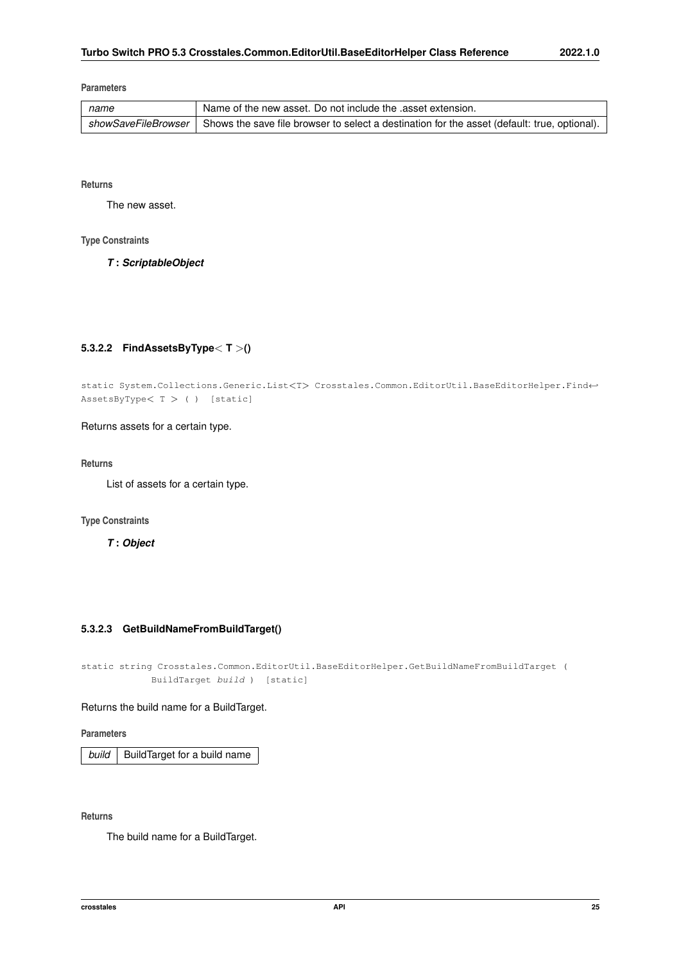### **Parameters**

| name | Name of the new asset. Do not include the asset extension.                                                         |
|------|--------------------------------------------------------------------------------------------------------------------|
|      | showSaveFileBrowser   Shows the save file browser to select a destination for the asset (default: true, optional). |

**Returns**

The new asset.

### **Type Constraints**

*T* **:** *ScriptableObject*

# **5.3.2.2 FindAssetsByType**< **T** >**()**

static System.Collections.Generic.List<T> Crosstales.Common.EditorUtil.BaseEditorHelper.Find←- AssetsByType< T > ( ) [static]

Returns assets for a certain type.

**Returns**

List of assets for a certain type.

**Type Constraints**

*T* **:** *Object*

## **5.3.2.3 GetBuildNameFromBuildTarget()**

static string Crosstales.Common.EditorUtil.BaseEditorHelper.GetBuildNameFromBuildTarget ( BuildTarget build ) [static]

Returns the build name for a BuildTarget.

**Parameters**

**build** BuildTarget for a build name

**Returns**

The build name for a BuildTarget.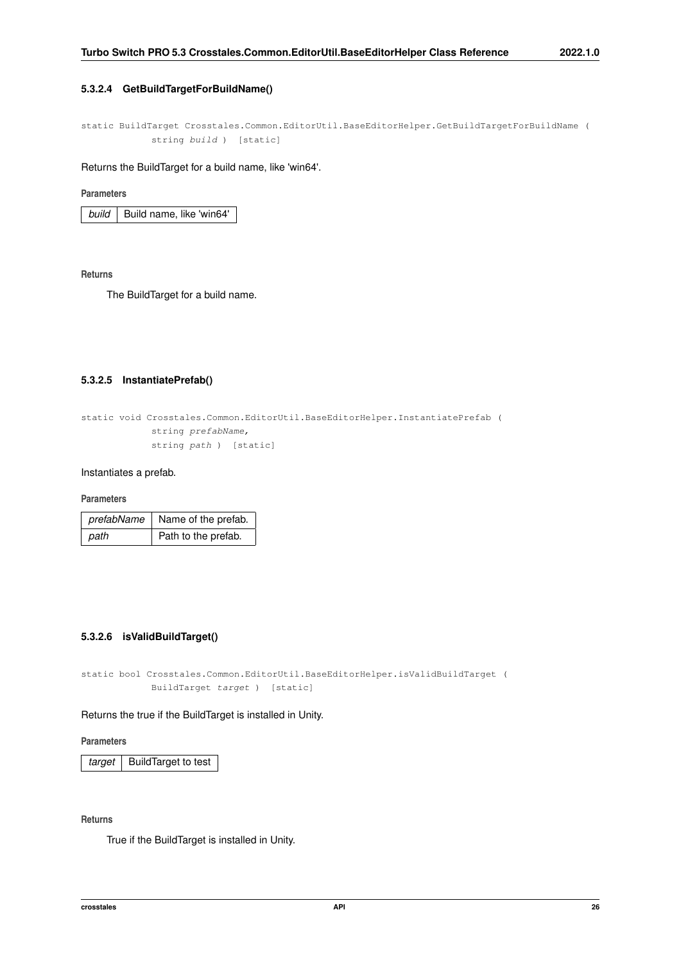## **5.3.2.4 GetBuildTargetForBuildName()**

static BuildTarget Crosstales.Common.EditorUtil.BaseEditorHelper.GetBuildTargetForBuildName ( string build ) [static]

Returns the BuildTarget for a build name, like 'win64'.

### **Parameters**

*build* | Build name, like 'win64'

**Returns**

The BuildTarget for a build name.

## **5.3.2.5 InstantiatePrefab()**

```
static void Crosstales.Common.EditorUtil.BaseEditorHelper.InstantiatePrefab (
            string prefabName,
            string path ) [static]
```
Instantiates a prefab.

### **Parameters**

| prefabName | Name of the prefab. |
|------------|---------------------|
| path       | Path to the prefab. |

## **5.3.2.6 isValidBuildTarget()**

static bool Crosstales.Common.EditorUtil.BaseEditorHelper.isValidBuildTarget ( BuildTarget target ) [static]

### Returns the true if the BuildTarget is installed in Unity.

**Parameters**

*target* | BuildTarget to test

**Returns**

True if the BuildTarget is installed in Unity.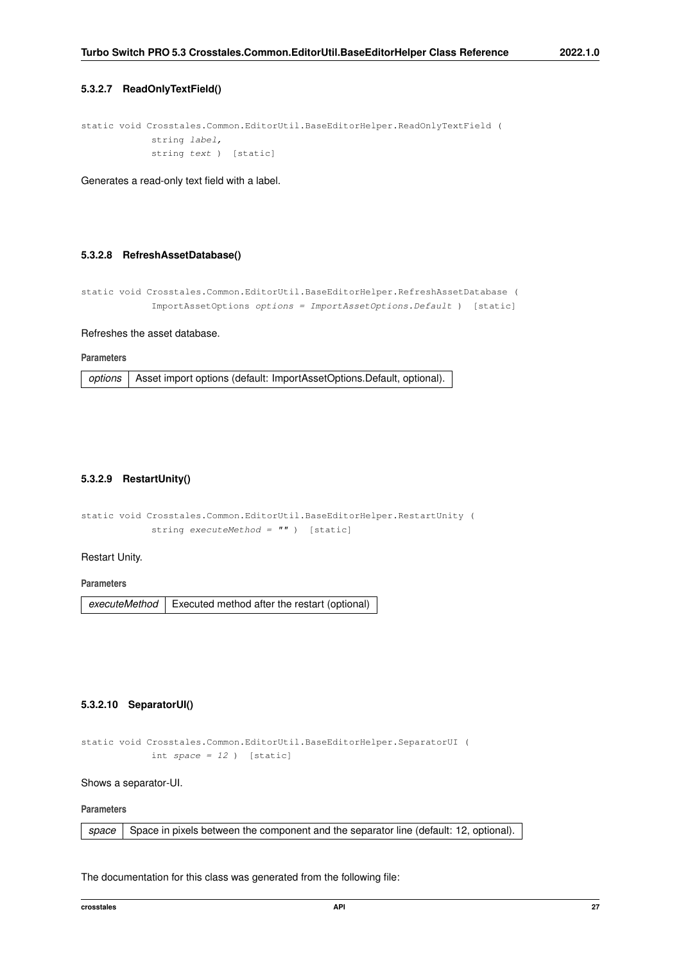### **5.3.2.7 ReadOnlyTextField()**

```
static void Crosstales.Common.EditorUtil.BaseEditorHelper.ReadOnlyTextField (
            string label,
            string text ) [static]
```
Generates a read-only text field with a label.

## **5.3.2.8 RefreshAssetDatabase()**

```
static void Crosstales.Common.EditorUtil.BaseEditorHelper.RefreshAssetDatabase (
            ImportAssetOptions options = ImportAssetOptions.Default ) [static]
```
#### Refreshes the asset database.

**Parameters**

*options* | Asset import options (default: ImportAssetOptions.Default, optional).

### **5.3.2.9 RestartUnity()**

```
static void Crosstales.Common.EditorUtil.BaseEditorHelper.RestartUnity (
            string executeMethod = '''' ) [static]
```
### Restart Unity.

**Parameters**

executeMethod | Executed method after the restart (optional)

## **5.3.2.10 SeparatorUI()**

```
static void Crosstales.Common.EditorUtil.BaseEditorHelper.SeparatorUI (
            int space = 12 ) [static]
```
Shows a separator-UI.

### **Parameters**

|  |  | space   Space in pixels between the component and the separator line (default: 12, optional). |  |  |
|--|--|-----------------------------------------------------------------------------------------------|--|--|
|  |  |                                                                                               |  |  |

The documentation for this class was generated from the following file: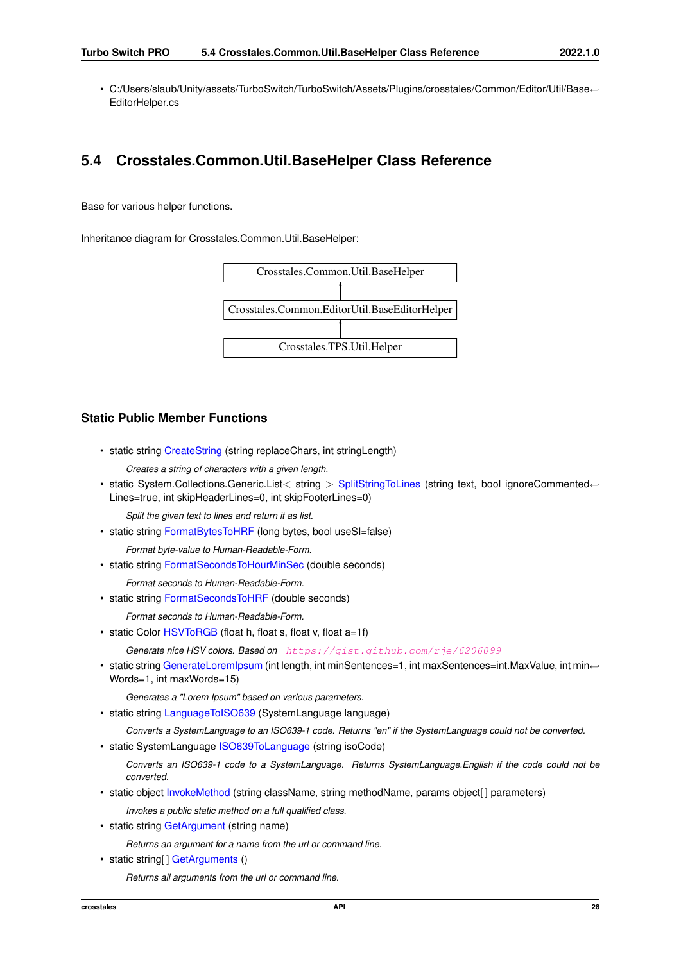• C:/Users/slaub/Unity/assets/TurboSwitch/TurboSwitch/Assets/Plugins/crosstales/Common/Editor/Util/Base←- EditorHelper.cs

# **5.4 Crosstales.Common.Util.BaseHelper Class Reference**

Base for various helper functions.

Inheritance diagram for Crosstales.Common.Util.BaseHelper:



# **Static Public Member Functions**

• static string [CreateString](#page-42-0) (string replaceChars, int stringLength)

*Creates a string of characters with a given length.*

• static System.Collections.Generic.List< string > [SplitStringToLines](#page-46-0) (string text, bool ignoreCommented← Lines=true, int skipHeaderLines=0, int skipFooterLines=0)

*Split the given text to lines and return it as list.*

• static string [FormatBytesToHRF](#page-42-1) (long bytes, bool useSI=false)

*Format byte-value to Human-Readable-Form.*

• static string [FormatSecondsToHourMinSec](#page-43-0) (double seconds)

*Format seconds to Human-Readable-Form.*

• static string [FormatSecondsToHRF](#page-43-1) (double seconds)

*Format seconds to Human-Readable-Form.*

• static Color [HSVToRGB](#page-44-0) (float h, float s, float v, float a=1f)

*Generate nice HSV colors. Based on* <https://gist.github.com/rje/6206099>

• static string [GenerateLoremIpsum](#page-43-2) (int length, int minSentences=1, int maxSentences=int.MaxValue, int min← Words=1, int maxWords=15)

*Generates a "Lorem Ipsum" based on various parameters.*

• static string [LanguageToISO639](#page-46-1) (SystemLanguage language)

*Converts a SystemLanguage to an ISO639-1 code. Returns "en" if the SystemLanguage could not be converted.*

• static SystemLanguage [ISO639ToLanguage](#page-45-0) (string isoCode)

*Converts an ISO639-1 code to a SystemLanguage. Returns SystemLanguage.English if the code could not be converted.*

- static object [InvokeMethod](#page-45-1) (string className, string methodName, params object[] parameters) *Invokes a public static method on a full qualified class.*
- static string [GetArgument](#page-44-1) (string name)

*Returns an argument for a name from the url or command line.*

• static string[] [GetArguments](#page-44-2) () *Returns all arguments from the url or command line.*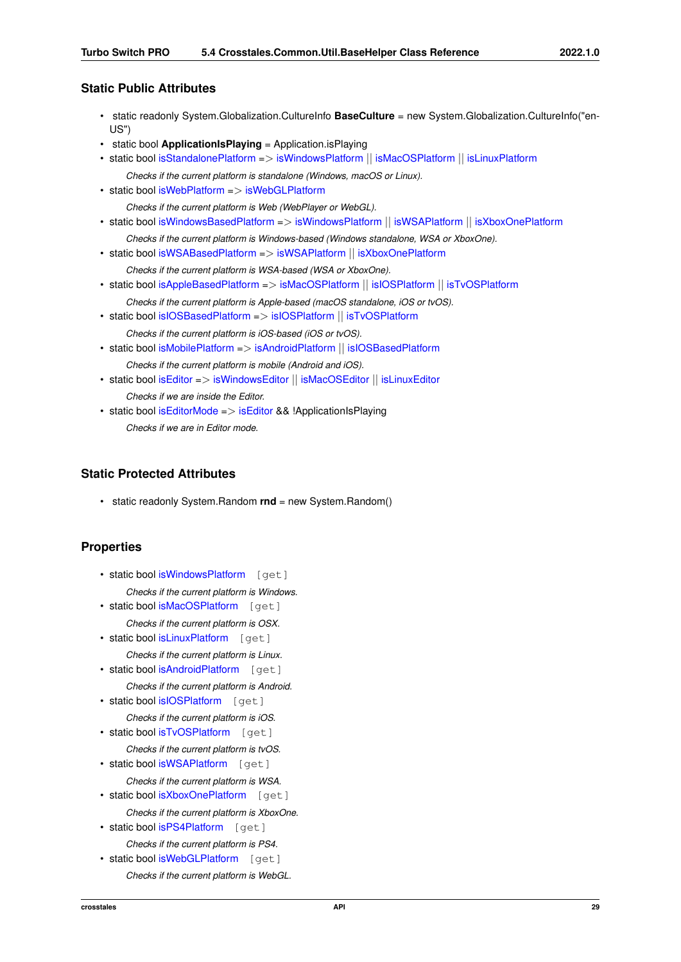- static readonly System.Globalization.CultureInfo **BaseCulture** = new System.Globalization.CultureInfo("en-US")
- static bool **ApplicationIsPlaying** = Application.isPlaying
- static bool [isStandalonePlatform](#page-48-0) => [isWindowsPlatform](#page-52-0) || [isMacOSPlatform](#page-51-0) || [isLinuxPlatform](#page-50-0)
- *Checks if the current platform is standalone (Windows, macOS or Linux).* • static bool [isWebPlatform](#page-48-1) => [isWebGLPlatform](#page-51-1)
	- *Checks if the current platform is Web (WebPlayer or WebGL).*
- static bool [isWindowsBasedPlatform](#page-48-2) => [isWindowsPlatform](#page-52-0) || [isWSAPlatform](#page-52-1) || [isXboxOnePlatform](#page-52-2)
- *Checks if the current platform is Windows-based (Windows standalone, WSA or XboxOne).*
- static bool [isWSABasedPlatform](#page-48-3) => [isWSAPlatform](#page-52-1) || [isXboxOnePlatform](#page-52-2)
	- *Checks if the current platform is WSA-based (WSA or XboxOne).*
- static bool [isAppleBasedPlatform](#page-47-0) => [isMacOSPlatform](#page-51-0) || [isIOSPlatform](#page-50-1) || [isTvOSPlatform](#page-51-2)
- *Checks if the current platform is Apple-based (macOS standalone, iOS or tvOS).*
- static bool is IOSBased Platform => is IOSPlatform || is TvOSPlatform *Checks if the current platform is iOS-based (iOS or tvOS).*
- static bool [isMobilePlatform](#page-47-2) => [isAndroidPlatform](#page-49-0) || [isIOSBasedPlatform](#page-47-1) *Checks if the current platform is mobile (Android and iOS).*
- static bool [isEditor](#page-47-3) => [isWindowsEditor](#page-52-3) || [isMacOSEditor](#page-50-2) || [isLinuxEditor](#page-50-3) *Checks if we are inside the Editor.*
- static bool [isEditorMode](#page-47-4) => [isEditor](#page-47-3) && !ApplicationIsPlaying *Checks if we are in Editor mode.*

# **Static Protected Attributes**

• static readonly System.Random **rnd** = new System.Random()

# **Properties**

- static bool [isWindowsPlatform](#page-52-0) [get]
	- *Checks if the current platform is Windows.*
- static bool [isMacOSPlatform](#page-51-0) [get]
	- *Checks if the current platform is OSX.*
- static bool [isLinuxPlatform](#page-50-0) [get] *Checks if the current platform is Linux.*
- static bool [isAndroidPlatform](#page-49-0) [get]
	- *Checks if the current platform is Android.*
- static bool [isIOSPlatform](#page-50-1) [get]
- *Checks if the current platform is iOS.*
- static bool [isTvOSPlatform](#page-51-2) [get]
	- *Checks if the current platform is tvOS.*
- static bool [isWSAPlatform](#page-52-1) [get]
	- *Checks if the current platform is WSA.*
- static bool [isXboxOnePlatform](#page-52-2) [get]
	- *Checks if the current platform is XboxOne.*
- static bool [isPS4Platform](#page-51-3) [get] *Checks if the current platform is PS4.*
- static bool [isWebGLPlatform](#page-51-1) [get] *Checks if the current platform is WebGL.*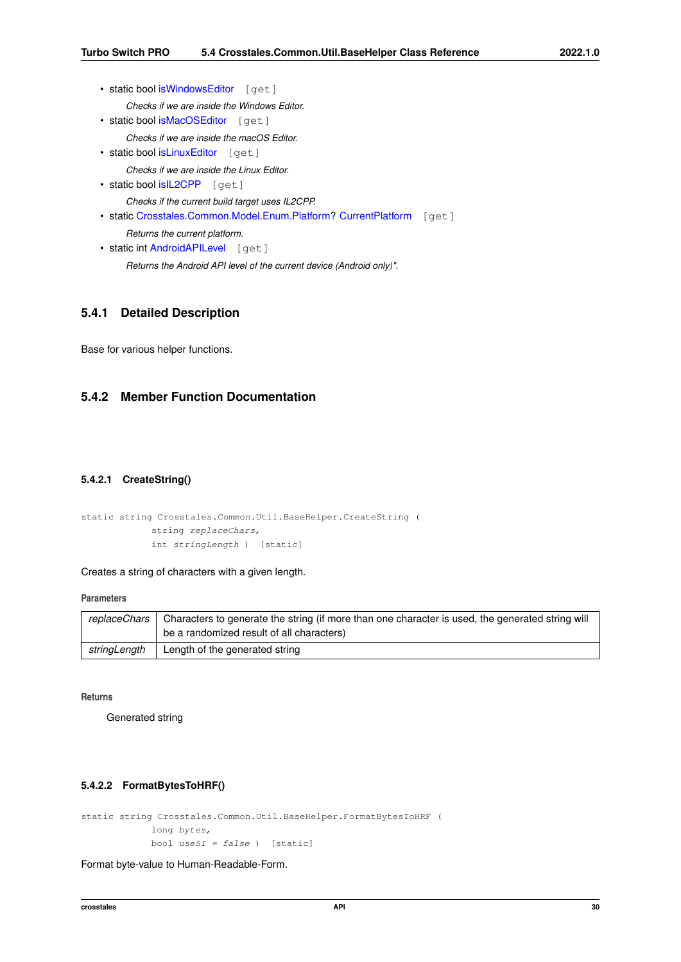- static bool [isWindowsEditor](#page-52-3) [get]
	- *Checks if we are inside the Windows Editor.*
- static bool [isMacOSEditor](#page-50-2) [get]
	- *Checks if we are inside the macOS Editor.*
- static bool [isLinuxEditor](#page-50-3) [get]

*Checks if we are inside the Linux Editor.*

- static bool [isIL2CPP](#page-49-1) [get] *Checks if the current build target uses IL2CPP.*
- static [Crosstales.Common.Model.Enum.Platform?](#page-20-0) [CurrentPlatform](#page-49-2) [get]

*Returns the current platform.*

• static int [AndroidAPILevel](#page-49-3) [get] *Returns the Android API level of the current device (Android only)".*

# **5.4.1 Detailed Description**

Base for various helper functions.

# <span id="page-42-0"></span>**5.4.2 Member Function Documentation**

## **5.4.2.1 CreateString()**

```
static string Crosstales.Common.Util.BaseHelper.CreateString (
            string replaceChars,
            int stringLength ) [static]
```
Creates a string of characters with a given length.

**Parameters**

| replaceChars | Characters to generate the string (if more than one character is used, the generated string will |  |  |
|--------------|--------------------------------------------------------------------------------------------------|--|--|
|              | be a randomized result of all characters)                                                        |  |  |
| stringLength | Length of the generated string                                                                   |  |  |

**Returns**

<span id="page-42-1"></span>Generated string

## **5.4.2.2 FormatBytesToHRF()**

```
static string Crosstales.Common.Util.BaseHelper.FormatBytesToHRF (
            long bytes,
            bool useSI = false ) [static]
```
Format byte-value to Human-Readable-Form.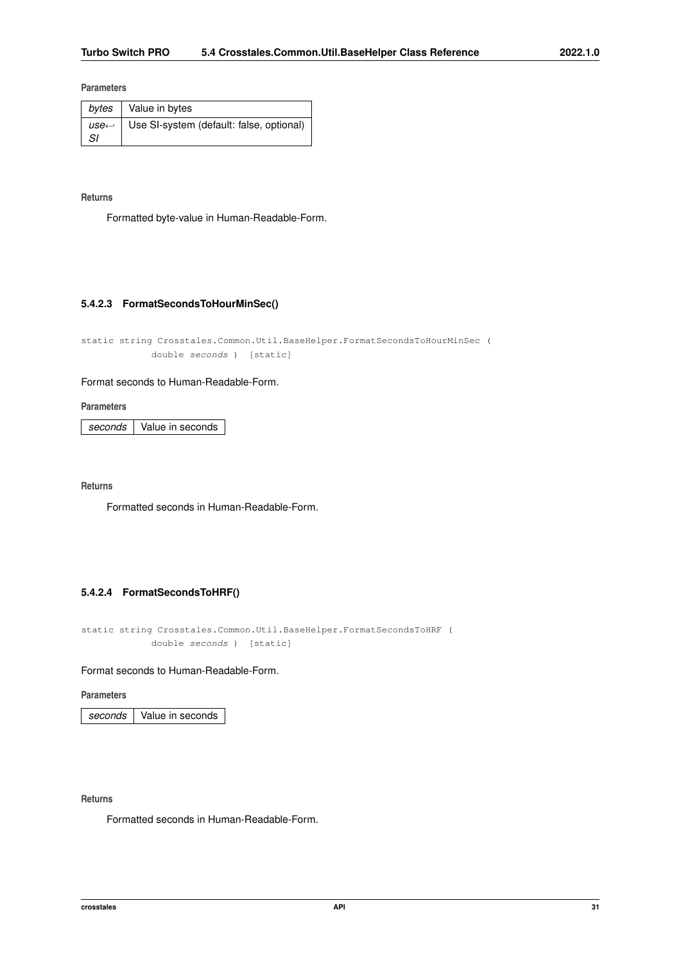### **Parameters**

| bytes $\vert$ Value in bytes                              |
|-----------------------------------------------------------|
| $use \leftarrow$ Use SI-system (default: false, optional) |

## **Returns**

<span id="page-43-0"></span>Formatted byte-value in Human-Readable-Form.

### **5.4.2.3 FormatSecondsToHourMinSec()**

static string Crosstales.Common.Util.BaseHelper.FormatSecondsToHourMinSec ( double seconds ) [static]

### Format seconds to Human-Readable-Form.

**Parameters**

*seconds* Value in seconds

**Returns**

<span id="page-43-1"></span>Formatted seconds in Human-Readable-Form.

## **5.4.2.4 FormatSecondsToHRF()**

static string Crosstales.Common.Util.BaseHelper.FormatSecondsToHRF ( double seconds ) [static]

### Format seconds to Human-Readable-Form.

**Parameters**

*seconds* Value in seconds

## **Returns**

<span id="page-43-2"></span>Formatted seconds in Human-Readable-Form.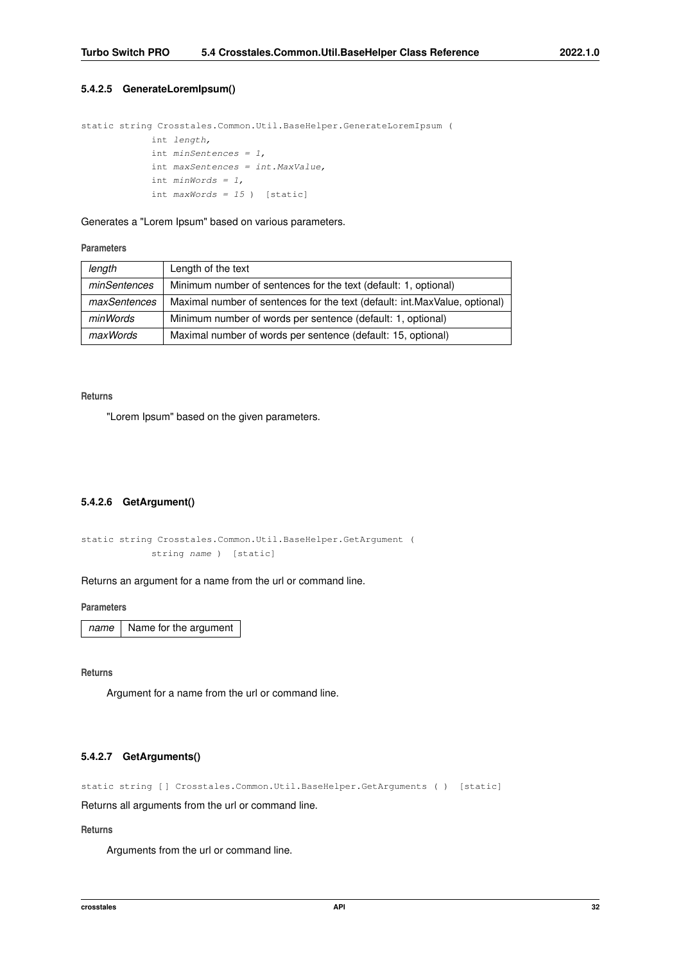### **5.4.2.5 GenerateLoremIpsum()**

```
static string Crosstales.Common.Util.BaseHelper.GenerateLoremIpsum (
            int length,
             int minSentences = 1,
             int maxSentences = int.MaxValue,
             int minWords = 1,
             int maxWords = 15 ) [static]
```
Generates a "Lorem Ipsum" based on various parameters.

### **Parameters**

| length       | Length of the text                                                         |
|--------------|----------------------------------------------------------------------------|
| minSentences | Minimum number of sentences for the text (default: 1, optional)            |
| maxSentences | Maximal number of sentences for the text (default: int.MaxValue, optional) |
| minWords     | Minimum number of words per sentence (default: 1, optional)                |
| maxWords     | Maximal number of words per sentence (default: 15, optional)               |

### **Returns**

<span id="page-44-1"></span>"Lorem Ipsum" based on the given parameters.

### **5.4.2.6 GetArgument()**

```
static string Crosstales.Common.Util.BaseHelper.GetArgument (
            string name ) [static]
```
Returns an argument for a name from the url or command line.

### **Parameters**

*name* | Name for the argument

**Returns**

<span id="page-44-2"></span>Argument for a name from the url or command line.

## **5.4.2.7 GetArguments()**

static string [ ] Crosstales. Common. Util. BaseHelper. GetArguments ( ) [static]

Returns all arguments from the url or command line.

## **Returns**

<span id="page-44-0"></span>Arguments from the url or command line.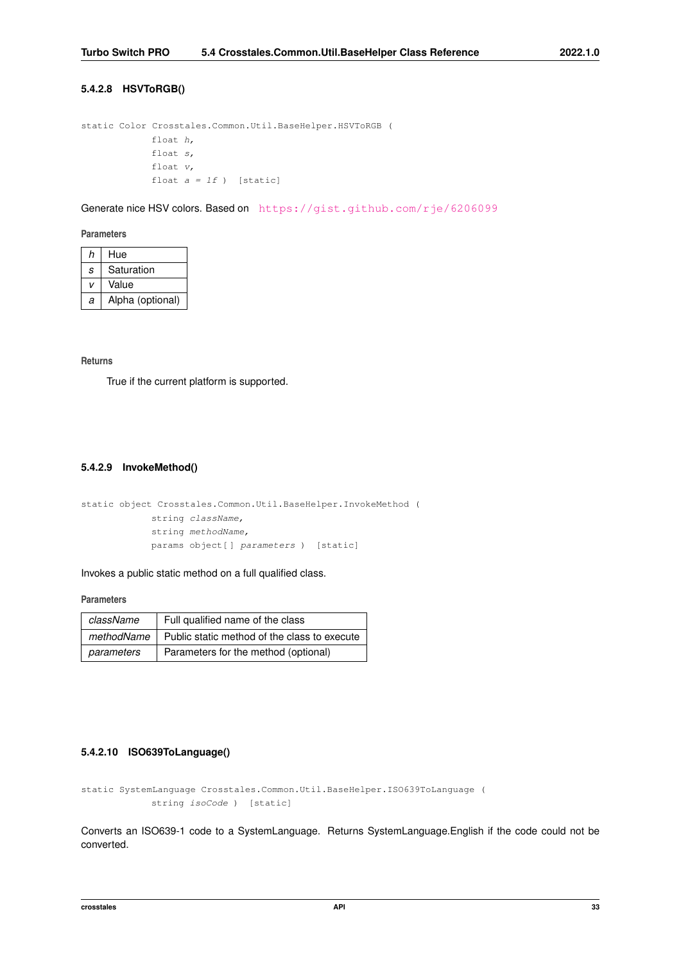### **5.4.2.8 HSVToRGB()**

```
static Color Crosstales.Common.Util.BaseHelper.HSVToRGB (
            float h,
             float s,
             float v,
             float a = 1f ) [static]
```
Generate nice HSV colors. Based on <https://gist.github.com/rje/6206099>

### **Parameters**

| h | Hue              |
|---|------------------|
| S | Saturation       |
| v | Value            |
| a | Alpha (optional) |

### **Returns**

<span id="page-45-1"></span>True if the current platform is supported.

### **5.4.2.9 InvokeMethod()**

```
static object Crosstales.Common.Util.BaseHelper.InvokeMethod (
             string className,
             string methodName,
             params object[ ] parameters ) [static]
```
Invokes a public static method on a full qualified class.

#### **Parameters**

| className  | Full qualified name of the class                          |
|------------|-----------------------------------------------------------|
|            | methodName   Public static method of the class to execute |
| parameters | Parameters for the method (optional)                      |

### <span id="page-45-0"></span>**5.4.2.10 ISO639ToLanguage()**

static SystemLanguage Crosstales.Common.Util.BaseHelper.ISO639ToLanguage ( string isoCode ) [static]

Converts an ISO639-1 code to a SystemLanguage. Returns SystemLanguage.English if the code could not be converted.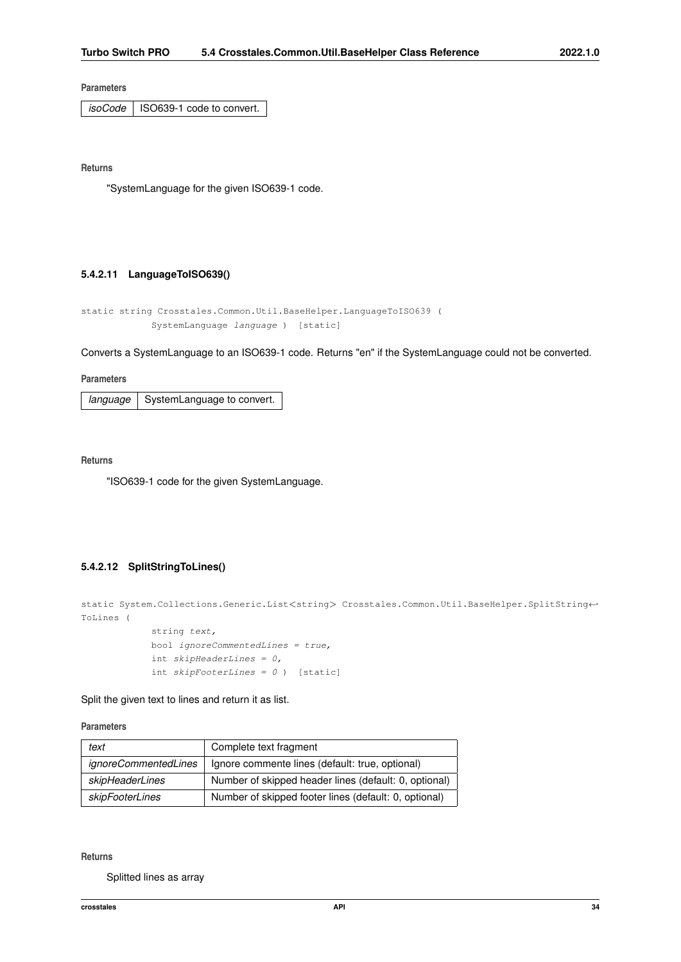**Parameters**

*isoCode* | ISO639-1 code to convert.

**Returns**

<span id="page-46-1"></span>"SystemLanguage for the given ISO639-1 code.

## **5.4.2.11 LanguageToISO639()**

```
static string Crosstales.Common.Util.BaseHelper.LanguageToISO639 (
            SystemLanguage language ) [static]
```
Converts a SystemLanguage to an ISO639-1 code. Returns "en" if the SystemLanguage could not be converted.

**Parameters**

*language* | SystemLanguage to convert.

**Returns**

<span id="page-46-0"></span>"ISO639-1 code for the given SystemLanguage.

## **5.4.2.12 SplitStringToLines()**

```
static System.Collections.Generic.List<string> Crosstales.Common.Util.BaseHelper.SplitString←
ToLines (
```

```
string text,
bool ignoreCommentedLines = true,
int skipHeaderLines = 0,
int skipFor the same <math>0</math> is given by:\n<math>\begin{bmatrix}\n 0 &amp; 1 \\
 0 &amp; 1\n \end{bmatrix}\n \begin{bmatrix}\n 0 &amp; 1 \\
 1 &amp; 0\n \end{bmatrix}\n \begin{bmatrix}\n 0 &amp; 0 \\
 1 &amp; 0\n \end{bmatrix}\n \begin{bmatrix}\n 0 &amp; 0 \\
 0 &amp; 1\n \end{bmatrix}\n \begin{bmatrix}\n 0 &amp; 0 \\
 0 &amp; 0\n \end{bmatrix}\n \begin{bmatrix}\n 0 &amp; 0 \\
 0 &amp; 0 \\
 0 &amp; 0\n \end{bmatrix}\n \begin{bmatrix}\n 0 &
```
Split the given text to lines and return it as list.

**Parameters**

| text                        | Complete text fragment                                |
|-----------------------------|-------------------------------------------------------|
| <i>ignoreCommentedLines</i> | Ignore commente lines (default: true, optional)       |
| skipHeaderLines             | Number of skipped header lines (default: 0, optional) |
| skipFooterLines             | Number of skipped footer lines (default: 0, optional) |

**Returns**

Splitted lines as array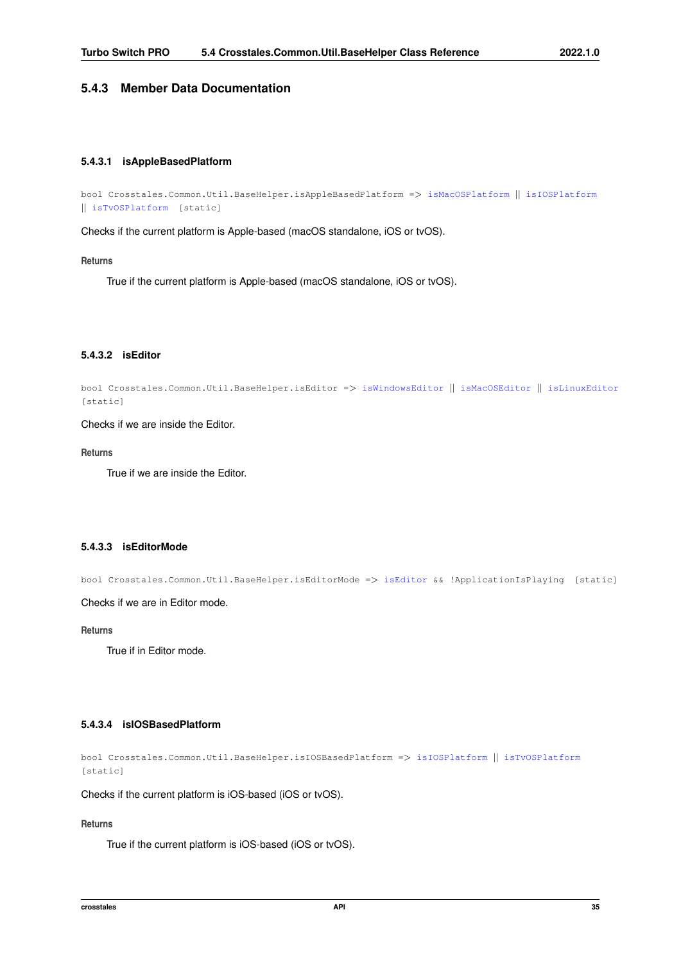# <span id="page-47-0"></span>**5.4.3 Member Data Documentation**

## **5.4.3.1 isAppleBasedPlatform**

```
bool Crosstales.Common.Util.BaseHelper.isAppleBasedPlatform => isMacOSPlatform || isIOSPlatform
|| isTvOSPlatform [static]
```
Checks if the current platform is Apple-based (macOS standalone, iOS or tvOS).

### **Returns**

<span id="page-47-3"></span>True if the current platform is Apple-based (macOS standalone, iOS or tvOS).

## **5.4.3.2 isEditor**

```
bool Crosstales.Common.Util.BaseHelper.isEditor => isWindowsEditor || isMacOSEditor || isLinuxEditor
[static]
```
Checks if we are inside the Editor.

#### **Returns**

<span id="page-47-4"></span>True if we are inside the Editor.

# **5.4.3.3 isEditorMode**

bool Crosstales.Common.Util.BaseHelper.isEditorMode => [isEditor](#page-47-3) && !ApplicationIsPlaying [static]

Checks if we are in Editor mode.

## **Returns**

<span id="page-47-1"></span>True if in Editor mode.

# **5.4.3.4 isIOSBasedPlatform**

bool Crosstales.Common.Util.BaseHelper.isIOSBasedPlatform => [isIOSPlatform](#page-50-1) || [isTvOSPlatform](#page-51-2) [static]

Checks if the current platform is iOS-based (iOS or tvOS).

### **Returns**

True if the current platform is iOS-based (iOS or tvOS).

<span id="page-47-2"></span>**crosstales API 35**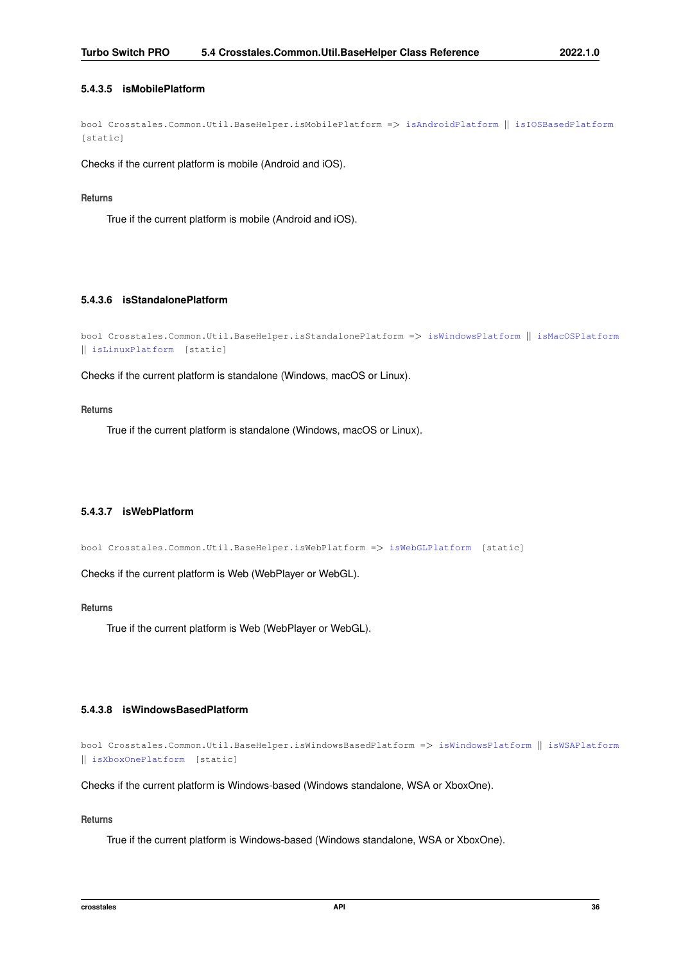### **5.4.3.5 isMobilePlatform**

bool Crosstales.Common.Util.BaseHelper.isMobilePlatform => [isAndroidPlatform](#page-49-0) || [isIOSBasedPlatform](#page-47-1) [static]

Checks if the current platform is mobile (Android and iOS).

#### **Returns**

<span id="page-48-0"></span>True if the current platform is mobile (Android and iOS).

## **5.4.3.6 isStandalonePlatform**

```
bool Crosstales.Common.Util.BaseHelper.isStandalonePlatform => isWindowsPlatform || isMacOSPlatform
|| isLinuxPlatform [static]
```
Checks if the current platform is standalone (Windows, macOS or Linux).

### **Returns**

<span id="page-48-1"></span>True if the current platform is standalone (Windows, macOS or Linux).

## **5.4.3.7 isWebPlatform**

bool Crosstales.Common.Util.BaseHelper.isWebPlatform => [isWebGLPlatform](#page-51-1) [static]

Checks if the current platform is Web (WebPlayer or WebGL).

### **Returns**

<span id="page-48-2"></span>True if the current platform is Web (WebPlayer or WebGL).

### **5.4.3.8 isWindowsBasedPlatform**

```
bool Crosstales.Common.Util.BaseHelper.isWindowsBasedPlatform => isWindowsPlatform || isWSAPlatform
|| isXboxOnePlatform [static]
```
Checks if the current platform is Windows-based (Windows standalone, WSA or XboxOne).

### **Returns**

<span id="page-48-3"></span>True if the current platform is Windows-based (Windows standalone, WSA or XboxOne).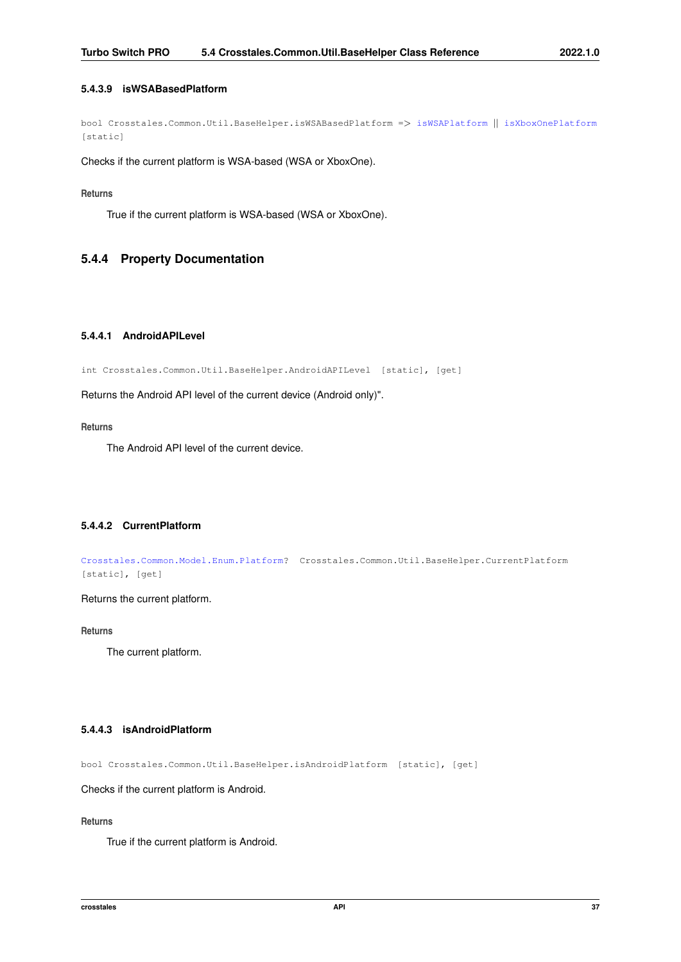## **5.4.3.9 isWSABasedPlatform**

bool Crosstales.Common.Util.BaseHelper.isWSABasedPlatform => [isWSAPlatform](#page-52-1) || [isXboxOnePlatform](#page-52-2) [static]

Checks if the current platform is WSA-based (WSA or XboxOne).

## **Returns**

True if the current platform is WSA-based (WSA or XboxOne).

# <span id="page-49-3"></span>**5.4.4 Property Documentation**

# **5.4.4.1 AndroidAPILevel**

int Crosstales.Common.Util.BaseHelper.AndroidAPILevel [static], [get]

Returns the Android API level of the current device (Android only)".

### **Returns**

<span id="page-49-2"></span>The Android API level of the current device.

### **5.4.4.2 CurrentPlatform**

[Crosstales.Common.Model.Enum.Platform?](#page-20-0) Crosstales.Common.Util.BaseHelper.CurrentPlatform [static], [get]

Returns the current platform.

**Returns**

<span id="page-49-0"></span>The current platform.

## **5.4.4.3 isAndroidPlatform**

bool Crosstales.Common.Util.BaseHelper.isAndroidPlatform [static], [get]

Checks if the current platform is Android.

### **Returns**

<span id="page-49-1"></span>True if the current platform is Android.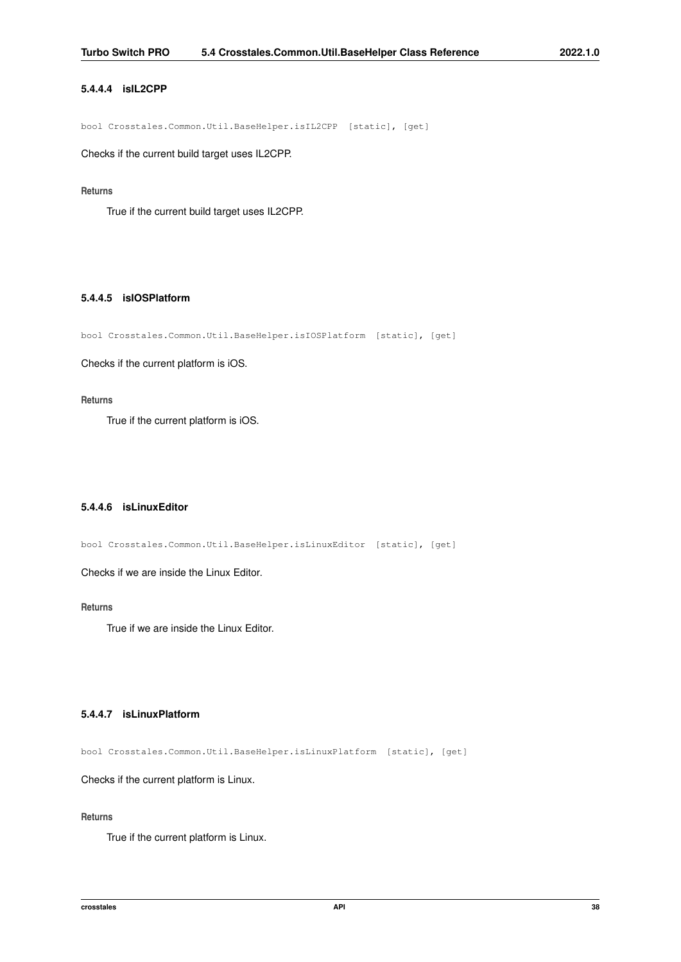## **5.4.4.4 isIL2CPP**

bool Crosstales.Common.Util.BaseHelper.isIL2CPP [static], [get]

Checks if the current build target uses IL2CPP.

### **Returns**

<span id="page-50-1"></span>True if the current build target uses IL2CPP.

## **5.4.4.5 isIOSPlatform**

bool Crosstales.Common.Util.BaseHelper.isIOSPlatform [static], [get]

Checks if the current platform is iOS.

#### **Returns**

<span id="page-50-3"></span>True if the current platform is iOS.

## **5.4.4.6 isLinuxEditor**

bool Crosstales.Common.Util.BaseHelper.isLinuxEditor [static], [get]

Checks if we are inside the Linux Editor.

**Returns**

<span id="page-50-0"></span>True if we are inside the Linux Editor.

### **5.4.4.7 isLinuxPlatform**

bool Crosstales.Common.Util.BaseHelper.isLinuxPlatform [static], [get]

Checks if the current platform is Linux.

### **Returns**

<span id="page-50-2"></span>True if the current platform is Linux.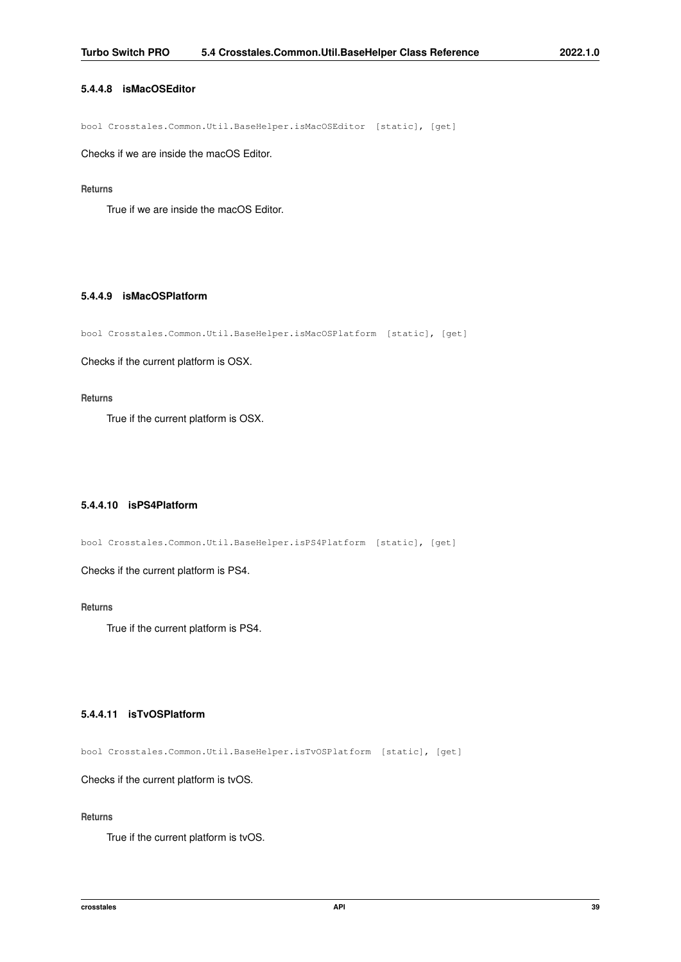## **5.4.4.8 isMacOSEditor**

bool Crosstales.Common.Util.BaseHelper.isMacOSEditor [static], [get]

Checks if we are inside the macOS Editor.

#### **Returns**

<span id="page-51-0"></span>True if we are inside the macOS Editor.

## **5.4.4.9 isMacOSPlatform**

bool Crosstales.Common.Util.BaseHelper.isMacOSPlatform [static], [get]

Checks if the current platform is OSX.

### **Returns**

<span id="page-51-3"></span>True if the current platform is OSX.

## **5.4.4.10 isPS4Platform**

bool Crosstales.Common.Util.BaseHelper.isPS4Platform [static], [get]

Checks if the current platform is PS4.

**Returns**

<span id="page-51-2"></span>True if the current platform is PS4.

### **5.4.4.11 isTvOSPlatform**

bool Crosstales.Common.Util.BaseHelper.isTvOSPlatform [static], [get]

Checks if the current platform is tvOS.

### **Returns**

<span id="page-51-1"></span>True if the current platform is tvOS.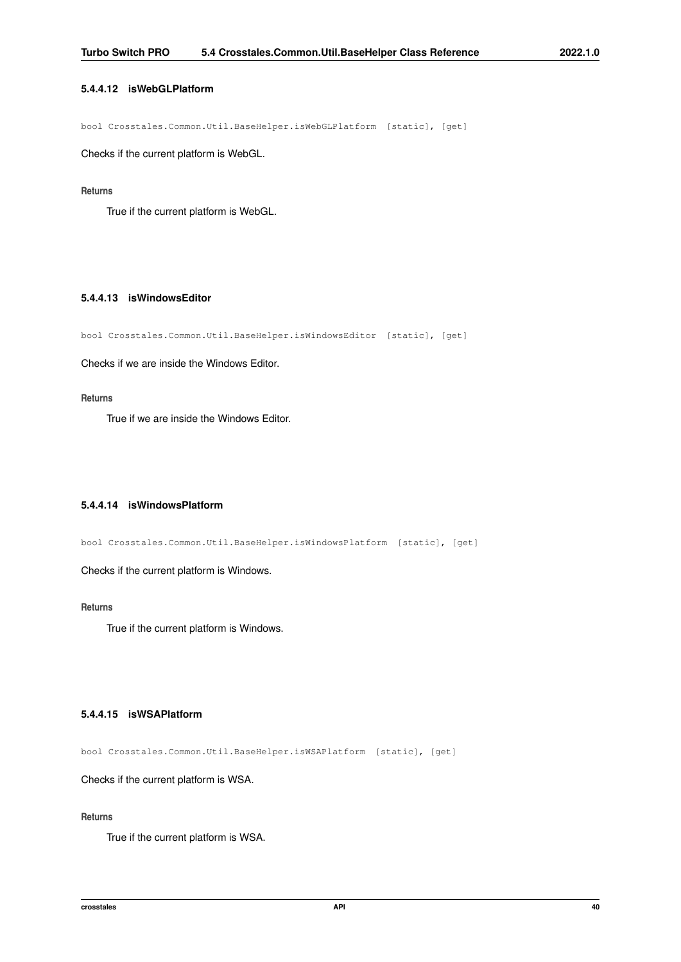## **5.4.4.12 isWebGLPlatform**

bool Crosstales.Common.Util.BaseHelper.isWebGLPlatform [static], [get]

Checks if the current platform is WebGL.

### **Returns**

<span id="page-52-3"></span>True if the current platform is WebGL.

## **5.4.4.13 isWindowsEditor**

bool Crosstales.Common.Util.BaseHelper.isWindowsEditor [static], [get]

Checks if we are inside the Windows Editor.

### **Returns**

<span id="page-52-0"></span>True if we are inside the Windows Editor.

### **5.4.4.14 isWindowsPlatform**

bool Crosstales.Common.Util.BaseHelper.isWindowsPlatform [static], [get]

Checks if the current platform is Windows.

**Returns**

<span id="page-52-1"></span>True if the current platform is Windows.

### **5.4.4.15 isWSAPlatform**

bool Crosstales.Common.Util.BaseHelper.isWSAPlatform [static], [get]

Checks if the current platform is WSA.

### **Returns**

<span id="page-52-2"></span>True if the current platform is WSA.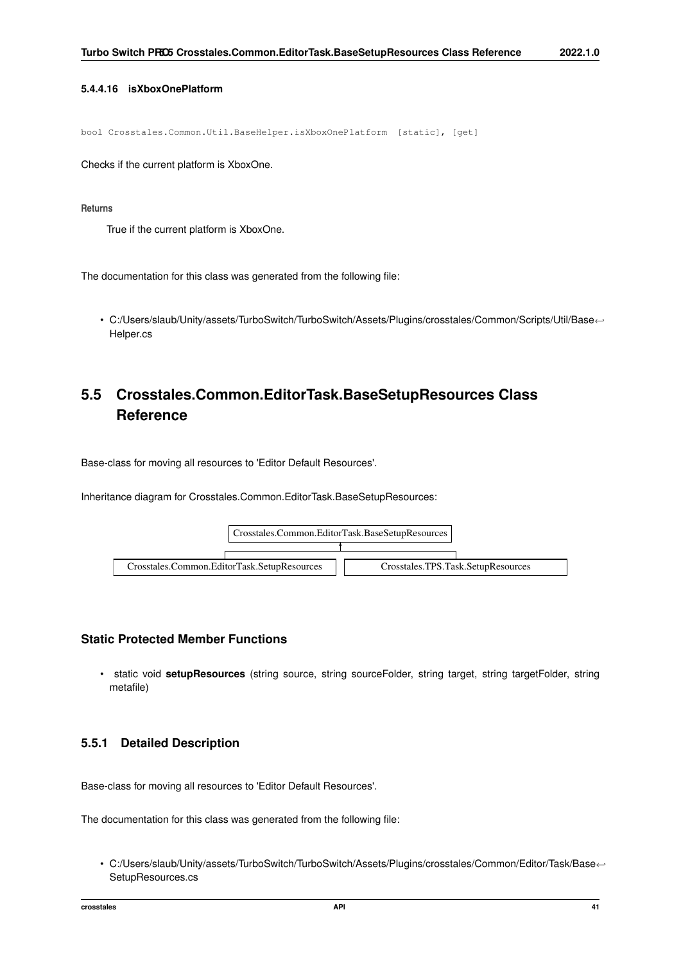## **5.4.4.16 isXboxOnePlatform**

bool Crosstales.Common.Util.BaseHelper.isXboxOnePlatform [static], [get]

Checks if the current platform is XboxOne.

**Returns**

True if the current platform is XboxOne.

The documentation for this class was generated from the following file:

• C:/Users/slaub/Unity/assets/TurboSwitch/TurboSwitch/Assets/Plugins/crosstales/Common/Scripts/Util/Base←- Helper.cs

# **5.5 Crosstales.Common.EditorTask.BaseSetupResources Class Reference**

Base-class for moving all resources to 'Editor Default Resources'.

Inheritance diagram for Crosstales.Common.EditorTask.BaseSetupResources:



# **Static Protected Member Functions**

• static void **setupResources** (string source, string sourceFolder, string target, string targetFolder, string metafile)

# **5.5.1 Detailed Description**

Base-class for moving all resources to 'Editor Default Resources'.

The documentation for this class was generated from the following file:

• C:/Users/slaub/Unity/assets/TurboSwitch/TurboSwitch/Assets/Plugins/crosstales/Common/Editor/Task/Base←- SetupResources.cs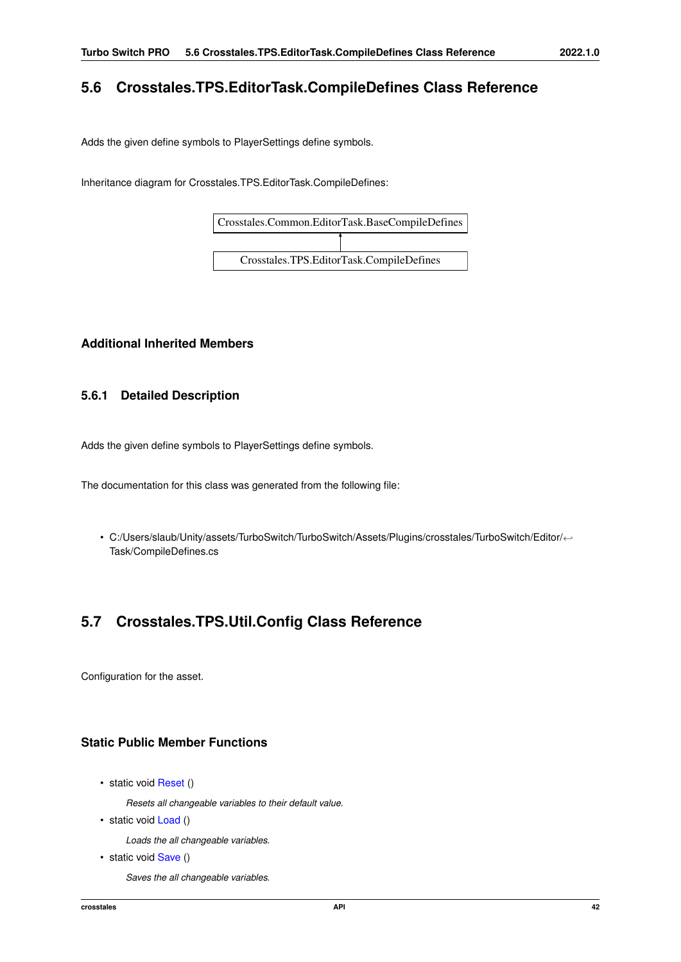# **5.6 Crosstales.TPS.EditorTask.CompileDefines Class Reference**

Adds the given define symbols to PlayerSettings define symbols.

Inheritance diagram for Crosstales.TPS.EditorTask.CompileDefines:



# **Additional Inherited Members**

# **5.6.1 Detailed Description**

Adds the given define symbols to PlayerSettings define symbols.

The documentation for this class was generated from the following file:

• C:/Users/slaub/Unity/assets/TurboSwitch/TurboSwitch/Assets/Plugins/crosstales/TurboSwitch/Editor/←- Task/CompileDefines.cs

# **5.7 Crosstales.TPS.Util.Config Class Reference**

Configuration for the asset.

# **Static Public Member Functions**

• static void [Reset](#page-57-0) ()

*Resets all changeable variables to their default value.*

• static void [Load](#page-56-0) ()

*Loads the all changeable variables.*

• static void [Save](#page-57-1) ()

*Saves the all changeable variables.*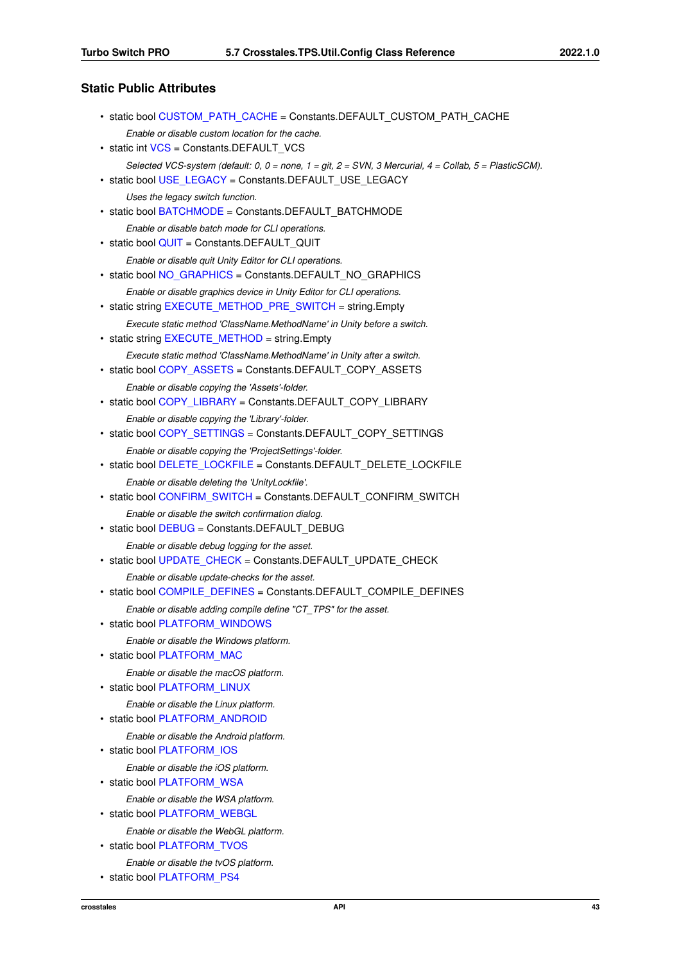# **Static Public Attributes**

| • static bool CUSTOM PATH CACHE = Constants.DEFAULT CUSTOM PATH CACHE                                                   |
|-------------------------------------------------------------------------------------------------------------------------|
| Enable or disable custom location for the cache.<br>• static int VCS = Constants.DEFAULT VCS                            |
| Selected VCS-system (default: 0, 0 = none, 1 = git, 2 = SVN, 3 Mercurial, 4 = Collab, 5 = PlasticSCM).                  |
| • static bool USE_LEGACY = Constants.DEFAULT_USE_LEGACY                                                                 |
| Uses the legacy switch function.                                                                                        |
| • static bool BATCHMODE = Constants.DEFAULT BATCHMODE                                                                   |
| Enable or disable batch mode for CLI operations.<br>• static bool QUIT = Constants.DEFAULT QUIT                         |
| Enable or disable quit Unity Editor for CLI operations.<br>• static bool NO_GRAPHICS = Constants.DEFAULT_NO_GRAPHICS    |
| Enable or disable graphics device in Unity Editor for CLI operations.                                                   |
| • static string EXECUTE_METHOD_PRE_SWITCH = string.Empty                                                                |
| Execute static method 'ClassName.MethodName' in Unity before a switch.<br>• static string EXECUTE METHOD = string.Empty |
| Execute static method 'ClassName.MethodName' in Unity after a switch.                                                   |
| • static bool COPY_ASSETS = Constants.DEFAULT_COPY_ASSETS                                                               |
| Enable or disable copying the 'Assets'-folder.<br>• static bool COPY_LIBRARY = Constants.DEFAULT_COPY_LIBRARY           |
| Enable or disable copying the 'Library'-folder.                                                                         |
| • static bool COPY_SETTINGS = Constants.DEFAULT_COPY_SETTINGS                                                           |
| Enable or disable copying the 'ProjectSettings'-folder.                                                                 |
| • static bool DELETE_LOCKFILE = Constants.DEFAULT_DELETE_LOCKFILE                                                       |
| Enable or disable deleting the 'UnityLockfile'.                                                                         |
| • static bool CONFIRM_SWITCH = Constants.DEFAULT_CONFIRM_SWITCH                                                         |
| Enable or disable the switch confirmation dialog.<br>• static bool DEBUG = Constants.DEFAULT DEBUG                      |
| Enable or disable debug logging for the asset.                                                                          |
| • static bool UPDATE_CHECK = Constants.DEFAULT_UPDATE_CHECK                                                             |
| Enable or disable update-checks for the asset.                                                                          |
| • static bool COMPILE DEFINES = Constants.DEFAULT COMPILE DEFINES                                                       |
| Enable or disable adding compile define "CT_TPS" for the asset.                                                         |
| static bool PLATFORM WINDOWS                                                                                            |
| Enable or disable the Windows platform.<br>• static bool PLATFORM MAC                                                   |
| Enable or disable the macOS platform.                                                                                   |
| • static bool PLATFORM LINUX                                                                                            |
| Enable or disable the Linux platform.                                                                                   |
| • static bool PLATFORM ANDROID                                                                                          |
| Enable or disable the Android platform.                                                                                 |
| • static bool PLATFORM IOS                                                                                              |
| Enable or disable the iOS platform.                                                                                     |
| • static bool PLATFORM WSA                                                                                              |
| Enable or disable the WSA platform.<br>• static bool PLATFORM WEBGL                                                     |
| Enable or disable the WebGL platform.                                                                                   |
| • static bool PLATFORM TVOS                                                                                             |
|                                                                                                                         |

• static bool [PLATFORM\\_PS4](#page-60-4)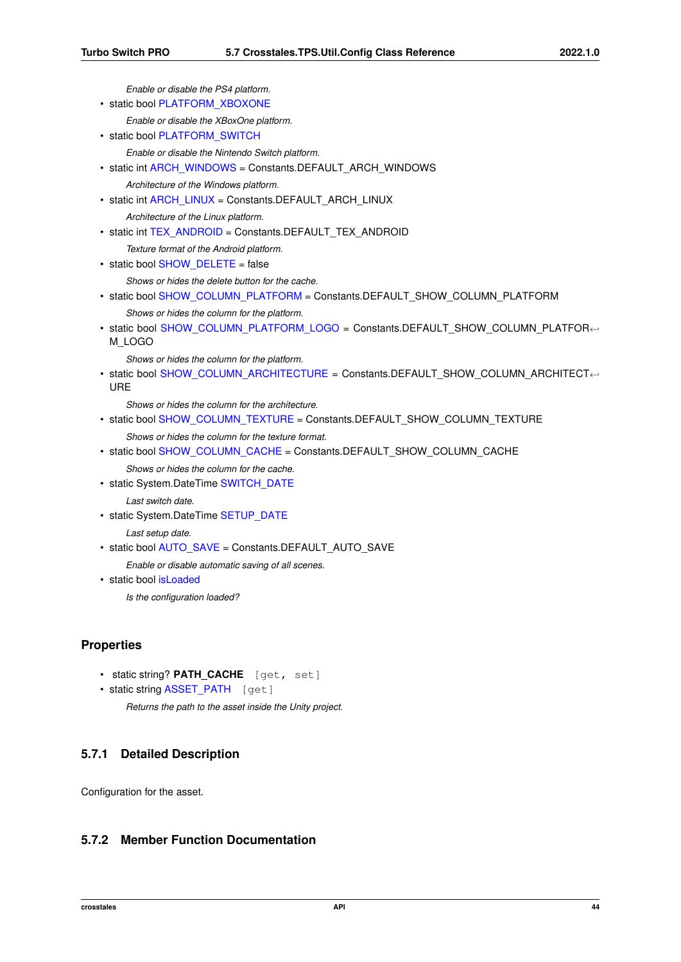```
Enable or disable the PS4 platform.
PLATFORM_XBOXONE
    Enable or disable the XBoxOne platform.
• static bool PLATFORM_SWITCH
    Enable or disable the Nintendo Switch platform.
ARCH_WINDOWS = Constants.DEFAULT_ARCH_WINDOWS
    Architecture of the Windows platform.
ARCH_LINUX = Constants.DEFAULT_ARCH_LINUX
    Architecture of the Linux platform.
TEX_ANDROID = Constants.DEFAULT_TEX_ANDROID
    Texture format of the Android platform.
SHOW_DELETE = false
    Shows or hides the delete button for the cache.
SHOW_COLUMN_PLATFORM = Constants.DEFAULT_SHOW_COLUMN_PLATFORM
    Shows or hides the column for the platform.
SHOW_COLUMN_PLATFORM_LOGO = Constants.DEFAULT_SHOW_COLUMN_PLATFOR←
 M_LOGO
    Shows or hides the column for the platform.
• static bool SHOW_COLUMN_ARCHITECTURE = Constants.DEFAULT_SHOW_COLUMN_ARCHITECT←-
 URE
    Shows or hides the column for the architecture.
SHOW_COLUMN_TEXTURE = Constants.DEFAULT_SHOW_COLUMN_TEXTURE
    Shows or hides the column for the texture format.
SHOW_COLUMN_CACHE = Constants.DEFAULT_SHOW_COLUMN_CACHE
    Shows or hides the column for the cache.
SWITCH_DATE
    Last switch date.
SETUP_DATE
    Last setup date.
AUTO_SAVE = Constants.DEFAULT_AUTO_SAVE
    Enable or disable automatic saving of all scenes.
• static bool isLoaded
```
*Is the configuration loaded?*

# **Properties**

- static string? PATH CACHE [get, set]
- static string [ASSET\\_PATH](#page-64-0) [get]

```
Returns the path to the asset inside the Unity project.
```
# **5.7.1 Detailed Description**

Configuration for the asset.

# <span id="page-56-0"></span>**5.7.2 Member Function Documentation**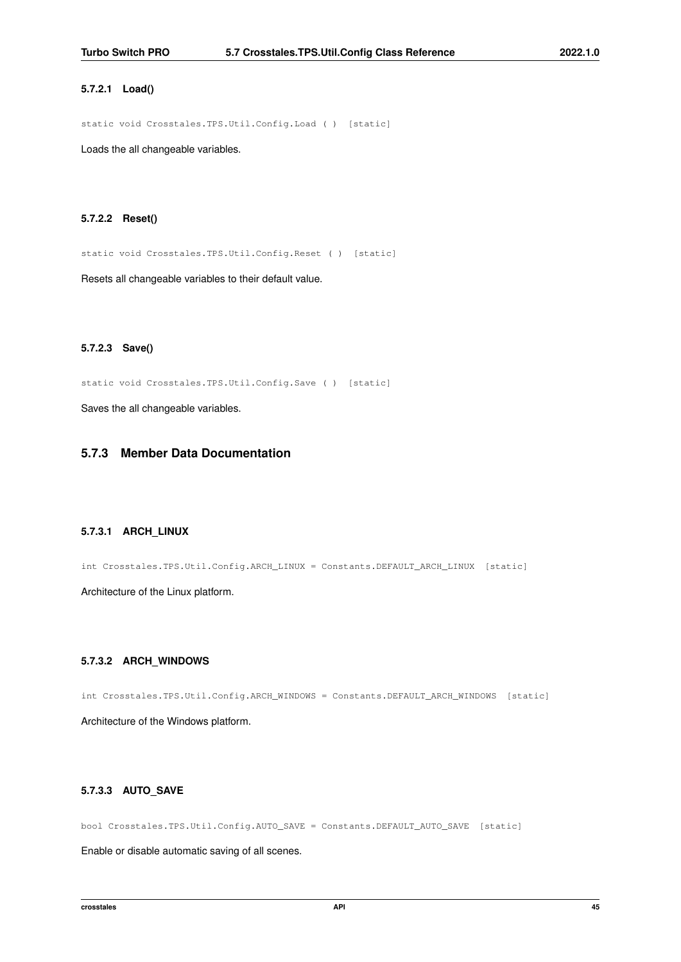### **5.7.2.1 Load()**

static void Crosstales.TPS.Util.Config.Load ( ) [static]

<span id="page-57-0"></span>Loads the all changeable variables.

### **5.7.2.2 Reset()**

static void Crosstales.TPS.Util.Config.Reset ( ) [static]

<span id="page-57-1"></span>Resets all changeable variables to their default value.

### **5.7.2.3 Save()**

static void Crosstales.TPS.Util.Config.Save ( ) [static]

Saves the all changeable variables.

# <span id="page-57-4"></span>**5.7.3 Member Data Documentation**

### **5.7.3.1 ARCH\_LINUX**

int Crosstales.TPS.Util.Config.ARCH\_LINUX = Constants.DEFAULT\_ARCH\_LINUX [static]

<span id="page-57-3"></span>Architecture of the Linux platform.

### **5.7.3.2 ARCH\_WINDOWS**

<span id="page-57-5"></span>int Crosstales.TPS.Util.Config.ARCH\_WINDOWS = Constants.DEFAULT\_ARCH\_WINDOWS [static] Architecture of the Windows platform.

### **5.7.3.3 AUTO\_SAVE**

bool Crosstales.TPS.Util.Config.AUTO\_SAVE = Constants.DEFAULT\_AUTO\_SAVE [static]

<span id="page-57-2"></span>Enable or disable automatic saving of all scenes.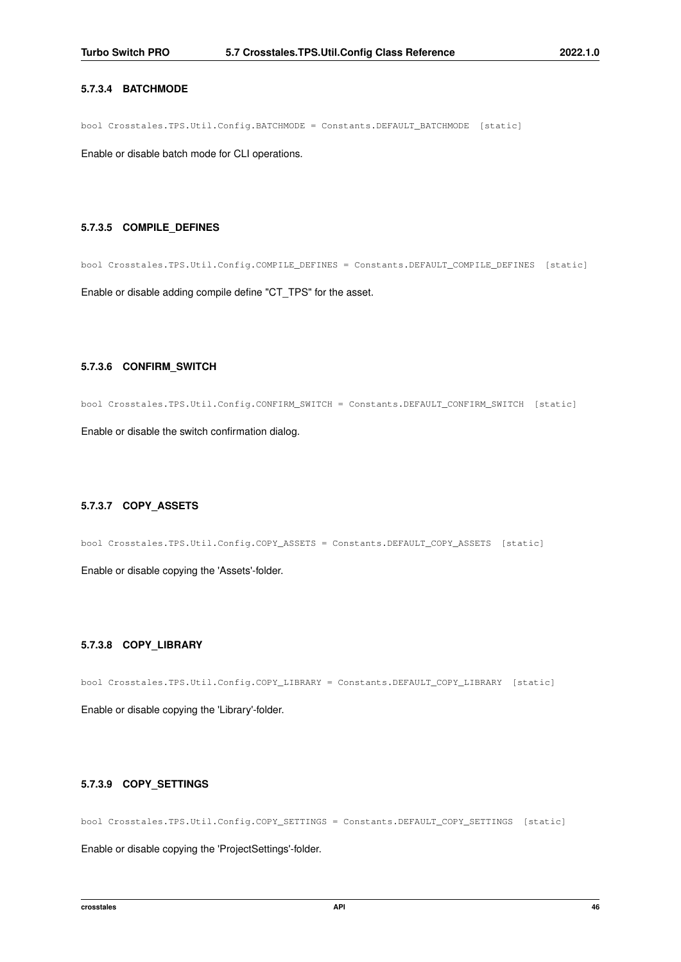### **5.7.3.4 BATCHMODE**

bool Crosstales.TPS.Util.Config.BATCHMODE = Constants.DEFAULT\_BATCHMODE [static]

<span id="page-58-5"></span>Enable or disable batch mode for CLI operations.

### **5.7.3.5 COMPILE\_DEFINES**

<span id="page-58-4"></span>bool Crosstales.TPS.Util.Config.COMPILE\_DEFINES = Constants.DEFAULT\_COMPILE\_DEFINES [static] Enable or disable adding compile define "CT\_TPS" for the asset.

### **5.7.3.6 CONFIRM\_SWITCH**

bool Crosstales.TPS.Util.Config.CONFIRM\_SWITCH = Constants.DEFAULT\_CONFIRM\_SWITCH [static]

<span id="page-58-1"></span>Enable or disable the switch confirmation dialog.

# **5.7.3.7 COPY\_ASSETS**

bool Crosstales.TPS.Util.Config.COPY\_ASSETS = Constants.DEFAULT\_COPY\_ASSETS [static]

<span id="page-58-2"></span>Enable or disable copying the 'Assets'-folder.

### **5.7.3.8 COPY\_LIBRARY**

bool Crosstales.TPS.Util.Config.COPY\_LIBRARY = Constants.DEFAULT\_COPY\_LIBRARY [static]

<span id="page-58-3"></span>Enable or disable copying the 'Library'-folder.

## **5.7.3.9 COPY\_SETTINGS**

bool Crosstales.TPS.Util.Config.COPY\_SETTINGS = Constants.DEFAULT\_COPY\_SETTINGS [static]

<span id="page-58-0"></span>Enable or disable copying the 'ProjectSettings'-folder.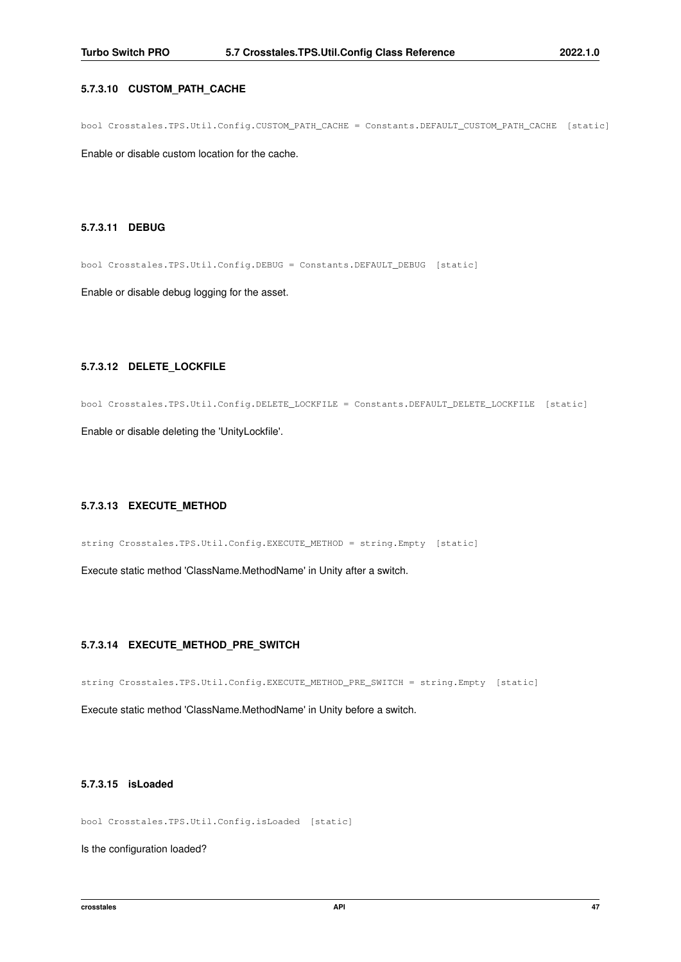## **5.7.3.10 CUSTOM\_PATH\_CACHE**

bool Crosstales.TPS.Util.Config.CUSTOM\_PATH\_CACHE = Constants.DEFAULT\_CUSTOM\_PATH\_CACHE [static]

<span id="page-59-4"></span>Enable or disable custom location for the cache.

### **5.7.3.11 DEBUG**

bool Crosstales.TPS.Util.Config.DEBUG = Constants.DEFAULT\_DEBUG [static]

<span id="page-59-3"></span>Enable or disable debug logging for the asset.

## **5.7.3.12 DELETE\_LOCKFILE**

bool Crosstales.TPS.Util.Config.DELETE\_LOCKFILE = Constants.DEFAULT\_DELETE\_LOCKFILE [static]

<span id="page-59-2"></span>Enable or disable deleting the 'UnityLockfile'.

## **5.7.3.13 EXECUTE\_METHOD**

string Crosstales.TPS.Util.Config.EXECUTE\_METHOD = string.Empty [static]

<span id="page-59-1"></span>Execute static method 'ClassName.MethodName' in Unity after a switch.

## **5.7.3.14 EXECUTE\_METHOD\_PRE\_SWITCH**

string Crosstales.TPS.Util.Config.EXECUTE\_METHOD\_PRE\_SWITCH = string.Empty [static]

<span id="page-59-5"></span>Execute static method 'ClassName.MethodName' in Unity before a switch.

# **5.7.3.15 isLoaded**

bool Crosstales.TPS.Util.Config.isLoaded [static]

<span id="page-59-0"></span>Is the configuration loaded?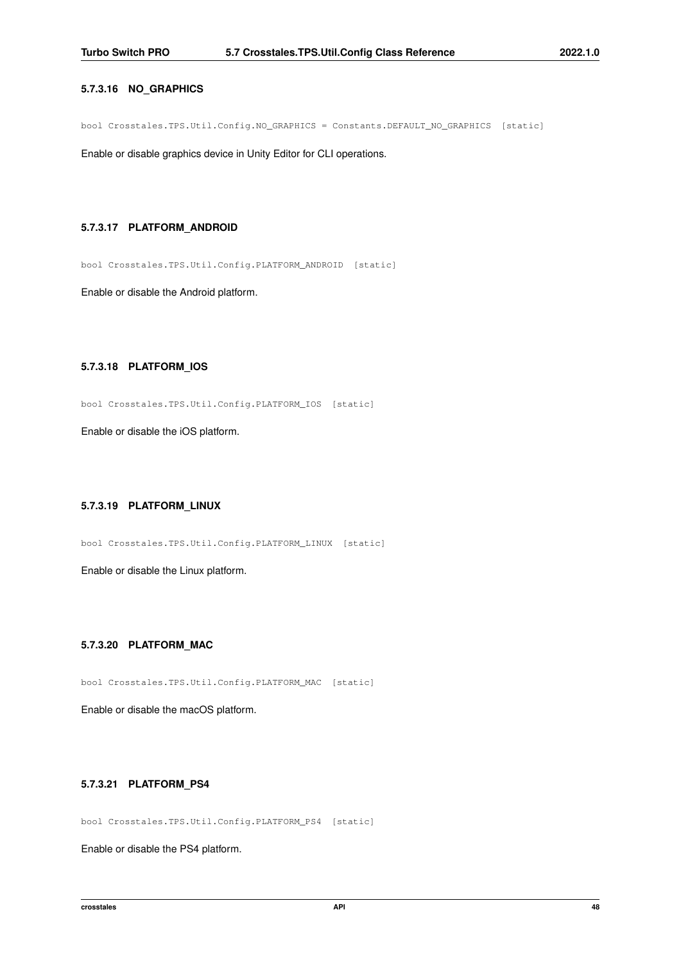## **5.7.3.16 NO\_GRAPHICS**

bool Crosstales.TPS.Util.Config.NO\_GRAPHICS = Constants.DEFAULT\_NO\_GRAPHICS [static]

<span id="page-60-2"></span>Enable or disable graphics device in Unity Editor for CLI operations.

### **5.7.3.17 PLATFORM\_ANDROID**

bool Crosstales.TPS.Util.Config.PLATFORM\_ANDROID [static]

<span id="page-60-3"></span>Enable or disable the Android platform.

## **5.7.3.18 PLATFORM\_IOS**

bool Crosstales.TPS.Util.Config.PLATFORM\_IOS [static]

<span id="page-60-1"></span>Enable or disable the iOS platform.

## **5.7.3.19 PLATFORM\_LINUX**

bool Crosstales.TPS.Util.Config.PLATFORM\_LINUX [static]

<span id="page-60-0"></span>Enable or disable the Linux platform.

### **5.7.3.20 PLATFORM\_MAC**

bool Crosstales.TPS.Util.Config.PLATFORM\_MAC [static]

<span id="page-60-4"></span>Enable or disable the macOS platform.

## **5.7.3.21 PLATFORM\_PS4**

bool Crosstales.TPS.Util.Config.PLATFORM\_PS4 [static]

<span id="page-60-5"></span>Enable or disable the PS4 platform.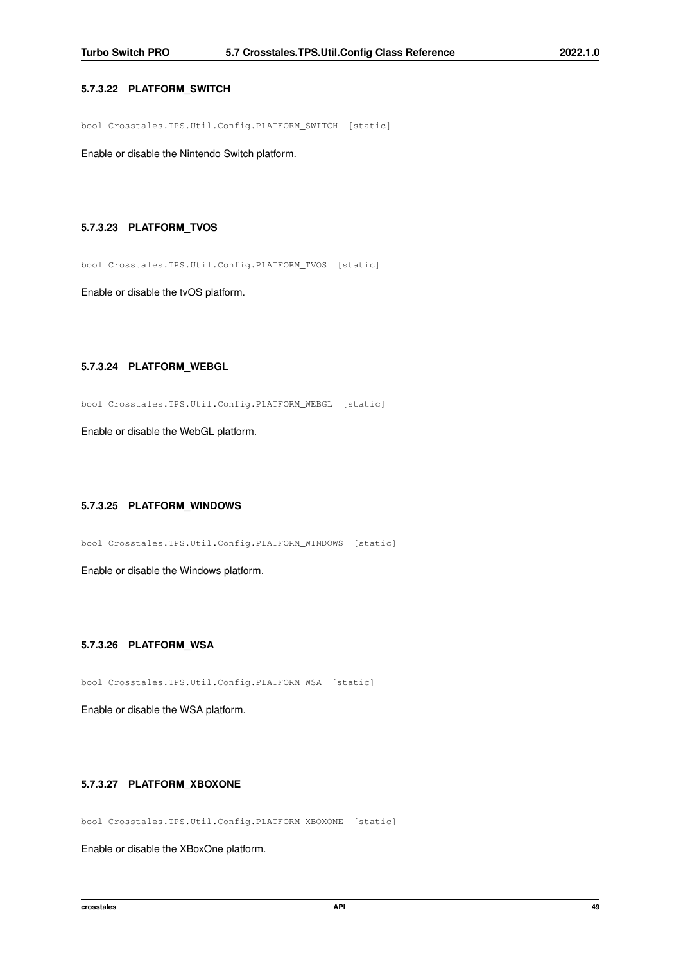## **5.7.3.22 PLATFORM\_SWITCH**

bool Crosstales.TPS.Util.Config.PLATFORM\_SWITCH [static]

<span id="page-61-4"></span>Enable or disable the Nintendo Switch platform.

### **5.7.3.23 PLATFORM\_TVOS**

bool Crosstales.TPS.Util.Config.PLATFORM\_TVOS [static]

<span id="page-61-3"></span>Enable or disable the tvOS platform.

## **5.7.3.24 PLATFORM\_WEBGL**

bool Crosstales.TPS.Util.Config.PLATFORM\_WEBGL [static]

<span id="page-61-1"></span>Enable or disable the WebGL platform.

## **5.7.3.25 PLATFORM\_WINDOWS**

bool Crosstales.TPS.Util.Config.PLATFORM\_WINDOWS [static]

<span id="page-61-2"></span>Enable or disable the Windows platform.

### **5.7.3.26 PLATFORM\_WSA**

bool Crosstales.TPS.Util.Config.PLATFORM\_WSA [static]

<span id="page-61-5"></span>Enable or disable the WSA platform.

## **5.7.3.27 PLATFORM\_XBOXONE**

bool Crosstales.TPS.Util.Config.PLATFORM\_XBOXONE [static]

<span id="page-61-0"></span>Enable or disable the XBoxOne platform.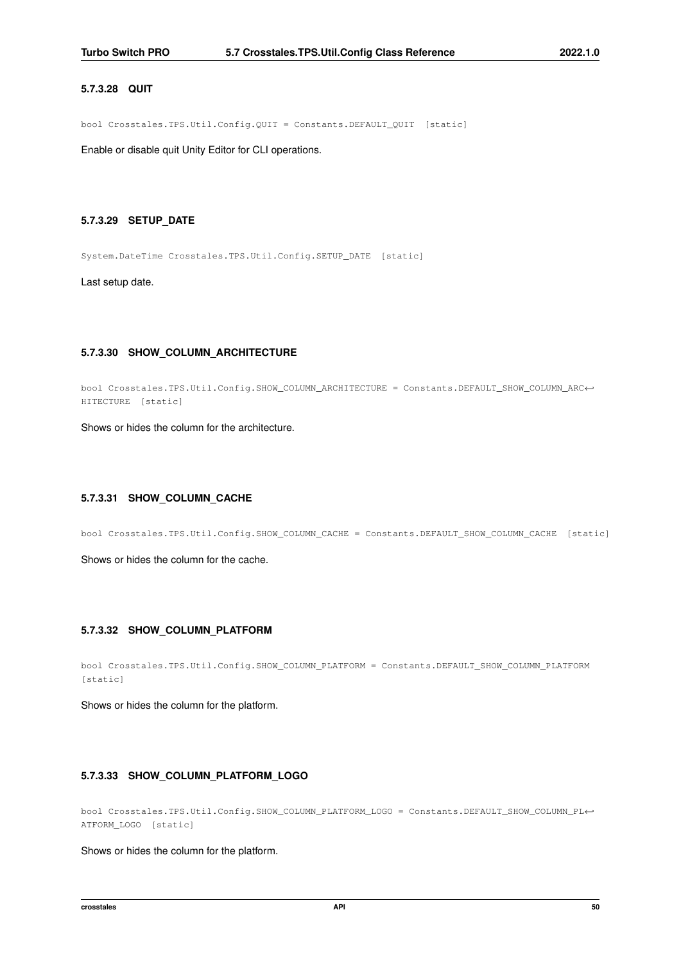## **5.7.3.28 QUIT**

bool Crosstales.TPS.Util.Config.QUIT = Constants.DEFAULT\_QUIT [static]

<span id="page-62-5"></span>Enable or disable quit Unity Editor for CLI operations.

## **5.7.3.29 SETUP\_DATE**

System.DateTime Crosstales.TPS.Util.Config.SETUP\_DATE [static]

<span id="page-62-2"></span>Last setup date.

### **5.7.3.30 SHOW\_COLUMN\_ARCHITECTURE**

bool Crosstales.TPS.Util.Config.SHOW\_COLUMN\_ARCHITECTURE = Constants.DEFAULT\_SHOW\_COLUMN\_ARC←- HITECTURE [static]

<span id="page-62-4"></span>Shows or hides the column for the architecture.

## **5.7.3.31 SHOW\_COLUMN\_CACHE**

bool Crosstales.TPS.Util.Config.SHOW\_COLUMN\_CACHE = Constants.DEFAULT\_SHOW\_COLUMN\_CACHE [static]

<span id="page-62-0"></span>Shows or hides the column for the cache.

## **5.7.3.32 SHOW\_COLUMN\_PLATFORM**

```
bool Crosstales.TPS.Util.Config.SHOW_COLUMN_PLATFORM = Constants.DEFAULT_SHOW_COLUMN_PLATFORM
[static]
```
<span id="page-62-1"></span>Shows or hides the column for the platform.

### **5.7.3.33 SHOW\_COLUMN\_PLATFORM\_LOGO**

bool Crosstales.TPS.Util.Config.SHOW\_COLUMN\_PLATFORM\_LOGO = Constants.DEFAULT\_SHOW\_COLUMN\_PL←- ATFORM\_LOGO [static]

<span id="page-62-3"></span>Shows or hides the column for the platform.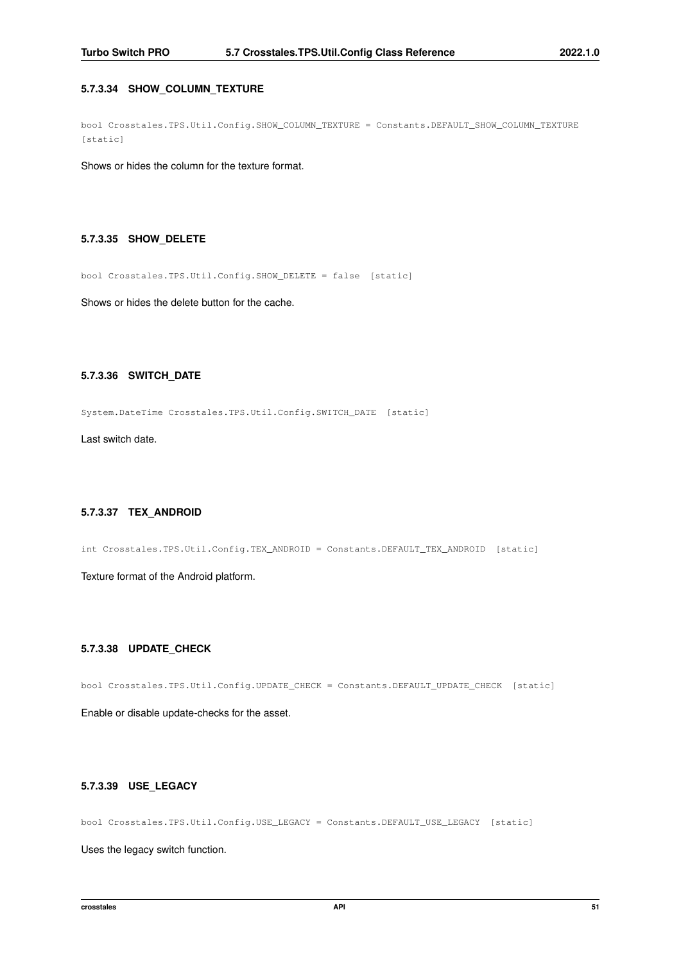## **5.7.3.34 SHOW\_COLUMN\_TEXTURE**

bool Crosstales.TPS.Util.Config.SHOW\_COLUMN\_TEXTURE = Constants.DEFAULT\_SHOW\_COLUMN\_TEXTURE [static]

<span id="page-63-4"></span>Shows or hides the column for the texture format.

## **5.7.3.35 SHOW\_DELETE**

bool Crosstales.TPS.Util.Config.SHOW\_DELETE = false [static]

<span id="page-63-5"></span>Shows or hides the delete button for the cache.

## **5.7.3.36 SWITCH\_DATE**

System.DateTime Crosstales.TPS.Util.Config.SWITCH\_DATE [static]

<span id="page-63-3"></span>Last switch date.

# **5.7.3.37 TEX\_ANDROID**

int Crosstales.TPS.Util.Config.TEX\_ANDROID = Constants.DEFAULT\_TEX\_ANDROID [static]

<span id="page-63-2"></span>Texture format of the Android platform.

### **5.7.3.38 UPDATE\_CHECK**

bool Crosstales.TPS.Util.Config.UPDATE\_CHECK = Constants.DEFAULT\_UPDATE\_CHECK [static]

<span id="page-63-1"></span>Enable or disable update-checks for the asset.

## **5.7.3.39 USE\_LEGACY**

bool Crosstales.TPS.Util.Config.USE\_LEGACY = Constants.DEFAULT\_USE\_LEGACY [static]

<span id="page-63-0"></span>Uses the legacy switch function.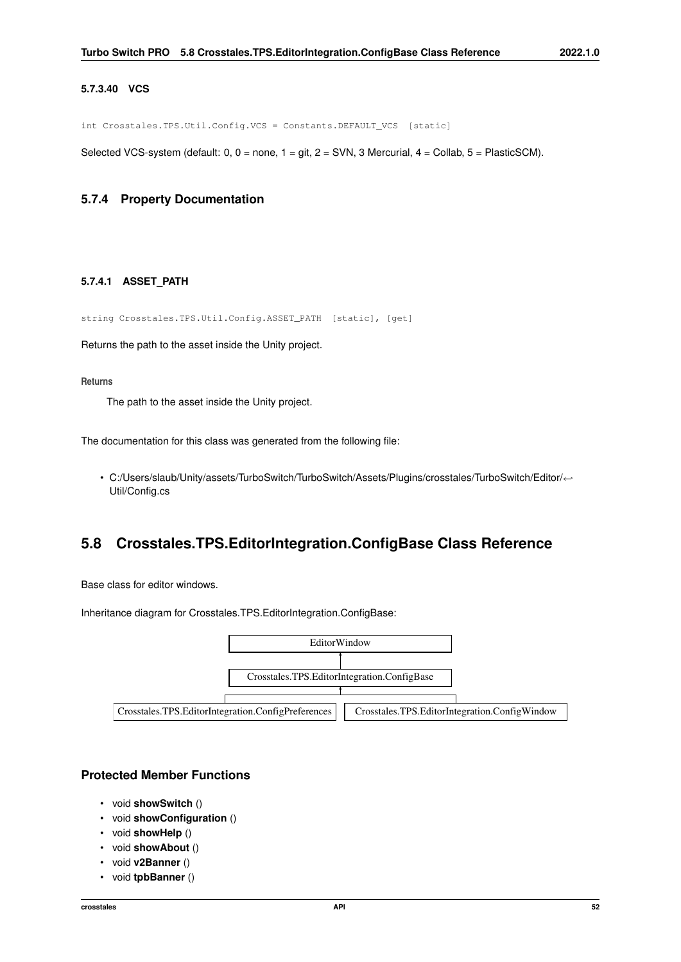### **5.7.3.40 VCS**

int Crosstales.TPS.Util.Config.VCS = Constants.DEFAULT\_VCS [static]

Selected VCS-system (default: 0, 0 = none, 1 = git, 2 = SVN, 3 Mercurial, 4 = Collab, 5 = PlasticSCM).

# <span id="page-64-0"></span>**5.7.4 Property Documentation**

# **5.7.4.1 ASSET\_PATH**

string Crosstales.TPS.Util.Config.ASSET\_PATH [static], [get]

Returns the path to the asset inside the Unity project.

### **Returns**

The path to the asset inside the Unity project.

The documentation for this class was generated from the following file:

• C:/Users/slaub/Unity/assets/TurboSwitch/TurboSwitch/Assets/Plugins/crosstales/TurboSwitch/Editor/←- Util/Config.cs

# **5.8 Crosstales.TPS.EditorIntegration.ConfigBase Class Reference**

Base class for editor windows.

Inheritance diagram for Crosstales.TPS.EditorIntegration.ConfigBase:



# **Protected Member Functions**

- void **showSwitch** ()
- void **showConfiguration** ()
- void **showHelp** ()
- void **showAbout** ()
- void **v2Banner** ()
- void **tpbBanner** ()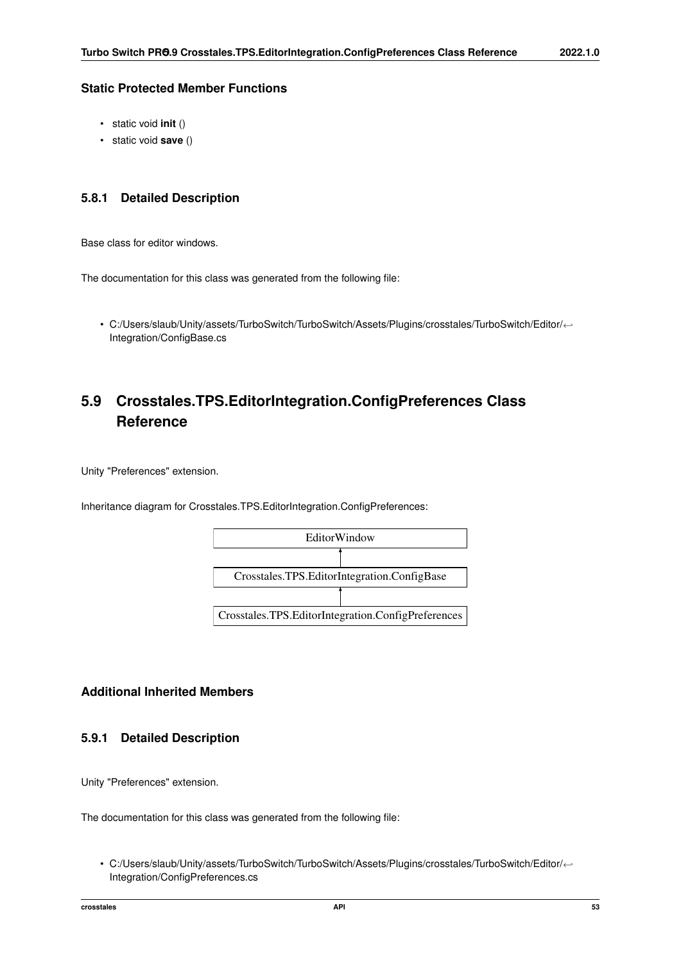# **Static Protected Member Functions**

- static void **init** ()
- static void **save** ()

# **5.8.1 Detailed Description**

Base class for editor windows.

The documentation for this class was generated from the following file:

• C:/Users/slaub/Unity/assets/TurboSwitch/TurboSwitch/Assets/Plugins/crosstales/TurboSwitch/Editor/←- Integration/ConfigBase.cs

# **5.9 Crosstales.TPS.EditorIntegration.ConfigPreferences Class Reference**

Unity "Preferences" extension.

Inheritance diagram for Crosstales.TPS.EditorIntegration.ConfigPreferences:



# **Additional Inherited Members**

# **5.9.1 Detailed Description**

Unity "Preferences" extension.

The documentation for this class was generated from the following file:

• C:/Users/slaub/Unity/assets/TurboSwitch/TurboSwitch/Assets/Plugins/crosstales/TurboSwitch/Editor/←- Integration/ConfigPreferences.cs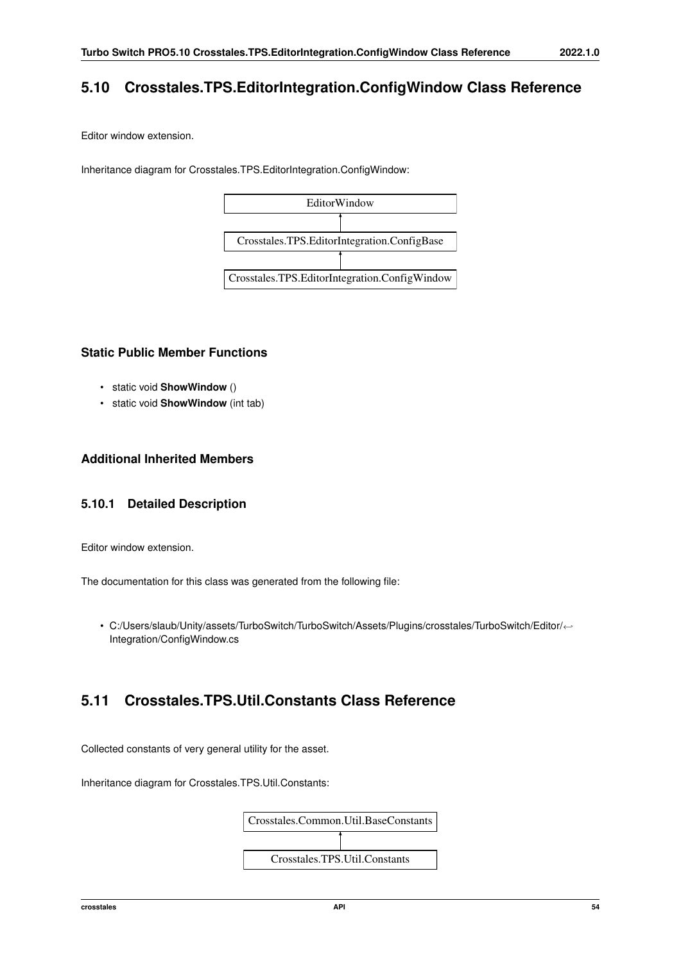# **5.10 Crosstales.TPS.EditorIntegration.ConfigWindow Class Reference**

Editor window extension.

Inheritance diagram for Crosstales.TPS.EditorIntegration.ConfigWindow:



# **Static Public Member Functions**

- static void **ShowWindow** ()
- static void **ShowWindow** (int tab)

# **Additional Inherited Members**

# **5.10.1 Detailed Description**

Editor window extension.

The documentation for this class was generated from the following file:

• C:/Users/slaub/Unity/assets/TurboSwitch/TurboSwitch/Assets/Plugins/crosstales/TurboSwitch/Editor/←- Integration/ConfigWindow.cs

# **5.11 Crosstales.TPS.Util.Constants Class Reference**

Collected constants of very general utility for the asset.

Inheritance diagram for Crosstales.TPS.Util.Constants:

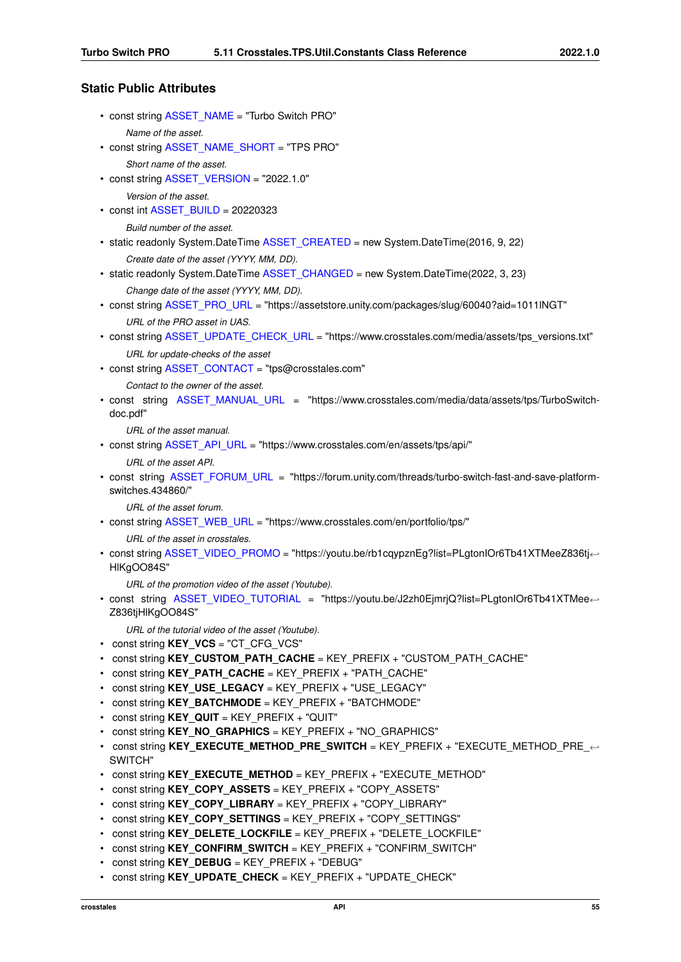# **Static Public Attributes**

- const string [ASSET\\_NAME](#page-70-0) = "Turbo Switch PRO"
	- *Name of the asset.*
- const string [ASSET\\_NAME\\_SHORT](#page-70-1) = "TPS PRO" *Short name of the asset.*
- const string [ASSET\\_VERSION](#page-71-0) = "2022.1.0"

*Version of the asset.*

 $\cdot$  const int [ASSET\\_BUILD](#page-69-0) = 20220323

*Build number of the asset.*

- static readonly System.DateTime [ASSET\\_CREATED](#page-69-1) = new System.DateTime(2016, 9, 22) *Create date of the asset (YYYY, MM, DD).*
- static readonly System.DateTime [ASSET\\_CHANGED](#page-69-2) = new System.DateTime(2022, 3, 23) *Change date of the asset (YYYY, MM, DD).*
- const string [ASSET\\_PRO\\_URL](#page-71-1) = "https://assetstore.unity.com/packages/slug/60040?aid=1011lNGT" *URL of the PRO asset in UAS.*
- const string [ASSET\\_UPDATE\\_CHECK\\_URL](#page-71-2) = "https://www.crosstales.com/media/assets/tps\_versions.txt" *URL for update-checks of the asset*
- const string [ASSET\\_CONTACT](#page-69-3) = "tps@crosstales.com"

*Contact to the owner of the asset.*

• const string ASSET MANUAL URL = "https://www.crosstales.com/media/data/assets/tps/TurboSwitchdoc.pdf"

*URL of the asset manual.*

• const string [ASSET\\_API\\_URL](#page-69-4) = "https://www.crosstales.com/en/assets/tps/api/"

*URL of the asset API.*

• const string ASSET FORUM\_URL = "https://forum.unity.com/threads/turbo-switch-fast-and-save-platformswitches.434860/"

*URL of the asset forum.*

• const string [ASSET\\_WEB\\_URL](#page-72-0) = "https://www.crosstales.com/en/portfolio/tps/"

*URL of the asset in crosstales.*

• const string [ASSET\\_VIDEO\\_PROMO](#page-72-1) = "https://youtu.be/rb1cqypznEg?list=PLgtonIOr6Tb41XTMeeZ836tj← HlKgOO84S"

*URL of the promotion video of the asset (Youtube).*

• const string [ASSET\\_VIDEO\\_TUTORIAL](#page-72-2) = "https://youtu.be/J2zh0EjmrjQ?list=PLgtonIOr6Tb41XTMee←- Z836tjHlKgOO84S"

*URL of the tutorial video of the asset (Youtube).*

- const string **KEY\_VCS** = "CT\_CFG\_VCS"
- const string **KEY\_CUSTOM\_PATH\_CACHE** = KEY\_PREFIX + "CUSTOM\_PATH\_CACHE"
- const string **KEY\_PATH\_CACHE** = KEY\_PREFIX + "PATH\_CACHE"
- const string **KEY\_USE\_LEGACY** = KEY\_PREFIX + "USE\_LEGACY"
- const string **KEY\_BATCHMODE** = KEY\_PREFIX + "BATCHMODE"
- const string **KEY\_QUIT** = KEY\_PREFIX + "QUIT"
- const string **KEY\_NO\_GRAPHICS** = KEY\_PREFIX + "NO\_GRAPHICS"
- const string KEY\_EXECUTE\_METHOD\_PRE\_SWITCH = KEY\_PREFIX + "EXECUTE\_METHOD\_PRE SWITCH"
- const string **KEY\_EXECUTE\_METHOD** = KEY\_PREFIX + "EXECUTE\_METHOD"
- const string **KEY\_COPY\_ASSETS** = KEY\_PREFIX + "COPY\_ASSETS"
- const string **KEY\_COPY\_LIBRARY** = KEY\_PREFIX + "COPY\_LIBRARY"
- const string KEY\_COPY\_SETTINGS = KEY\_PREFIX + "COPY\_SETTINGS"
- const string **KEY\_DELETE\_LOCKFILE** = KEY\_PREFIX + "DELETE\_LOCKFILE"
- const string **KEY\_CONFIRM\_SWITCH** = KEY\_PREFIX + "CONFIRM\_SWITCH"
- const string **KEY\_DEBUG** = KEY\_PREFIX + "DEBUG"
- const string **KEY\_UPDATE\_CHECK** = KEY\_PREFIX + "UPDATE\_CHECK"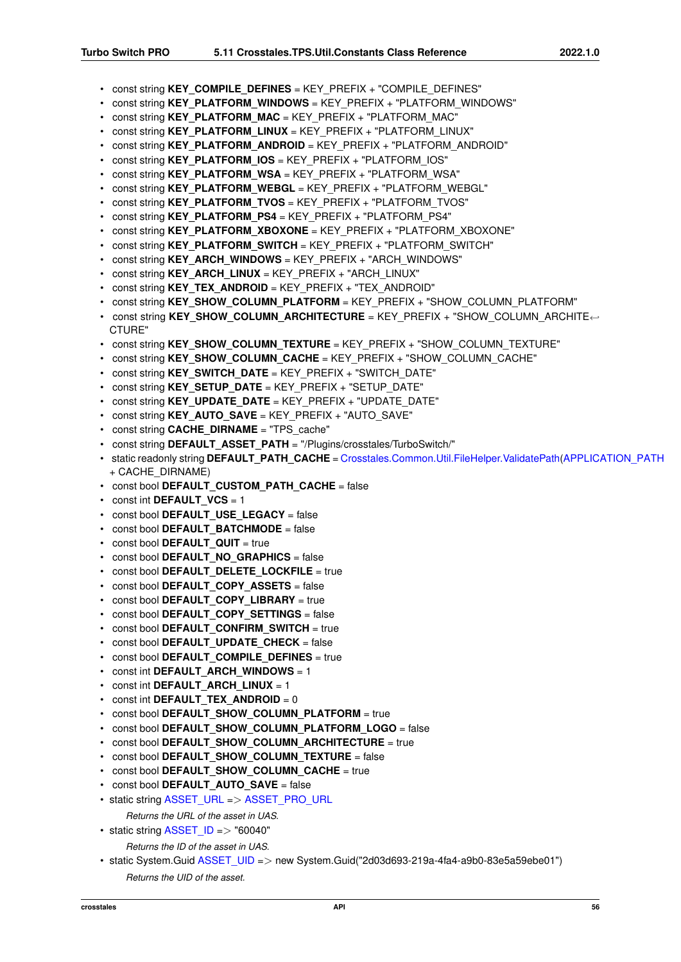- const string **KEY\_COMPILE\_DEFINES** = KEY\_PREFIX + "COMPILE\_DEFINES"
- const string **KEY\_PLATFORM\_WINDOWS** = KEY\_PREFIX + "PLATFORM\_WINDOWS"
- const string **KEY\_PLATFORM\_MAC** = KEY\_PREFIX + "PLATFORM\_MAC"
- const string **KEY\_PLATFORM\_LINUX** = KEY\_PREFIX + "PLATFORM\_LINUX"
- const string **KEY\_PLATFORM\_ANDROID** = KEY\_PREFIX + "PLATFORM\_ANDROID"
- const string **KEY\_PLATFORM\_IOS** = KEY\_PREFIX + "PLATFORM\_IOS"
- const string KEY\_PLATFORM\_WSA = KEY\_PREFIX + "PLATFORM\_WSA"
- const string **KEY\_PLATFORM\_WEBGL** = KEY\_PREFIX + "PLATFORM\_WEBGL"
- const string **KEY\_PLATFORM\_TVOS** = KEY\_PREFIX + "PLATFORM\_TVOS"
- const string **KEY\_PLATFORM\_PS4** = KEY\_PREFIX + "PLATFORM\_PS4"
- const string **KEY\_PLATFORM\_XBOXONE** = KEY\_PREFIX + "PLATFORM\_XBOXONE"
- const string KEY\_PLATFORM\_SWITCH = KEY\_PREFIX + "PLATFORM\_SWITCH"
- const string **KEY\_ARCH\_WINDOWS** = KEY\_PREFIX + "ARCH\_WINDOWS"
- const string **KEY\_ARCH\_LINUX** = KEY\_PREFIX + "ARCH\_LINUX"
- const string **KEY\_TEX\_ANDROID** = KEY\_PREFIX + "TEX\_ANDROID"
- const string **KEY\_SHOW\_COLUMN\_PLATFORM** = KEY\_PREFIX + "SHOW\_COLUMN\_PLATFORM"
- const string **KEY\_SHOW\_COLUMN\_ARCHITECTURE** = KEY\_PREFIX + "SHOW\_COLUMN\_ARCHITE←- CTURE"
- const string **KEY\_SHOW\_COLUMN\_TEXTURE** = KEY\_PREFIX + "SHOW\_COLUMN\_TEXTURE"
- const string **KEY\_SHOW\_COLUMN\_CACHE** = KEY\_PREFIX + "SHOW\_COLUMN\_CACHE"
- const string **KEY\_SWITCH\_DATE** = KEY\_PREFIX + "SWITCH\_DATE"
- const string **KEY\_SETUP\_DATE** = KEY\_PREFIX + "SETUP\_DATE"
- const string **KEY\_UPDATE\_DATE** = KEY\_PREFIX + "UPDATE\_DATE"
- const string **KEY\_AUTO\_SAVE** = KEY\_PREFIX + "AUTO\_SAVE"
- const string **CACHE\_DIRNAME** = "TPS\_cache"
- const string **DEFAULT\_ASSET\_PATH** = "/Plugins/crosstales/TurboSwitch/"
- static readonly string **DEFAULT\_PATH\_CACHE** = [Crosstales.Common.Util.FileHelper.ValidatePath\(](#page-144-0)[APPLICATION\\_PATH](#page-27-0) + CACHE\_DIRNAME)
- const bool **DEFAULT CUSTOM PATH CACHE** = false
- const int **DEFAULT** VCS = 1
- const bool **DEFAULT\_USE\_LEGACY** = false
- const bool **DEFAULT BATCHMODE** = false
- const bool **DEFAULT** QUIT = true
- const bool **DEFAULT NO GRAPHICS** = false
- const bool **DEFAULT DELETE LOCKFILE** = true
- const bool **DEFAULT COPY ASSETS** = false
- const bool **DEFAULT COPY LIBRARY** = true
- const bool **DEFAULT COPY SETTINGS** = false
- const bool **DEFAULT CONFIRM SWITCH** = true
- const bool **DEFAULT\_UPDATE\_CHECK** = false
- const bool **DEFAULT COMPILE DEFINES** = true
- const int **DEFAULT\_ARCH\_WINDOWS** = 1
- const int **DEFAULT** ARCH LINUX = 1
- const int **DEFAULT TEX ANDROID** = 0
- const bool DEFAULT SHOW COLUMN PLATFORM = true
- const bool **DEFAULT SHOW COLUMN PLATFORM LOGO** = false
- const bool **DEFAULT\_SHOW\_COLUMN\_ARCHITECTURE** = true
- const bool **DEFAULT SHOW COLUMN TEXTURE** = false
- const bool **DEFAULT\_SHOW\_COLUMN\_CACHE** = true
- const bool **DEFAULT AUTO SAVE** = false
- static string [ASSET\\_URL](#page-71-3) => [ASSET\\_PRO\\_URL](#page-71-1)
	- *Returns the URL of the asset in UAS.*
- static string  $ASSET$   $ID =$   $>$  "60040"
	- *Returns the ID of the asset in UAS.*
- static System.Guid [ASSET\\_UID](#page-71-4) => new System.Guid("2d03d693-219a-4fa4-a9b0-83e5a59ebe01") *Returns the UID of the asset.*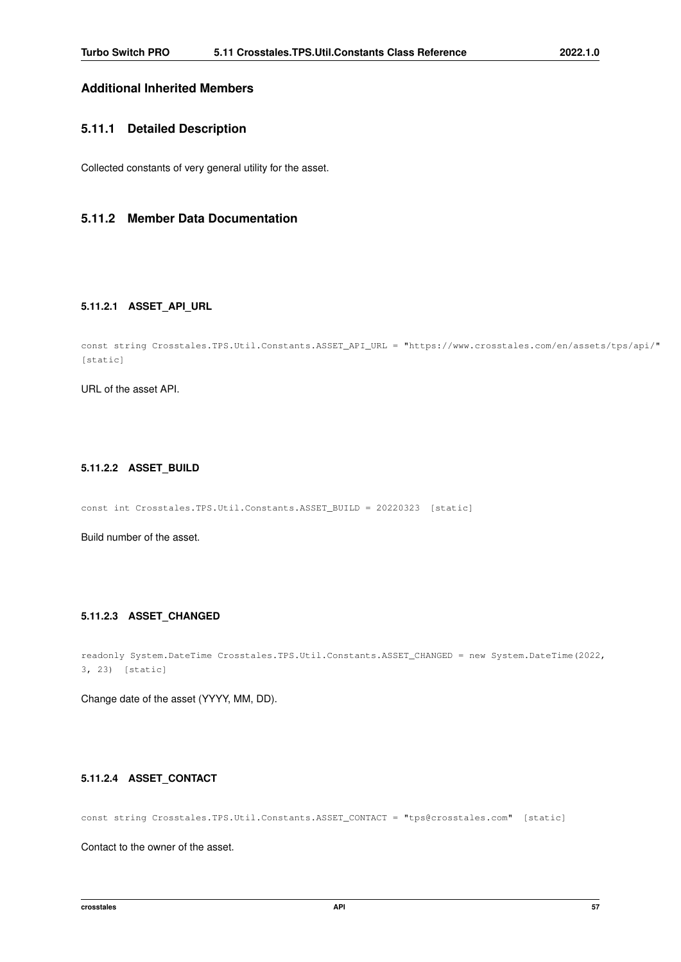# **Additional Inherited Members**

## **5.11.1 Detailed Description**

Collected constants of very general utility for the asset.

# <span id="page-69-4"></span>**5.11.2 Member Data Documentation**

# **5.11.2.1 ASSET\_API\_URL**

```
const string Crosstales.TPS.Util.Constants.ASSET_API_URL = "https://www.crosstales.com/en/assets/tps/api/"
[static]
```
<span id="page-69-0"></span>URL of the asset API.

## **5.11.2.2 ASSET\_BUILD**

const int Crosstales.TPS.Util.Constants.ASSET\_BUILD = 20220323 [static]

<span id="page-69-2"></span>Build number of the asset.

## **5.11.2.3 ASSET\_CHANGED**

```
readonly System.DateTime Crosstales.TPS.Util.Constants.ASSET_CHANGED = new System.DateTime(2022,
3, 23) [static]
```
<span id="page-69-3"></span>Change date of the asset (YYYY, MM, DD).

## **5.11.2.4 ASSET\_CONTACT**

const string Crosstales.TPS.Util.Constants.ASSET\_CONTACT = "tps@crosstales.com" [static]

<span id="page-69-1"></span>Contact to the owner of the asset.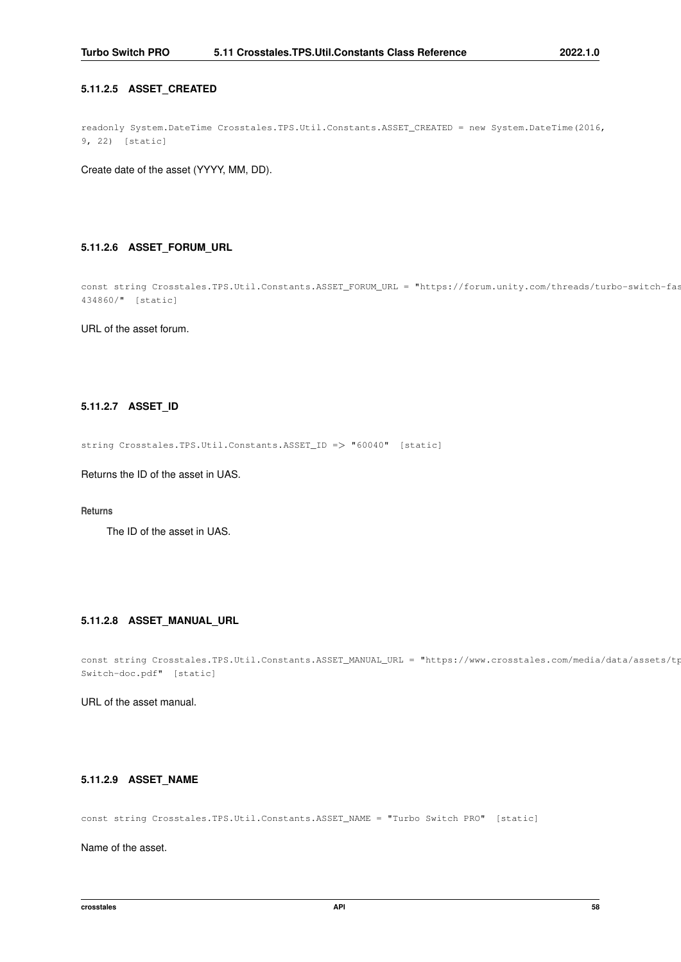## **5.11.2.5 ASSET\_CREATED**

readonly System.DateTime Crosstales.TPS.Util.Constants.ASSET\_CREATED = new System.DateTime(2016, 9, 22) [static]

<span id="page-70-3"></span>Create date of the asset (YYYY, MM, DD).

## **5.11.2.6 ASSET\_FORUM\_URL**

const string Crosstales.TPS.Util.Constants.ASSET\_FORUM\_URL = "https://forum.unity.com/threads/turbo-switch-fas 434860/" [static]

<span id="page-70-4"></span>URL of the asset forum.

## **5.11.2.7 ASSET\_ID**

string Crosstales.TPS.Util.Constants.ASSET\_ID => "60040" [static]

Returns the ID of the asset in UAS.

### **Returns**

<span id="page-70-2"></span>The ID of the asset in UAS.

# **5.11.2.8 ASSET\_MANUAL\_URL**

const string Crosstales.TPS.Util.Constants.ASSET\_MANUAL\_URL = "https://www.crosstales.com/media/data/assets/tp Switch-doc.pdf" [static]

<span id="page-70-0"></span>URL of the asset manual.

# **5.11.2.9 ASSET\_NAME**

const string Crosstales.TPS.Util.Constants.ASSET\_NAME = "Turbo Switch PRO" [static]

<span id="page-70-1"></span>Name of the asset.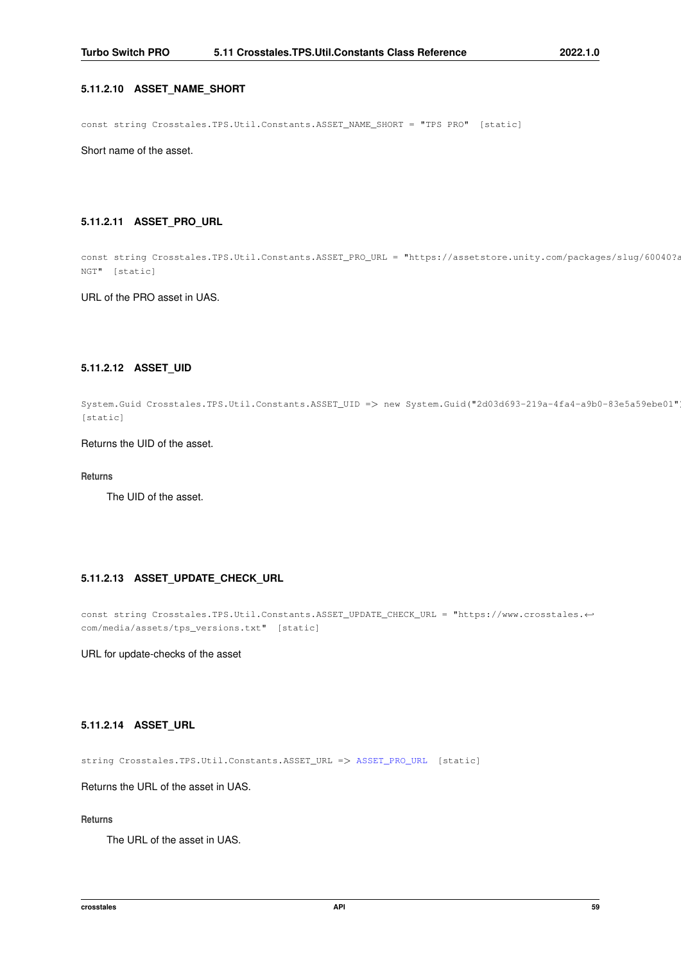## **5.11.2.10 ASSET\_NAME\_SHORT**

const string Crosstales.TPS.Util.Constants.ASSET\_NAME\_SHORT = "TPS PRO" [static]

<span id="page-71-1"></span>Short name of the asset.

## **5.11.2.11 ASSET\_PRO\_URL**

const string Crosstales.TPS.Util.Constants.ASSET\_PRO\_URL = "https://assetstore.unity.com/packages/slug/60040?a NGT" [static]

<span id="page-71-4"></span>URL of the PRO asset in UAS.

# **5.11.2.12 ASSET\_UID**

System.Guid Crosstales.TPS.Util.Constants.ASSET\_UID => new System.Guid("2d03d693-219a-4fa4-a9b0-83e5a59ebe01") [static]

# Returns the UID of the asset.

### **Returns**

<span id="page-71-2"></span>The UID of the asset.

## **5.11.2.13 ASSET\_UPDATE\_CHECK\_URL**

```
const string Crosstales.TPS.Util.Constants.ASSET_UPDATE_CHECK_URL = "https://www.crosstales.←-
com/media/assets/tps_versions.txt" [static]
```
<span id="page-71-3"></span>URL for update-checks of the asset

### **5.11.2.14 ASSET\_URL**

string Crosstales.TPS.Util.Constants.ASSET\_URL => [ASSET\\_PRO\\_URL](#page-71-1) [static]

Returns the URL of the asset in UAS.

### **Returns**

<span id="page-71-0"></span>The URL of the asset in UAS.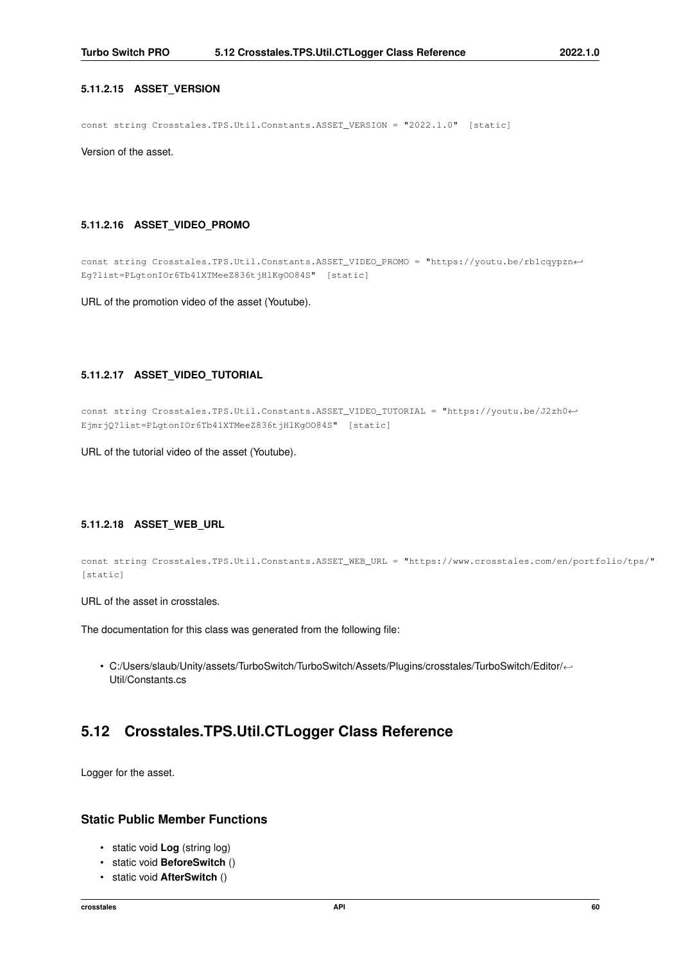### **5.11.2.15 ASSET\_VERSION**

const string Crosstales.TPS.Util.Constants.ASSET\_VERSION = "2022.1.0" [static]

Version of the asset.

# **5.11.2.16 ASSET\_VIDEO\_PROMO**

const string Crosstales.TPS.Util.Constants.ASSET\_VIDEO\_PROMO = "https://youtu.be/rb1cqypzn←- Eg?list=PLgtonIOr6Tb41XTMeeZ836tjHlKgOO84S" [static]

URL of the promotion video of the asset (Youtube).

#### **5.11.2.17 ASSET\_VIDEO\_TUTORIAL**

const string Crosstales.TPS.Util.Constants.ASSET\_VIDEO\_TUTORIAL = "https://youtu.be/J2zh0←- EjmrjQ?list=PLgtonIOr6Tb41XTMeeZ836tjHlKgOO84S" [static]

URL of the tutorial video of the asset (Youtube).

# **5.11.2.18 ASSET\_WEB\_URL**

```
const string Crosstales.TPS.Util.Constants.ASSET_WEB_URL = "https://www.crosstales.com/en/portfolio/tps/"
[static]
```
URL of the asset in crosstales.

The documentation for this class was generated from the following file:

• C:/Users/slaub/Unity/assets/TurboSwitch/TurboSwitch/Assets/Plugins/crosstales/TurboSwitch/Editor/←- Util/Constants.cs

# **5.12 Crosstales.TPS.Util.CTLogger Class Reference**

Logger for the asset.

# **Static Public Member Functions**

- static void **Log** (string log)
- static void **BeforeSwitch** ()
- static void **AfterSwitch** ()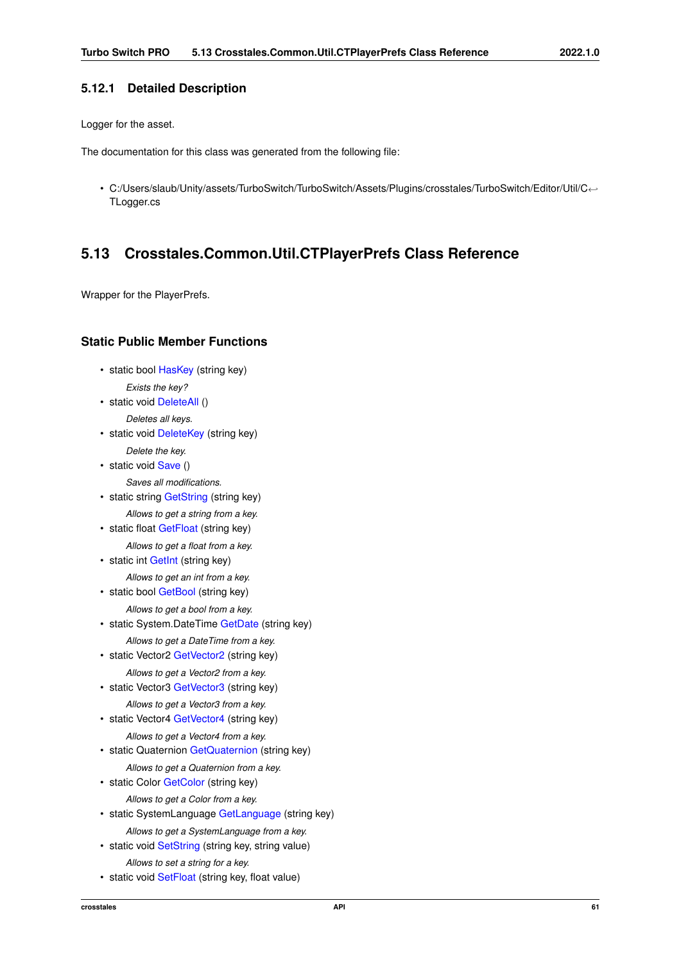# **5.12.1 Detailed Description**

Logger for the asset.

The documentation for this class was generated from the following file:

• C:/Users/slaub/Unity/assets/TurboSwitch/TurboSwitch/Assets/Plugins/crosstales/TurboSwitch/Editor/Util/C←- TLogger.cs

# **5.13 Crosstales.Common.Util.CTPlayerPrefs Class Reference**

Wrapper for the PlayerPrefs.

# **Static Public Member Functions**

• static bool [HasKey](#page-79-0) (string key)

*Exists the key?*

• static void [DeleteAll](#page-74-0) ()

*Deletes all keys.*

- static void [DeleteKey](#page-74-1) (string key) *Delete the key.*
- static void [Save](#page-81-0) ()
	- *Saves all modifications.*
- static string [GetString](#page-77-0) (string key)
- *Allows to get a string from a key.*
- static float [GetFloat](#page-76-0) (string key)
	- *Allows to get a float from a key.*
- static int [GetInt](#page-76-1) (string key)
- *Allows to get an int from a key.*
- static bool [GetBool](#page-75-0) (string key)
	- *Allows to get a bool from a key.*
- static System.DateTime [GetDate](#page-75-1) (string key)
	- *Allows to get a DateTime from a key.*
- static Vector2 [GetVector2](#page-77-1) (string key) *Allows to get a Vector2 from a key.*
- static Vector3 [GetVector3](#page-79-1) (string key) *Allows to get a Vector3 from a key.*
- static Vector4 [GetVector4](#page-79-2) (string key)

*Allows to get a Vector4 from a key.*

- static Quaternion [GetQuaternion](#page-77-2) (string key)
- *Allows to get a Quaternion from a key.*
- static Color [GetColor](#page-75-2) (string key)
	- *Allows to get a Color from a key.*
- static SystemLanguage [GetLanguage](#page-76-2) (string key) *Allows to get a SystemLanguage from a key.*
- static void [SetString](#page-83-0) (string key, string value) *Allows to set a string for a key.*
- static void [SetFloat](#page-82-0) (string key, float value)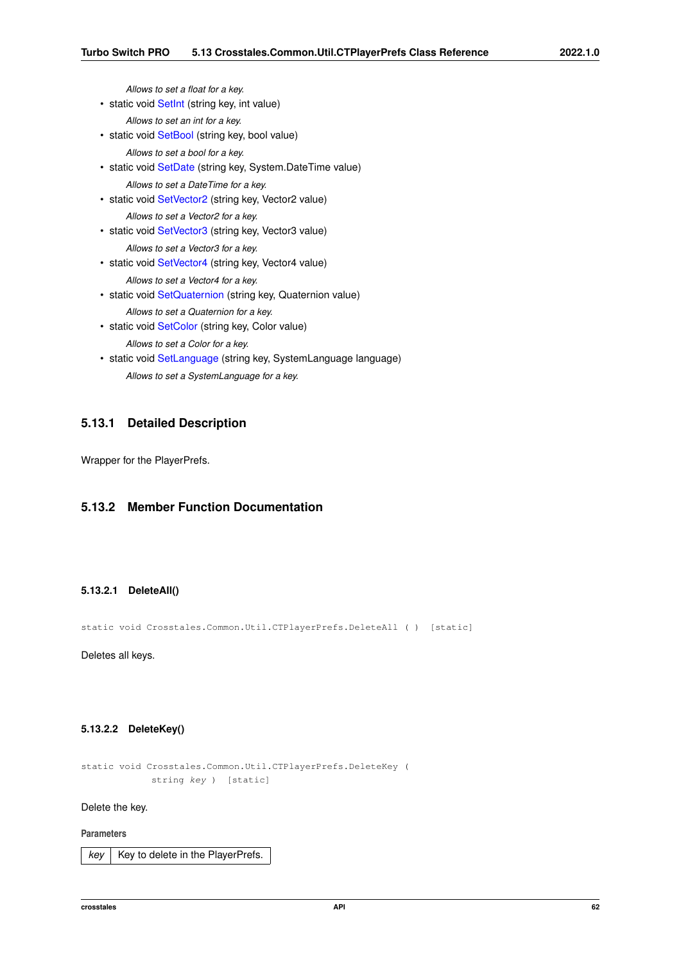*Allows to set a float for a key.*

• static void [SetInt](#page-82-1) (string key, int value)

*Allows to set an int for a key.*

• static void [SetBool](#page-81-1) (string key, bool value)

*Allows to set a bool for a key.*

- static void [SetDate](#page-81-2) (string key, System.DateTime value) *Allows to set a DateTime for a key.*
- static void SetVector<sub>2</sub> (string key, Vector<sub>2</sub> value)

*Allows to set a Vector2 for a key.*

- static void [SetVector3](#page-84-0) (string key, Vector3 value) *Allows to set a Vector3 for a key.*
- static void [SetVector4](#page-84-1) (string key, Vector4 value)

*Allows to set a Vector4 for a key.*

- static void [SetQuaternion](#page-83-2) (string key, Quaternion value) *Allows to set a Quaternion for a key.*
- static void [SetColor](#page-81-3) (string key, Color value) *Allows to set a Color for a key.*
- static void [SetLanguage](#page-82-2) (string key, SystemLanguage language) *Allows to set a SystemLanguage for a key.*

# **5.13.1 Detailed Description**

Wrapper for the PlayerPrefs.

# <span id="page-74-0"></span>**5.13.2 Member Function Documentation**

### **5.13.2.1 DeleteAll()**

static void Crosstales.Common.Util.CTPlayerPrefs.DeleteAll ( ) [static]

<span id="page-74-1"></span>Deletes all keys.

### **5.13.2.2 DeleteKey()**

```
static void Crosstales.Common.Util.CTPlayerPrefs.DeleteKey (
            string key ) [static]
```
Delete the key.

#### **Parameters**

 $key \mid$  Key to delete in the PlayerPrefs.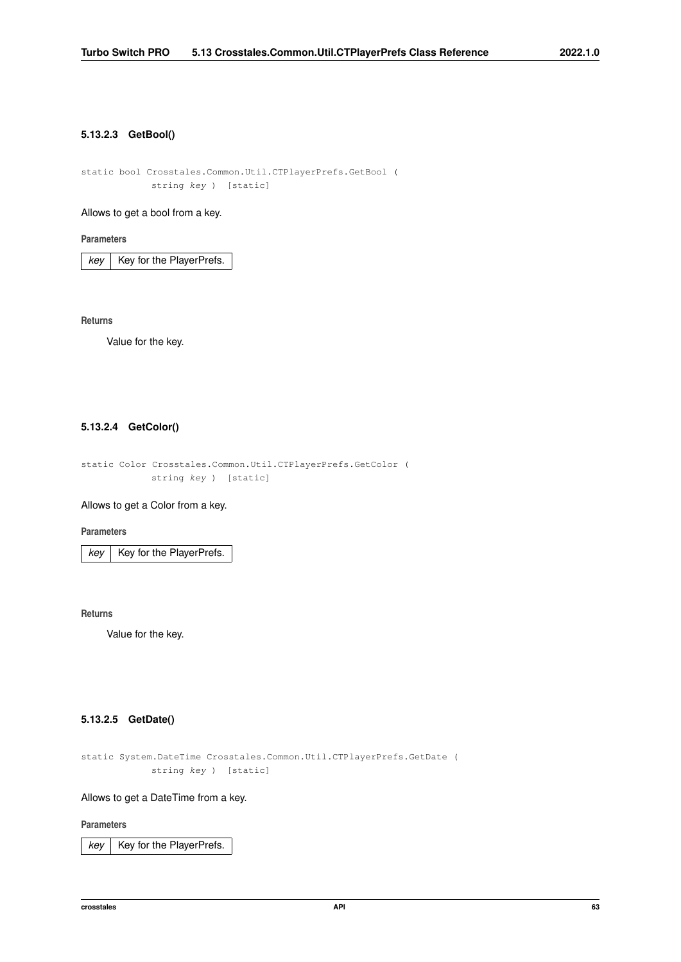### <span id="page-75-0"></span>**5.13.2.3 GetBool()**

static bool Crosstales.Common.Util.CTPlayerPrefs.GetBool ( string key ) [static]

# Allows to get a bool from a key.

**Parameters**

 $key$  Key for the PlayerPrefs.

**Returns**

<span id="page-75-2"></span>Value for the key.

# **5.13.2.4 GetColor()**

static Color Crosstales.Common.Util.CTPlayerPrefs.GetColor ( string key ) [static]

Allows to get a Color from a key.

**Parameters**

 $key$  Key for the PlayerPrefs.

**Returns**

<span id="page-75-1"></span>Value for the key.

# **5.13.2.5 GetDate()**

```
static System.DateTime Crosstales.Common.Util.CTPlayerPrefs.GetDate (
            string key ) [static]
```
Allows to get a DateTime from a key.

### **Parameters**

 $key$  Key for the PlayerPrefs.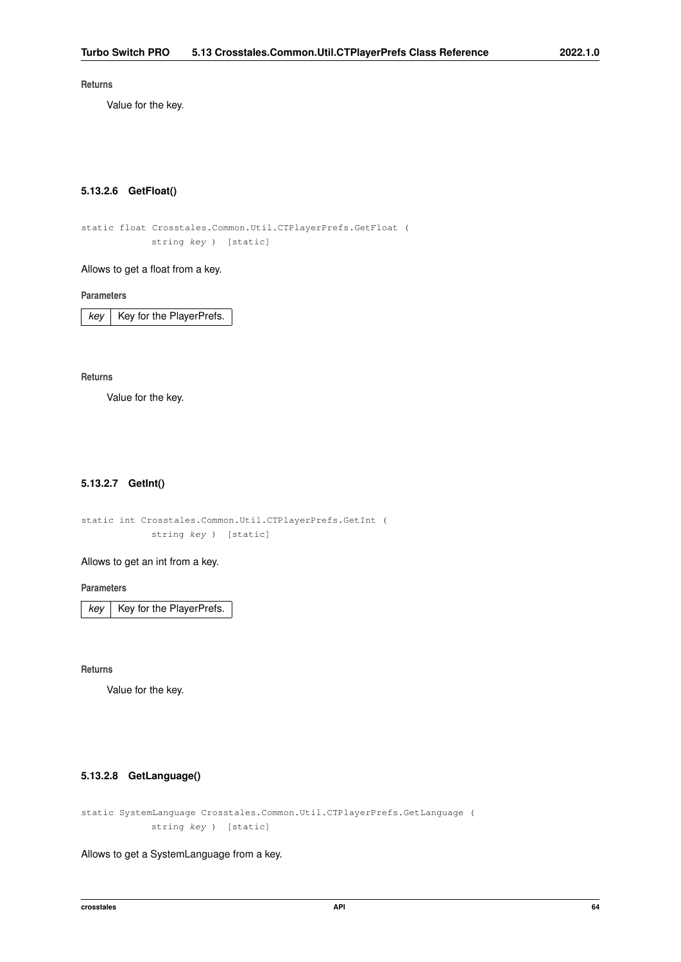### **Returns**

<span id="page-76-0"></span>Value for the key.

# **5.13.2.6 GetFloat()**

static float Crosstales.Common.Util.CTPlayerPrefs.GetFloat ( string key ) [static]

#### Allows to get a float from a key.

**Parameters**

 $key$  Key for the PlayerPrefs.

**Returns**

<span id="page-76-1"></span>Value for the key.

# **5.13.2.7 GetInt()**

static int Crosstales.Common.Util.CTPlayerPrefs.GetInt ( string key ) [static]

# Allows to get an int from a key.

**Parameters**

 $key$  Key for the PlayerPrefs.

**Returns**

<span id="page-76-2"></span>Value for the key.

# **5.13.2.8 GetLanguage()**

static SystemLanguage Crosstales.Common.Util.CTPlayerPrefs.GetLanguage ( string key ) [static]

Allows to get a SystemLanguage from a key.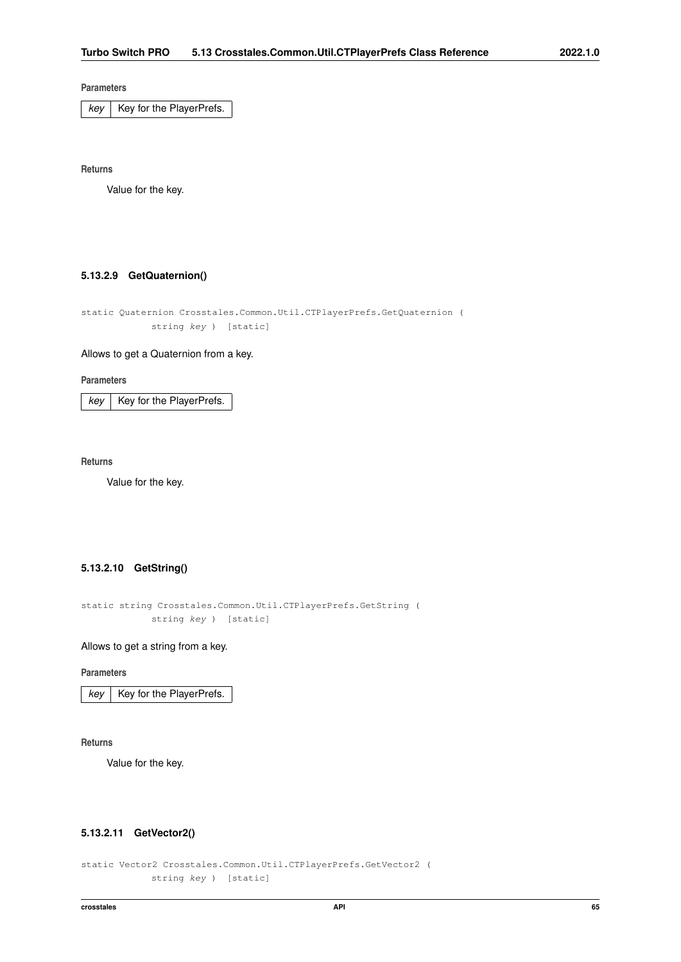$key$  Key for the PlayerPrefs.

**Returns**

<span id="page-77-2"></span>Value for the key.

# **5.13.2.9 GetQuaternion()**

static Quaternion Crosstales.Common.Util.CTPlayerPrefs.GetQuaternion ( string key ) [static]

# Allows to get a Quaternion from a key.

**Parameters**

 $key$  | Key for the PlayerPrefs.

**Returns**

<span id="page-77-0"></span>Value for the key.

# **5.13.2.10 GetString()**

```
static string Crosstales.Common.Util.CTPlayerPrefs.GetString (
            string key ) [static]
```
#### Allows to get a string from a key.

**Parameters**

 $key$  Key for the PlayerPrefs.

**Returns**

<span id="page-77-1"></span>Value for the key.

### **5.13.2.11 GetVector2()**

```
static Vector2 Crosstales.Common.Util.CTPlayerPrefs.GetVector2 (
            string key ) [static]
```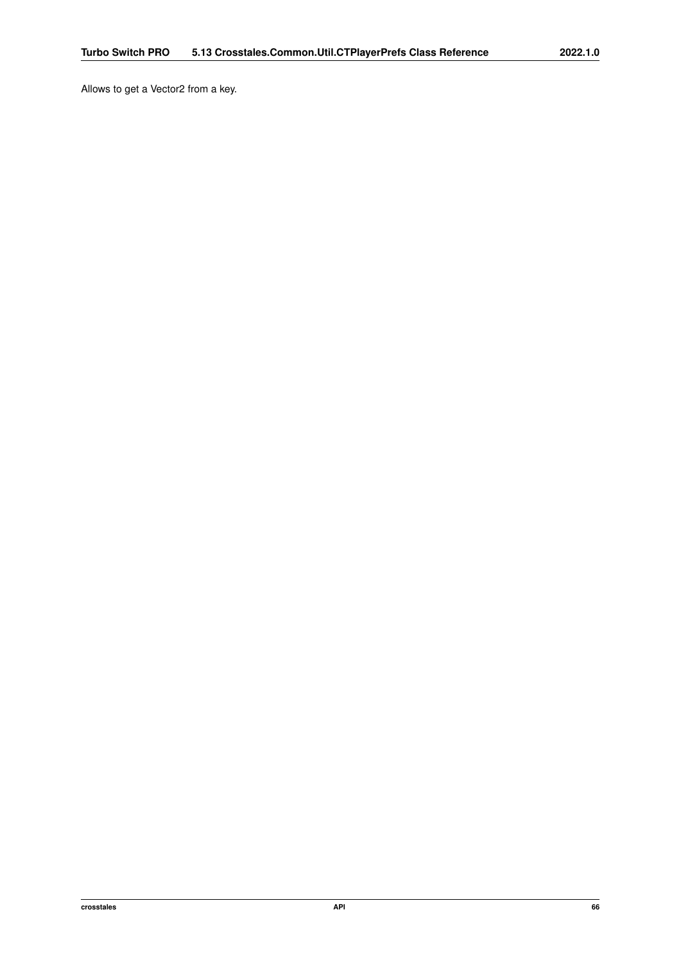Allows to get a Vector2 from a key.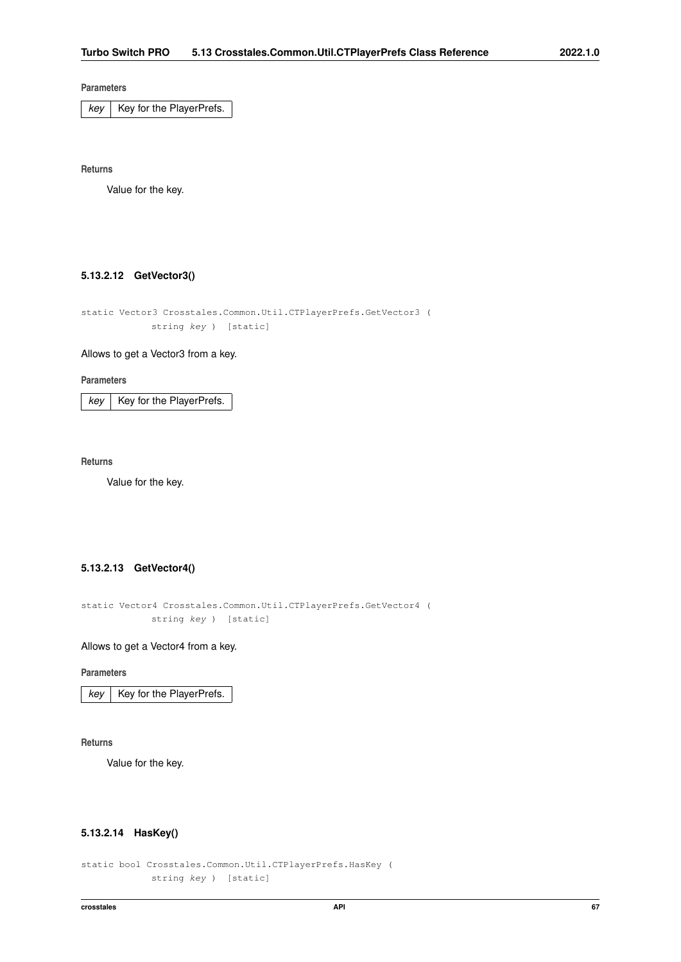$key$  Key for the PlayerPrefs.

**Returns**

<span id="page-79-1"></span>Value for the key.

# **5.13.2.12 GetVector3()**

```
static Vector3 Crosstales.Common.Util.CTPlayerPrefs.GetVector3 (
            string key ) [static]
```
# Allows to get a Vector3 from a key.

#### **Parameters**

 $key$  | Key for the PlayerPrefs.

**Returns**

<span id="page-79-2"></span>Value for the key.

# **5.13.2.13 GetVector4()**

```
static Vector4 Crosstales.Common.Util.CTPlayerPrefs.GetVector4 (
            string key ) [static]
```
#### Allows to get a Vector4 from a key.

**Parameters**

 $key$  Key for the PlayerPrefs.

**Returns**

<span id="page-79-0"></span>Value for the key.

### **5.13.2.14 HasKey()**

static bool Crosstales.Common.Util.CTPlayerPrefs.HasKey ( string key ) [static]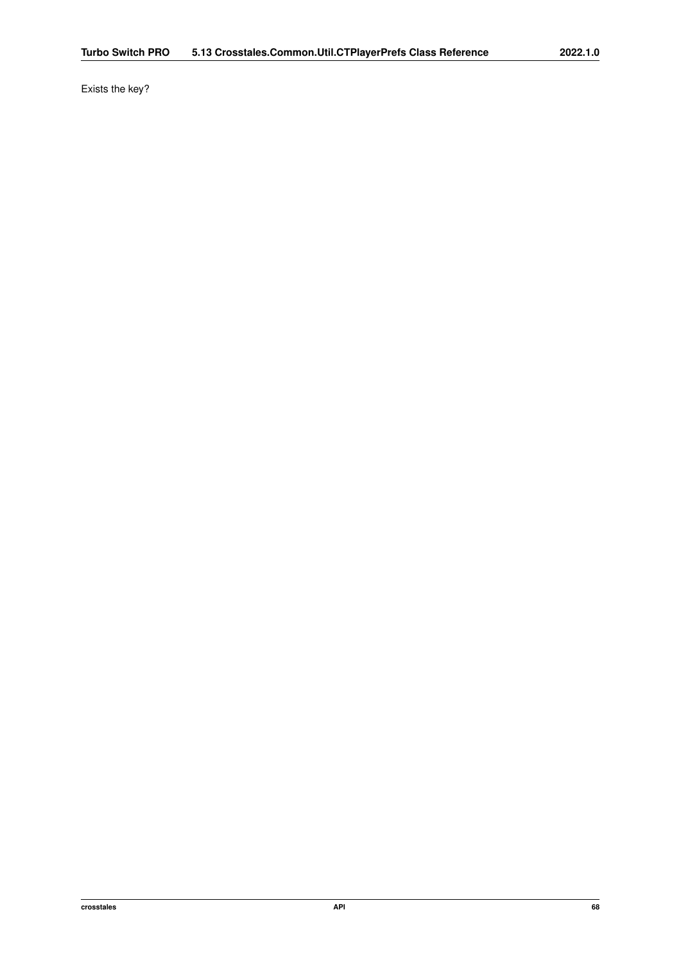Exists the key?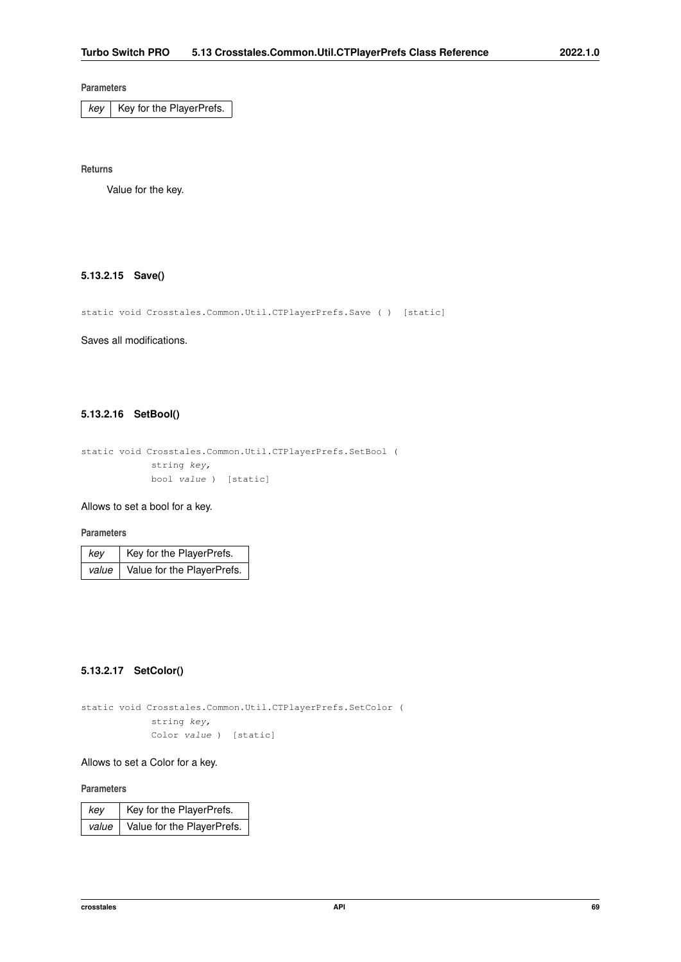$key$  Key for the PlayerPrefs.

**Returns**

<span id="page-81-0"></span>Value for the key.

# **5.13.2.15 Save()**

static void Crosstales.Common.Util.CTPlayerPrefs.Save ( ) [static]

<span id="page-81-1"></span>Saves all modifications.

# **5.13.2.16 SetBool()**

```
static void Crosstales.Common.Util.CTPlayerPrefs.SetBool (
           string key,
            bool value ) [static]
```
# Allows to set a bool for a key.

#### **Parameters**

| kev | Key for the PlayerPrefs.           |
|-----|------------------------------------|
|     | value   Value for the PlayerPrefs. |

### <span id="page-81-3"></span>**5.13.2.17 SetColor()**

static void Crosstales.Common.Util.CTPlayerPrefs.SetColor ( string key, Color value ) [static]

#### Allows to set a Color for a key.

#### **Parameters**

<span id="page-81-2"></span>

| key | Key for the PlayerPrefs.                 |
|-----|------------------------------------------|
|     | value $\vert$ Value for the PlayerPrefs. |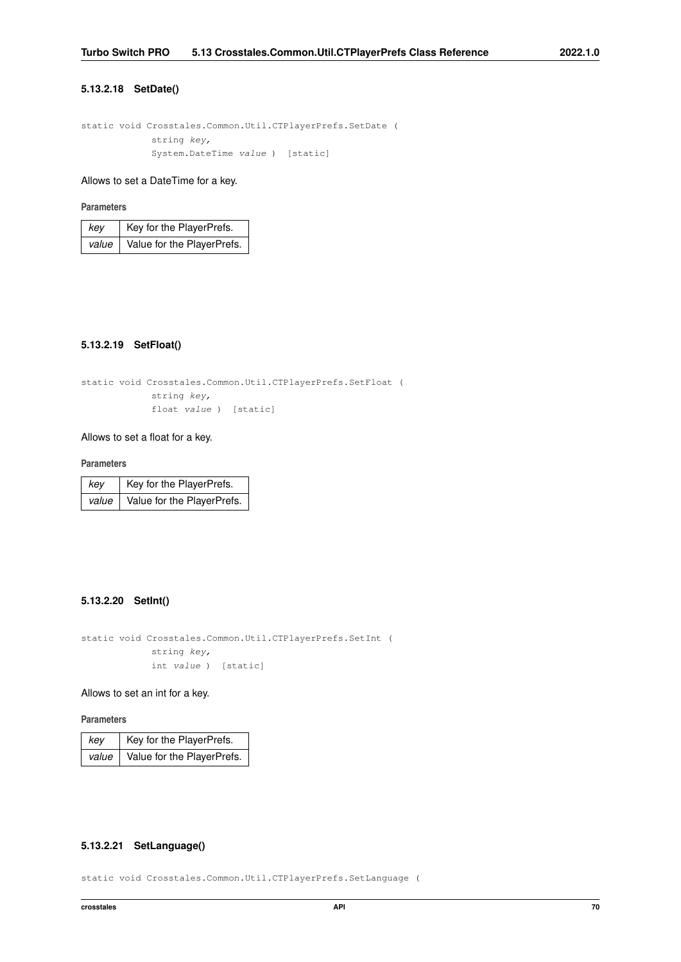# **5.13.2.18 SetDate()**

```
static void Crosstales.Common.Util.CTPlayerPrefs.SetDate (
            string key,
            System.DateTime value ) [static]
```
# Allows to set a DateTime for a key.

# **Parameters**

| kev | Key for the PlayerPrefs.           |
|-----|------------------------------------|
|     | value   Value for the PlayerPrefs. |

# <span id="page-82-0"></span>**5.13.2.19 SetFloat()**

```
static void Crosstales.Common.Util.CTPlayerPrefs.SetFloat (
            string key,
            float value ) [static]
```
# Allows to set a float for a key.

#### **Parameters**

| key | Key for the PlayerPrefs.                 |
|-----|------------------------------------------|
|     | value $\vert$ Value for the PlayerPrefs. |

### <span id="page-82-1"></span>**5.13.2.20 SetInt()**

static void Crosstales.Common.Util.CTPlayerPrefs.SetInt ( string key, int value ) [static]

# Allows to set an int for a key.

**Parameters**

| key | Key for the PlayerPrefs.           |
|-----|------------------------------------|
|     | value   Value for the PlayerPrefs. |

# <span id="page-82-2"></span>**5.13.2.21 SetLanguage()**

static void Crosstales.Common.Util.CTPlayerPrefs.SetLanguage (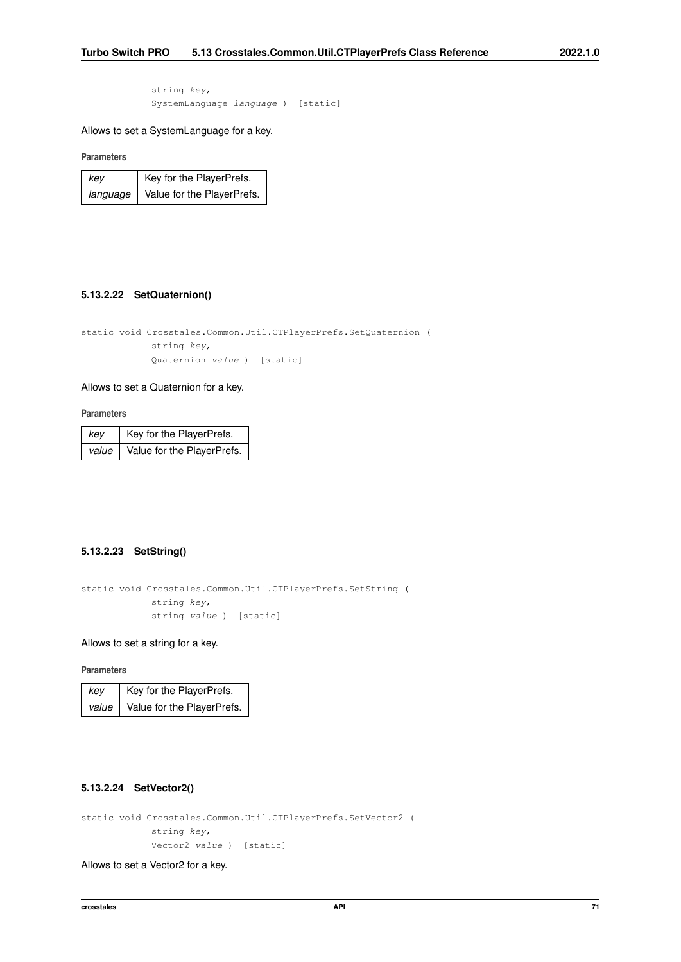string key, SystemLanguage language ) [static]

Allows to set a SystemLanguage for a key.

**Parameters**

| kev      | Key for the PlayerPrefs.   |
|----------|----------------------------|
| language | Value for the PlayerPrefs. |

# <span id="page-83-2"></span>**5.13.2.22 SetQuaternion()**

static void Crosstales.Common.Util.CTPlayerPrefs.SetQuaternion ( string key, Quaternion value ) [static]

#### Allows to set a Quaternion for a key.

**Parameters**

| key   | Key for the PlayerPrefs.   |
|-------|----------------------------|
| value | Value for the PlayerPrefs. |

#### <span id="page-83-0"></span>**5.13.2.23 SetString()**

```
static void Crosstales.Common.Util.CTPlayerPrefs.SetString (
            string key,
            string value ) [static]
```
Allows to set a string for a key.

**Parameters**

| kev | Key for the PlayerPrefs.           |
|-----|------------------------------------|
|     | value   Value for the PlayerPrefs. |

# <span id="page-83-1"></span>**5.13.2.24 SetVector2()**

```
static void Crosstales.Common.Util.CTPlayerPrefs.SetVector2 (
            string key,
            Vector2 value ) [static]
```
Allows to set a Vector2 for a key.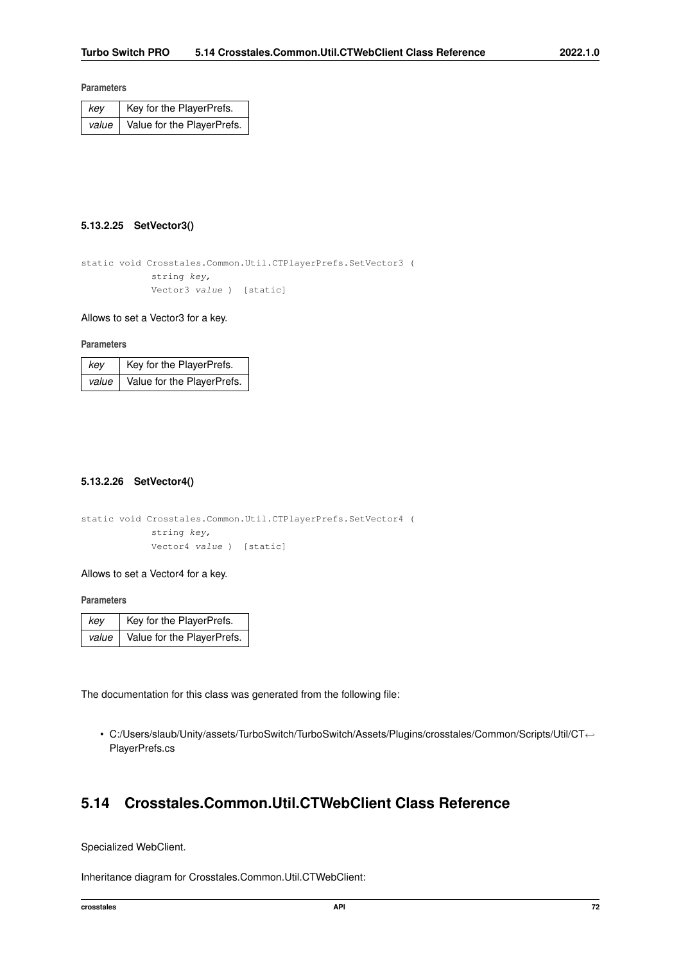| kev | Key for the PlayerPrefs.                 |
|-----|------------------------------------------|
|     | value $\vert$ Value for the PlayerPrefs. |

# <span id="page-84-0"></span>**5.13.2.25 SetVector3()**

```
static void Crosstales.Common.Util.CTPlayerPrefs.SetVector3 (
            string key,
            Vector3 value ) [static]
```
# Allows to set a Vector3 for a key.

**Parameters**

| kev   | Key for the PlayerPrefs.   |
|-------|----------------------------|
| value | Value for the PlayerPrefs. |

### <span id="page-84-1"></span>**5.13.2.26 SetVector4()**

```
static void Crosstales.Common.Util.CTPlayerPrefs.SetVector4 (
            string key,
            Vector4 value ) [static]
```
Allows to set a Vector4 for a key.

**Parameters**

| key | Key for the PlayerPrefs.                 |
|-----|------------------------------------------|
|     | value $\vert$ Value for the PlayerPrefs. |

The documentation for this class was generated from the following file:

• C:/Users/slaub/Unity/assets/TurboSwitch/TurboSwitch/Assets/Plugins/crosstales/Common/Scripts/Util/CT←- PlayerPrefs.cs

# **5.14 Crosstales.Common.Util.CTWebClient Class Reference**

Specialized WebClient.

Inheritance diagram for Crosstales.Common.Util.CTWebClient: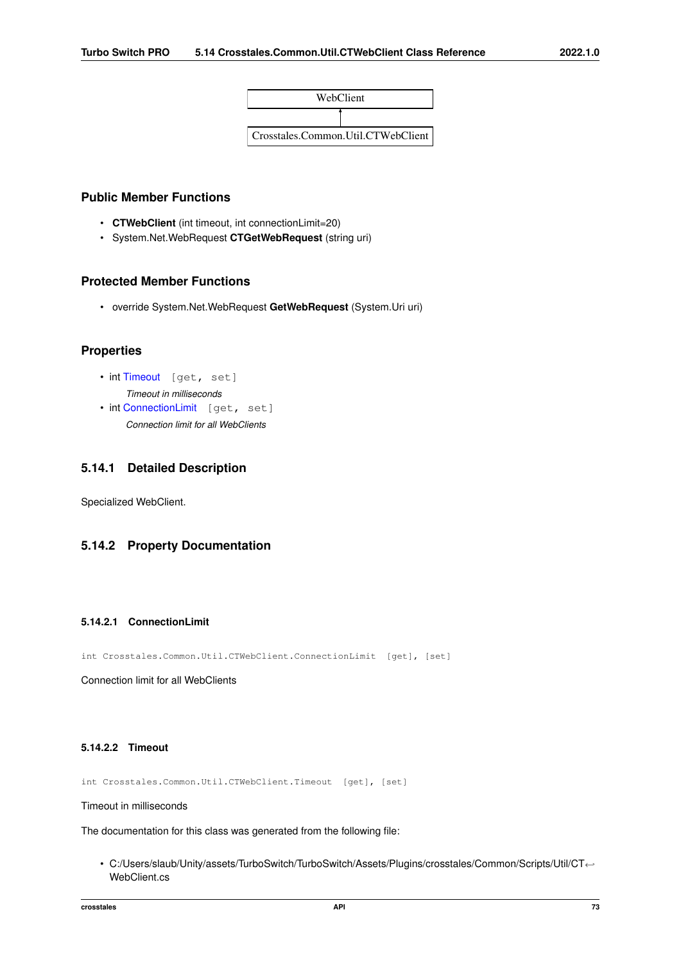

# **Public Member Functions**

- **CTWebClient** (int timeout, int connectionLimit=20)
- System.Net.WebRequest **CTGetWebRequest** (string uri)

# **Protected Member Functions**

• override System.Net.WebRequest **GetWebRequest** (System.Uri uri)

# **Properties**

- int [Timeout](#page-85-0) [get, set] *Timeout in milliseconds*
- int [ConnectionLimit](#page-85-1) [get, set] *Connection limit for all WebClients*

# **5.14.1 Detailed Description**

Specialized WebClient.

# <span id="page-85-1"></span>**5.14.2 Property Documentation**

### **5.14.2.1 ConnectionLimit**

int Crosstales.Common.Util.CTWebClient.ConnectionLimit [get], [set]

<span id="page-85-0"></span>Connection limit for all WebClients

# **5.14.2.2 Timeout**

int Crosstales.Common.Util.CTWebClient.Timeout [get], [set]

# Timeout in milliseconds

The documentation for this class was generated from the following file:

• C:/Users/slaub/Unity/assets/TurboSwitch/TurboSwitch/Assets/Plugins/crosstales/Common/Scripts/Util/CT←- WebClient.cs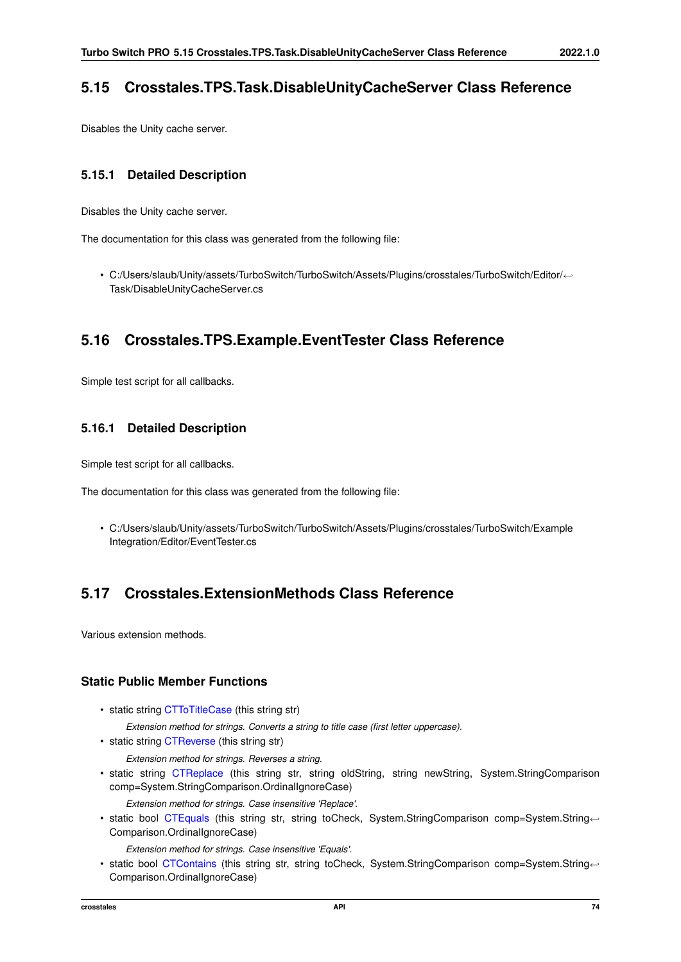# **5.15 Crosstales.TPS.Task.DisableUnityCacheServer Class Reference**

Disables the Unity cache server.

# **5.15.1 Detailed Description**

Disables the Unity cache server.

The documentation for this class was generated from the following file:

• C:/Users/slaub/Unity/assets/TurboSwitch/TurboSwitch/Assets/Plugins/crosstales/TurboSwitch/Editor/←- Task/DisableUnityCacheServer.cs

# **5.16 Crosstales.TPS.Example.EventTester Class Reference**

Simple test script for all callbacks.

# **5.16.1 Detailed Description**

Simple test script for all callbacks.

The documentation for this class was generated from the following file:

• C:/Users/slaub/Unity/assets/TurboSwitch/TurboSwitch/Assets/Plugins/crosstales/TurboSwitch/Example Integration/Editor/EventTester.cs

# **5.17 Crosstales.ExtensionMethods Class Reference**

Various extension methods.

# **Static Public Member Functions**

- static string [CTToTitleCase](#page-137-0) (this string str) *Extension method for strings. Converts a string to title case (first letter uppercase).*
- static string [CTReverse](#page-121-0) (this string str)
	- *Extension method for strings. Reverses a string.*
- static string [CTReplace](#page-121-1) (this string str, string oldString, string newString, System.StringComparison comp=System.StringComparison.OrdinalIgnoreCase)
	- *Extension method for strings. Case insensitive 'Replace'.*
- static bool [CTEquals](#page-102-0) (this string str, string toCheck, System.StringComparison comp=System.String←- Comparison.OrdinalIgnoreCase)

*Extension method for strings. Case insensitive 'Equals'.*

• static bool [CTContains](#page-94-0) (this string str, string toCheck, System.StringComparison comp=System.String←- Comparison.OrdinalIgnoreCase)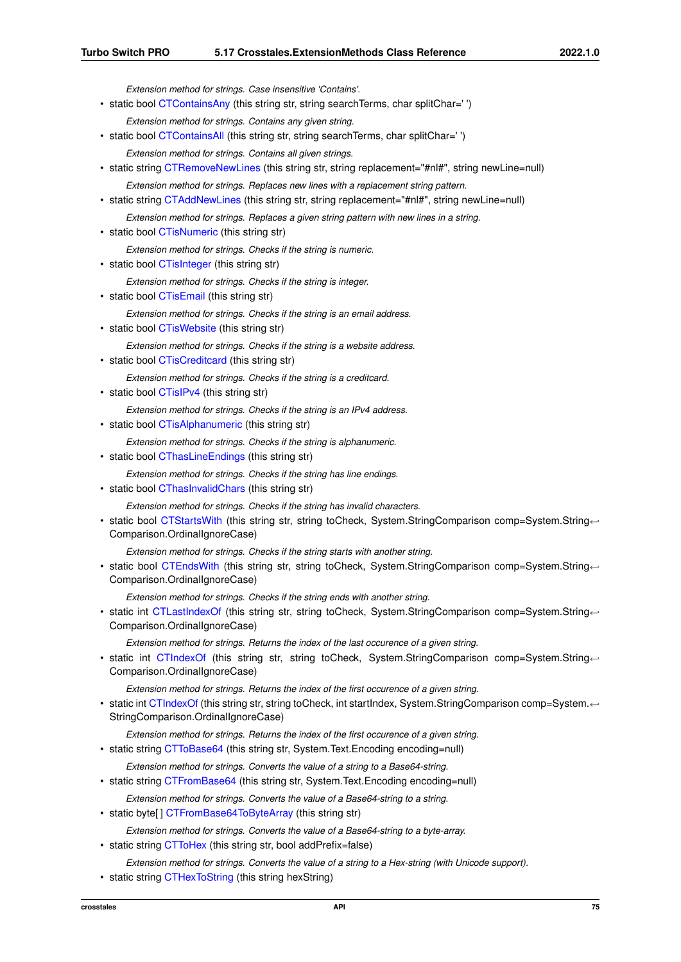*Extension method for strings. Case insensitive 'Contains'.*

- static bool [CTContainsAny](#page-95-0) (this string str, string searchTerms, char splitChar='') *Extension method for strings. Contains any given string.*
- static bool [CTContainsAll](#page-95-1) (this string str, string searchTerms, char splitChar='') *Extension method for strings. Contains all given strings.*
- static string [CTRemoveNewLines](#page-120-0) (this string str, string replacement="#nl#", string newLine=null) *Extension method for strings. Replaces new lines with a replacement string pattern.*
- static string [CTAddNewLines](#page-92-0) (this string str, string replacement="#nl#", string newLine=null)
- *Extension method for strings. Replaces a given string pattern with new lines in a string.*
- static bool [CTisNumeric](#page-117-0) (this string str)

*Extension method for strings. Checks if the string is numeric.*

• static bool [CTisInteger](#page-116-0) (this string str)

*Extension method for strings. Checks if the string is integer.*

• static bool [CTisEmail](#page-116-1) (this string str)

*Extension method for strings. Checks if the string is an email address.*

• static bool [CTisWebsite](#page-117-1) (this string str)

*Extension method for strings. Checks if the string is a website address.*

- static bool [CTisCreditcard](#page-115-0) (this string str)
	- *Extension method for strings. Checks if the string is a creditcard.*
- static bool [CTisIPv4](#page-116-2) (this string str)

*Extension method for strings. Checks if the string is an IPv4 address.*

• static bool [CTisAlphanumeric](#page-115-1) (this string str)

*Extension method for strings. Checks if the string is alphanumeric.*

- static bool [CThasLineEndings](#page-113-0) (this string str)
	- *Extension method for strings. Checks if the string has line endings.*
- static bool [CThasInvalidChars](#page-112-0) (this string str)

*Extension method for strings. Checks if the string has invalid characters.*

• static bool [CTStartsWith](#page-126-0) (this string str, string toCheck, System.StringComparison comp=System.String← Comparison.OrdinalIgnoreCase)

*Extension method for strings. Checks if the string starts with another string.*

• static bool [CTEndsWith](#page-102-1) (this string str, string toCheck, System.StringComparison comp=System.String← Comparison.OrdinalIgnoreCase)

*Extension method for strings. Checks if the string ends with another string.*

• static int [CTLastIndexOf](#page-118-0) (this string str, string toCheck, System.StringComparison comp=System.String← Comparison.OrdinalIgnoreCase)

*Extension method for strings. Returns the index of the last occurence of a given string.*

• static int [CTIndexOf](#page-114-0) (this string str, string toCheck, System.StringComparison comp=System.String← Comparison.OrdinalIgnoreCase)

*Extension method for strings. Returns the index of the first occurence of a given string.*

• static int [CTIndexOf](#page-114-1) (this string str, string toCheck, int startIndex, System.StringComparison comp=System.←- StringComparison.OrdinalIgnoreCase)

*Extension method for strings. Returns the index of the first occurence of a given string.*

• static string [CTToBase64](#page-127-0) (this string str, System. Text. Encoding encoding=null)

*Extension method for strings. Converts the value of a string to a Base64-string.*

• static string [CTFromBase64](#page-107-0) (this string str, System. Text. Encoding encoding=null)

*Extension method for strings. Converts the value of a Base64-string to a string.*

• static byte[] [CTFromBase64ToByteArray](#page-107-1) (this string str)

*Extension method for strings. Converts the value of a Base64-string to a byte-array.*

- static string [CTToHex](#page-129-0) (this string str, bool addPrefix=false)
- *Extension method for strings. Converts the value of a string to a Hex-string (with Unicode support).*
- static string [CTHexToString](#page-114-2) (this string hexString)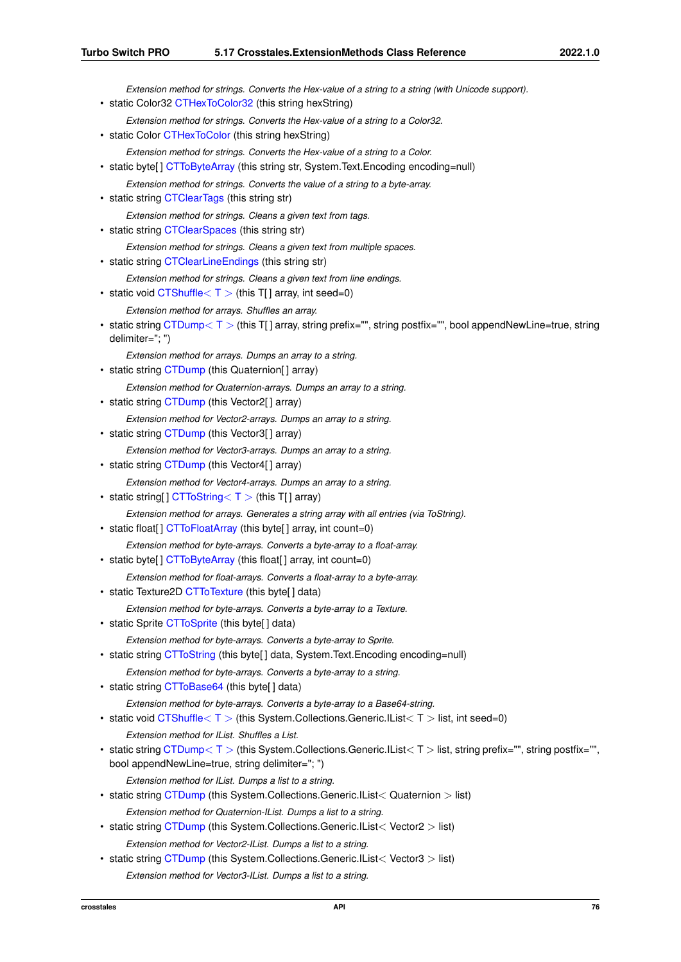*Extension method for strings. Converts the Hex-value of a string to a string (with Unicode support).* • static Color32 [CTHexToColor32](#page-113-1) (this string hexString) *Extension method for strings. Converts the Hex-value of a string to a Color32.* • static Color [CTHexToColor](#page-113-2) (this string hexString) *Extension method for strings. Converts the Hex-value of a string to a Color.* • static byte[] [CTToByteArray](#page-127-1) (this string str, System. Text. Encoding encoding=null) *Extension method for strings. Converts the value of a string to a byte-array.* • static string [CTClearTags](#page-93-0) (this string str) *Extension method for strings. Cleans a given text from tags.* • static string [CTClearSpaces](#page-93-1) (this string str) *Extension method for strings. Cleans a given text from multiple spaces.* • static string [CTClearLineEndings](#page-92-1) (this string str) *Extension method for strings. Cleans a given text from line endings.* • static void [CTShuffle](#page-126-1) $<$  T  $>$  (this T[] array, int seed=0) *Extension method for arrays. Shuffles an array.* • static string [CTDump](#page-101-0) $<$  T  $>$  (this T[] array, string prefix="", string postfix="", bool appendNewLine=true, string delimiter="; ") *Extension method for arrays. Dumps an array to a string.* • static string [CTDump](#page-96-0) (this Quaternion[] array) *Extension method for Quaternion-arrays. Dumps an array to a string.* • static string [CTDump](#page-98-0) (this Vector2[] array) *Extension method for Vector2-arrays. Dumps an array to a string.* • static string [CTDump](#page-100-0) (this Vector3[] array) *Extension method for Vector3-arrays. Dumps an array to a string.* • static string [CTDump](#page-100-1) (this Vector4[] array) *Extension method for Vector4-arrays. Dumps an array to a string.* • static string  $|$  [CTToString](#page-134-0)  $\lt T$   $>$  (this T[ ] array) *Extension method for arrays. Generates a string array with all entries (via ToString).* • static float[] [CTToFloatArray](#page-128-0) (this byte[] array, int count=0) *Extension method for byte-arrays. Converts a byte-array to a float-array.* • static byte[] [CTToByteArray](#page-127-2) (this float[] array, int count=0) *Extension method for float-arrays. Converts a float-array to a byte-array.* • static Texture2D [CTToTexture](#page-135-0) (this byte[] data) *Extension method for byte-arrays. Converts a byte-array to a Texture.* • static Sprite [CTToSprite](#page-133-0) (this byte[] data) *Extension method for byte-arrays. Converts a byte-array to Sprite.* • static string [CTToString](#page-134-1) (this byte[] data, System. Text. Encoding encoding=null) *Extension method for byte-arrays. Converts a byte-array to a string.* • static string [CTToBase64](#page-126-2) (this byte[] data) *Extension method for byte-arrays. Converts a byte-array to a Base64-string.* • static void [CTShuffle](#page-125-0) $<$  T  $>$  (this System.Collections.Generic.IList $<$  T  $>$  list, int seed=0) *Extension method for IList. Shuffles a List.* • static string [CTDump](#page-101-1) $<$ T  $>$  (this System. Collections. Generic. IList $<$ T  $>$  list, string prefix="", string postfix="", bool appendNewLine=true, string delimiter="; ") *Extension method for IList. Dumps a list to a string.* • static string [CTDump](#page-96-1) (this System.Collections.Generic.IList< Quaternion > list) *Extension method for Quaternion-IList. Dumps a list to a string.* • static string [CTDump](#page-96-2) (this System.Collections.Generic.IList< Vector2 > list) *Extension method for Vector2-IList. Dumps a list to a string.* • static string [CTDump](#page-98-1) (this System.Collections.Generic.IList< Vector3 > list) *Extension method for Vector3-IList. Dumps a list to a string.*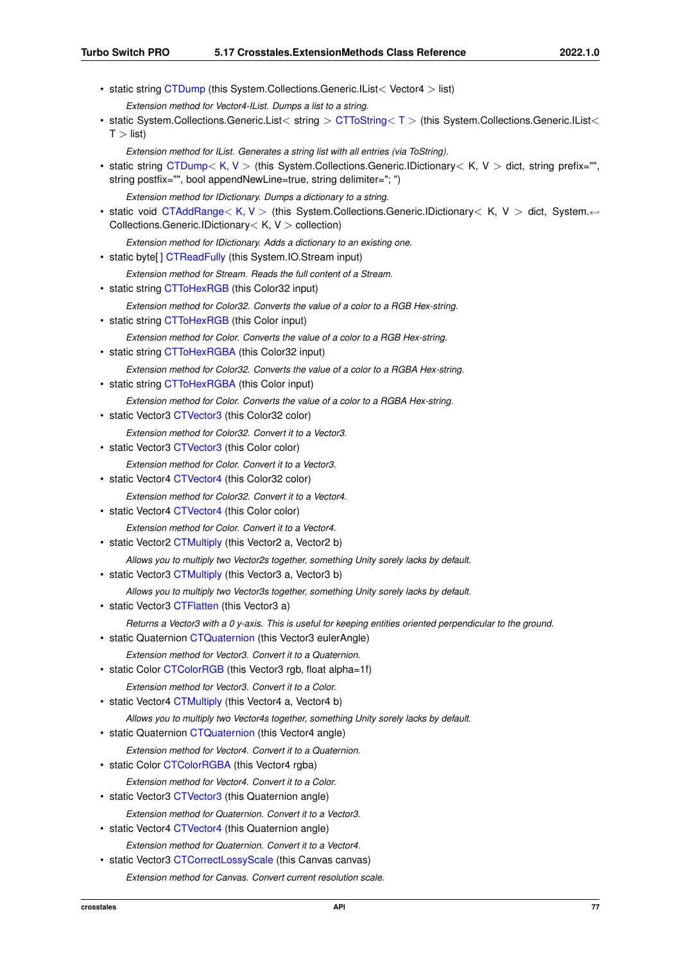- static string [CTDump](#page-98-2) (this System.Collections.Generic.IList< Vector4 > list)
	- *Extension method for Vector4-IList. Dumps a list to a string.*
- static System.Collections.Generic.List< string > [CTToString](#page-134-2)< T > (this System.Collections.Generic.IList<  $T >$  list)

*Extension method for IList. Generates a string list with all entries (via ToString).*

• static string [CTDump](#page-100-2)< K, V > (this System.Collections.Generic.IDictionary< K, V > dict, string prefix="", string postfix="", bool appendNewLine=true, string delimiter="; ")

*Extension method for IDictionary. Dumps a dictionary to a string.*

- static void [CTAddRange](#page-92-2)< K, V > (this System.Collections.Generic.IDictionary< K, V > dict, System.← Collections.Generic.IDictionary< K, V > collection)
- *Extension method for IDictionary. Adds a dictionary to an existing one.*
- static byte[] [CTReadFully](#page-120-1) (this System.IO.Stream input)

*Extension method for Stream. Reads the full content of a Stream.*

• static string [CTToHexRGB](#page-130-0) (this Color32 input)

*Extension method for Color32. Converts the value of a color to a RGB Hex-string.*

• static string [CTToHexRGB](#page-129-1) (this Color input)

*Extension method for Color. Converts the value of a color to a RGB Hex-string.*

• static string [CTToHexRGBA](#page-130-1) (this Color32 input)

*Extension method for Color32. Converts the value of a color to a RGBA Hex-string.*

- static string [CTToHexRGBA](#page-130-2) (this Color input)
	- *Extension method for Color. Converts the value of a color to a RGBA Hex-string.*
- static Vector3 [CTVector3](#page-137-1) (this Color32 color)

*Extension method for Color32. Convert it to a Vector3.*

• static Vector3 [CTVector3](#page-137-2) (this Color color)

*Extension method for Color. Convert it to a Vector3.*

• static Vector4 [CTVector4](#page-138-0) (this Color32 color)

*Extension method for Color32. Convert it to a Vector4.*

• static Vector4 [CTVector4](#page-138-1) (this Color color)

*Extension method for Color. Convert it to a Vector4.*

- static Vector2 [CTMultiply](#page-118-1) (this Vector2 a, Vector2 b)
	- *Allows you to multiply two Vector2s together, something Unity sorely lacks by default.*
- static Vector3 [CTMultiply](#page-119-0) (this Vector3 a, Vector3 b)

*Allows you to multiply two Vector3s together, something Unity sorely lacks by default.*

• static Vector3 [CTFlatten](#page-106-0) (this Vector3 a)

*Returns a Vector3 with a 0 y-axis. This is useful for keeping entities oriented perpendicular to the ground.*

• static Quaternion [CTQuaternion](#page-119-1) (this Vector3 eulerAngle)

*Extension method for Vector3. Convert it to a Quaternion.*

• static Color [CTColorRGB](#page-93-2) (this Vector3 rgb, float alpha=1f)

*Extension method for Vector3. Convert it to a Color.*

- static Vector4 [CTMultiply](#page-119-2) (this Vector4 a, Vector4 b)
- *Allows you to multiply two Vector4s together, something Unity sorely lacks by default.*
- static Quaternion [CTQuaternion](#page-120-2) (this Vector4 angle)
	- *Extension method for Vector4. Convert it to a Quaternion.*
- static Color [CTColorRGBA](#page-94-1) (this Vector4 rgba)
	- *Extension method for Vector4. Convert it to a Color.*
- static Vector3 [CTVector3](#page-138-2) (this Quaternion angle) *Extension method for Quaternion. Convert it to a Vector3.*
- static Vector4 [CTVector4](#page-139-0) (this Quaternion angle)
- *Extension method for Quaternion. Convert it to a Vector4.*
- static Vector3 [CTCorrectLossyScale](#page-95-2) (this Canvas canvas)
	- *Extension method for Canvas. Convert current resolution scale.*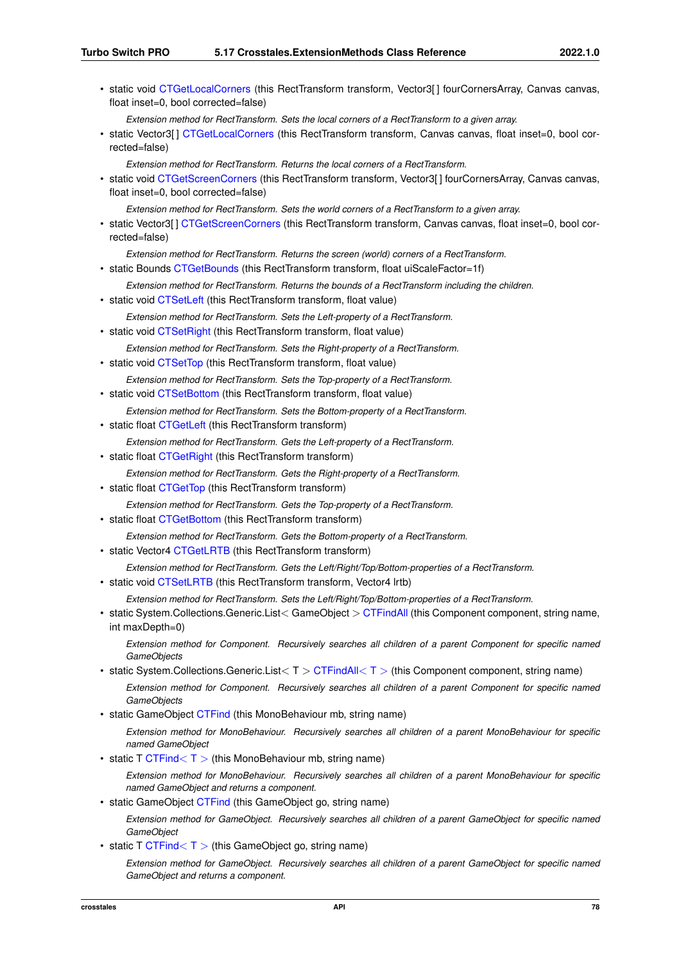• static void [CTGetLocalCorners](#page-110-0) (this RectTransform transform, Vector3[] fourCornersArray, Canvas canvas, float inset=0, bool corrected=false) *Extension method for RectTransform. Sets the local corners of a RectTransform to a given array.* • static Vector3[1 [CTGetLocalCorners](#page-109-0) (this RectTransform transform, Canvas canvas, float inset=0, bool corrected=false) *Extension method for RectTransform. Returns the local corners of a RectTransform.* • static void [CTGetScreenCorners](#page-111-0) (this RectTransform transform, Vector3[ ] fourCornersArray, Canvas canvas, float inset=0, bool corrected=false) *Extension method for RectTransform. Sets the world corners of a RectTransform to a given array.* • static Vector3[] [CTGetScreenCorners](#page-111-1) (this RectTransform transform, Canvas canvas, float inset=0, bool corrected=false) *Extension method for RectTransform. Returns the screen (world) corners of a RectTransform.* • static Bounds [CTGetBounds](#page-108-0) (this RectTransform transform, float uiScaleFactor=1f) *Extension method for RectTransform. Returns the bounds of a RectTransform including the children.* • static void [CTSetLeft](#page-124-0) (this RectTransform transform, float value) *Extension method for RectTransform. Sets the Left-property of a RectTransform.* • static void [CTSetRight](#page-125-1) (this RectTransform transform, float value) *Extension method for RectTransform. Sets the Right-property of a RectTransform.* • static void [CTSetTop](#page-125-2) (this RectTransform transform, float value) *Extension method for RectTransform. Sets the Top-property of a RectTransform.* • static void [CTSetBottom](#page-124-1) (this RectTransform transform, float value) *Extension method for RectTransform. Sets the Bottom-property of a RectTransform.* • static float [CTGetLeft](#page-109-1) (this RectTransform transform) *Extension method for RectTransform. Gets the Left-property of a RectTransform.* • static float [CTGetRight](#page-110-1) (this RectTransform transform) *Extension method for RectTransform. Gets the Right-property of a RectTransform.* • static float [CTGetTop](#page-112-1) (this RectTransform transform) *Extension method for RectTransform. Gets the Top-property of a RectTransform.* • static float [CTGetBottom](#page-108-1) (this RectTransform transform) *Extension method for RectTransform. Gets the Bottom-property of a RectTransform.* • static Vector4 [CTGetLRTB](#page-110-2) (this RectTransform transform) *Extension method for RectTransform. Gets the Left/Right/Top/Bottom-properties of a RectTransform.* • static void [CTSetLRTB](#page-124-2) (this RectTransform transform, Vector4 lrtb) *Extension method for RectTransform. Sets the Left/Right/Top/Bottom-properties of a RectTransform.* • static System.Collections.Generic.List< GameObject > [CTFindAll](#page-105-0) (this Component component, string name, int maxDepth=0) *Extension method for Component. Recursively searches all children of a parent Component for specific named GameObjects* • static System.Collections.Generic.List $< I > CTFindAll < I >$  $< I > CTFindAll < I >$  $< I > CTFindAll < I >$  (this Component component, string name) *Extension method for Component. Recursively searches all children of a parent Component for specific named GameObjects* • static GameObject [CTFind](#page-103-0) (this MonoBehaviour mb, string name) *Extension method for MonoBehaviour. Recursively searches all children of a parent MonoBehaviour for specific named GameObject* • static T [CTFind](#page-104-0) $<$  T  $>$  (this MonoBehaviour mb, string name) *Extension method for MonoBehaviour. Recursively searches all children of a parent MonoBehaviour for specific named GameObject and returns a component.* • static GameObject [CTFind](#page-103-1) (this GameObject go, string name) *Extension method for GameObject. Recursively searches all children of a parent GameObject for specific named GameObject* • static T [CTFind](#page-104-1) $< I$  > (this GameObject go, string name) *Extension method for GameObject. Recursively searches all children of a parent GameObject for specific named GameObject and returns a component.*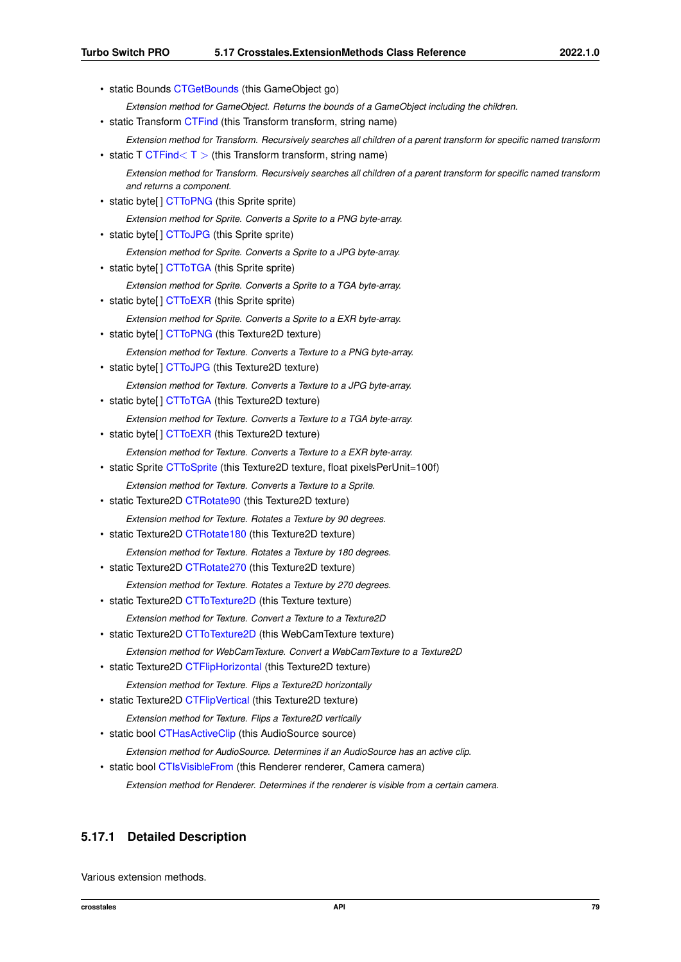• static Bounds [CTGetBounds](#page-108-2) (this GameObject go)

*Extension method for GameObject. Returns the bounds of a GameObject including the children.*

- static Transform [CTFind](#page-104-2) (this Transform transform, string name)
- *Extension method for Transform. Recursively searches all children of a parent transform for specific named transform*
- static T [CTFind](#page-105-1) $<$  T  $>$  (this Transform transform, string name) *Extension method for Transform. Recursively searches all children of a parent transform for specific named transform and returns a component.*
- static byte[] [CTToPNG](#page-131-0) (this Sprite sprite)
- *Extension method for Sprite. Converts a Sprite to a PNG byte-array.*
- static byte[] [CTToJPG](#page-131-1) (this Sprite sprite) *Extension method for Sprite. Converts a Sprite to a JPG byte-array.*
- static byte[] [CTToTGA](#page-136-0) (this Sprite sprite)

*Extension method for Sprite. Converts a Sprite to a TGA byte-array.*

- static byte[] [CTToEXR](#page-128-1) (this Sprite sprite)
- *Extension method for Sprite. Converts a Sprite to a EXR byte-array.*
- static byte[] [CTToPNG](#page-133-1) (this Texture2D texture)

*Extension method for Texture. Converts a Texture to a PNG byte-array.*

• static byte[] [CTToJPG](#page-131-2) (this Texture2D texture)

*Extension method for Texture. Converts a Texture to a JPG byte-array.*

- static byte[] [CTToTGA](#page-136-1) (this Texture2D texture)
- *Extension method for Texture. Converts a Texture to a TGA byte-array.*
- static byte[] [CTToEXR](#page-128-2) (this Texture2D texture)

*Extension method for Texture. Converts a Texture to a EXR byte-array.*

• static Sprite [CTToSprite](#page-133-2) (this Texture2D texture, float pixelsPerUnit=100f)

*Extension method for Texture. Converts a Texture to a Sprite.*

• static Texture2D [CTRotate90](#page-122-0) (this Texture2D texture)

*Extension method for Texture. Rotates a Texture by 90 degrees.*

- static Texture2D [CTRotate180](#page-122-1) (this Texture2D texture)
	- *Extension method for Texture. Rotates a Texture by 180 degrees.*
- static Texture2D [CTRotate270](#page-122-2) (this Texture2D texture)

*Extension method for Texture. Rotates a Texture by 270 degrees.*

- static Texture2D [CTToTexture2D](#page-135-1) (this Texture texture)
- *Extension method for Texture. Convert a Texture to a Texture2D*
- static Texture2D [CTToTexture2D](#page-136-2) (this WebCamTexture texture)
	- *Extension method for WebCamTexture. Convert a WebCamTexture to a Texture2D*
- static Texture2D [CTFlipHorizontal](#page-106-2) (this Texture2D texture)
	- *Extension method for Texture. Flips a Texture2D horizontally*
- static Texture2D [CTFlipVertical](#page-107-2) (this Texture2D texture)

*Extension method for Texture. Flips a Texture2D vertically*

• static bool [CTHasActiveClip](#page-112-2) (this AudioSource source)

*Extension method for AudioSource. Determines if an AudioSource has an active clip.*

• static bool [CTIsVisibleFrom](#page-117-2) (this Renderer renderer, Camera camera)

*Extension method for Renderer. Determines if the renderer is visible from a certain camera.*

# **5.17.1 Detailed Description**

Various extension methods.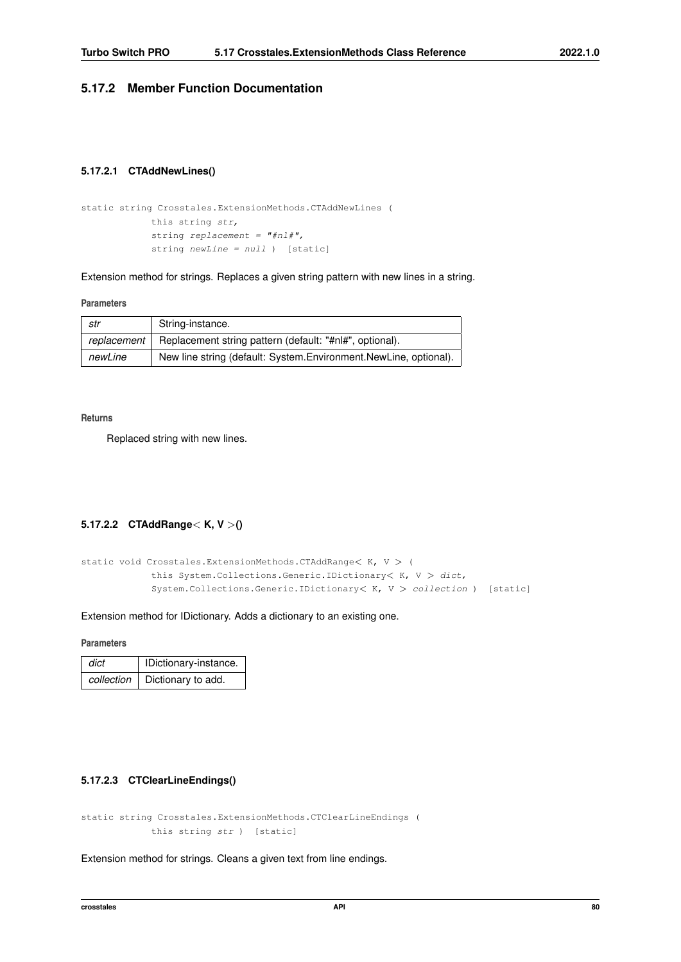# <span id="page-92-0"></span>**5.17.2 Member Function Documentation**

## **5.17.2.1 CTAddNewLines()**

```
static string Crosstales.ExtensionMethods.CTAddNewLines (
            this string str,
            string replacement = "#nl#",
            string newLine = null ) [static]
```
Extension method for strings. Replaces a given string pattern with new lines in a string.

**Parameters**

| str         | String-instance.                                                 |
|-------------|------------------------------------------------------------------|
| replacement | Replacement string pattern (default: "#nl#", optional).          |
| newLine     | New line string (default: System.Environment.NewLine, optional). |

**Returns**

<span id="page-92-2"></span>Replaced string with new lines.

# **5.17.2.2 CTAddRange**< **K, V** >**()**

```
static void Crosstales.ExtensionMethods.CTAddRange< K, V > (this System.Collections.Generic.IDictionary< K, V > dict,
            System.Collections.Generic.IDictionary< K, V > collection ) [static]
```
Extension method for IDictionary. Adds a dictionary to an existing one.

**Parameters**

| dict       | IDictionary-instance. |
|------------|-----------------------|
| collection | Dictionary to add.    |

# <span id="page-92-1"></span>**5.17.2.3 CTClearLineEndings()**

```
static string Crosstales.ExtensionMethods.CTClearLineEndings (
            this string str ) [static]
```
Extension method for strings. Cleans a given text from line endings.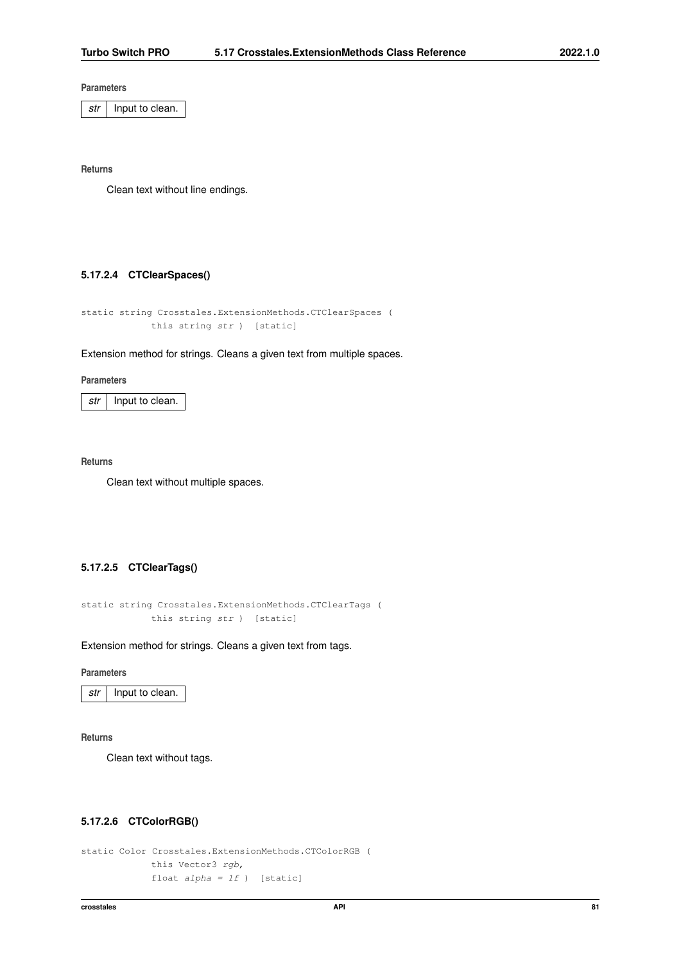*str* | Input to clean.

**Returns**

<span id="page-93-1"></span>Clean text without line endings.

# **5.17.2.4 CTClearSpaces()**

```
static string Crosstales.ExtensionMethods.CTClearSpaces (
            this string str ) [static]
```
#### Extension method for strings. Cleans a given text from multiple spaces.

#### **Parameters**

*str* | Input to clean.

### **Returns**

<span id="page-93-0"></span>Clean text without multiple spaces.

# **5.17.2.5 CTClearTags()**

```
static string Crosstales.ExtensionMethods.CTClearTags (
            this string str ) [static]
```
Extension method for strings. Cleans a given text from tags.

#### **Parameters**

*str* | Input to clean.

#### **Returns**

<span id="page-93-2"></span>Clean text without tags.

# **5.17.2.6 CTColorRGB()**

```
static Color Crosstales.ExtensionMethods.CTColorRGB (
            this Vector3 rgb,
            float alpha = 1f ) [static]
```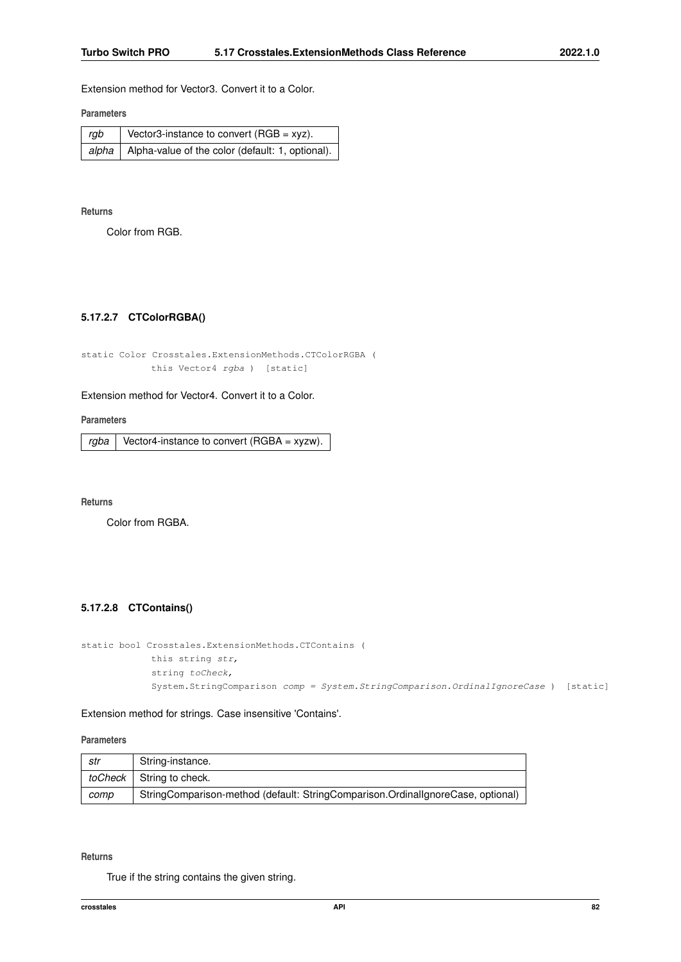Extension method for Vector3. Convert it to a Color.

## **Parameters**

| rgb | Vector3-instance to convert (RGB = xyz).                       |
|-----|----------------------------------------------------------------|
|     | $ $ alpha $ $ Alpha-value of the color (default: 1, optional). |

#### **Returns**

<span id="page-94-1"></span>Color from RGB.

# **5.17.2.7 CTColorRGBA()**

```
static Color Crosstales.ExtensionMethods.CTColorRGBA (
           this Vector4 rgba ) [static]
```
# Extension method for Vector4. Convert it to a Color.

**Parameters**

 $rgba$  Vector4-instance to convert (RGBA = xyzw).

**Returns**

<span id="page-94-0"></span>Color from RGBA.

# **5.17.2.8 CTContains()**

```
static bool Crosstales.ExtensionMethods.CTContains (
            this string str,
            string toCheck,
            System.StringComparison comp = System.StringComparison.OrdinalIgnoreCase ) [static]
```
Extension method for strings. Case insensitive 'Contains'.

#### **Parameters**

| str  | String-instance.                                                                |
|------|---------------------------------------------------------------------------------|
|      | toCheck   String to check.                                                      |
| comp | StringComparison-method (default: StringComparison.OrdinallgnoreCase, optional) |

#### **Returns**

True if the string contains the given string.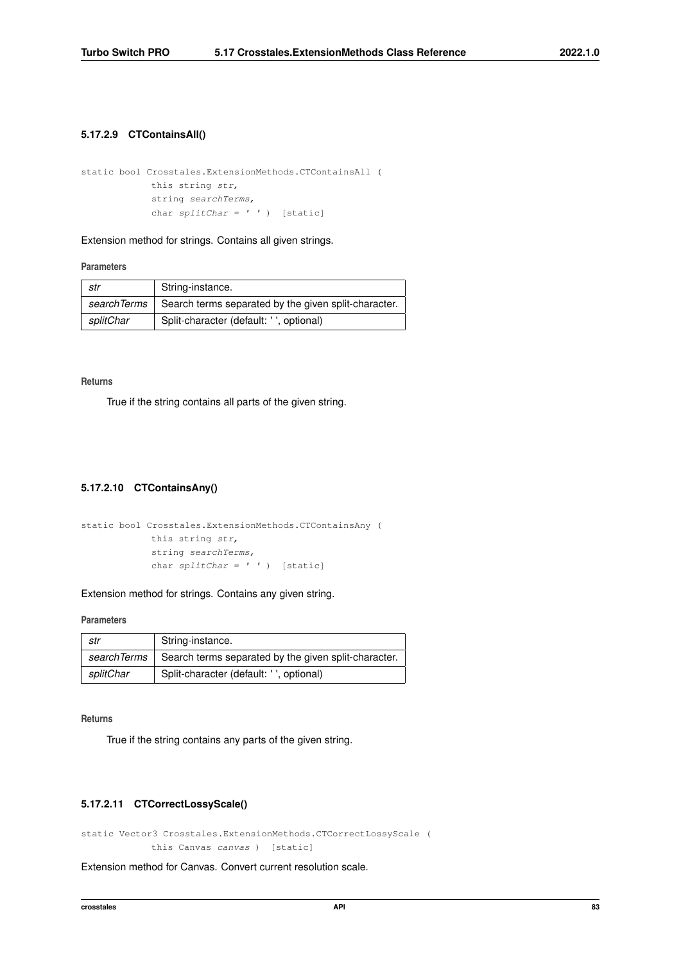### <span id="page-95-1"></span>**5.17.2.9 CTContainsAll()**

```
static bool Crosstales.ExtensionMethods.CTContainsAll (
            this string str,
            string searchTerms,
            char splitChar = ' ' ) [static]
```
Extension method for strings. Contains all given strings.

### **Parameters**

| str       | String-instance.                                                    |
|-----------|---------------------------------------------------------------------|
|           | search Terms   Search terms separated by the given split-character. |
| splitChar | Split-character (default: ' ', optional)                            |

#### **Returns**

<span id="page-95-0"></span>True if the string contains all parts of the given string.

# **5.17.2.10 CTContainsAny()**

```
static bool Crosstales.ExtensionMethods.CTContainsAny (
            this string str,
            string searchTerms,
            char splitChar = ' ' ) [static]
```
Extension method for strings. Contains any given string.

# **Parameters**

| str         | String-instance.                                     |
|-------------|------------------------------------------------------|
| searchTerms | Search terms separated by the given split-character. |
| splitChar   | Split-character (default: ', optional)               |

**Returns**

<span id="page-95-2"></span>True if the string contains any parts of the given string.

# **5.17.2.11 CTCorrectLossyScale()**

```
static Vector3 Crosstales.ExtensionMethods.CTCorrectLossyScale (
            this Canvas canvas ) [static]
```
Extension method for Canvas. Convert current resolution scale.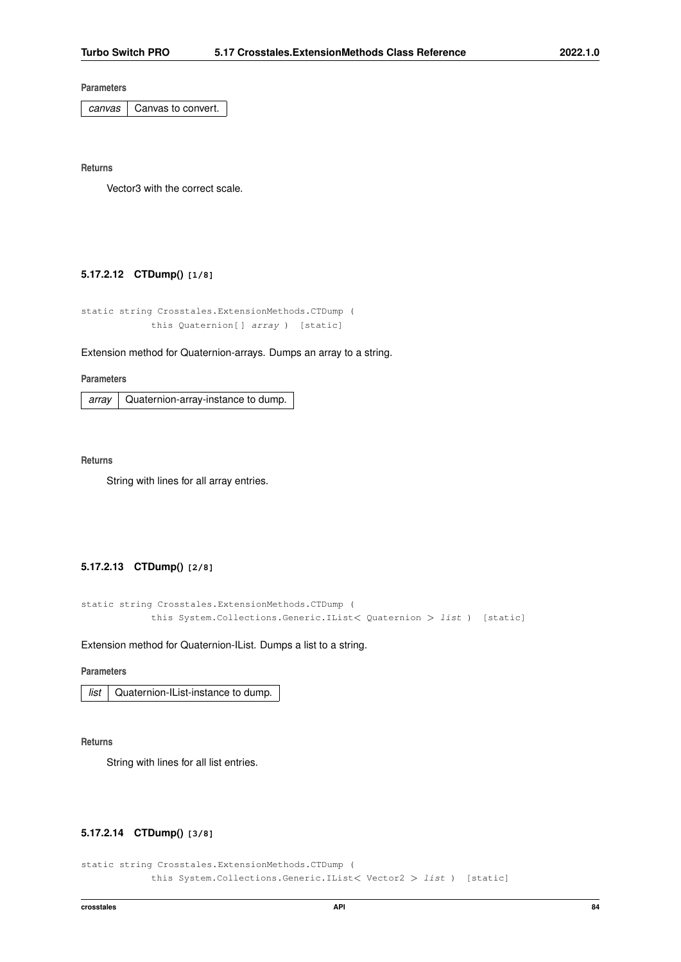*canvas* | Canvas to convert.

**Returns**

<span id="page-96-0"></span>Vector3 with the correct scale.

# **5.17.2.12 CTDump() [1/8]**

```
static string Crosstales.ExtensionMethods.CTDump (
            this Quaternion[] array ) [static]
```
#### Extension method for Quaternion-arrays. Dumps an array to a string.

**Parameters**

*array* | Quaternion-array-instance to dump.

**Returns**

<span id="page-96-1"></span>String with lines for all array entries.

# **5.17.2.13 CTDump() [2/8]**

```
static string Crosstales.ExtensionMethods.CTDump (
            this System.Collections.Generic.IList< Quaternion > list ) [static]
```
Extension method for Quaternion-IList. Dumps a list to a string.

### **Parameters**

|  | <i>list</i>   Quaternion-IList-instance to dump. |
|--|--------------------------------------------------|
|--|--------------------------------------------------|

#### **Returns**

<span id="page-96-2"></span>String with lines for all list entries.

# **5.17.2.14 CTDump() [3/8]**

```
static string Crosstales.ExtensionMethods.CTDump (
            this System.Collections.Generic.IList< Vector2 > list ) [static]
```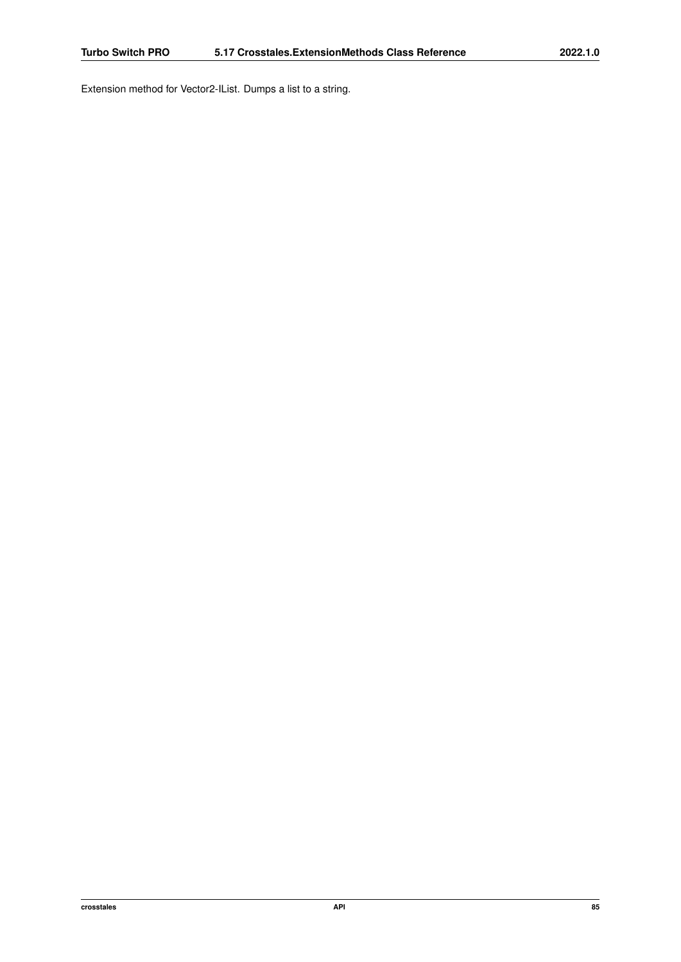Extension method for Vector2-IList. Dumps a list to a string.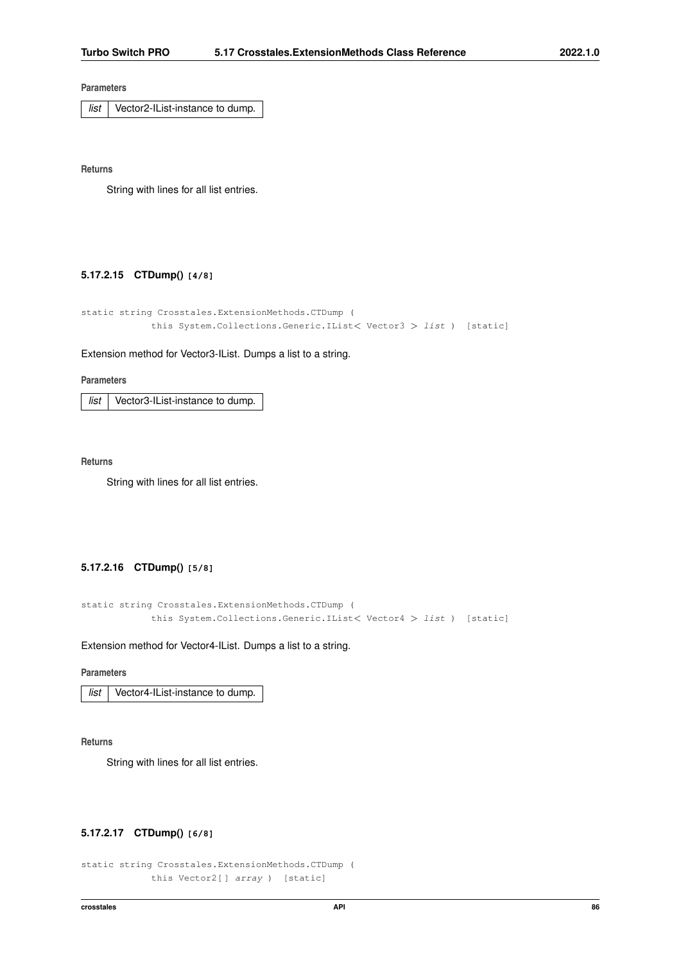*list* Vector2-IList-instance to dump.

**Returns**

<span id="page-98-1"></span>String with lines for all list entries.

#### **5.17.2.15 CTDump() [4/8]**

```
static string Crosstales.ExtensionMethods.CTDump (
            this System.Collections.Generic.IList< Vector3 > list ) [static]
```
#### Extension method for Vector3-IList. Dumps a list to a string.

**Parameters**

*list* Vector3-IList-instance to dump.

**Returns**

<span id="page-98-2"></span>String with lines for all list entries.

# **5.17.2.16 CTDump() [5/8]**

```
static string Crosstales.ExtensionMethods.CTDump (
            this System.Collections.Generic.IList< Vector4 > list ) [static]
```
Extension method for Vector4-IList. Dumps a list to a string.

#### **Parameters**

*list* Vector4-IList-instance to dump.

**Returns**

<span id="page-98-0"></span>String with lines for all list entries.

### **5.17.2.17 CTDump() [6/8]**

```
static string Crosstales.ExtensionMethods.CTDump (
            this Vector2[ ] array ) [static]
```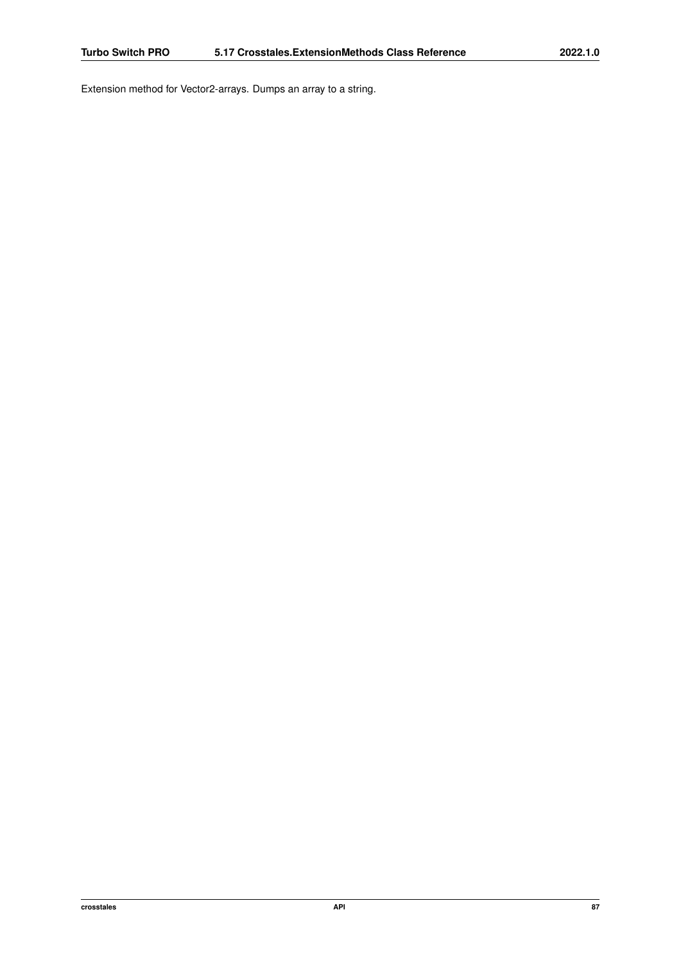Extension method for Vector2-arrays. Dumps an array to a string.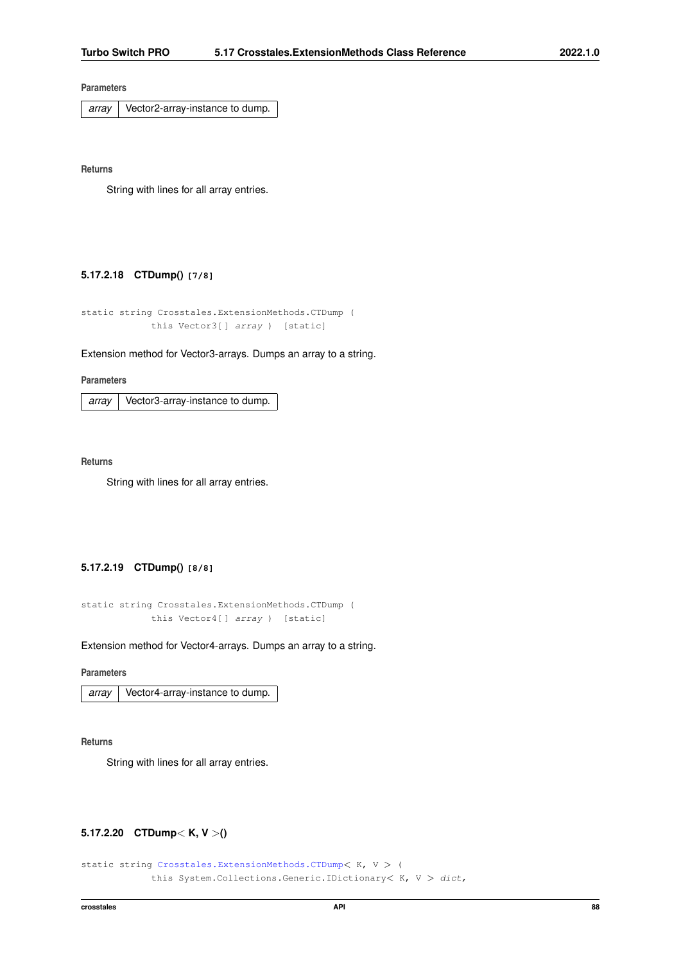*array* Vector2-array-instance to dump.

**Returns**

<span id="page-100-0"></span>String with lines for all array entries.

#### **5.17.2.18 CTDump() [7/8]**

```
static string Crosstales.ExtensionMethods.CTDump (
            this Vector3[ ] array ) [static]
```
#### Extension method for Vector3-arrays. Dumps an array to a string.

**Parameters**

*array* Vector3-array-instance to dump.

**Returns**

<span id="page-100-1"></span>String with lines for all array entries.

# **5.17.2.19 CTDump() [8/8]**

```
static string Crosstales.ExtensionMethods.CTDump (
            this Vector4[ ] array ) [static]
```
Extension method for Vector4-arrays. Dumps an array to a string.

**Parameters**

*array* Vector4-array-instance to dump.

**Returns**

<span id="page-100-2"></span>String with lines for all array entries.

# **5.17.2.20 CTDump**< **K, V** >**()**

```
static string Crosstales.ExtensionMethods.CTDump< K, V > (
            this System.Collections.Generic.IDictionary< K, V > dict,
```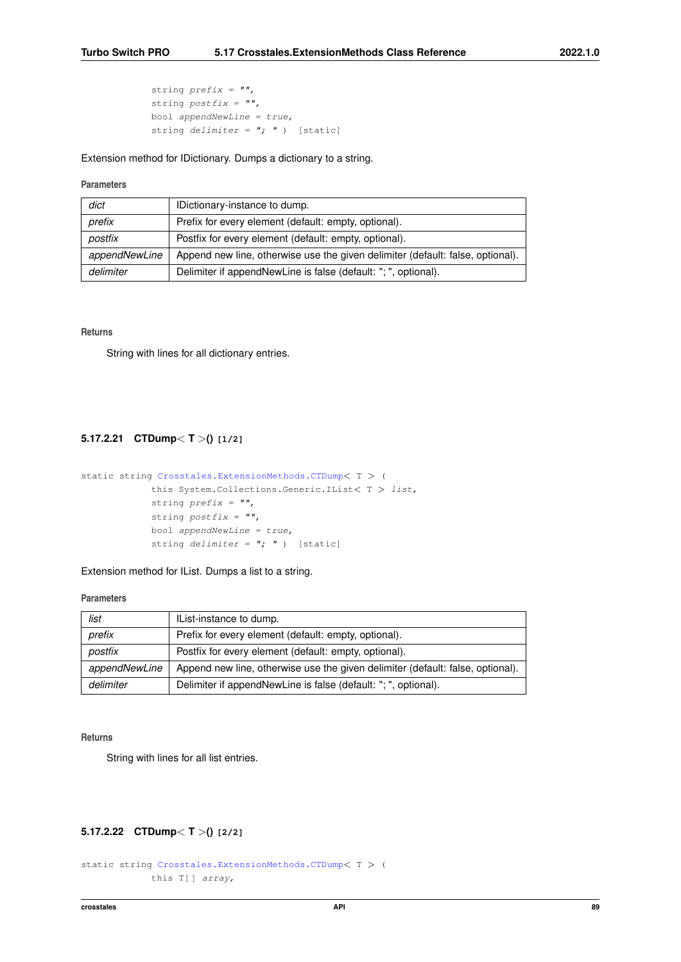```
string prefix = "",string postfix = "",bool appendNewLine = true,
string delimiter = "; " ) [static]
```
Extension method for IDictionary. Dumps a dictionary to a string.

### **Parameters**

| dict          | IDictionary-instance to dump.                                                  |
|---------------|--------------------------------------------------------------------------------|
| prefix        | Prefix for every element (default: empty, optional).                           |
| postfix       | Postfix for every element (default: empty, optional).                          |
| appendNewLine | Append new line, otherwise use the given delimiter (default: false, optional). |
| delimiter     | Delimiter if appendNewLine is false (default: "; ", optional).                 |

#### **Returns**

<span id="page-101-1"></span>String with lines for all dictionary entries.

# **5.17.2.21 CTDump**< **T** >**() [1/2]**

```
static string Crosstales.ExtensionMethods.CTDump< T > (
            this System.Collections.Generic.IList< T > list,
            string prefix = "",string postfix = "",bool appendNewLine = true,
            string delimiter = "; ") [static]
```
Extension method for IList. Dumps a list to a string.

# **Parameters**

| list          | IList-instance to dump.                                                        |
|---------------|--------------------------------------------------------------------------------|
| prefix        | Prefix for every element (default: empty, optional).                           |
| postfix       | Postfix for every element (default: empty, optional).                          |
| appendNewLine | Append new line, otherwise use the given delimiter (default: false, optional). |
| delimiter     | Delimiter if appendNewLine is false (default: "; ", optional).                 |

#### **Returns**

<span id="page-101-0"></span>String with lines for all list entries.

# **5.17.2.22 CTDump**< **T** >**() [2/2]**

```
static string Crosstales.ExtensionMethods.CTDump< T > (
            this T[ ] array,
```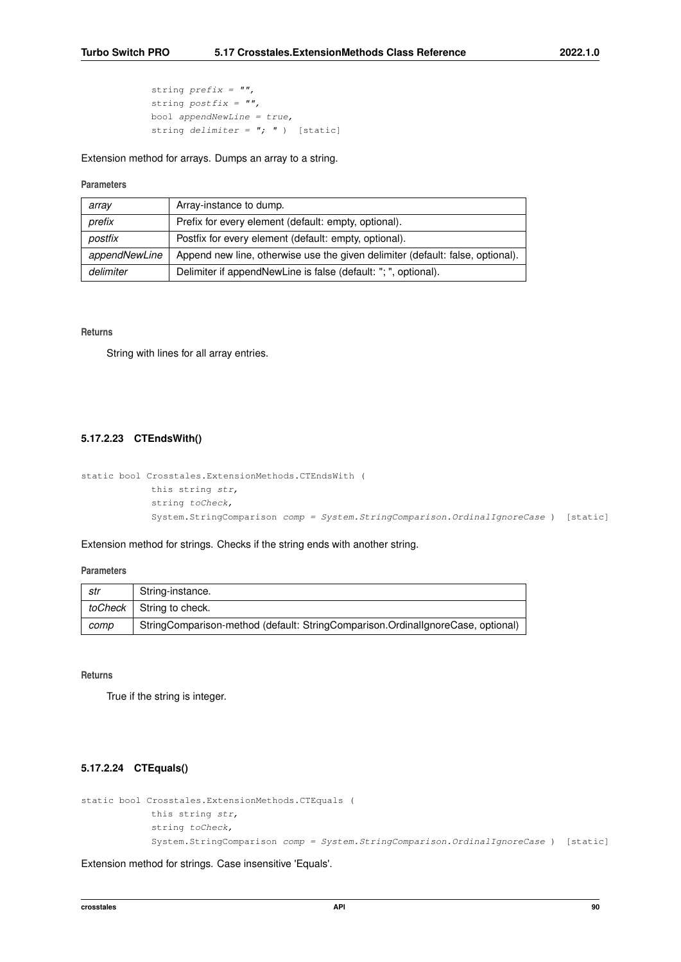```
string prefix = "",string postfix = "",bool appendNewLine = true,
string delimiter = "; " ) [static]
```
### Extension method for arrays. Dumps an array to a string.

### **Parameters**

| array         | Array-instance to dump.                                                        |
|---------------|--------------------------------------------------------------------------------|
|               |                                                                                |
| prefix        | Prefix for every element (default: empty, optional).                           |
|               |                                                                                |
| postfix       | Postfix for every element (default: empty, optional).                          |
|               |                                                                                |
| appendNewLine | Append new line, otherwise use the given delimiter (default: false, optional). |
|               |                                                                                |
| delimiter     | Delimiter if appendNewLine is false (default: "; ", optional).                 |
|               |                                                                                |

#### **Returns**

<span id="page-102-1"></span>String with lines for all array entries.

# **5.17.2.23 CTEndsWith()**

```
static bool Crosstales.ExtensionMethods.CTEndsWith (
            this string str,
            string toCheck,
            System.StringComparison comp = System.StringComparison.OrdinalIgnoreCase ) [static]
```
Extension method for strings. Checks if the string ends with another string.

#### **Parameters**

| str     | String-instance.                                                                |
|---------|---------------------------------------------------------------------------------|
| toCheck | String to check.                                                                |
| comp    | StringComparison-method (default: StringComparison.OrdinallgnoreCase, optional) |

#### **Returns**

<span id="page-102-0"></span>True if the string is integer.

# **5.17.2.24 CTEquals()**

```
static bool Crosstales.ExtensionMethods.CTEquals (
            this string str,
            string toCheck,
            System.StringComparison comp = System.StringComparison.OrdinalIgnoreCase ) [static]
```
Extension method for strings. Case insensitive 'Equals'.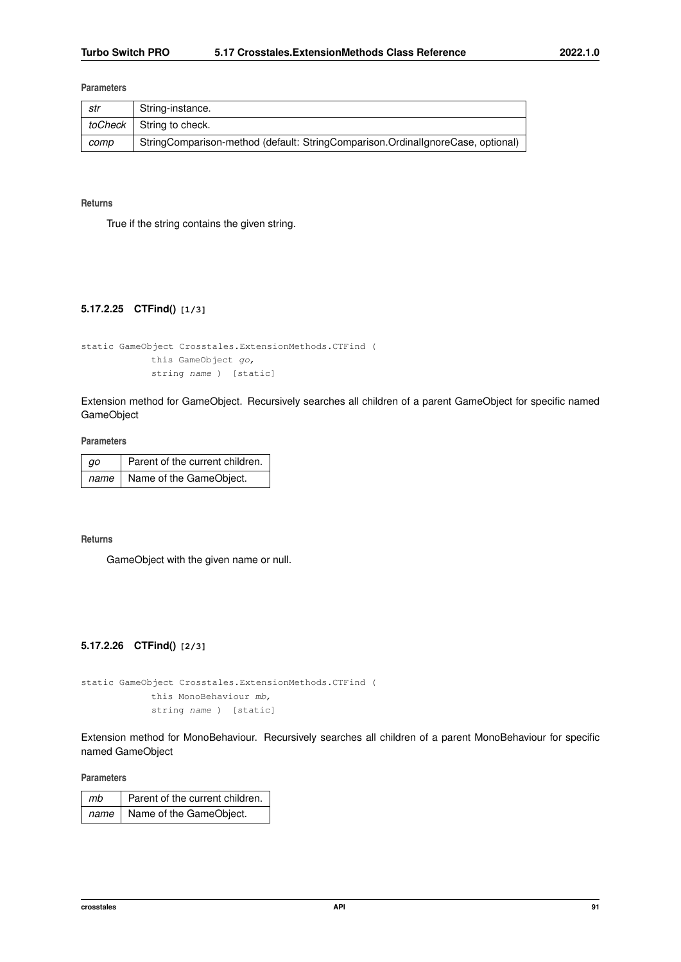| str  | String-instance.                                                                |
|------|---------------------------------------------------------------------------------|
|      | toCheck   String to check.                                                      |
| comp | StringComparison-method (default: StringComparison.OrdinallgnoreCase, optional) |

**Returns**

<span id="page-103-1"></span>True if the string contains the given string.

# **5.17.2.25 CTFind() [1/3]**

```
static GameObject Crosstales.ExtensionMethods.CTFind (
            this GameObject go,
            string name ) [static]
```
Extension method for GameObject. Recursively searches all children of a parent GameObject for specific named GameObject

**Parameters**

| gо   | Parent of the current children. |
|------|---------------------------------|
| name | Name of the GameObject.         |

**Returns**

<span id="page-103-0"></span>GameObject with the given name or null.

# **5.17.2.26 CTFind() [2/3]**

static GameObject Crosstales.ExtensionMethods.CTFind ( this MonoBehaviour mb, string name ) [static]

Extension method for MonoBehaviour. Recursively searches all children of a parent MonoBehaviour for specific named GameObject

**Parameters**

| $\mid$ mb | Parent of the current children. |
|-----------|---------------------------------|
|           | name   Name of the GameObject.  |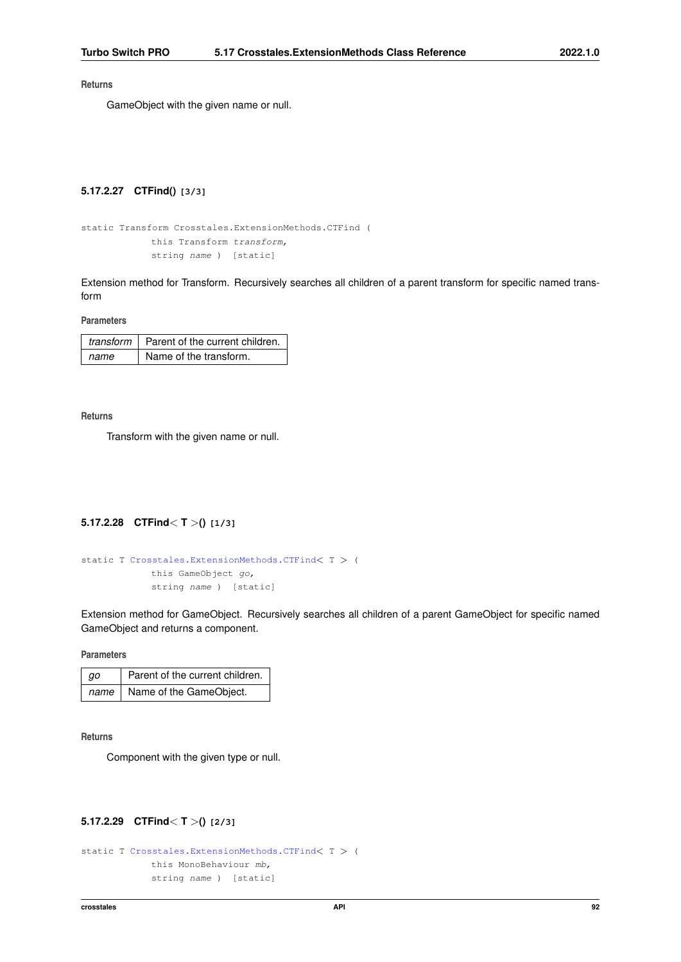**Returns**

<span id="page-104-2"></span>GameObject with the given name or null.

# **5.17.2.27 CTFind() [3/3]**

```
static Transform Crosstales.ExtensionMethods.CTFind (
            this Transform transform,
            string name ) [static]
```
Extension method for Transform. Recursively searches all children of a parent transform for specific named transform

**Parameters**

|      | transform $\vert$ Parent of the current children. |
|------|---------------------------------------------------|
| name | Name of the transform.                            |

**Returns**

<span id="page-104-1"></span>Transform with the given name or null.

# **5.17.2.28 CTFind**< **T** >**() [1/3]**

```
static T Crosstales.ExtensionMethods.CTFind< T > (
            this GameObject go,
            string name ) [static]
```
Extension method for GameObject. Recursively searches all children of a parent GameObject for specific named GameObject and returns a component.

**Parameters**

| gо | Parent of the current children. |
|----|---------------------------------|
|    | name   Name of the GameObject.  |

**Returns**

<span id="page-104-0"></span>Component with the given type or null.

# **5.17.2.29 CTFind**< **T** >**() [2/3]**

```
static T Crosstales.ExtensionMethods.CTFind< T > (
            this MonoBehaviour mb,
            string name ) [static]
```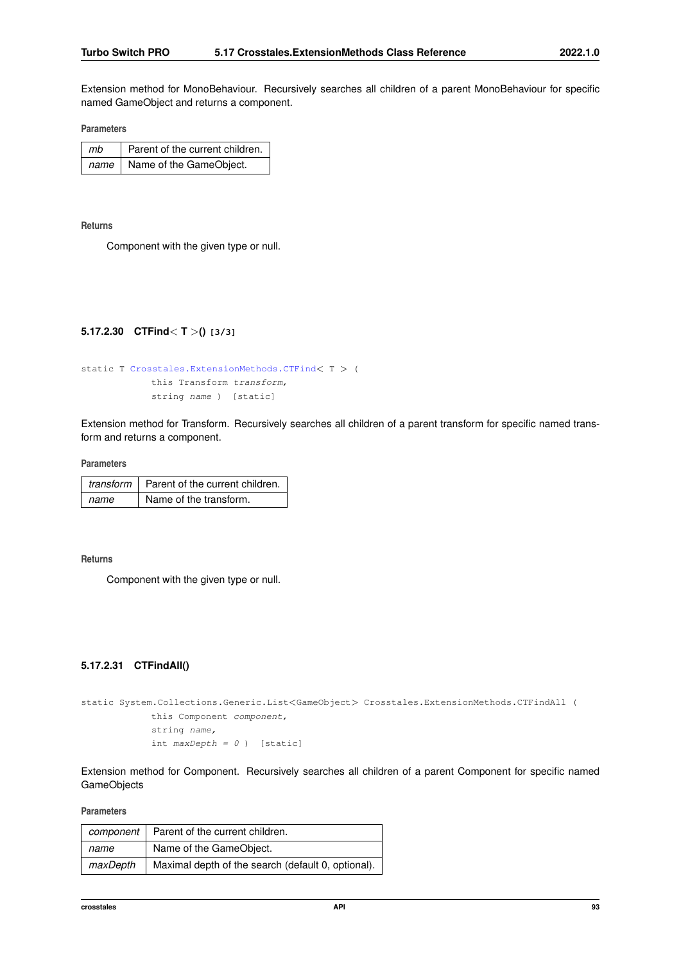Extension method for MonoBehaviour. Recursively searches all children of a parent MonoBehaviour for specific named GameObject and returns a component.

**Parameters**

| mb | Parent of the current children. |
|----|---------------------------------|
|    | name   Name of the GameObject.  |

**Returns**

<span id="page-105-1"></span>Component with the given type or null.

# **5.17.2.30 CTFind**< **T** >**() [3/3]**

```
static T Crosstales.ExtensionMethods.CTFind< T > (
            this Transform transform,
            string name ) [static]
```
Extension method for Transform. Recursively searches all children of a parent transform for specific named transform and returns a component.

**Parameters**

|      | transform   Parent of the current children. |
|------|---------------------------------------------|
| name | Name of the transform.                      |

**Returns**

<span id="page-105-0"></span>Component with the given type or null.

# **5.17.2.31 CTFindAll()**

```
static System.Collections.Generic.List<GameObject> Crosstales.ExtensionMethods.CTFindAll (
            this Component component,
            string name,
            int maxDepth = 0 ) [static]
```
Extension method for Component. Recursively searches all children of a parent Component for specific named GameObjects

**Parameters**

| component | Parent of the current children.                    |
|-----------|----------------------------------------------------|
| name      | Name of the GameObject.                            |
| maxDepth  | Maximal depth of the search (default 0, optional). |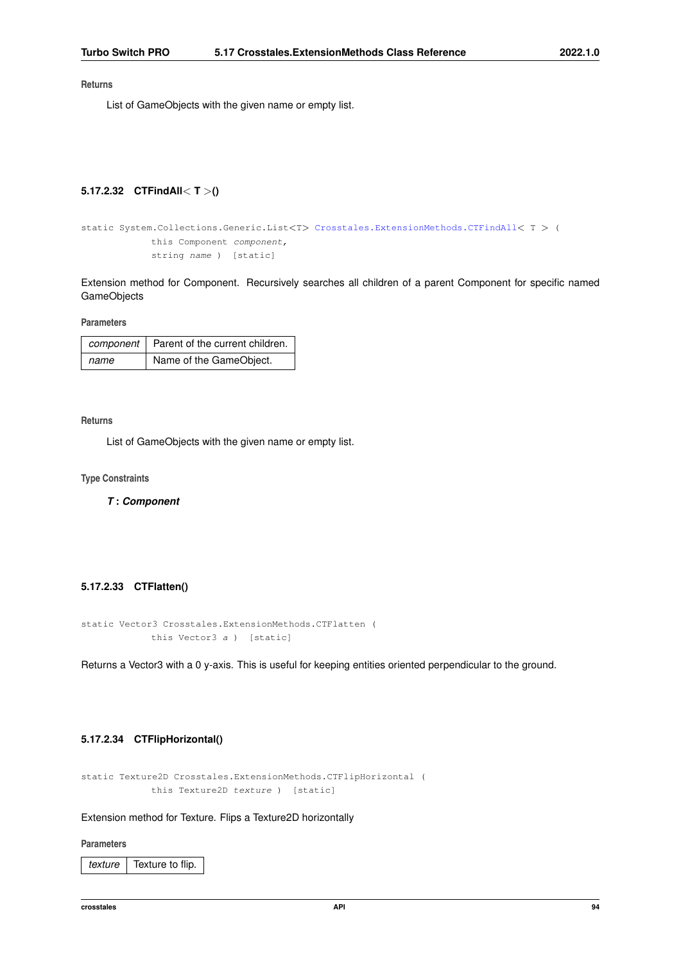#### **Returns**

<span id="page-106-1"></span>List of GameObjects with the given name or empty list.

#### **5.17.2.32 CTFindAll**< **T** >**()**

```
static System.Collections.Generic.List<T> Crosstales.ExtensionMethods.CTFindAll< T > (
            this Component component,
            string name ) [static]
```
Extension method for Component. Recursively searches all children of a parent Component for specific named **GameObjects** 

**Parameters**

|      | component   Parent of the current children. |
|------|---------------------------------------------|
| name | Name of the GameObject.                     |

### **Returns**

List of GameObjects with the given name or empty list.

**Type Constraints**

<span id="page-106-0"></span>*T* **:** *Component*

#### **5.17.2.33 CTFlatten()**

```
static Vector3 Crosstales.ExtensionMethods.CTFlatten (
            this Vector3 a ) [static]
```
<span id="page-106-2"></span>Returns a Vector3 with a 0 y-axis. This is useful for keeping entities oriented perpendicular to the ground.

# **5.17.2.34 CTFlipHorizontal()**

```
static Texture2D Crosstales.ExtensionMethods.CTFlipHorizontal (
            this Texture2D texture ) [static]
```
# Extension method for Texture. Flips a Texture2D horizontally

#### **Parameters**

*texture* | Texture to flip.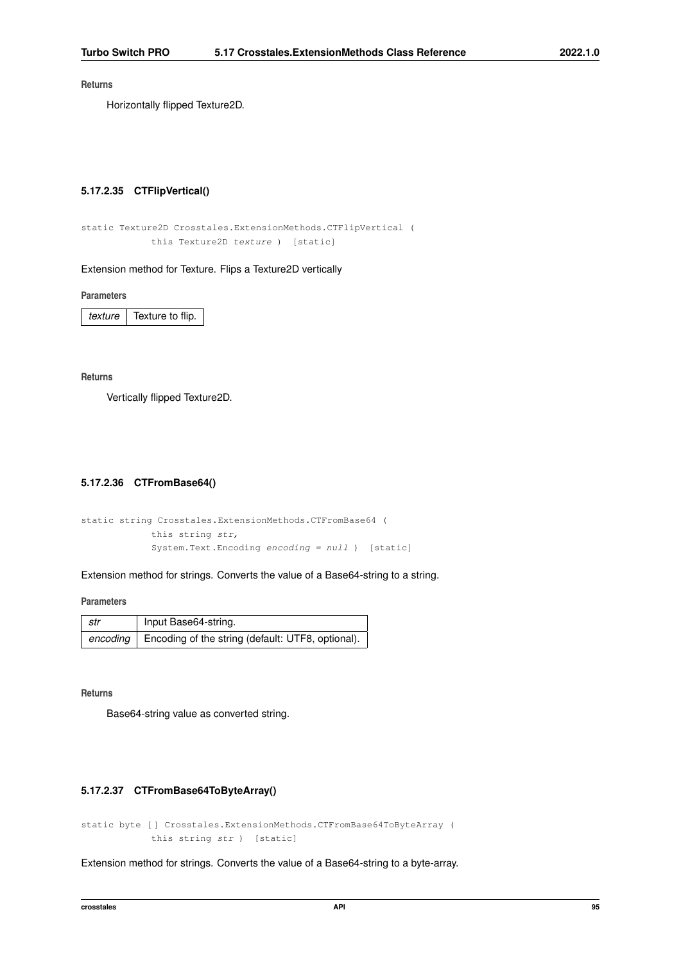#### **Returns**

<span id="page-107-2"></span>Horizontally flipped Texture2D.

# **5.17.2.35 CTFlipVertical()**

```
static Texture2D Crosstales.ExtensionMethods.CTFlipVertical (
            this Texture2D texture ) [static]
```
#### Extension method for Texture. Flips a Texture2D vertically

**Parameters**

*texture* Texture to flip.

**Returns**

<span id="page-107-0"></span>Vertically flipped Texture2D.

# **5.17.2.36 CTFromBase64()**

```
static string Crosstales.ExtensionMethods.CTFromBase64 (
            this string str,
             System.Text.Encoding encoding = null ) [static]
```
Extension method for strings. Converts the value of a Base64-string to a string.

**Parameters**

| str      | Input Base64-string.                              |
|----------|---------------------------------------------------|
| encoding | Encoding of the string (default: UTF8, optional). |

**Returns**

<span id="page-107-1"></span>Base64-string value as converted string.

#### **5.17.2.37 CTFromBase64ToByteArray()**

static byte [ ] Crosstales.ExtensionMethods.CTFromBase64ToByteArray ( this string str ) [static]

Extension method for strings. Converts the value of a Base64-string to a byte-array.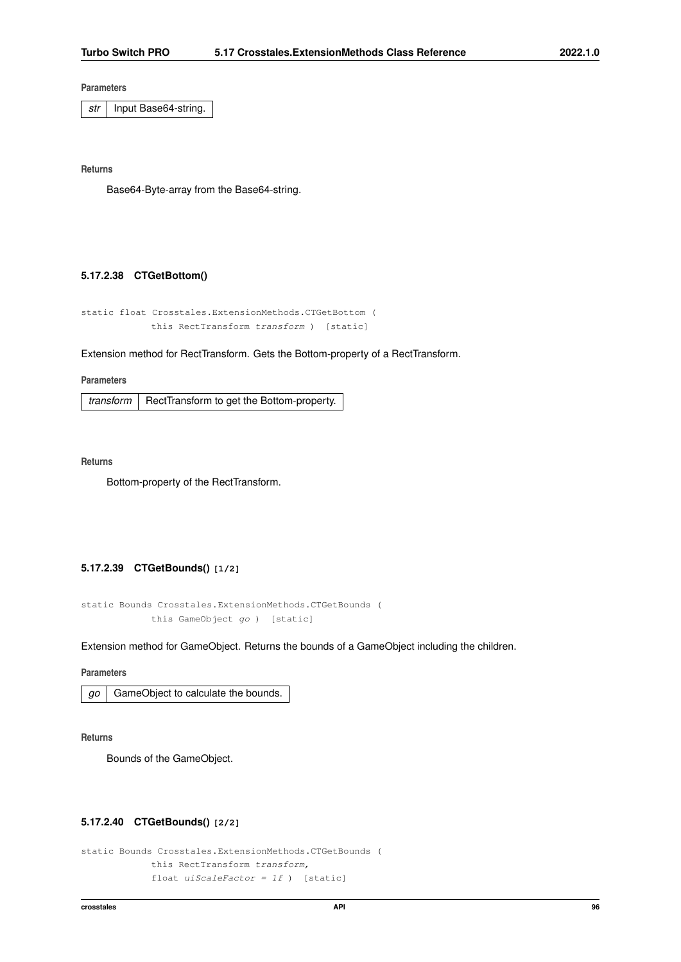str | Input Base64-string.

**Returns**

Base64-Byte-array from the Base64-string.

### **5.17.2.38 CTGetBottom()**

```
static float Crosstales.ExtensionMethods.CTGetBottom (
   this RectTransform transform ) [static]
```
### Extension method for RectTransform. Gets the Bottom-property of a RectTransform.

### **Parameters**

*transform* | RectTransform to get the Bottom-property.

**Returns**

Bottom-property of the RectTransform.

# **5.17.2.39 CTGetBounds() [1/2]**

```
static Bounds Crosstales.ExtensionMethods.CTGetBounds (
   this GameObject go ) [static]
```
Extension method for GameObject. Returns the bounds of a GameObject including the children.

#### **Parameters**

|  | $g$ <sub>o</sub> $\mid$ GameObject to calculate the bounds. |
|--|-------------------------------------------------------------|
|--|-------------------------------------------------------------|

**Returns**

Bounds of the GameObject.

## **5.17.2.40 CTGetBounds() [2/2]**

```
static Bounds Crosstales.ExtensionMethods.CTGetBounds (
   this RectTransform transform,
   float uiscaleFactor = 1f ) [static]
```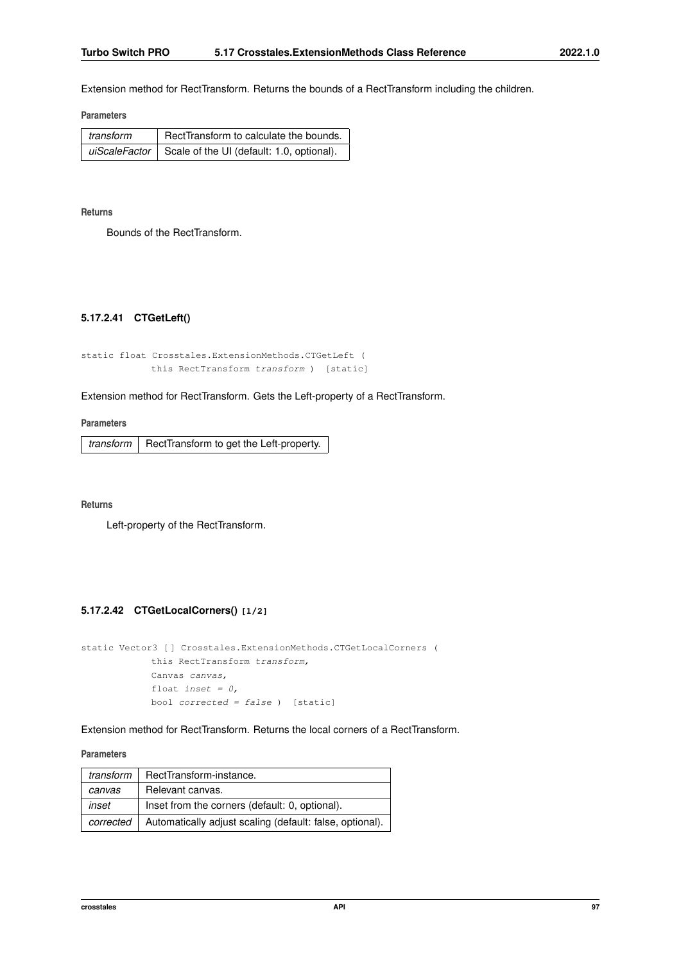Extension method for RectTransform. Returns the bounds of a RectTransform including the children.

**Parameters**

| transform | RectTransform to calculate the bounds.                    |
|-----------|-----------------------------------------------------------|
|           | uiScaleFactor   Scale of the UI (default: 1.0, optional). |

**Returns**

Bounds of the RectTransform.

# **5.17.2.41 CTGetLeft()**

```
static float Crosstales.ExtensionMethods.CTGetLeft (
   this RectTransform transform ) [static]
```
### Extension method for RectTransform. Gets the Left-property of a RectTransform.

**Parameters**

 $transform$  RectTransform to get the Left-property.

**Returns**

Left-property of the RectTransform.

# **5.17.2.42 CTGetLocalCorners() [1/2]**

```
static Vector3 [ ] Crosstales.ExtensionMethods.CTGetLocalCorners (
    this RectTransform transform,
    Canvas canvas,
    float inset = 0,
    bool corrected = false ) [static]
```
Extension method for RectTransform. Returns the local corners of a RectTransform.

#### **Parameters**

| transform | RectTransform-instance.                                  |
|-----------|----------------------------------------------------------|
| canvas    | Relevant canvas.                                         |
| inset     | Inset from the corners (default: 0, optional).           |
| corrected | Automatically adjust scaling (default: false, optional). |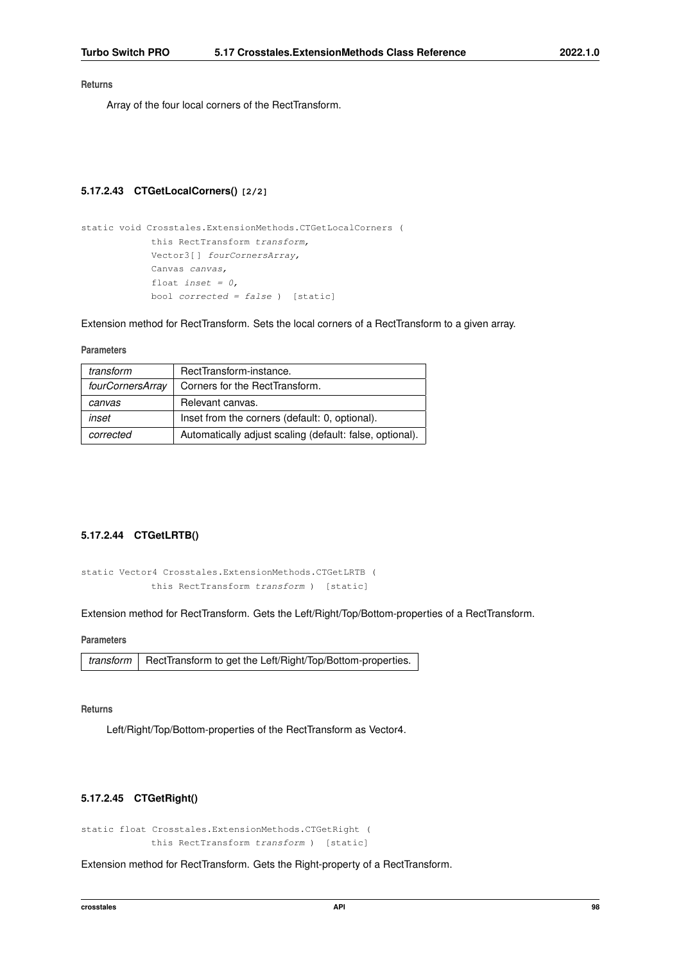Array of the four local corners of the RectTransform.

### **5.17.2.43 CTGetLocalCorners() [2/2]**

```
static void Crosstales.ExtensionMethods.CTGetLocalCorners (
   this RectTransform transform,
   Vector3[] fourCornersArray,
   Canvas canvas,
    float inset = 0,
   bool corrected = false ) [static]
```
Extension method for RectTransform. Sets the local corners of a RectTransform to a given array.

### **Parameters**

| transform        | RectTransform-instance.                                  |
|------------------|----------------------------------------------------------|
| fourCornersArray | Corners for the RectTransform.                           |
| canvas           | Relevant canvas.                                         |
| inset            | Inset from the corners (default: 0, optional).           |
| corrected        | Automatically adjust scaling (default: false, optional). |

# **5.17.2.44 CTGetLRTB()**

```
static Vector4 Crosstales.ExtensionMethods.CTGetLRTB (
   this RectTransform transform ) [static]
```
Extension method for RectTransform. Gets the Left/Right/Top/Bottom-properties of a RectTransform.

**Parameters**

```
transform | RectTransform to get the Left/Right/Top/Bottom-properties.
```
**Returns**

Left/Right/Top/Bottom-properties of the RectTransform as Vector4.

## **5.17.2.45 CTGetRight()**

static float Crosstales.ExtensionMethods.CTGetRight ( this RectTransform transform ) [static]

Extension method for RectTransform. Gets the Right-property of a RectTransform.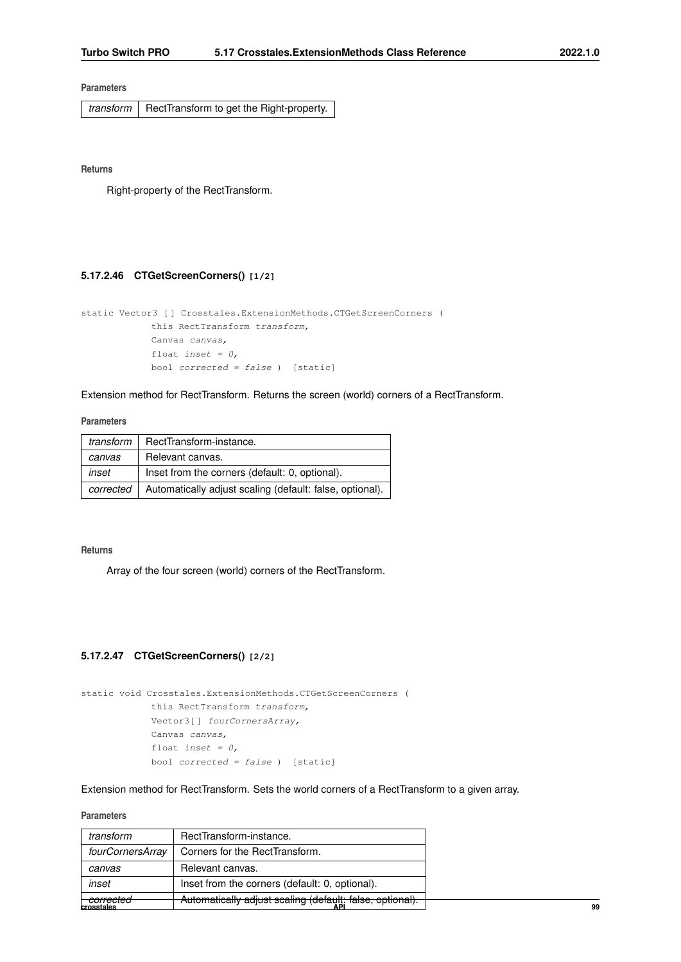$transform$  RectTransform to get the Right-property.

**Returns**

Right-property of the RectTransform.

## **5.17.2.46 CTGetScreenCorners() [1/2]**

```
static Vector3 [ ] Crosstales.ExtensionMethods.CTGetScreenCorners (
   this RectTransform transform,
    Canvas canvas,
    float inset = 0,
   bool corrected = false ) [static]
```
Extension method for RectTransform. Returns the screen (world) corners of a RectTransform.

### **Parameters**

| transform | RectTransform-instance.                                  |
|-----------|----------------------------------------------------------|
| canvas    | Relevant canvas.                                         |
| inset     | Inset from the corners (default: 0, optional).           |
| corrected | Automatically adjust scaling (default: false, optional). |

#### **Returns**

Array of the four screen (world) corners of the RectTransform.

# **5.17.2.47 CTGetScreenCorners() [2/2]**

```
static void Crosstales.ExtensionMethods.CTGetScreenCorners (
   this RectTransform transform,
    Vector3[ ] fourCornersArray,
    Canvas canvas,
    float inset = 0,
    bool corrected = false ) [static]
```
Extension method for RectTransform. Sets the world corners of a RectTransform to a given array.

#### **Parameters**

| corrected        | Automatically adjust scaling (default: false, optional). |
|------------------|----------------------------------------------------------|
| inset            | Inset from the corners (default: 0, optional).           |
| canvas           | Relevant canvas.                                         |
| fourCornersArray | Corners for the RectTransform.                           |
| transform        | RectTransform-instance.                                  |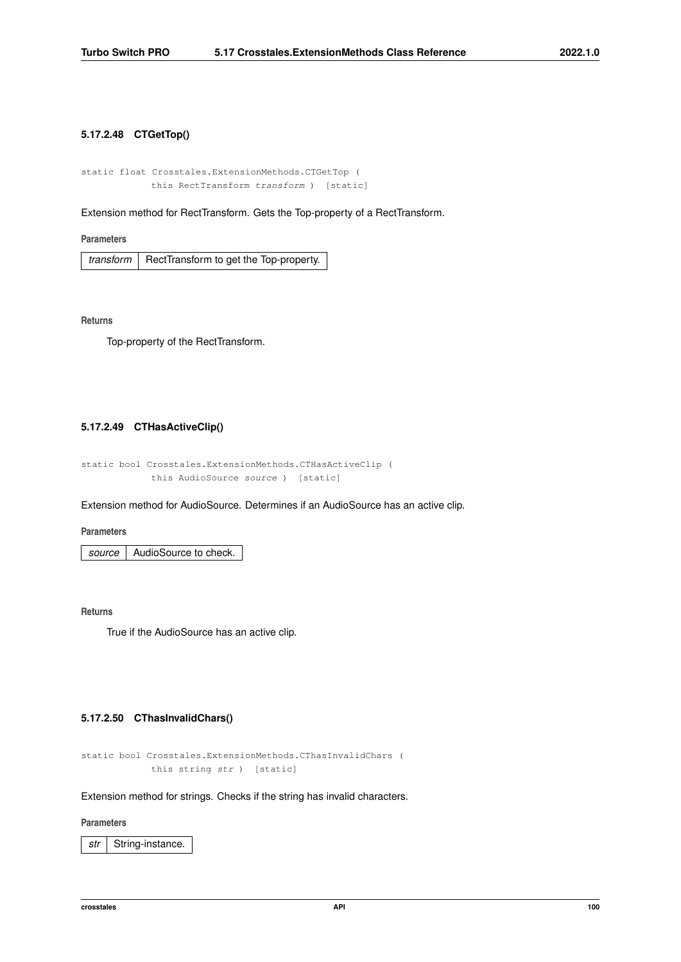# **5.17.2.48 CTGetTop()**

```
static float Crosstales.ExtensionMethods.CTGetTop (
   this RectTransform transform ) [static]
```
Extension method for RectTransform. Gets the Top-property of a RectTransform.

**Parameters**

*transform*  $\vert$  RectTransform to get the Top-property.

**Returns**

Top-property of the RectTransform.

## **5.17.2.49 CTHasActiveClip()**

```
static bool Crosstales.ExtensionMethods.CTHasActiveClip (
   this AudioSource source ) [static]
```
Extension method for AudioSource. Determines if an AudioSource has an active clip.

**Parameters**

*source* AudioSource to check.

**Returns**

True if the AudioSource has an active clip.

# **5.17.2.50 CThasInvalidChars()**

```
static bool Crosstales.ExtensionMethods.CThasInvalidChars (
   this string str ) [static]
```
Extension method for strings. Checks if the string has invalid characters.

### **Parameters**

*str* | String-instance.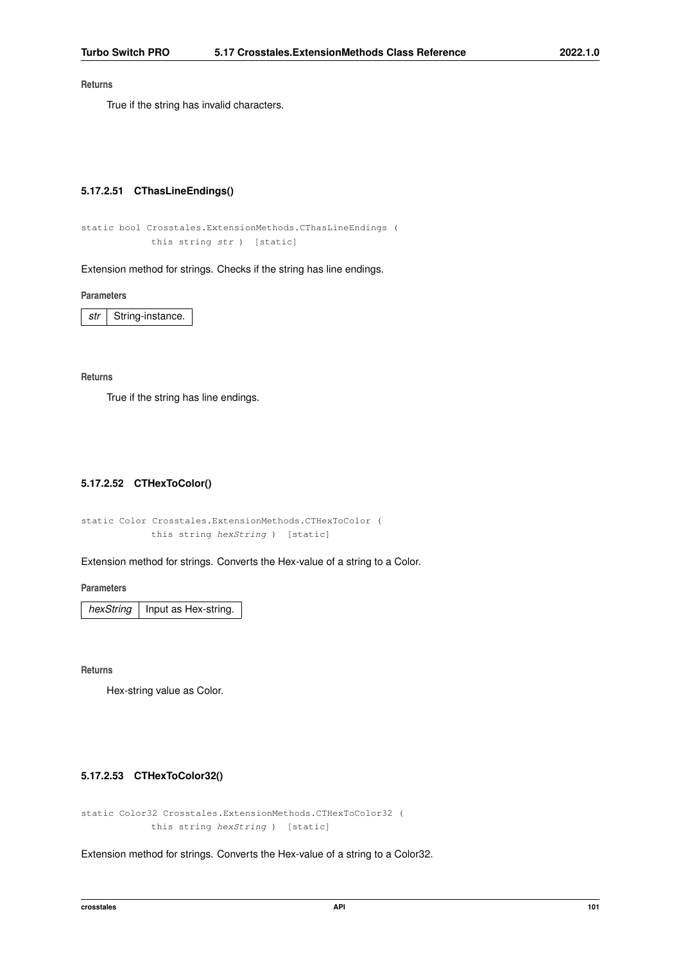True if the string has invalid characters.

### **5.17.2.51 CThasLineEndings()**

```
static bool Crosstales.ExtensionMethods.CThasLineEndings (
   this string str ) [static]
```
Extension method for strings. Checks if the string has line endings.

**Parameters**

*str* | String-instance.

#### **Returns**

True if the string has line endings.

# **5.17.2.52 CTHexToColor()**

static Color Crosstales.ExtensionMethods.CTHexToColor ( this string hexString ) [static]

Extension method for strings. Converts the Hex-value of a string to a Color.

**Parameters**

*hexString* | Input as Hex-string.

**Returns**

Hex-string value as Color.

### **5.17.2.53 CTHexToColor32()**

```
static Color32 Crosstales.ExtensionMethods.CTHexToColor32 (
   this string hexString ) [static]
```
Extension method for strings. Converts the Hex-value of a string to a Color32.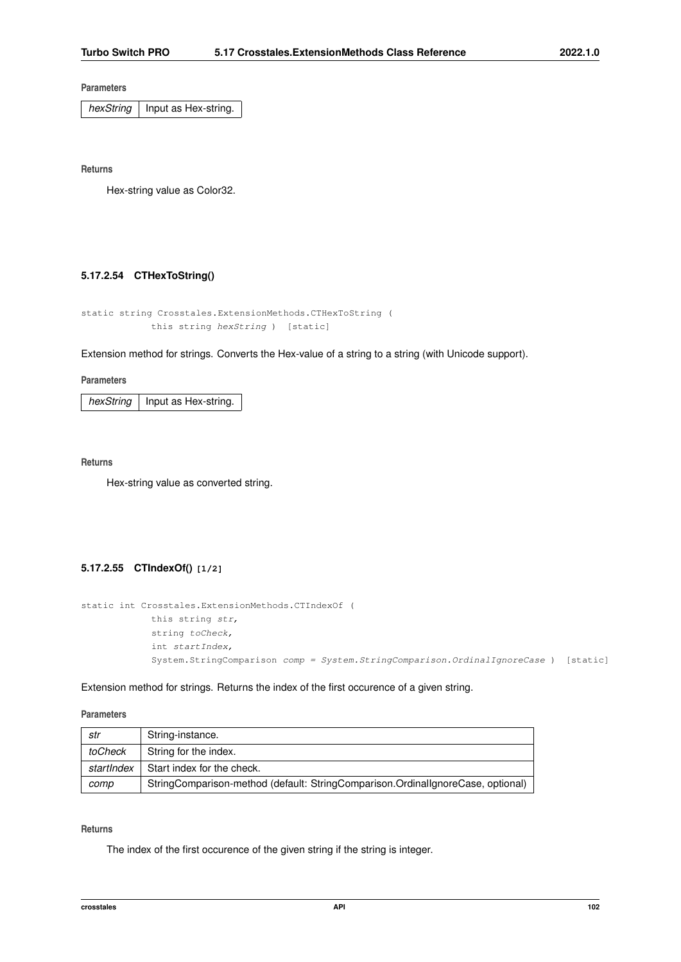*hexString* | Input as Hex-string.

**Returns**

Hex-string value as Color32.

### **5.17.2.54 CTHexToString()**

```
static string Crosstales.ExtensionMethods.CTHexToString (
   this string hexString ) [static]
```
Extension method for strings. Converts the Hex-value of a string to a string (with Unicode support).

#### **Parameters**

 $hexString$  | Input as Hex-string.

## **Returns**

Hex-string value as converted string.

# **5.17.2.55 CTIndexOf() [1/2]**

```
static int Crosstales.ExtensionMethods.CTIndexOf (
   this string str,
   string toCheck,
    int startIndex,
    System.StringComparison comp = System.StringComparison.OrdinalIgnoreCase ) [static]
```
Extension method for strings. Returns the index of the first occurence of a given string.

**Parameters**

| str        | String-instance.                                                                |
|------------|---------------------------------------------------------------------------------|
| toCheck    | String for the index.                                                           |
| startIndex | Start index for the check.                                                      |
| comp       | StringComparison-method (default: StringComparison.OrdinalIgnoreCase, optional) |

## **Returns**

The index of the first occurence of the given string if the string is integer.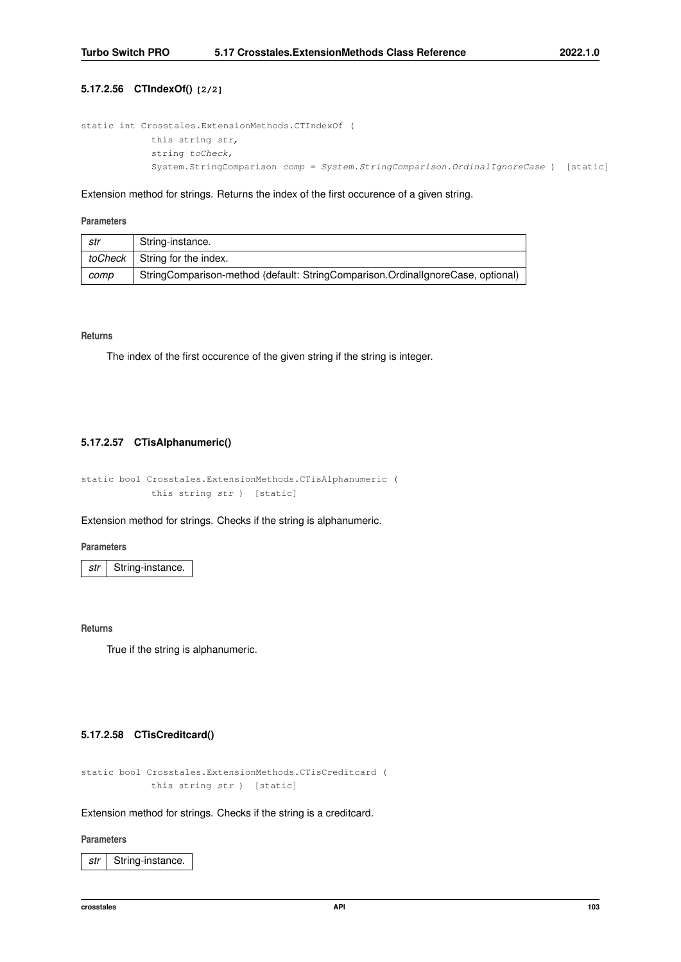# **5.17.2.56 CTIndexOf() [2/2]**

```
static int Crosstales.ExtensionMethods.CTIndexOf (
   this string str,
   string toCheck,
   System.StringComparison comp = System.StringComparison.OrdinalIgnoreCase ) [static]
```
### Extension method for strings. Returns the index of the first occurence of a given string.

#### **Parameters**

| str     | String-instance.                                                                |
|---------|---------------------------------------------------------------------------------|
| toCheck | String for the index.                                                           |
| comp    | StringComparison-method (default: StringComparison.OrdinallgnoreCase, optional) |

#### **Returns**

The index of the first occurence of the given string if the string is integer.

### **5.17.2.57 CTisAlphanumeric()**

static bool Crosstales.ExtensionMethods.CTisAlphanumeric ( this string str ) [static]

Extension method for strings. Checks if the string is alphanumeric.

### **Parameters**

*str* | String-instance.

**Returns**

True if the string is alphanumeric.

# **5.17.2.58 CTisCreditcard()**

```
static bool Crosstales.ExtensionMethods.CTisCreditcard (
   this string str ) [static]
```
Extension method for strings. Checks if the string is a creditcard.

#### **Parameters**

str | String-instance.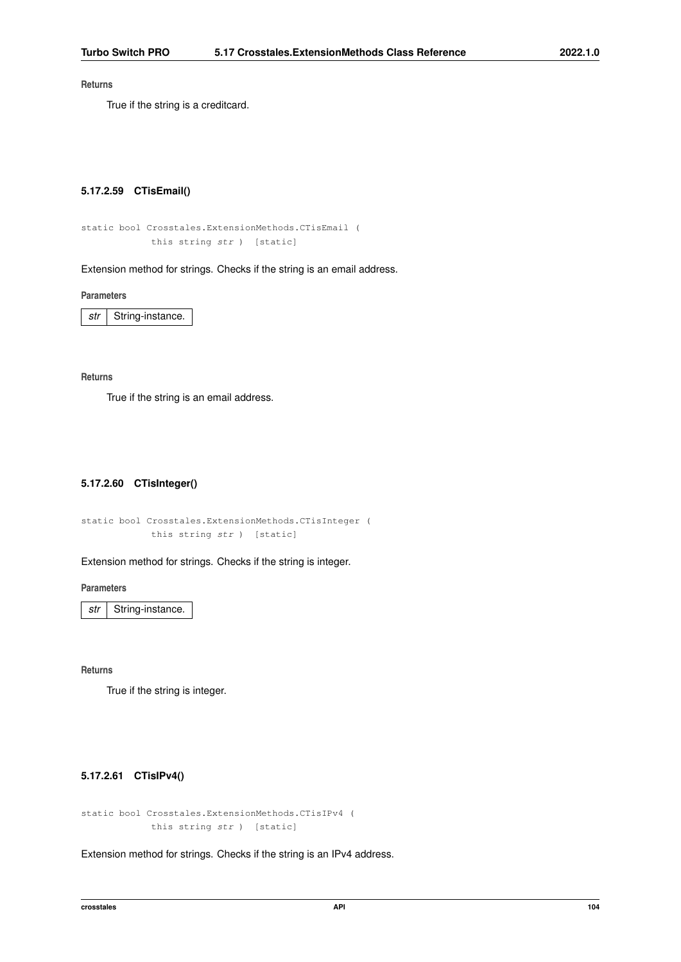True if the string is a creditcard.

## **5.17.2.59 CTisEmail()**

```
static bool Crosstales.ExtensionMethods.CTisEmail (
   this string str ) [static]
```
Extension method for strings. Checks if the string is an email address.

**Parameters**

*str* | String-instance.

#### **Returns**

True if the string is an email address.

## **5.17.2.60 CTisInteger()**

```
static bool Crosstales.ExtensionMethods.CTisInteger (
   this string str ) [static]
```
Extension method for strings. Checks if the string is integer.

**Parameters**

*str* | String-instance.

**Returns**

True if the string is integer.

# **5.17.2.61 CTisIPv4()**

```
static bool Crosstales.ExtensionMethods.CTisIPv4 (
   this string str ) [static]
```
Extension method for strings. Checks if the string is an IPv4 address.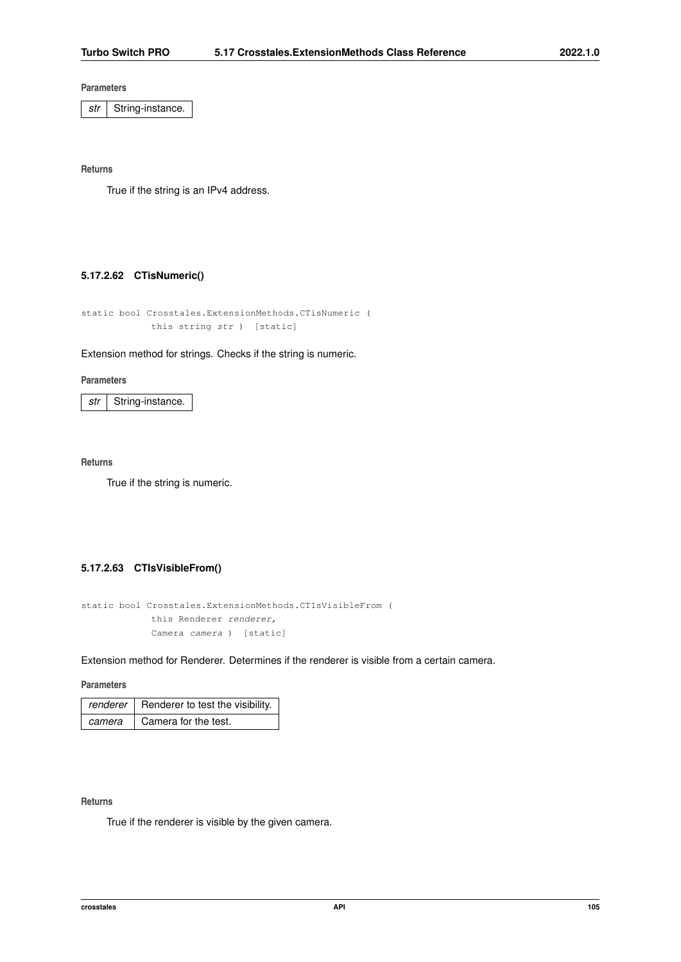*str* | String-instance.

**Returns**

True if the string is an IPv4 address.

## **5.17.2.62 CTisNumeric()**

```
static bool Crosstales.ExtensionMethods.CTisNumeric (
   this string str ) [static]
```
### Extension method for strings. Checks if the string is numeric.

### **Parameters**

str | String-instance.

## **Returns**

True if the string is numeric.

# **5.17.2.63 CTIsVisibleFrom()**

```
static bool Crosstales.ExtensionMethods.CTIsVisibleFrom (
   this Renderer renderer,
   Camera camera ) [static]
```
Extension method for Renderer. Determines if the renderer is visible from a certain camera.

**Parameters**

|        | renderer   Renderer to test the visibility. $\vert$ |
|--------|-----------------------------------------------------|
| camera | Camera for the test.                                |

## **Returns**

True if the renderer is visible by the given camera.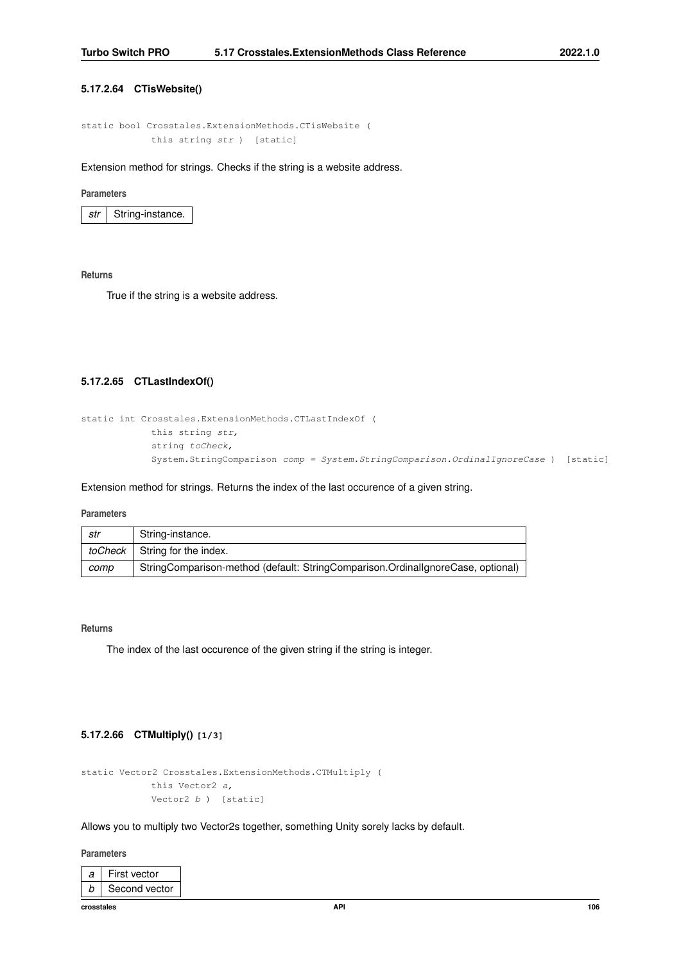## **5.17.2.64 CTisWebsite()**

```
static bool Crosstales.ExtensionMethods.CTisWebsite (
   this string str ) [static]
```
Extension method for strings. Checks if the string is a website address.

#### **Parameters**

*str* | String-instance.

#### **Returns**

True if the string is a website address.

# **5.17.2.65 CTLastIndexOf()**

```
static int Crosstales.ExtensionMethods.CTLastIndexOf (
   this string str,
   string toCheck,
   System.StringComparison comp = System.StringComparison.OrdinalIgnoreCase ) [static]
```
Extension method for strings. Returns the index of the last occurence of a given string.

#### **Parameters**

| str  | String-instance.                                                                |
|------|---------------------------------------------------------------------------------|
|      | <i>toCheck</i> String for the index.                                            |
| comp | StringComparison-method (default: StringComparison.OrdinallgnoreCase, optional) |

### **Returns**

The index of the last occurence of the given string if the string is integer.

# **5.17.2.66 CTMultiply() [1/3]**

```
static Vector2 Crosstales.ExtensionMethods.CTMultiply (
   this Vector2 a,
   Vector2 b ) [static]
```
Allows you to multiply two Vector2s together, something Unity sorely lacks by default.

**Parameters**

| a | First vector  |
|---|---------------|
|   | Second vector |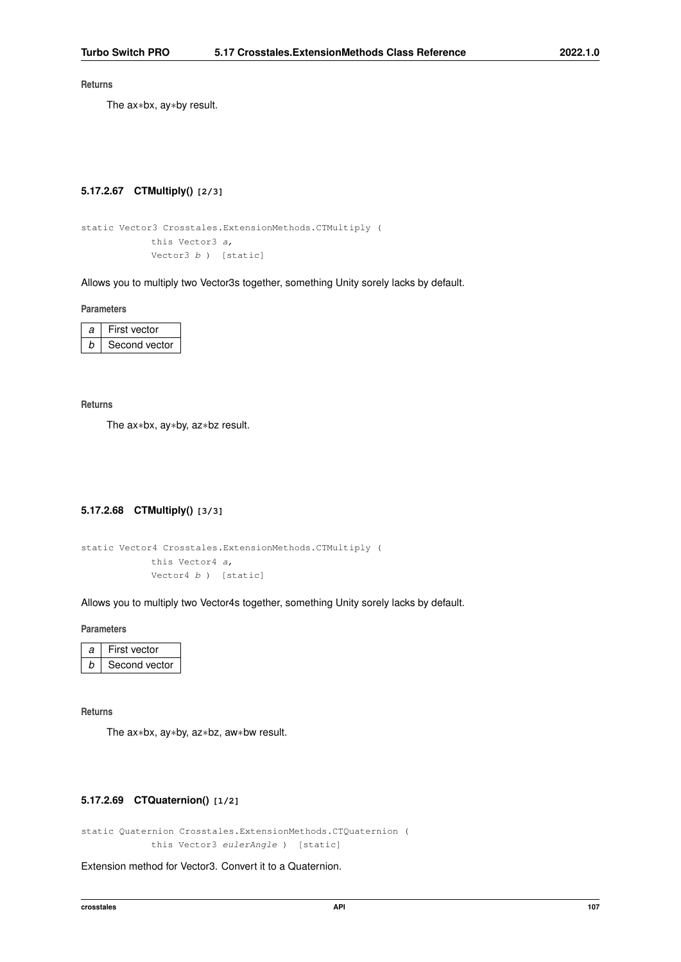The ax∗bx, ay∗by result.

# **5.17.2.67 CTMultiply() [2/3]**

```
static Vector3 Crosstales.ExtensionMethods.CTMultiply (
   this Vector3 a,
   Vector3 b ) [static]
```
Allows you to multiply two Vector3s together, something Unity sorely lacks by default.

**Parameters**

| я | First vector  |
|---|---------------|
|   | Second vector |

**Returns**

The ax∗bx, ay∗by, az∗bz result.

# **5.17.2.68 CTMultiply() [3/3]**

```
static Vector4 Crosstales.ExtensionMethods.CTMultiply (
   this Vector4 a,
   Vector4 b ) [static]
```
Allows you to multiply two Vector4s together, something Unity sorely lacks by default.

**Parameters**

| First vector  |
|---------------|
| Second vector |

**Returns**

The ax∗bx, ay∗by, az∗bz, aw∗bw result.

# **5.17.2.69 CTQuaternion() [1/2]**

static Quaternion Crosstales.ExtensionMethods.CTQuaternion ( this Vector3 eulerAngle ) [static]

Extension method for Vector3. Convert it to a Quaternion.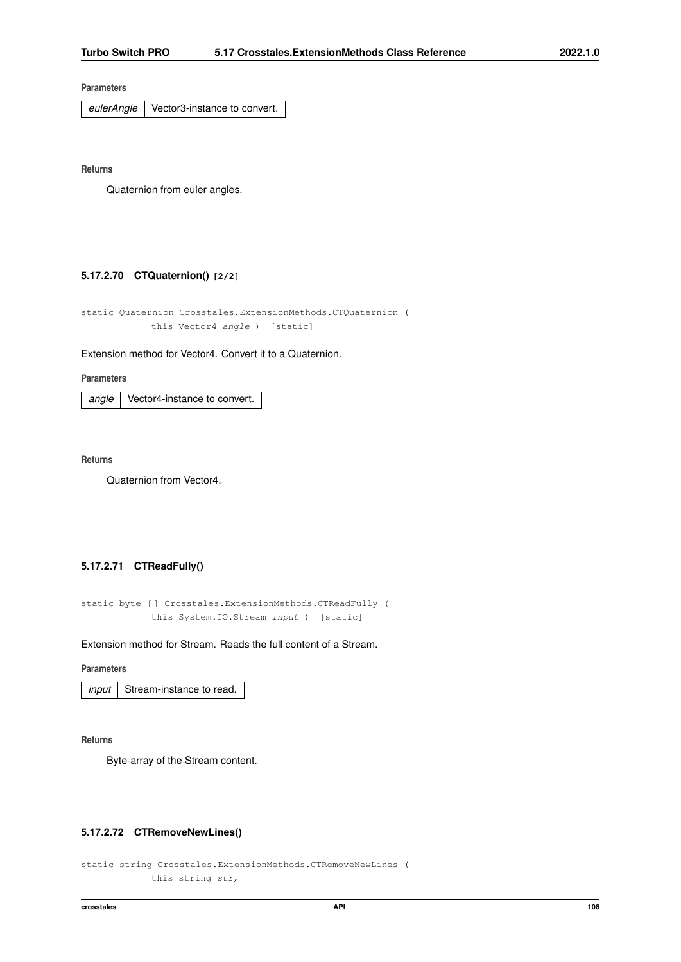*eulerAngle* Vector3-instance to convert.

**Returns**

Quaternion from euler angles.

# **5.17.2.70 CTQuaternion() [2/2]**

static Quaternion Crosstales.ExtensionMethods.CTQuaternion ( this Vector4 angle ) [static]

Extension method for Vector4. Convert it to a Quaternion.

#### **Parameters**

*angle* Vector4-instance to convert.

**Returns**

Quaternion from Vector4.

# **5.17.2.71 CTReadFully()**

static byte [ ] Crosstales.ExtensionMethods.CTReadFully ( this System.IO.Stream input ) [static]

Extension method for Stream. Reads the full content of a Stream.

## **Parameters**

*input* | Stream-instance to read.

**Returns**

Byte-array of the Stream content.

### **5.17.2.72 CTRemoveNewLines()**

```
static string Crosstales.ExtensionMethods.CTRemoveNewLines (
   this string str,
```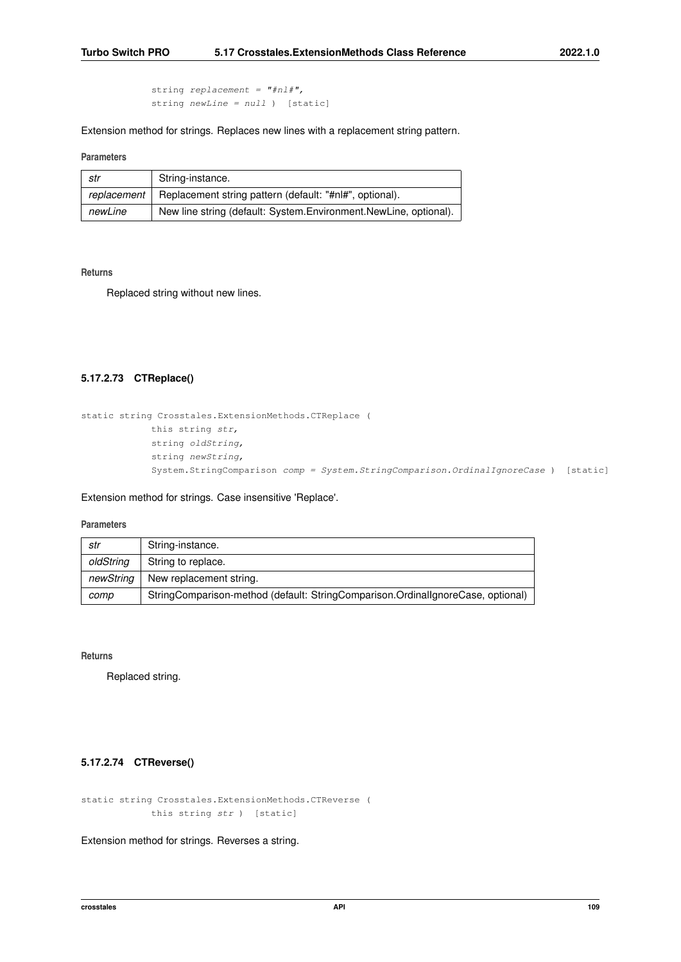string replacement =  $"#nl#",$ string newLine = null ) [static]

Extension method for strings. Replaces new lines with a replacement string pattern.

## **Parameters**

| str         | String-instance.                                                 |  |
|-------------|------------------------------------------------------------------|--|
| replacement | Replacement string pattern (default: "#nl#", optional).          |  |
| newLine     | New line string (default: System.Environment.NewLine, optional). |  |

#### **Returns**

Replaced string without new lines.

### **5.17.2.73 CTReplace()**

```
static string Crosstales.ExtensionMethods.CTReplace (
   this string str,
   string oldString,
   string newString,
   System.StringComparison comp = System.StringComparison.OrdinalIgnoreCase ) [static]
```
## Extension method for strings. Case insensitive 'Replace'.

# **Parameters**

| str       | String-instance.                                                                |  |
|-----------|---------------------------------------------------------------------------------|--|
| oldString | String to replace.                                                              |  |
| newStrina | New replacement string.                                                         |  |
| comp      | StringComparison-method (default: StringComparison.OrdinalIgnoreCase, optional) |  |

**Returns**

Replaced string.

# **5.17.2.74 CTReverse()**

static string Crosstales.ExtensionMethods.CTReverse ( this string str ) [static]

Extension method for strings. Reverses a string.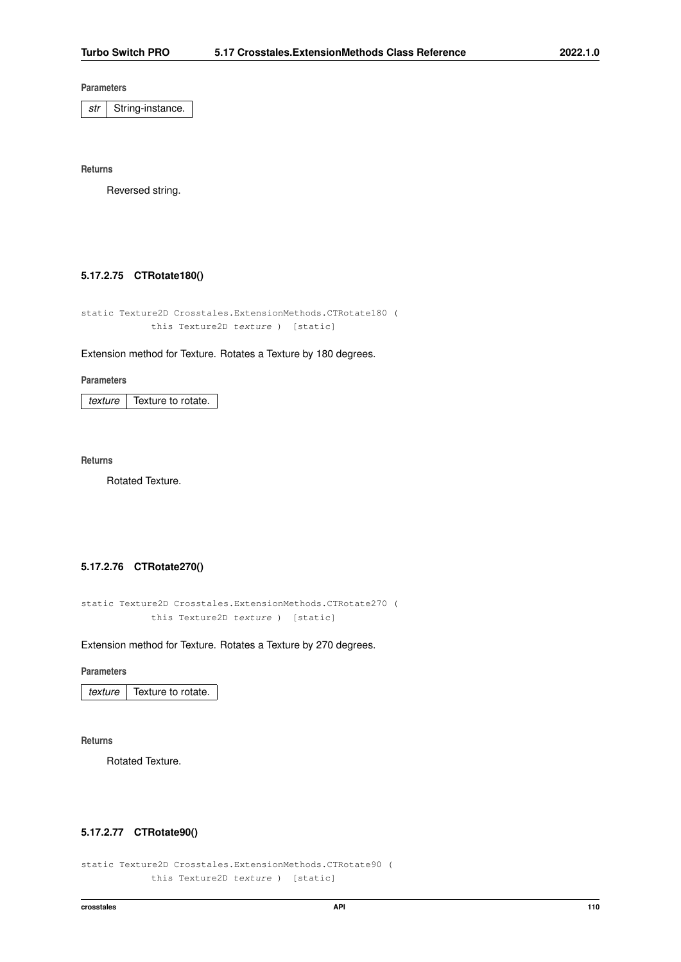*str* | String-instance.

**Returns**

Reversed string.

# **5.17.2.75 CTRotate180()**

static Texture2D Crosstales.ExtensionMethods.CTRotate180 ( this Texture2D texture ) [static]

### Extension method for Texture. Rotates a Texture by 180 degrees.

**Parameters**

*texture* | Texture to rotate.

**Returns**

Rotated Texture.

### **5.17.2.76 CTRotate270()**

static Texture2D Crosstales.ExtensionMethods.CTRotate270 ( this Texture2D texture ) [static]

Extension method for Texture. Rotates a Texture by 270 degrees.

### **Parameters**

*texture* Texture to rotate.

**Returns**

Rotated Texture.

# **5.17.2.77 CTRotate90()**

```
static Texture2D Crosstales.ExtensionMethods.CTRotate90 (
   this Texture2D texture ) [static]
```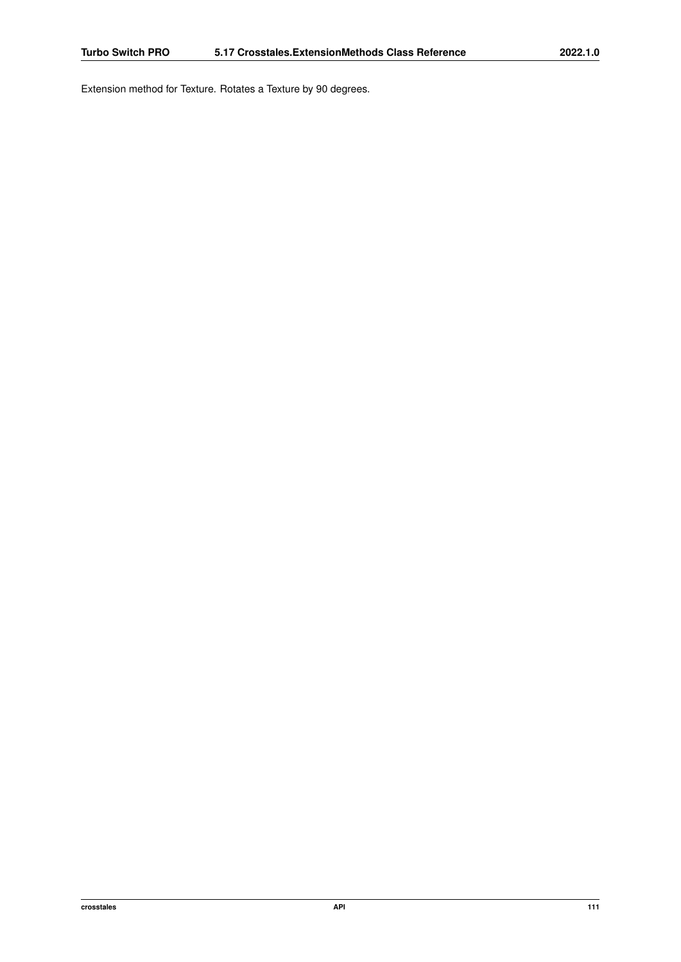Extension method for Texture. Rotates a Texture by 90 degrees.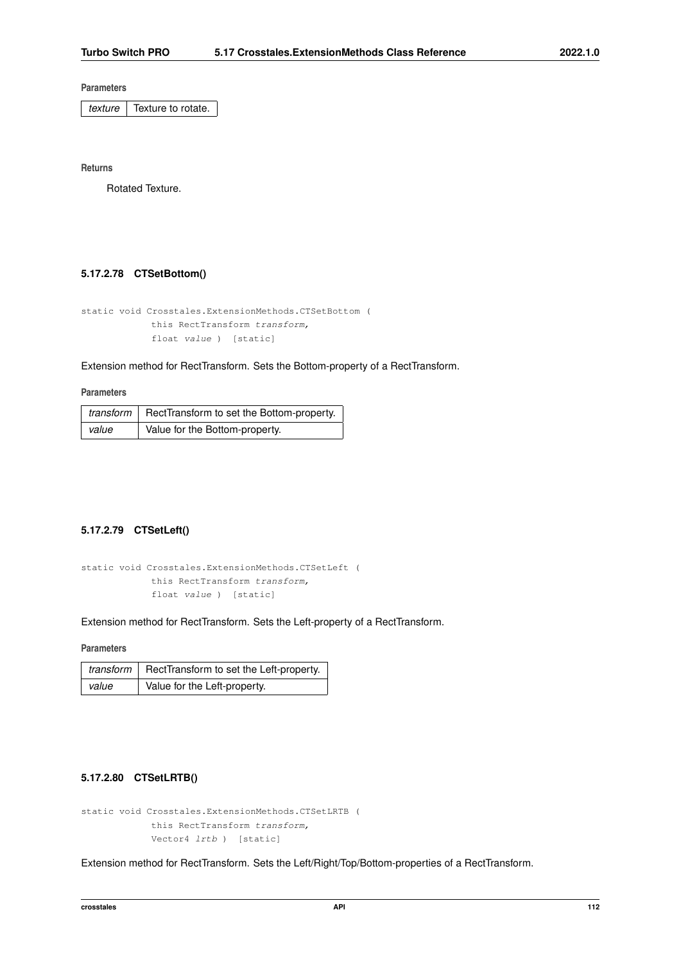*texture* Texture to rotate.

**Returns**

Rotated Texture.

# **5.17.2.78 CTSetBottom()**

```
static void Crosstales.ExtensionMethods.CTSetBottom (
   this RectTransform transform,
   float value ) [static]
```
Extension method for RectTransform. Sets the Bottom-property of a RectTransform.

#### **Parameters**

|       | transform   RectTransform to set the Bottom-property. |
|-------|-------------------------------------------------------|
| value | Value for the Bottom-property.                        |

# **5.17.2.79 CTSetLeft()**

```
static void Crosstales.ExtensionMethods.CTSetLeft (
   this RectTransform transform,
   float value ) [static]
```
Extension method for RectTransform. Sets the Left-property of a RectTransform.

# **Parameters**

|       | $transform$ RectTransform to set the Left-property. |
|-------|-----------------------------------------------------|
| value | Value for the Left-property.                        |

# **5.17.2.80 CTSetLRTB()**

```
static void Crosstales.ExtensionMethods.CTSetLRTB (
   this RectTransform transform,
   Vector4 lrtb ) [static]
```
Extension method for RectTransform. Sets the Left/Right/Top/Bottom-properties of a RectTransform.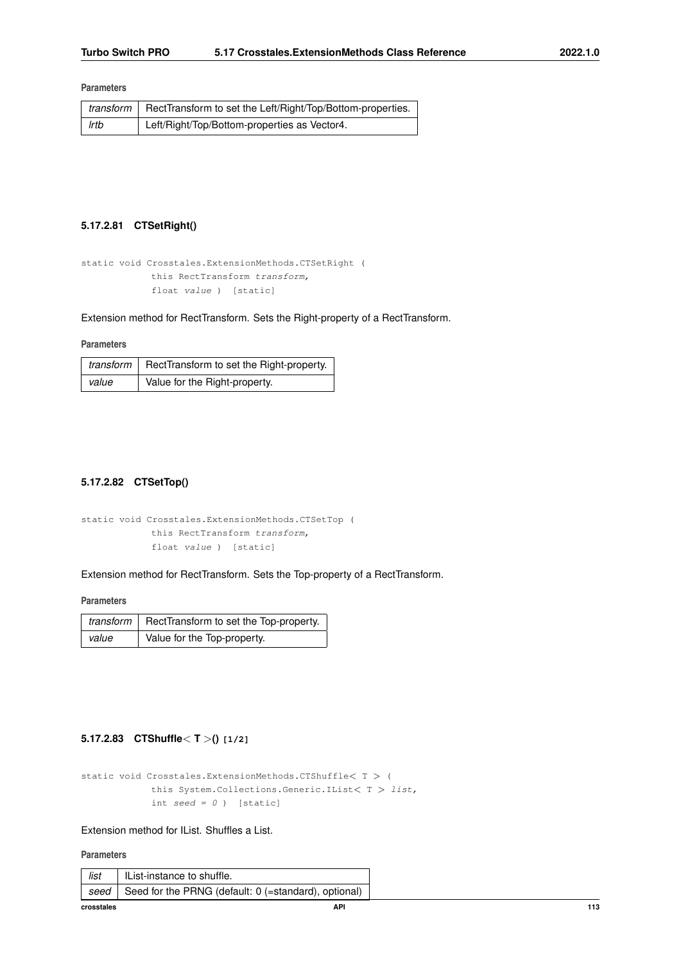|      | $transform$ RectTransform to set the Left/Right/Top/Bottom-properties. |
|------|------------------------------------------------------------------------|
| Irtb | Left/Right/Top/Bottom-properties as Vector4.                           |

# **5.17.2.81 CTSetRight()**

```
static void Crosstales.ExtensionMethods.CTSetRight (
   this RectTransform transform,
   float value ) [static]
```
Extension method for RectTransform. Sets the Right-property of a RectTransform.

# **Parameters**

|       | transform $ $ RectTransform to set the Right-property. |  |
|-------|--------------------------------------------------------|--|
| value | Value for the Right-property.                          |  |

# **5.17.2.82 CTSetTop()**

```
static void Crosstales.ExtensionMethods.CTSetTop (
   this RectTransform transform,
   float value ) [static]
```
Extension method for RectTransform. Sets the Top-property of a RectTransform.

**Parameters**

|                                      | transform   RectTransform to set the Top-property. |  |
|--------------------------------------|----------------------------------------------------|--|
| Value for the Top-property.<br>value |                                                    |  |

# **5.17.2.83 CTShuffle**< **T** >**() [1/2]**

```
static void Crosstales.ExtensionMethods.CTShuffle< T > (
   this System.Collections.Generic.IList< T > list,
   int seed = 0 ) [static]
```
### Extension method for IList. Shuffles a List.

**Parameters**

| crosstales | API                                                  | 113 |
|------------|------------------------------------------------------|-----|
| seed       | Seed for the PRNG (default: 0 (=standard), optional) |     |
| list       | IList-instance to shuffle.                           |     |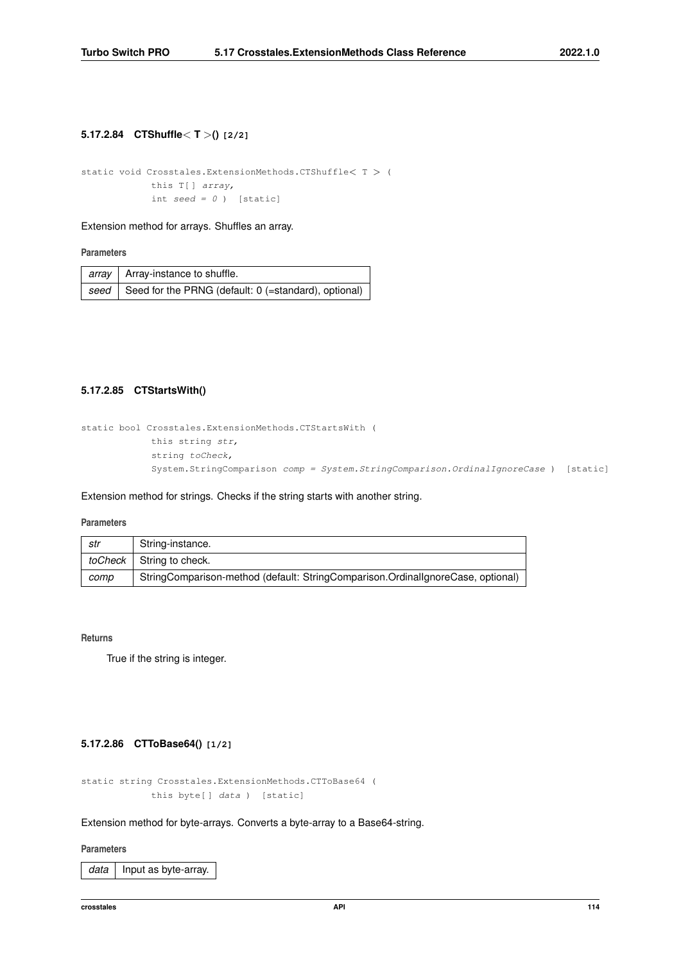# **5.17.2.84 CTShuffle**< **T** >**() [2/2]**

```
static void Crosstales.ExtensionMethods.CTShuffle< T > (
   this T[] array,
   int seed = 0 ) [static]
```
Extension method for arrays. Shuffles an array.

#### **Parameters**

| array   Array-instance to shuffle.                                             |  |
|--------------------------------------------------------------------------------|--|
| $\mid$ seed $\mid$ Seed for the PRNG (default: 0 (=standard), optional) $\mid$ |  |

# **5.17.2.85 CTStartsWith()**

```
static bool Crosstales.ExtensionMethods.CTStartsWith (
   this string str,
   string toCheck,
   System.StringComparison comp = System.StringComparison.OrdinalIgnoreCase ) [static]
```
### Extension method for strings. Checks if the string starts with another string.

### **Parameters**

| str     | String-instance.                                                                |
|---------|---------------------------------------------------------------------------------|
| toCheck | String to check.                                                                |
| comp    | StringComparison-method (default: StringComparison.OrdinallgnoreCase, optional) |

### **Returns**

True if the string is integer.

# **5.17.2.86 CTToBase64() [1/2]**

static string Crosstales.ExtensionMethods.CTToBase64 ( this byte[ ] data ) [static]

## Extension method for byte-arrays. Converts a byte-array to a Base64-string.

### **Parameters**

data | Input as byte-array.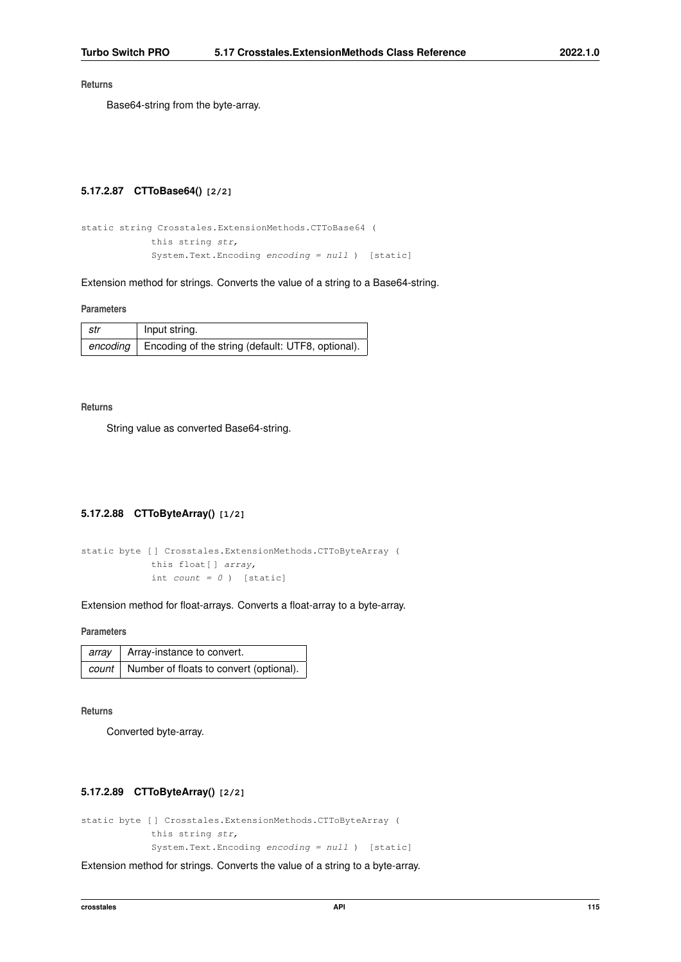Base64-string from the byte-array.

# **5.17.2.87 CTToBase64() [2/2]**

```
static string Crosstales.ExtensionMethods.CTToBase64 (
   this string str,
   System.Text.Encoding encoding = null ) [static]
```
Extension method for strings. Converts the value of a string to a Base64-string.

### **Parameters**

| str | Input string.                                                |
|-----|--------------------------------------------------------------|
|     | encoding   Encoding of the string (default: UTF8, optional). |

#### **Returns**

String value as converted Base64-string.

# **5.17.2.88 CTToByteArray() [1/2]**

```
static byte [ ] Crosstales.ExtensionMethods.CTToByteArray (
   this float[ ] array,
   int count = 0 ) [static]
```
Extension method for float-arrays. Converts a float-array to a byte-array.

### **Parameters**

| array   Array-instance to convert.                     |
|--------------------------------------------------------|
| <i>count</i>   Number of floats to convert (optional). |

#### **Returns**

Converted byte-array.

# **5.17.2.89 CTToByteArray() [2/2]**

```
static byte [ ] Crosstales.ExtensionMethods.CTToByteArray (
   this string str,
   System.Text.Encoding encoding = null ) [static]
```
Extension method for strings. Converts the value of a string to a byte-array.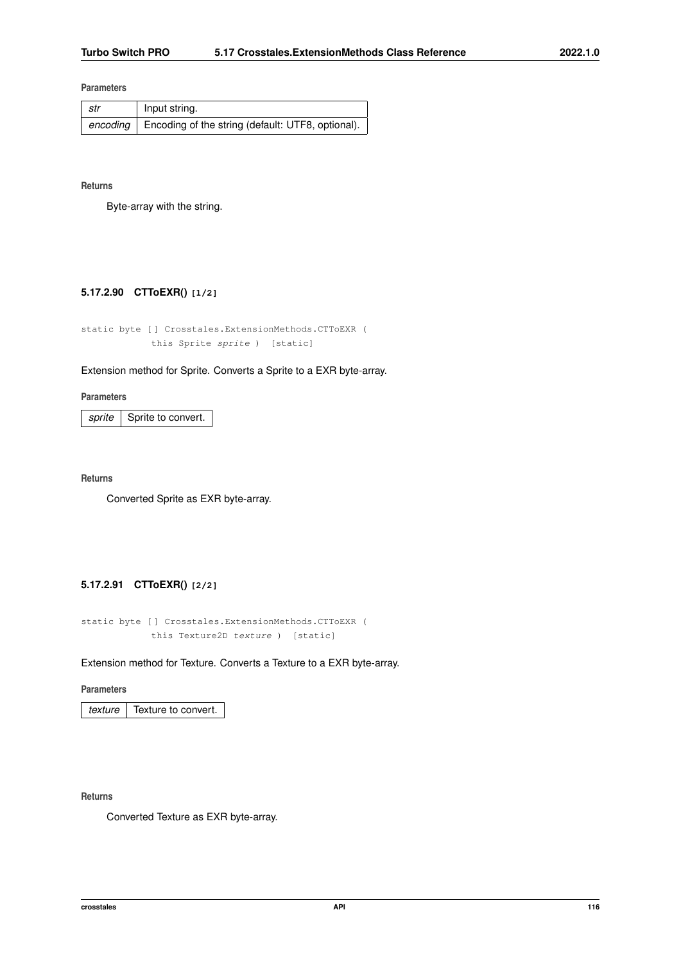| str | Input string.                                                |
|-----|--------------------------------------------------------------|
|     | encoding   Encoding of the string (default: UTF8, optional). |

### **Returns**

Byte-array with the string.

### **5.17.2.90 CTToEXR() [1/2]**

static byte [ ] Crosstales.ExtensionMethods.CTToEXR ( this Sprite sprite ) [static]

# Extension method for Sprite. Converts a Sprite to a EXR byte-array.

### **Parameters**

sprite | Sprite to convert.

**Returns**

Converted Sprite as EXR byte-array.

# **5.17.2.91 CTToEXR() [2/2]**

static byte [ ] Crosstales.ExtensionMethods.CTToEXR ( this Texture2D texture ) [static]

### Extension method for Texture. Converts a Texture to a EXR byte-array.

**Parameters**

*texture* Texture to convert.

# **Returns**

Converted Texture as EXR byte-array.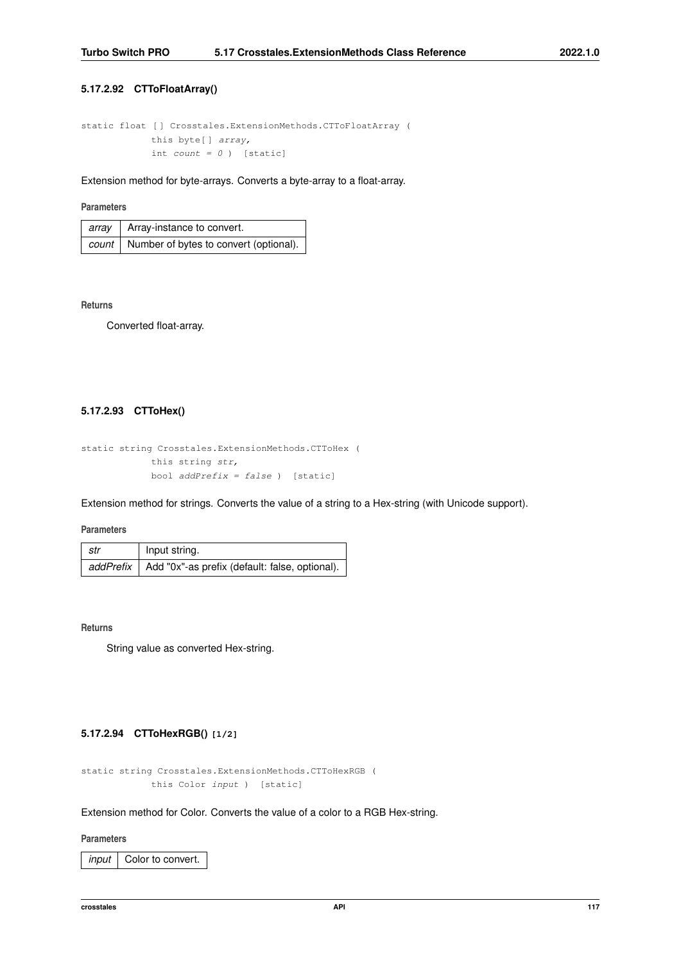## **5.17.2.92 CTToFloatArray()**

```
static float [ ] Crosstales.ExtensionMethods.CTToFloatArray (
   this byte[] array,
   int count = 0 ) [static]
```
Extension method for byte-arrays. Converts a byte-array to a float-array.

# **Parameters**

| array   Array-instance to convert.             |
|------------------------------------------------|
| count   Number of bytes to convert (optional). |

#### **Returns**

Converted float-array.

# **5.17.2.93 CTToHex()**

```
static string Crosstales.ExtensionMethods.CTToHex (
   this string str,
   bool addPrefix = false ) [static]
```
Extension method for strings. Converts the value of a string to a Hex-string (with Unicode support).

#### **Parameters**

| ∣ str | Input string.                                              |
|-------|------------------------------------------------------------|
|       | addPrefix   Add "0x"-as prefix (default: false, optional). |

### **Returns**

String value as converted Hex-string.

# **5.17.2.94 CTToHexRGB() [1/2]**

```
static string Crosstales.ExtensionMethods.CTToHexRGB (
   this Color input ) [static]
```
# Extension method for Color. Converts the value of a color to a RGB Hex-string.

## **Parameters**

*input* Color to convert.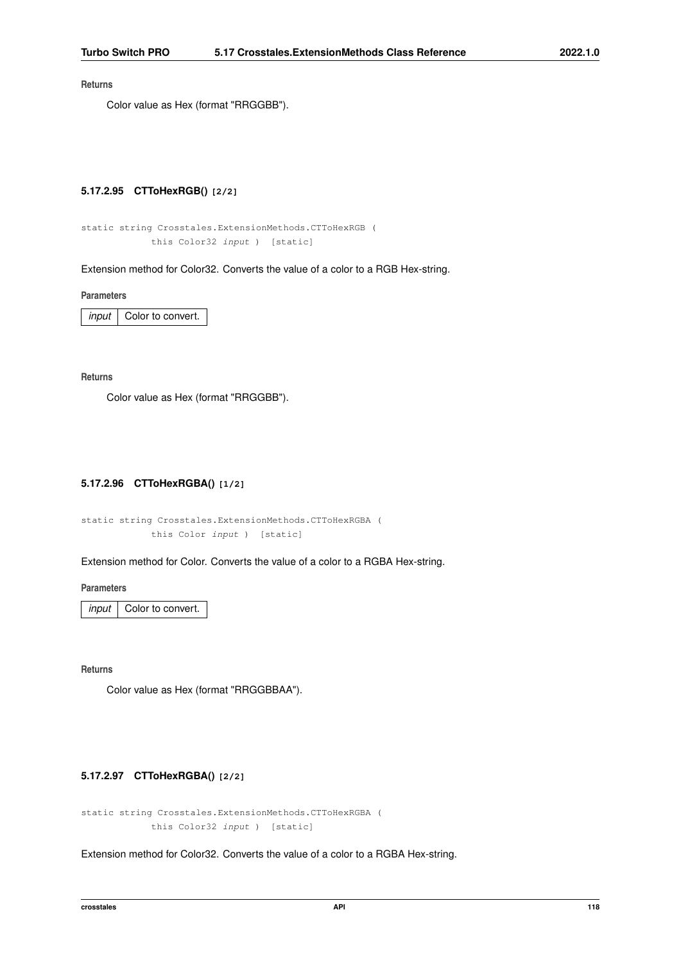Color value as Hex (format "RRGGBB").

### **5.17.2.95 CTToHexRGB() [2/2]**

```
static string Crosstales.ExtensionMethods.CTToHexRGB (
   this Color32 input ) [static]
```
Extension method for Color32. Converts the value of a color to a RGB Hex-string.

**Parameters**

*input* | Color to convert.

**Returns**

Color value as Hex (format "RRGGBB").

# **5.17.2.96 CTToHexRGBA() [1/2]**

```
static string Crosstales.ExtensionMethods.CTToHexRGBA (
   this Color input ) [static]
```
Extension method for Color. Converts the value of a color to a RGBA Hex-string.

**Parameters**

*input* | Color to convert.

**Returns**

Color value as Hex (format "RRGGBBAA").

# **5.17.2.97 CTToHexRGBA() [2/2]**

```
static string Crosstales.ExtensionMethods.CTToHexRGBA (
   this Color32 input ) [static]
```
Extension method for Color32. Converts the value of a color to a RGBA Hex-string.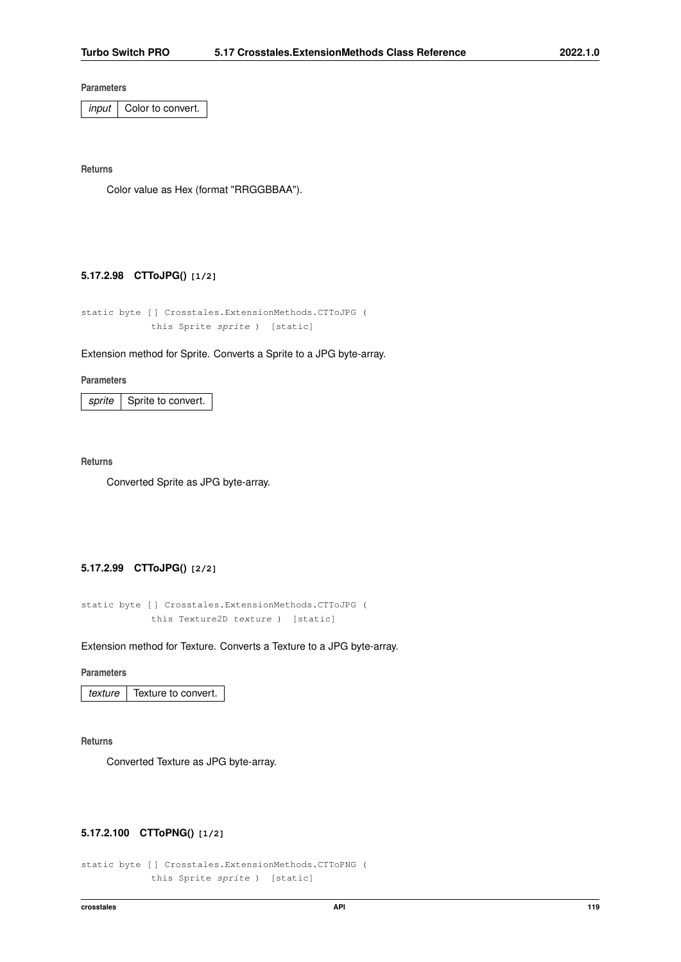*input* | Color to convert.

**Returns**

Color value as Hex (format "RRGGBBAA").

### **5.17.2.98 CTToJPG() [1/2]**

```
static byte [ ] Crosstales.ExtensionMethods.CTToJPG (
   this Sprite sprite ) [static]
```
### Extension method for Sprite. Converts a Sprite to a JPG byte-array.

#### **Parameters**

*sprite* | Sprite to convert.

#### **Returns**

Converted Sprite as JPG byte-array.

# **5.17.2.99 CTToJPG() [2/2]**

```
static byte [ ] Crosstales.ExtensionMethods.CTToJPG (
   this Texture2D texture ) [static]
```
### Extension method for Texture. Converts a Texture to a JPG byte-array.

#### **Parameters**

*texture* Texture to convert.

### **Returns**

Converted Texture as JPG byte-array.

## **5.17.2.100 CTToPNG() [1/2]**

```
static byte [ ] Crosstales.ExtensionMethods.CTToPNG (
   this Sprite sprite ) [static]
```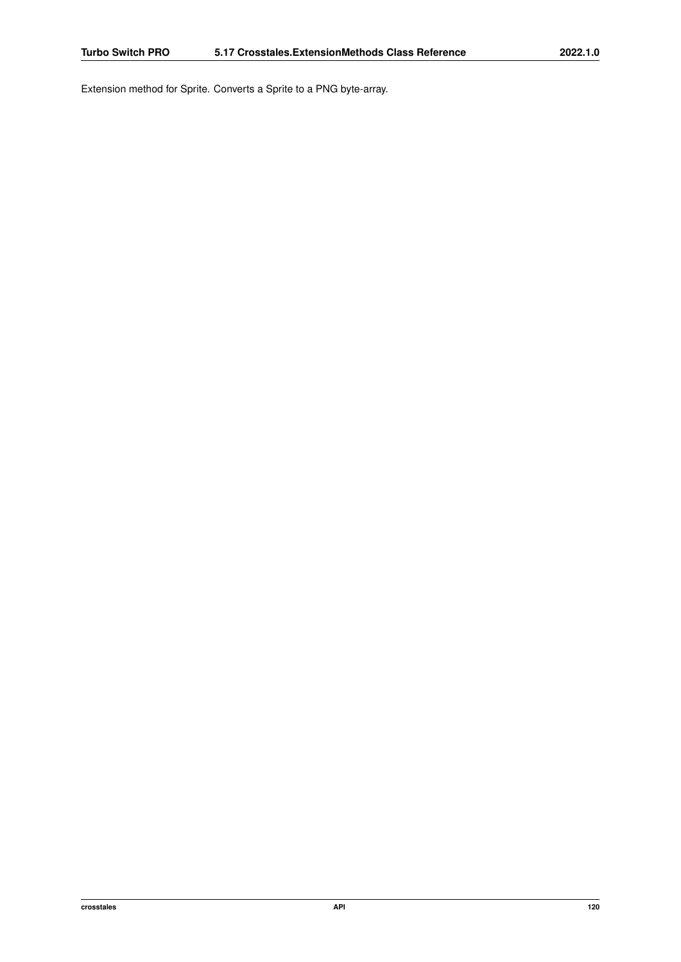Extension method for Sprite. Converts a Sprite to a PNG byte-array.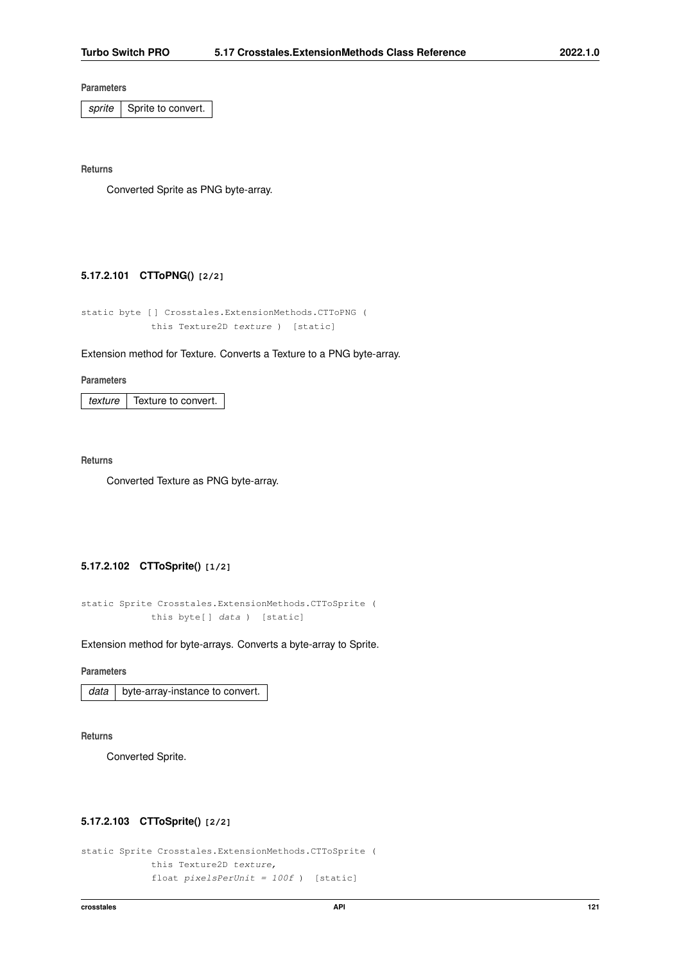sprite Sprite to convert.

**Returns**

Converted Sprite as PNG byte-array.

# **5.17.2.101 CTToPNG() [2/2]**

```
static byte [ ] Crosstales.ExtensionMethods.CTToPNG (
   this Texture2D texture ) [static]
```
### Extension method for Texture. Converts a Texture to a PNG byte-array.

**Parameters**

*texture* | Texture to convert.

**Returns**

Converted Texture as PNG byte-array.

# **5.17.2.102 CTToSprite() [1/2]**

```
static Sprite Crosstales.ExtensionMethods.CTToSprite (
   this byte[] data ) [static]
```
Extension method for byte-arrays. Converts a byte-array to Sprite.

## **Parameters**

|  | $data$   byte-array-instance to convert. |
|--|------------------------------------------|
|--|------------------------------------------|

**Returns**

Converted Sprite.

## **5.17.2.103 CTToSprite() [2/2]**

```
static Sprite Crosstales.ExtensionMethods.CTToSprite (
   this Texture2D texture,
    float pixelsPerUnit = 100f ) [static]
```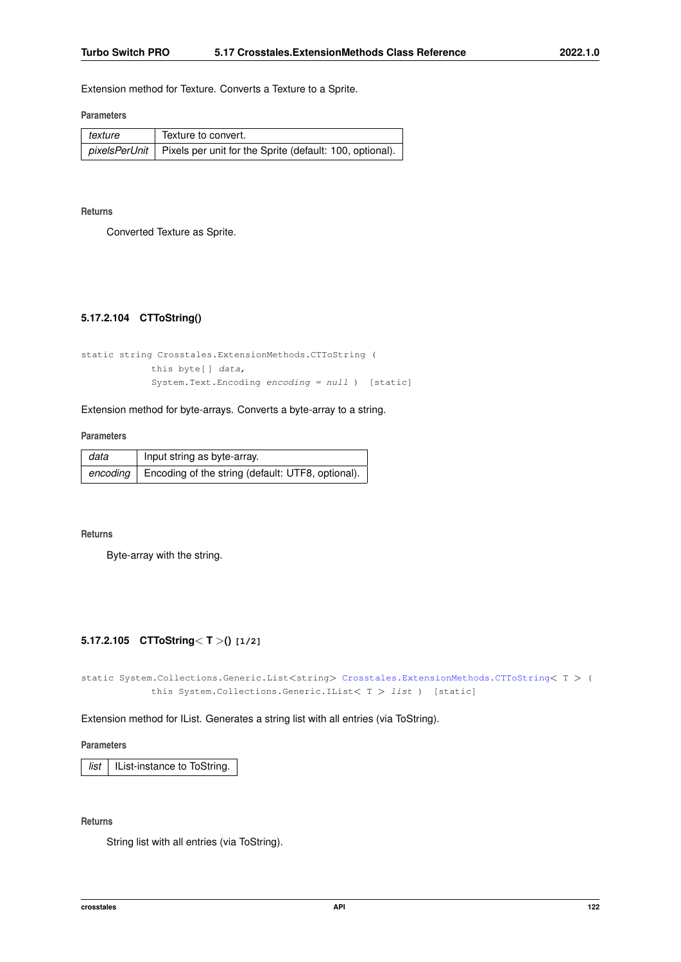Extension method for Texture. Converts a Texture to a Sprite.

#### **Parameters**

| texture | Texture to convert.                                                             |
|---------|---------------------------------------------------------------------------------|
|         | <i>pixelsPerUnit</i>   Pixels per unit for the Sprite (default: 100, optional). |

**Returns**

<span id="page-134-0"></span>Converted Texture as Sprite.

# **5.17.2.104 CTToString()**

```
static string Crosstales.ExtensionMethods.CTToString (
   this byte[ ] data,
   System.Text.Encoding encoding = null ) [static]
```
Extension method for byte-arrays. Converts a byte-array to a string.

### **Parameters**

| data     | Input string as byte-array.                       |
|----------|---------------------------------------------------|
| encoding | Encoding of the string (default: UTF8, optional). |

### **Returns**

Byte-array with the string.

### **5.17.2.105 CTToString**< **T** >**() [1/2]**

static System.Collections.Generic.List<string> [Crosstales.ExtensionMethods.CTToString](#page-134-0)< T > ( this System.Collections.Generic.IList< T > list ) [static]

# Extension method for IList. Generates a string list with all entries (via ToString).

**Parameters**

*list* | IList-instance to ToString.

# **Returns**

String list with all entries (via ToString).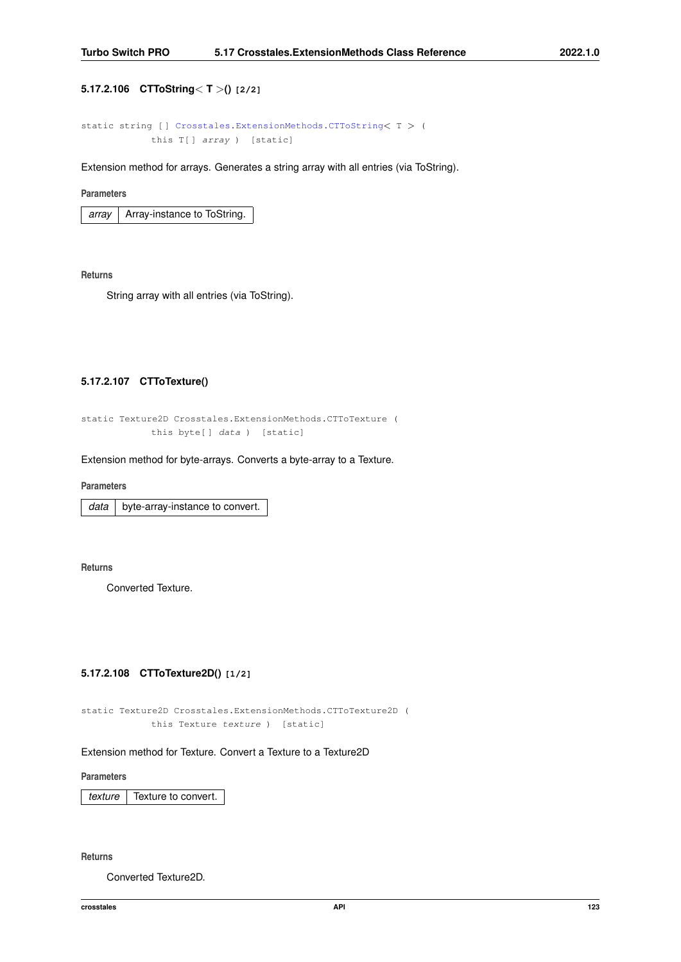# **5.17.2.106 CTToString**< **T** >**() [2/2]**

```
Crosstales.ExtensionMethods.CTToString< T > (
this T[] array ) [static]
```
Extension method for arrays. Generates a string array with all entries (via ToString).

### **Parameters**

| arrav | Array-instance to ToString. |
|-------|-----------------------------|
|-------|-----------------------------|

**Returns**

String array with all entries (via ToString).

# **5.17.2.107 CTToTexture()**

```
static Texture2D Crosstales.ExtensionMethods.CTToTexture (
   this byte[ ] data ) [static]
```
Extension method for byte-arrays. Converts a byte-array to a Texture.

**Parameters**

*data* | byte-array-instance to convert.

**Returns**

Converted Texture.

# **5.17.2.108 CTToTexture2D() [1/2]**

```
static Texture2D Crosstales.ExtensionMethods.CTToTexture2D (
   this Texture texture ) [static]
```
### Extension method for Texture. Convert a Texture to a Texture2D

**Parameters**

*texture* Texture to convert.

**Returns**

Converted Texture2D.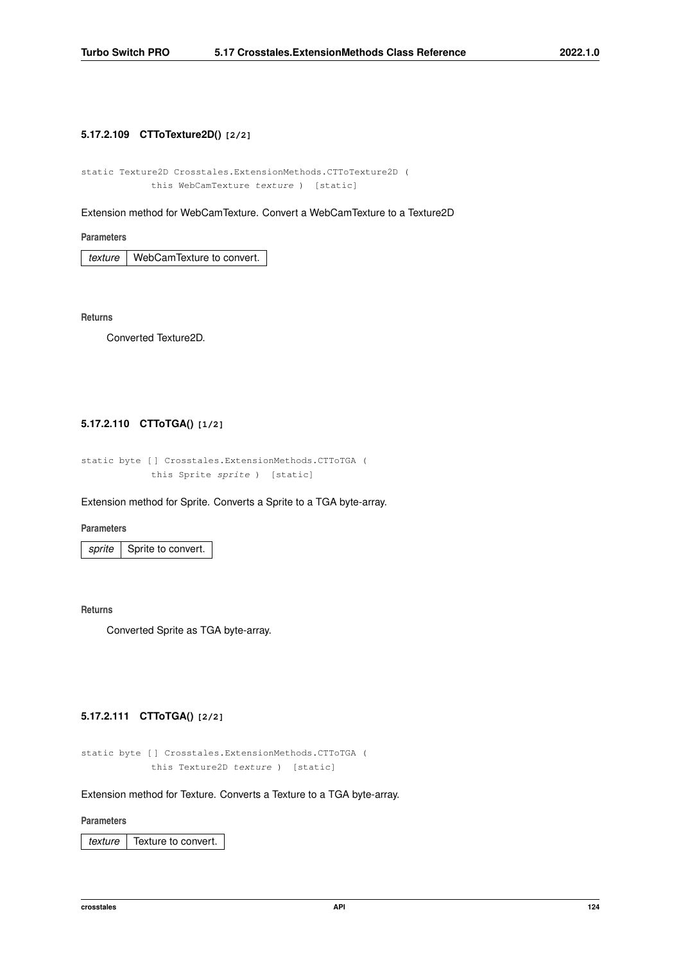# **5.17.2.109 CTToTexture2D() [2/2]**

static Texture2D Crosstales.ExtensionMethods.CTToTexture2D ( this WebCamTexture texture ) [static]

Extension method for WebCamTexture. Convert a WebCamTexture to a Texture2D

**Parameters**

*texture* | WebCamTexture to convert.

**Returns**

Converted Texture2D.

# **5.17.2.110 CTToTGA() [1/2]**

static byte [ ] Crosstales.ExtensionMethods.CTToTGA ( this Sprite sprite ) [static]

### Extension method for Sprite. Converts a Sprite to a TGA byte-array.

**Parameters**

sprite Sprite to convert.

**Returns**

Converted Sprite as TGA byte-array.

# **5.17.2.111 CTToTGA() [2/2]**

static byte [ ] Crosstales.ExtensionMethods.CTToTGA ( this Texture2D texture ) [static]

Extension method for Texture. Converts a Texture to a TGA byte-array.

#### **Parameters**

*texture* Texture to convert.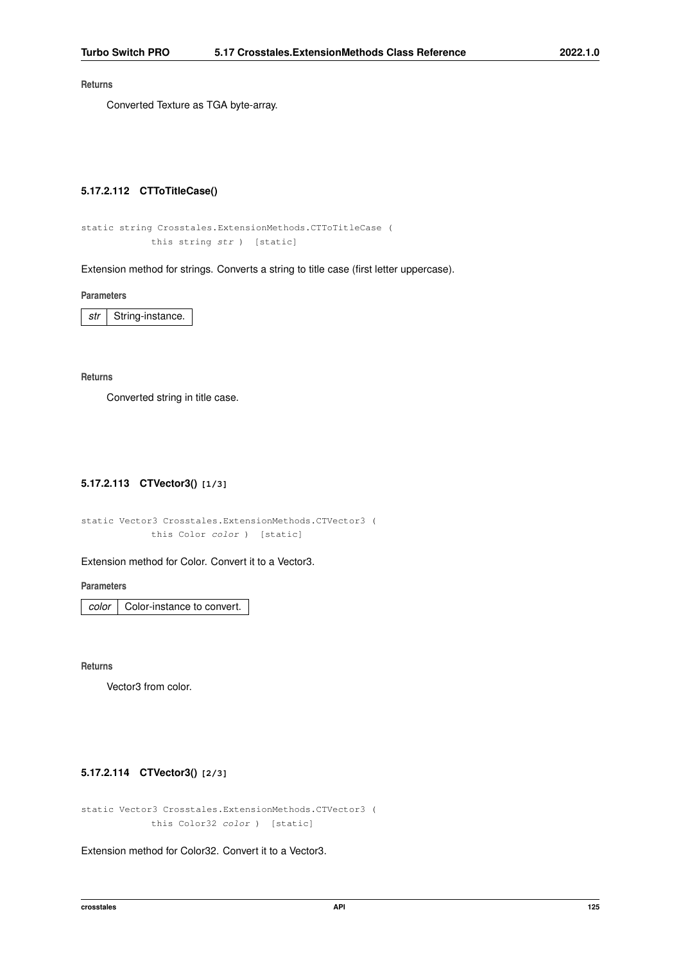Converted Texture as TGA byte-array.

## **5.17.2.112 CTToTitleCase()**

```
static string Crosstales.ExtensionMethods.CTToTitleCase (
   this string str ) [static]
```
Extension method for strings. Converts a string to title case (first letter uppercase).

**Parameters**

*str* | String-instance.

**Returns**

Converted string in title case.

# **5.17.2.113 CTVector3() [1/3]**

static Vector3 Crosstales.ExtensionMethods.CTVector3 ( this Color color ) [static]

### Extension method for Color. Convert it to a Vector3.

**Parameters**

*color* | Color-instance to convert.

**Returns**

Vector3 from color.

# **5.17.2.114 CTVector3() [2/3]**

static Vector3 Crosstales.ExtensionMethods.CTVector3 ( this Color32 color ) [static]

Extension method for Color32. Convert it to a Vector3.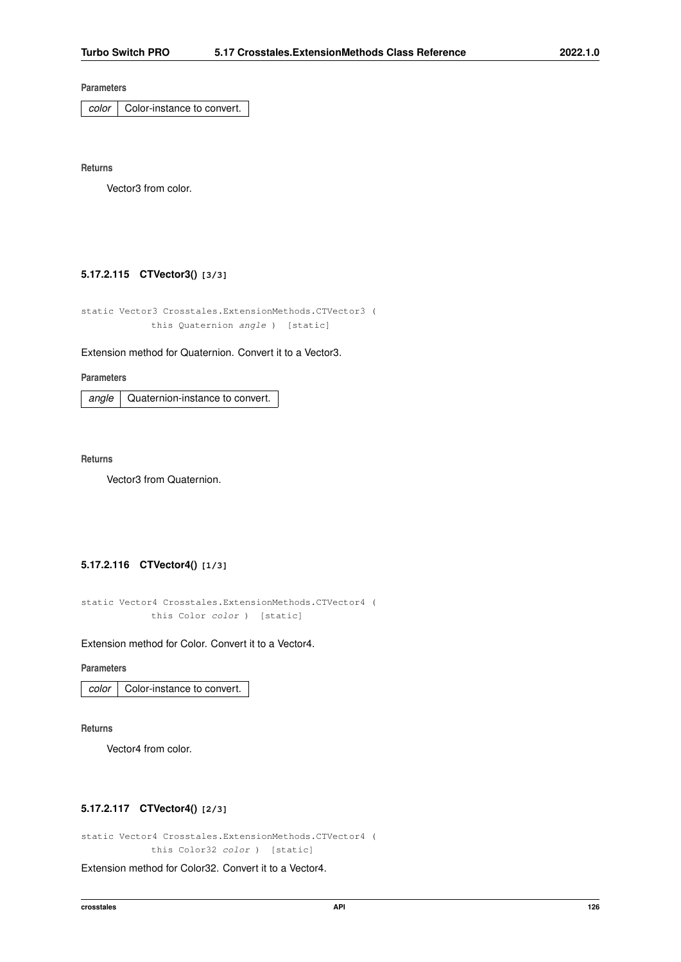*color* | Color-instance to convert.

**Returns**

Vector3 from color.

# **5.17.2.115 CTVector3() [3/3]**

static Vector3 Crosstales.ExtensionMethods.CTVector3 ( this Quaternion angle ) [static]

Extension method for Quaternion. Convert it to a Vector3.

**Parameters**

angle | Quaternion-instance to convert.

**Returns**

Vector3 from Quaternion.

# **5.17.2.116 CTVector4() [1/3]**

static Vector4 Crosstales.ExtensionMethods.CTVector4 ( this Color color ) [static]

Extension method for Color. Convert it to a Vector4.

### **Parameters**

*color* | Color-instance to convert.

**Returns**

Vector4 from color.

# **5.17.2.117 CTVector4() [2/3]**

static Vector4 Crosstales.ExtensionMethods.CTVector4 ( this Color32 color ) [static]

Extension method for Color32. Convert it to a Vector4.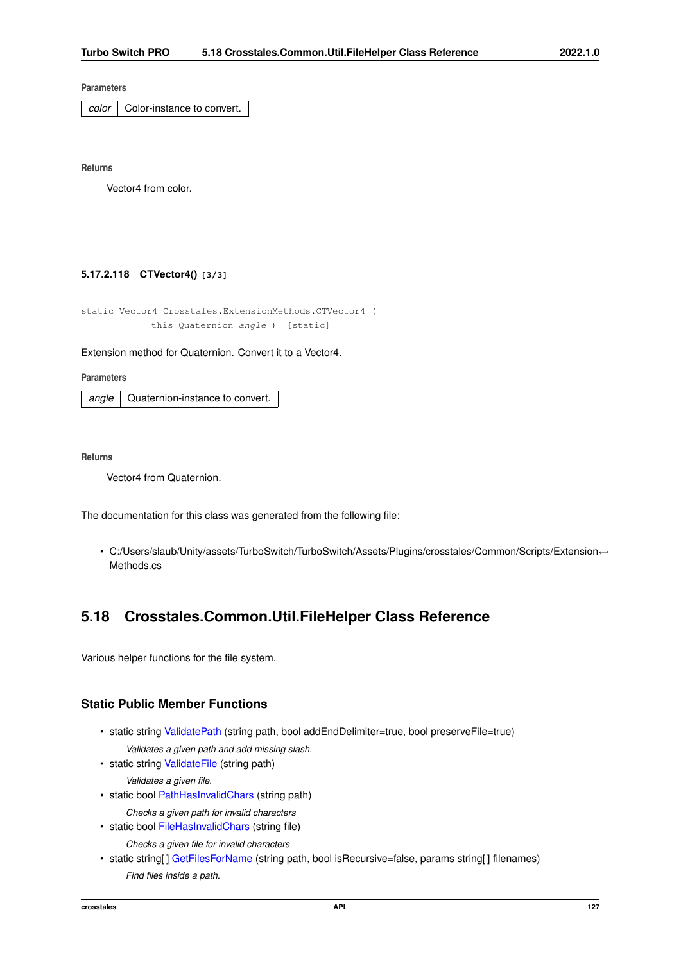*color* | Color-instance to convert.

**Returns**

Vector4 from color.

# **5.17.2.118 CTVector4() [3/3]**

```
static Vector4 Crosstales.ExtensionMethods.CTVector4 (
   this Quaternion angle ) [static]
```
Extension method for Quaternion. Convert it to a Vector4.

**Parameters**

*angle* | Quaternion-instance to convert.

**Returns**

Vector4 from Quaternion.

The documentation for this class was generated from the following file:

• C:/Users/slaub/Unity/assets/TurboSwitch/TurboSwitch/Assets/Plugins/crosstales/Common/Scripts/Extension←- Methods.cs

# **5.18 Crosstales.Common.Util.FileHelper Class Reference**

Various helper functions for the file system.

# **Static Public Member Functions**

- static string [ValidatePath](#page-144-0) (string path, bool addEndDelimiter=true, bool preserveFile=true) *Validates a given path and add missing slash.*
- static string [ValidateFile](#page-144-1) (string path)
	- *Validates a given file.*
- static bool [PathHasInvalidChars](#page-143-0) (string path)
	- *Checks a given path for invalid characters*
- static bool [FileHasInvalidChars](#page-141-0) (string file) *Checks a given file for invalid characters*
- static string[] [GetFilesForName](#page-142-0) (string path, bool isRecursive=false, params string[] filenames) *Find files inside a path.*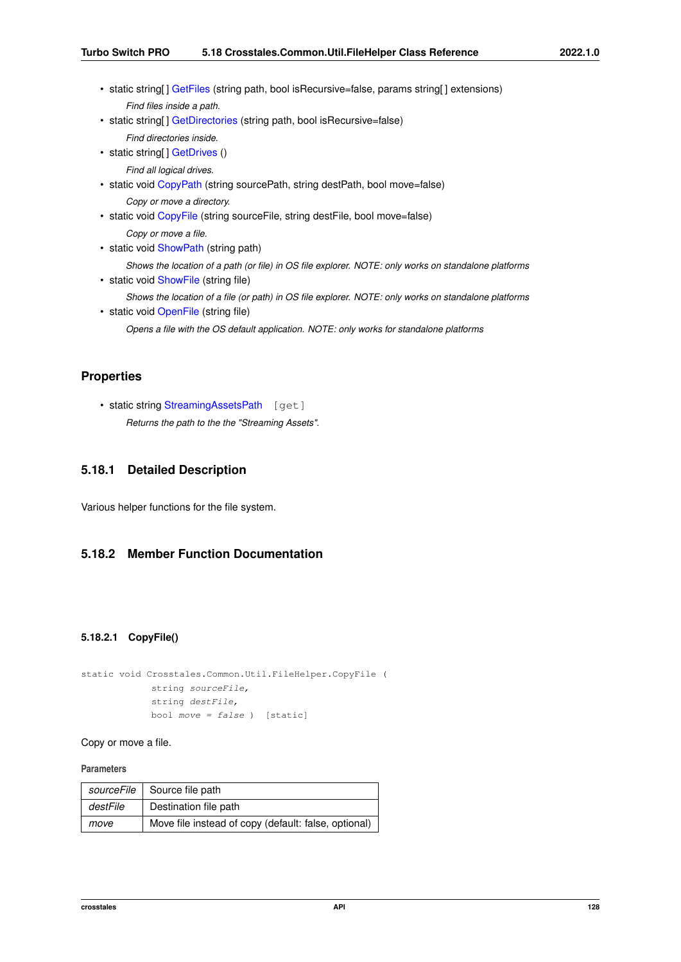- static string[] [GetFiles](#page-142-1) (string path, bool isRecursive=false, params string[] extensions) *Find files inside a path.*
- static string[] [GetDirectories](#page-141-1) (string path, bool isRecursive=false)

```
Find directories inside.
```
• static string[] [GetDrives](#page-142-2) ()

*Find all logical drives.*

- static void [CopyPath](#page-140-0) (string sourcePath, string destPath, bool move=false) *Copy or move a directory.*
- static void [CopyFile](#page-140-1) (string sourceFile, string destFile, bool move=false)

*Copy or move a file.*

• static void [ShowPath](#page-143-1) (string path)

*Shows the location of a path (or file) in OS file explorer. NOTE: only works on standalone platforms*

- static void [ShowFile](#page-143-2) (string file)
	- *Shows the location of a file (or path) in OS file explorer. NOTE: only works on standalone platforms*
- static void [OpenFile](#page-143-3) (string file)

*Opens a file with the OS default application. NOTE: only works for standalone platforms*

# **Properties**

• static string [StreamingAssetsPath](#page-144-2) [get] *Returns the path to the the "Streaming Assets".*

# **5.18.1 Detailed Description**

Various helper functions for the file system.

# <span id="page-140-1"></span>**5.18.2 Member Function Documentation**

# **5.18.2.1 CopyFile()**

```
static void Crosstales.Common.Util.FileHelper.CopyFile (
    string sourceFile,
    string destFile,
    bool move = false ) [static]
```
Copy or move a file.

### **Parameters**

<span id="page-140-0"></span>

|          | sourceFile   Source file path                        |
|----------|------------------------------------------------------|
| destFile | Destination file path                                |
| move     | Move file instead of copy (default: false, optional) |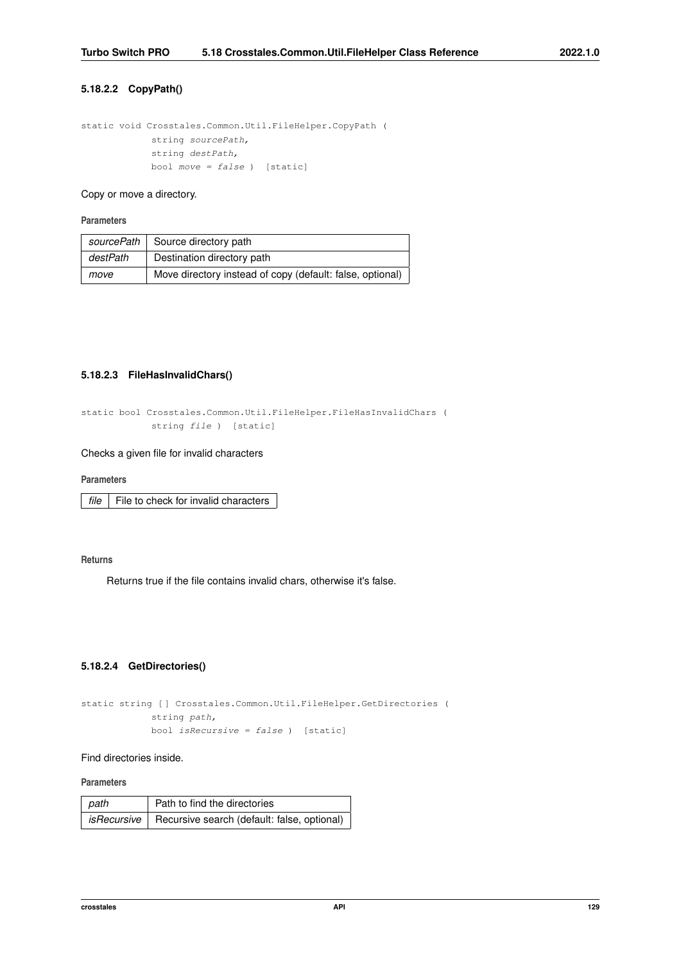# **5.18.2.2 CopyPath()**

```
static void Crosstales.Common.Util.FileHelper.CopyPath (
   string sourcePath,
   string destPath,
    bool move = false ) [static]
```
## Copy or move a directory.

## **Parameters**

| sourcePath | Source directory path                                     |
|------------|-----------------------------------------------------------|
| destPath   | Destination directory path                                |
| move       | Move directory instead of copy (default: false, optional) |

### <span id="page-141-0"></span>**5.18.2.3 FileHasInvalidChars()**

```
static bool Crosstales.Common.Util.FileHelper.FileHasInvalidChars (
   string file ) [static]
```
## Checks a given file for invalid characters

**Parameters**

*file*  $\vert$  File to check for invalid characters

# **Returns**

<span id="page-141-1"></span>Returns true if the file contains invalid chars, otherwise it's false.

### **5.18.2.4 GetDirectories()**

```
static string [ ] Crosstales.Common.Util.FileHelper.GetDirectories (
   string path,
   bool isRecursive = false ) [static]
```
# Find directories inside.

**Parameters**

| path | Path to find the directories                                |
|------|-------------------------------------------------------------|
|      | $isRecursively$ Recursive search (default: false, optional) |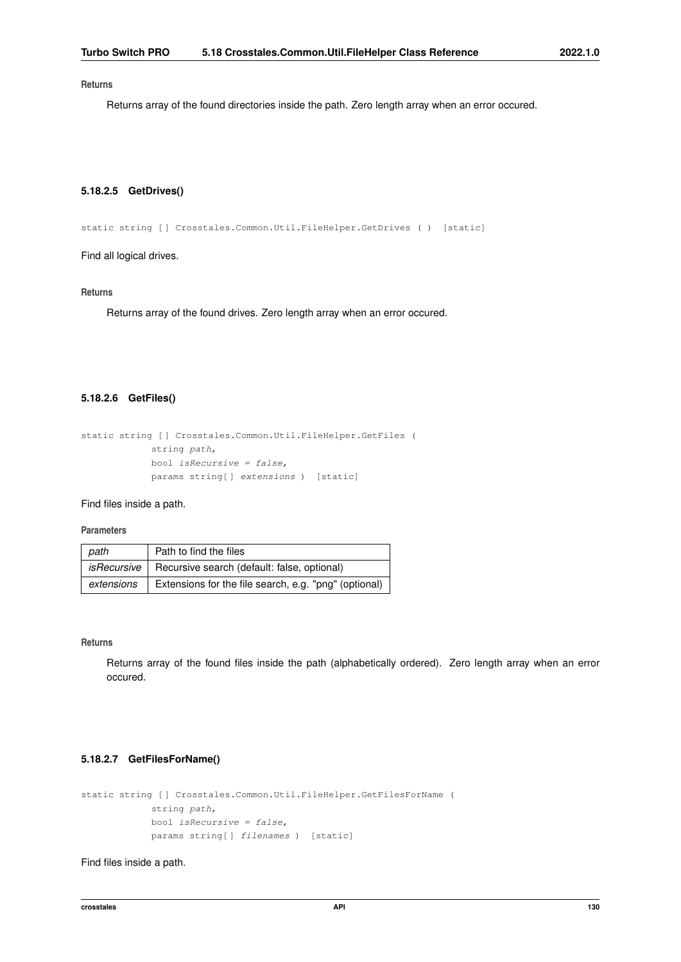<span id="page-142-2"></span>Returns array of the found directories inside the path. Zero length array when an error occured.

# **5.18.2.5 GetDrives()**

static string [ ] Crosstales. Common. Util. FileHelper. GetDrives ( ) [static]

Find all logical drives.

#### **Returns**

<span id="page-142-1"></span>Returns array of the found drives. Zero length array when an error occured.

# **5.18.2.6 GetFiles()**

```
static string [ ] Crosstales. Common. Util. FileHelper. GetFiles (
    string path,
    bool isRecursive = false,
    params string[ ] extensions ) [static]
```
Find files inside a path.

### **Parameters**

| path       | Path to find the files                                           |
|------------|------------------------------------------------------------------|
|            | <i>isRecursive</i>   Recursive search (default: false, optional) |
| extensions | Extensions for the file search, e.g. "png" (optional)            |

**Returns**

Returns array of the found files inside the path (alphabetically ordered). Zero length array when an error occured.

# <span id="page-142-0"></span>**5.18.2.7 GetFilesForName()**

```
static string [] Crosstales. Common. Util. FileHelper. GetFilesForName (
    string path,
    bool isRecursive = false,
    params string[] filenames ) [static]
```
Find files inside a path.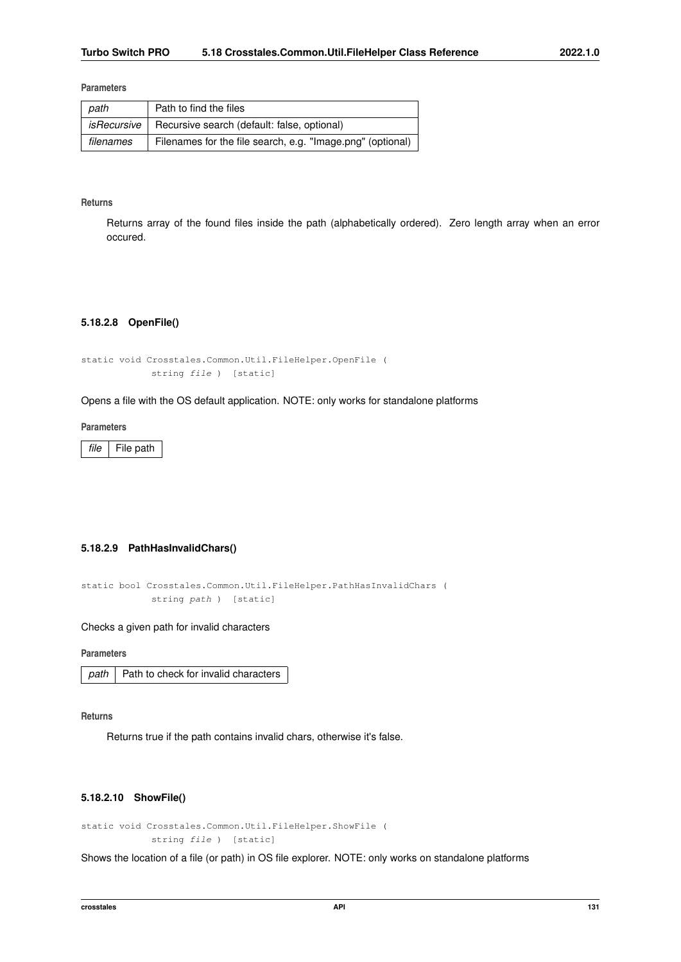| path        | Path to find the files                                     |
|-------------|------------------------------------------------------------|
| isRecursive | Recursive search (default: false, optional)                |
| filenames   | Filenames for the file search, e.g. "Image.png" (optional) |

### **Returns**

Returns array of the found files inside the path (alphabetically ordered). Zero length array when an error occured.

# <span id="page-143-3"></span>**5.18.2.8 OpenFile()**

```
static void Crosstales.Common.Util.FileHelper.OpenFile (
   string file ) [static]
```
Opens a file with the OS default application. NOTE: only works for standalone platforms

#### **Parameters**

*file* File path

# <span id="page-143-0"></span>**5.18.2.9 PathHasInvalidChars()**

```
static bool Crosstales.Common.Util.FileHelper.PathHasInvalidChars (
   string path ) [static]
```
Checks a given path for invalid characters

**Parameters**

|  | path   Path to check for invalid characters |
|--|---------------------------------------------|
|--|---------------------------------------------|

**Returns**

<span id="page-143-2"></span>Returns true if the path contains invalid chars, otherwise it's false.

### **5.18.2.10 ShowFile()**

```
static void Crosstales.Common.Util.FileHelper.ShowFile (
   string file ) [static]
```
<span id="page-143-1"></span>Shows the location of a file (or path) in OS file explorer. NOTE: only works on standalone platforms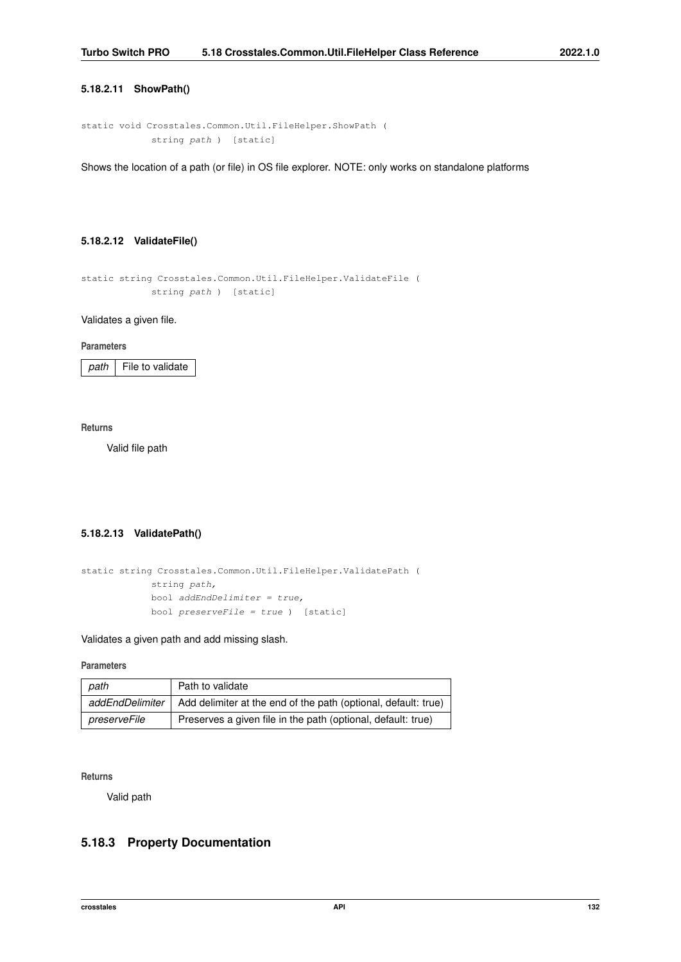### <span id="page-144-0"></span>**5.18.2.11 ShowPath()**

```
static void Crosstales.Common.Util.FileHelper.ShowPath (
            string path ) [static]
```
Shows the location of a path (or file) in OS file explorer. NOTE: only works on standalone platforms

### **5.18.2.12 ValidateFile()**

```
static string Crosstales.Common.Util.FileHelper.ValidateFile (
            string path ) [static]
```
Validates a given file.

**Parameters**

*path* File to validate

**Returns**

Valid file path

# **5.18.2.13 ValidatePath()**

```
static string Crosstales.Common.Util.FileHelper.ValidatePath (
             string path,
            bool addEndDelimiter = true,
            bool preserveFile = true ) [static]
```
Validates a given path and add missing slash.

### **Parameters**

| path            | Path to validate                                               |
|-----------------|----------------------------------------------------------------|
| addEndDelimiter | Add delimiter at the end of the path (optional, default: true) |
| preserveFile    | Preserves a given file in the path (optional, default: true)   |

**Returns**

Valid path

# **5.18.3 Property Documentation**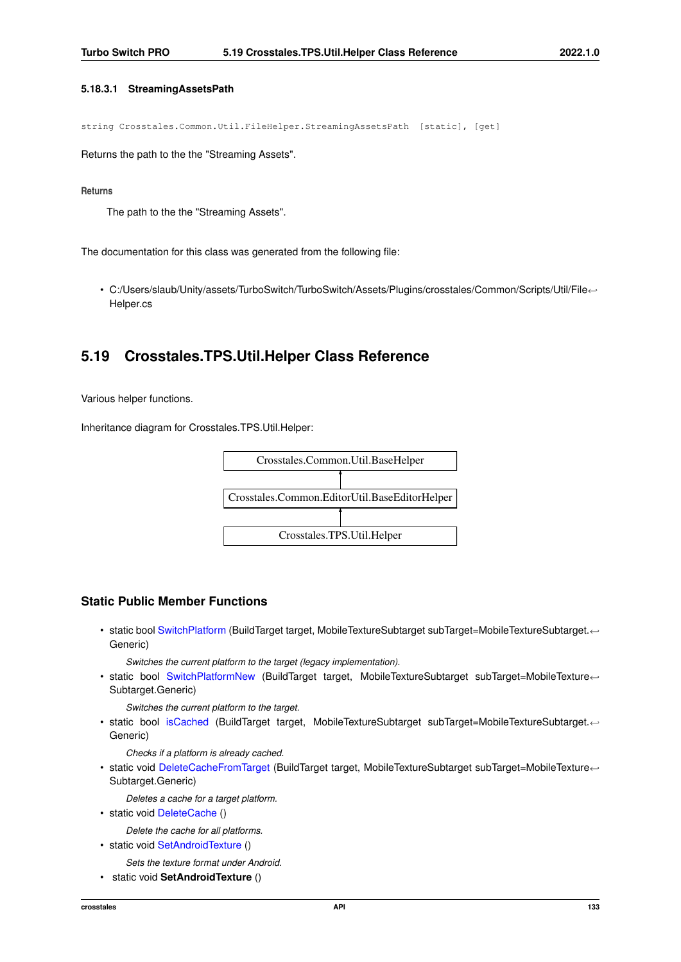### <span id="page-145-1"></span>**5.18.3.1 StreamingAssetsPath**

string Crosstales.Common.Util.FileHelper.StreamingAssetsPath [static], [get]

Returns the path to the the "Streaming Assets".

#### **Returns**

The path to the the "Streaming Assets".

The documentation for this class was generated from the following file:

• C:/Users/slaub/Unity/assets/TurboSwitch/TurboSwitch/Assets/Plugins/crosstales/Common/Scripts/Util/File←- Helper.cs

# **5.19 Crosstales.TPS.Util.Helper Class Reference**

Various helper functions.

Inheritance diagram for Crosstales.TPS.Util.Helper:



### **Static Public Member Functions**

• static bool [SwitchPlatform](#page-147-0) (BuildTarget target, MobileTextureSubtarget subTarget=MobileTextureSubtarget.←- Generic)

*Switches the current platform to the target (legacy implementation).*

• static bool [SwitchPlatformNew](#page-148-0) (BuildTarget target, MobileTextureSubtarget subTarget=MobileTexture←- Subtarget.Generic)

*Switches the current platform to the target.*

• static bool [isCached](#page-147-1) (BuildTarget target, MobileTextureSubtarget subTarget=MobileTextureSubtarget.←- Generic)

*Checks if a platform is already cached.*

• static void [DeleteCacheFromTarget](#page-147-2) (BuildTarget target, MobileTextureSubtarget subTarget=MobileTexture← Subtarget.Generic)

*Deletes a cache for a target platform.*

• static void [DeleteCache](#page-146-0) ()

*Delete the cache for all platforms.*

• static void [SetAndroidTexture](#page-145-0) ()

*Sets the texture format under Android.*

<span id="page-145-0"></span>• static void **SetAndroidTexture** ()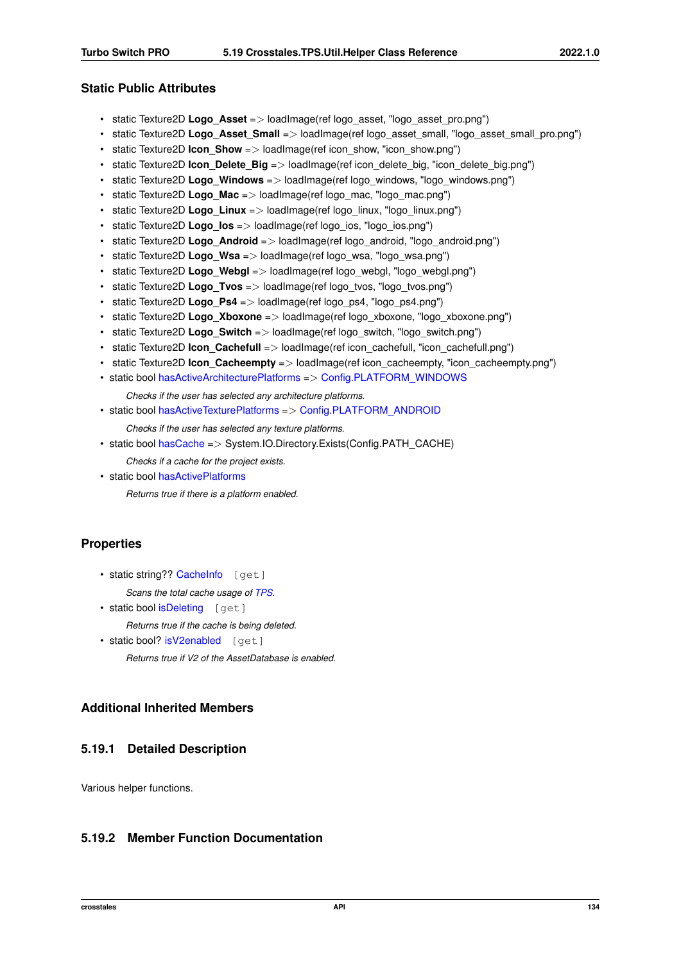# <span id="page-146-1"></span>**Static Public Attributes**

- static Texture2D **Logo\_Asset** => loadImage(ref logo\_asset, "logo\_asset\_pro.png")
- static Texture2D **Logo Asset Small** => loadImage(ref logo asset small, "logo asset small pro.png")
- static Texture2D **Icon Show** => loadImage(ref icon show, "icon show.png")
- static Texture2D **Icon\_Delete\_Big** => loadImage(ref icon\_delete\_big, "icon\_delete\_big.png")
- static Texture2D **Logo Windows** => loadImage(ref logo\_windows, "logo\_windows.png")
- static Texture2D **Logo Mac** => loadImage(ref logo mac, "logo mac.png")
- static Texture2D **Logo Linux** => loadImage(ref logo linux, "logo linux.png")
- static Texture2D **Logo\_los** => loadImage(ref logo\_ios, "logo\_ios.png")
- static Texture2D **Logo Android** => loadImage(ref logo android, "logo android.png")
- static Texture2D **Logo\_Wsa** => loadImage(ref logo\_wsa, "logo\_wsa.png")
- static Texture2D **Logo Webgl** => loadImage(ref logo\_webgl, "logo\_webgl.png")
- static Texture2D **Logo Tvos** => loadImage(ref logo\_tvos, "logo\_tvos.png")
- static Texture2D **Logo Ps4** => loadImage(ref logo\_ps4, "logo\_ps4.png")
- static Texture2D **Logo Xboxone** => loadImage(ref logo xboxone, "logo xboxone.png")
- static Texture2D **Logo Switch** => loadImage(ref logo\_switch, "logo\_switch.png")
- static Texture2D **Icon\_Cachefull** => loadImage(ref icon\_cachefull, "icon\_cachefull.png")
- static Texture2D **Icon Cacheempty** => loadImage(ref icon cacheempty, "icon cacheempty.png")
- static bool [hasActiveArchitecturePlatforms](#page-148-1) => [Config.PLATFORM\\_WINDOWS](#page-61-0)

*Checks if the user has selected any architecture platforms.*

• static bool [hasActiveTexturePlatforms](#page-149-0) => [Config.PLATFORM\\_ANDROID](#page-60-0)

*Checks if the user has selected any texture platforms.*

- static bool [hasCache](#page-149-1) => System.IO.Directory.Exists(Config.PATH\_CACHE)
	- *Checks if a cache for the project exists.*
- static bool [hasActivePlatforms](#page-148-2)

*Returns true if there is a platform enabled.*

### **Properties**

• static string?? [CacheInfo](#page-149-2) [get]

*Scans the total cache usage of [TPS.](#page-20-0)*

• static bool [isDeleting](#page-150-0) [get]

*Returns true if the cache is being deleted.*

• static bool? [isV2enabled](#page-150-1) [get] *Returns true if V2 of the AssetDatabase is enabled.*

# **Additional Inherited Members**

### **5.19.1 Detailed Description**

Various helper functions.

# <span id="page-146-0"></span>**5.19.2 Member Function Documentation**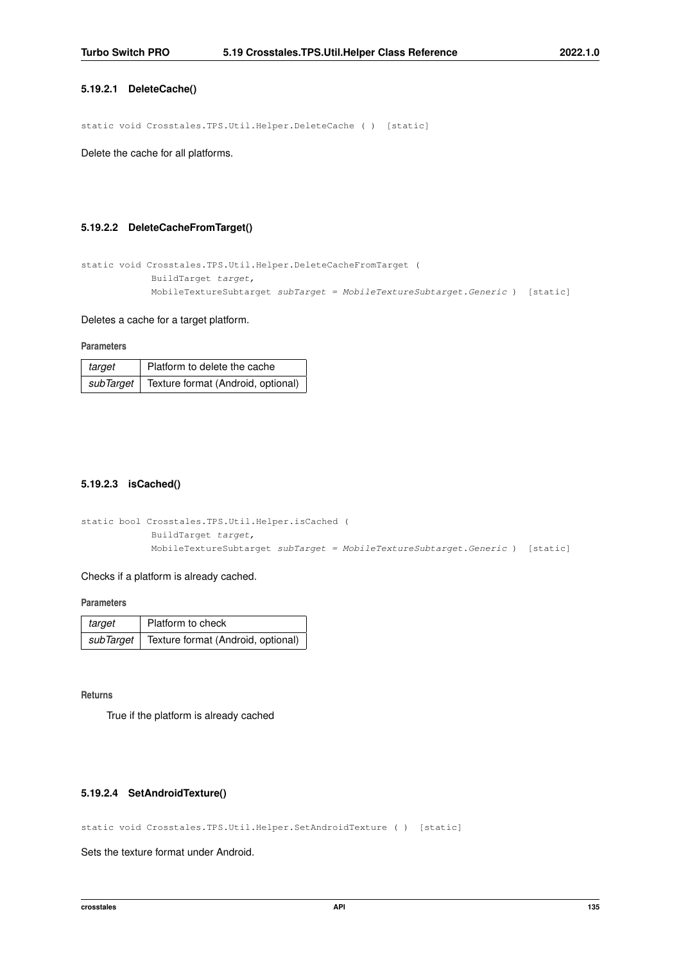### <span id="page-147-3"></span>**5.19.2.1 DeleteCache()**

static void Crosstales.TPS.Util.Helper.DeleteCache ( ) [static]

<span id="page-147-2"></span>Delete the cache for all platforms.

### **5.19.2.2 DeleteCacheFromTarget()**

```
static void Crosstales.TPS.Util.Helper.DeleteCacheFromTarget (
            BuildTarget target,
            MobileTextureSubtarget subTarget = MobileTextureSubtarget.Generic ) [static]
```
### Deletes a cache for a target platform.

#### **Parameters**

| target | Platform to delete the cache                   |
|--------|------------------------------------------------|
|        | subTarget   Texture format (Android, optional) |

### <span id="page-147-1"></span>**5.19.2.3 isCached()**

```
static bool Crosstales.TPS.Util.Helper.isCached (
            BuildTarget target,
            MobileTextureSubtarget subTarget = MobileTextureSubtarget.Generic ) [static]
```
#### Checks if a platform is already cached.

**Parameters**

| target | Platform to check                              |
|--------|------------------------------------------------|
|        | subTarget   Texture format (Android, optional) |

**Returns**

True if the platform is already cached

### **5.19.2.4 SetAndroidTexture()**

static void Crosstales.TPS.Util.Helper.SetAndroidTexture ( ) [static]

<span id="page-147-0"></span>Sets the texture format under Android.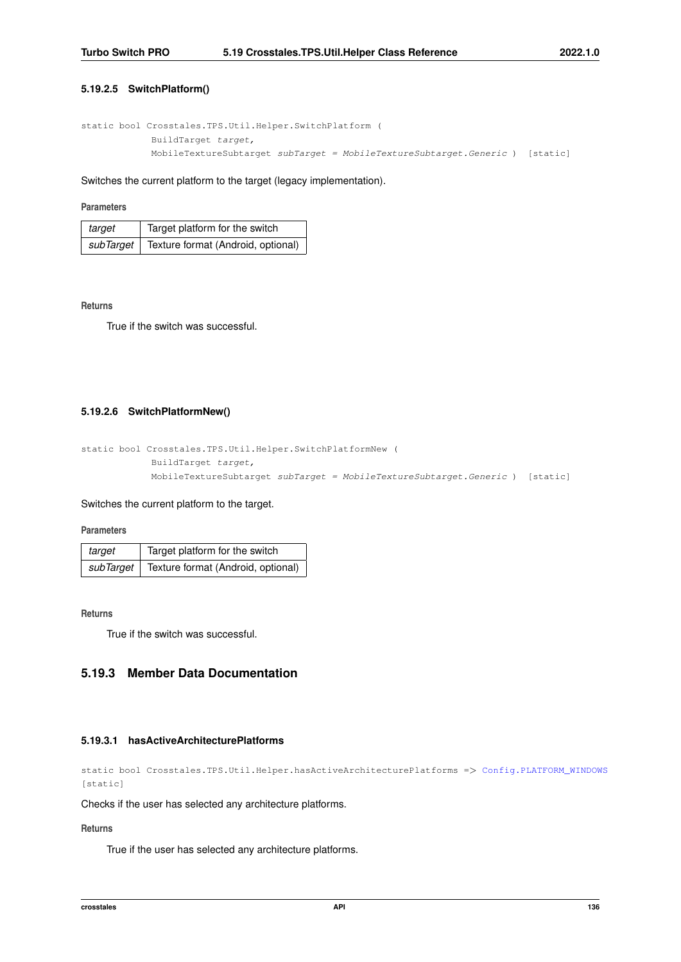### <span id="page-148-3"></span>**5.19.2.5 SwitchPlatform()**

```
static bool Crosstales.TPS.Util.Helper.SwitchPlatform (
            BuildTarget target,
            MobileTextureSubtarget subTarget = MobileTextureSubtarget.Generic ) [static]
```
Switches the current platform to the target (legacy implementation).

### **Parameters**

| target    | Target platform for the switch     |
|-----------|------------------------------------|
| subTarget | Texture format (Android, optional) |

### **Returns**

<span id="page-148-0"></span>True if the switch was successful.

### **5.19.2.6 SwitchPlatformNew()**

```
static bool Crosstales.TPS.Util.Helper.SwitchPlatformNew (
            BuildTarget target,
            MobileTextureSubtarget subTarget = MobileTextureSubtarget.Generic ) [static]
```
#### Switches the current platform to the target.

#### **Parameters**

| target    | Target platform for the switch     |
|-----------|------------------------------------|
| subTarget | Texture format (Android, optional) |

### **Returns**

True if the switch was successful.

# <span id="page-148-1"></span>**5.19.3 Member Data Documentation**

#### **5.19.3.1 hasActiveArchitecturePlatforms**

```
Config.PLATFORM_WINDOWS
[static]
```
#### Checks if the user has selected any architecture platforms.

# **Returns**

<span id="page-148-2"></span>True if the user has selected any architecture platforms.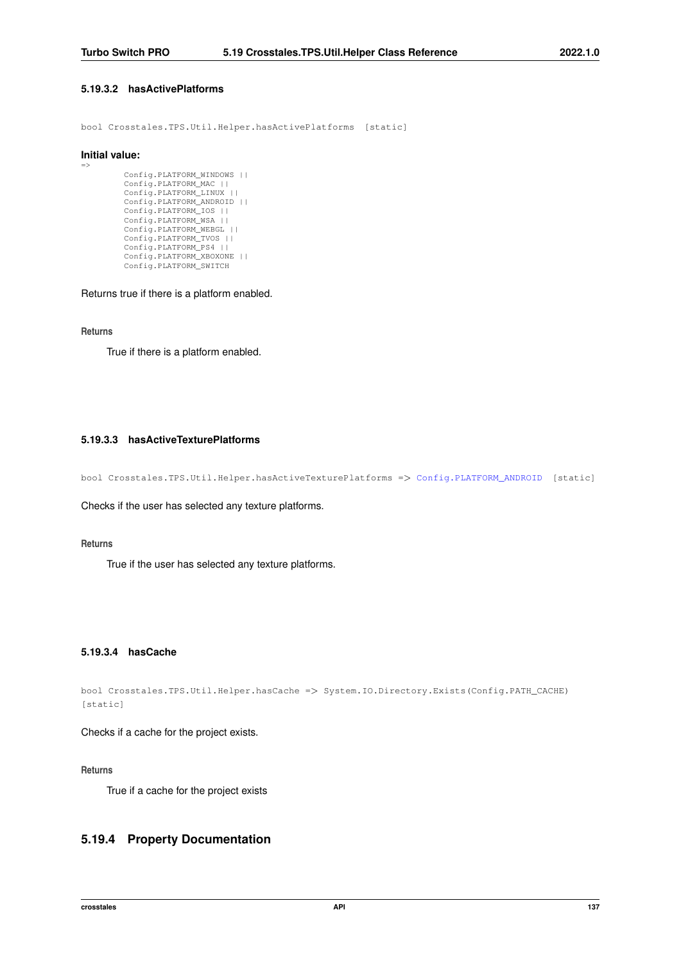### <span id="page-149-3"></span>**5.19.3.2 hasActivePlatforms**

bool Crosstales.TPS.Util.Helper.hasActivePlatforms [static]

#### **Initial value:**

=>

```
Config.PLATFORM_WINDOWS ||
Config.PLATFORM_MAC ||
Config.PLATFORM_LINUX ||
Config.PLATFORM_ANDROID ||
Config.PLATFORM_IOS ||
Config.PLATFORM_WSA ||<br>Config.PLATFORM_WEBGL ||
Config.PLATFORM_TVOS ||
Config.PLATFORM_PS4 ||
Config.PLATFORM_XBOXONE ||
Config.PLATFORM_SWITCH
```
Returns true if there is a platform enabled.

### **Returns**

<span id="page-149-0"></span>True if there is a platform enabled.

### **5.19.3.3 hasActiveTexturePlatforms**

bool Crosstales.TPS.Util.Helper.hasActiveTexturePlatforms => [Config.PLATFORM\\_ANDROID](#page-60-0) [static]

Checks if the user has selected any texture platforms.

### **Returns**

<span id="page-149-1"></span>True if the user has selected any texture platforms.

### **5.19.3.4 hasCache**

bool Crosstales.TPS.Util.Helper.hasCache => System.IO.Directory.Exists(Config.PATH\_CACHE) [static]

Checks if a cache for the project exists.

#### **Returns**

True if a cache for the project exists

# <span id="page-149-2"></span>**5.19.4 Property Documentation**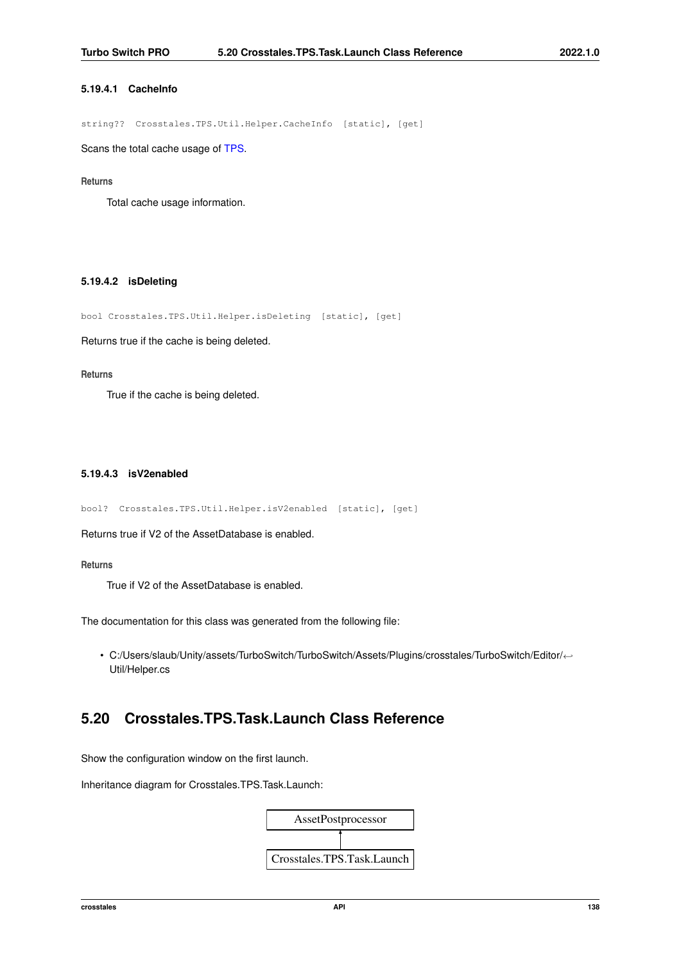### <span id="page-150-2"></span>**5.19.4.1 CacheInfo**

string?? Crosstales.TPS.Util.Helper.CacheInfo [static], [get]

Scans the total cache usage of [TPS.](#page-20-0)

### **Returns**

<span id="page-150-0"></span>Total cache usage information.

### **5.19.4.2 isDeleting**

bool Crosstales.TPS.Util.Helper.isDeleting [static], [get]

Returns true if the cache is being deleted.

#### **Returns**

<span id="page-150-1"></span>True if the cache is being deleted.

### **5.19.4.3 isV2enabled**

bool? Crosstales.TPS.Util.Helper.isV2enabled [static], [get]

Returns true if V2 of the AssetDatabase is enabled.

#### **Returns**

True if V2 of the AssetDatabase is enabled.

The documentation for this class was generated from the following file:

• C:/Users/slaub/Unity/assets/TurboSwitch/TurboSwitch/Assets/Plugins/crosstales/TurboSwitch/Editor/←- Util/Helper.cs

# **5.20 Crosstales.TPS.Task.Launch Class Reference**

Show the configuration window on the first launch.

Inheritance diagram for Crosstales.TPS.Task.Launch:

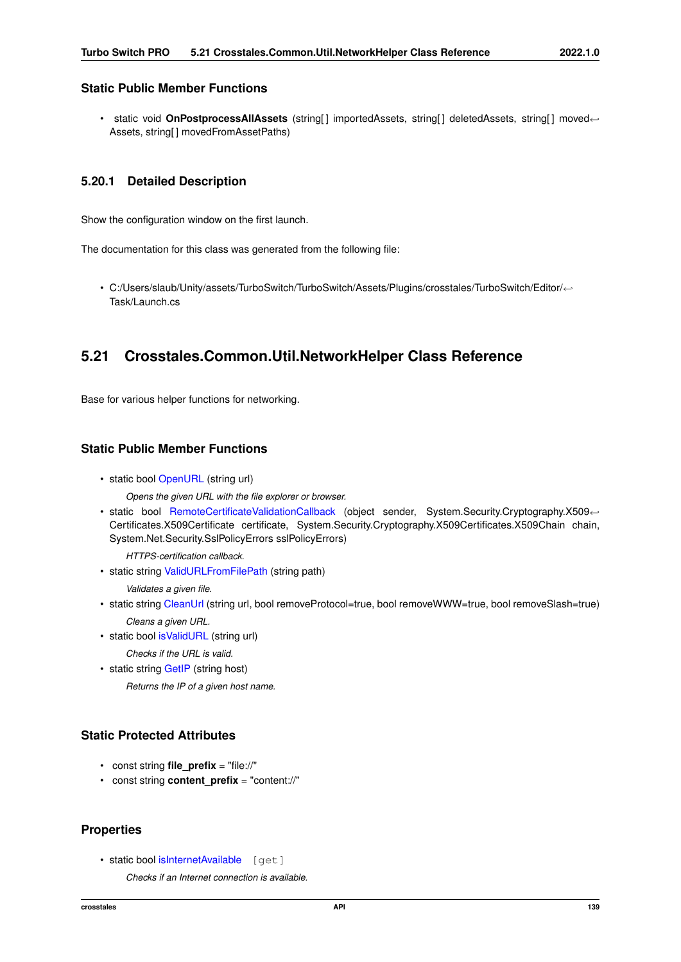# <span id="page-151-0"></span>**Static Public Member Functions**

• static void OnPostprocessAllAssets (string[] importedAssets, string[] deletedAssets, string[] moved← Assets, string[ ] movedFromAssetPaths)

### **5.20.1 Detailed Description**

Show the configuration window on the first launch.

The documentation for this class was generated from the following file:

• C:/Users/slaub/Unity/assets/TurboSwitch/TurboSwitch/Assets/Plugins/crosstales/TurboSwitch/Editor/←- Task/Launch.cs

# **5.21 Crosstales.Common.Util.NetworkHelper Class Reference**

Base for various helper functions for networking.

# **Static Public Member Functions**

- static bool [OpenURL](#page-153-0) (string url)
	- *Opens the given URL with the file explorer or browser.*
- static bool [RemoteCertificateValidationCallback](#page-153-1) (object sender, System.Security.Cryptography.X509← Certificates.X509Certificate certificate, System.Security.Cryptography.X509Certificates.X509Chain chain, System.Net.Security.SslPolicyErrors sslPolicyErrors)

*HTTPS-certification callback.*

• static string [ValidURLFromFilePath](#page-153-2) (string path)

*Validates a given file.*

- static string [CleanUrl](#page-152-0) (string url, bool removeProtocol=true, bool removeWWW=true, bool removeSlash=true) *Cleans a given URL.*
- static bool [isValidURL](#page-152-1) (string url)

*Checks if the URL is valid.*

• static string [GetIP](#page-152-2) (string host)

*Returns the IP of a given host name.*

# **Static Protected Attributes**

- const string **file\_prefix** = "file://"
- const string **content\_prefix** = "content://"

# **Properties**

• static bool [isInternetAvailable](#page-154-0) [get]

*Checks if an Internet connection is available.*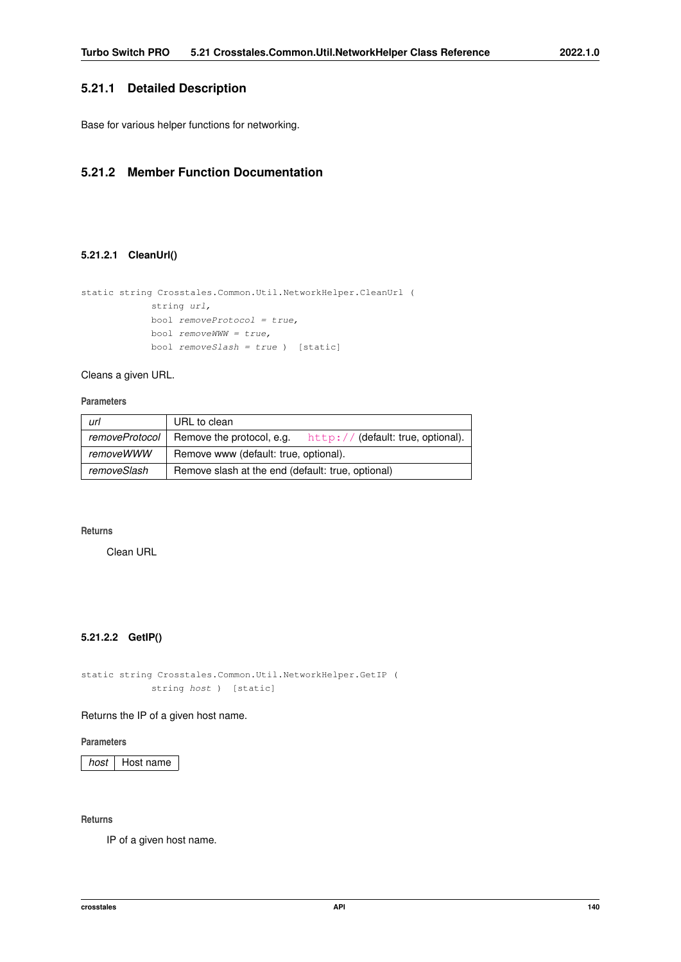# <span id="page-152-3"></span>**5.21.1 Detailed Description**

Base for various helper functions for networking.

# <span id="page-152-0"></span>**5.21.2 Member Function Documentation**

### **5.21.2.1 CleanUrl()**

```
static string Crosstales.Common.Util.NetworkHelper.CleanUrl (
            string url,
            bool removeProtocol = true,
             bool removeWWW = true,
            bool removeSlash = true ) [static]
```
Cleans a given URL.

**Parameters**

| url            | URL to clean                                                   |  |
|----------------|----------------------------------------------------------------|--|
| removeProtocol | Remove the protocol, e.g.<br>http://(default: true, optional). |  |
| removeWWW      | Remove www (default: true, optional).                          |  |
| removeSlash    | Remove slash at the end (default: true, optional)              |  |

### **Returns**

<span id="page-152-2"></span>Clean URL

# **5.21.2.2 GetIP()**

static string Crosstales.Common.Util.NetworkHelper.GetIP ( string host ) [static]

### Returns the IP of a given host name.

### **Parameters**

**host** | Host name

### **Returns**

<span id="page-152-1"></span>IP of a given host name.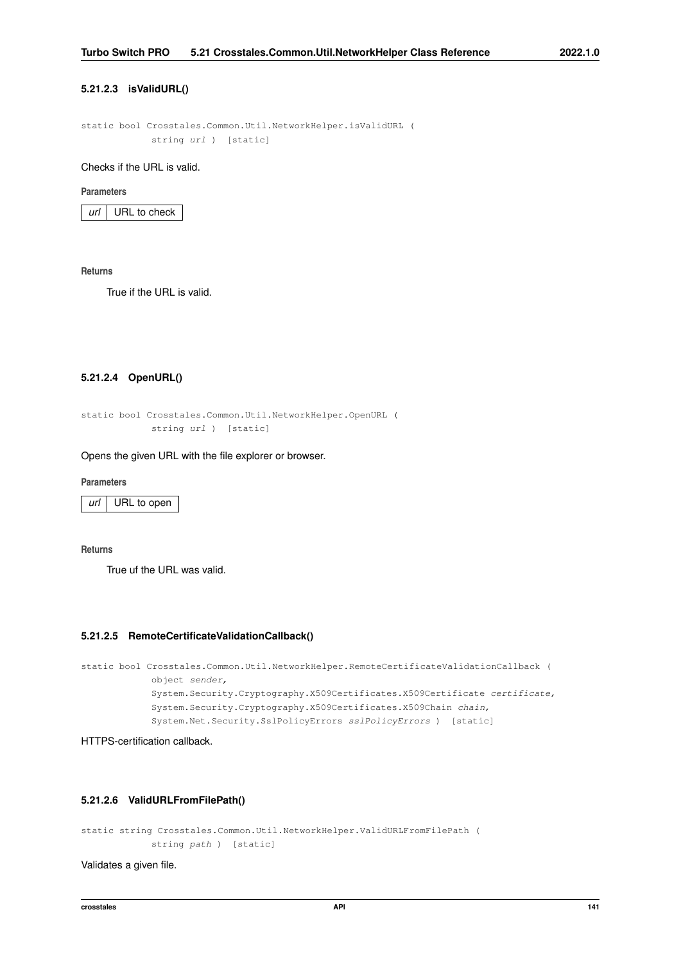### <span id="page-153-3"></span>**5.21.2.3 isValidURL()**

static bool Crosstales.Common.Util.NetworkHelper.isValidURL ( string url ) [static]

Checks if the URL is valid.

#### **Parameters**

*url* URL to check

**Returns**

<span id="page-153-0"></span>True if the URL is valid.

### **5.21.2.4 OpenURL()**

```
static bool Crosstales.Common.Util.NetworkHelper.OpenURL (
            string url ) [static]
```
Opens the given URL with the file explorer or browser.

**Parameters**

*url* URL to open

**Returns**

<span id="page-153-1"></span>True uf the URL was valid.

### **5.21.2.5 RemoteCertificateValidationCallback()**

```
static bool Crosstales.Common.Util.NetworkHelper.RemoteCertificateValidationCallback (
            object sender,
            System.Security.Cryptography.X509Certificates.X509Certificate certificate,
            System.Security.Cryptography.X509Certificates.X509Chain chain,
            System.Net.Security.SslPolicyErrors sslPolicyErrors ) [static]
```
<span id="page-153-2"></span>HTTPS-certification callback.

### **5.21.2.6 ValidURLFromFilePath()**

static string Crosstales.Common.Util.NetworkHelper.ValidURLFromFilePath ( string path ) [static]

Validates a given file.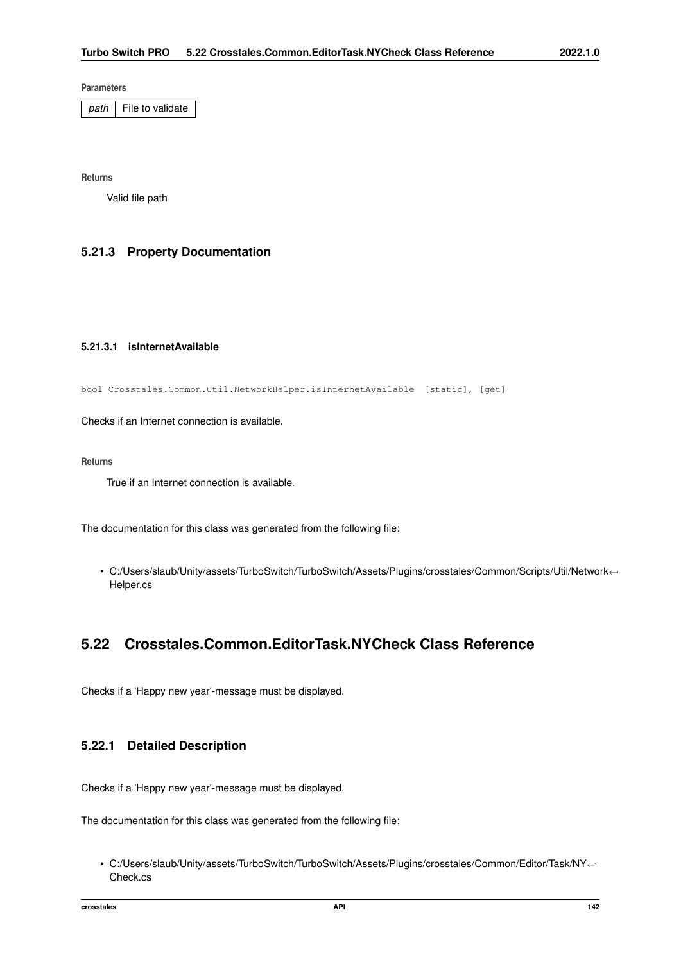<span id="page-154-1"></span>**Parameters**

*path* File to validate

**Returns**

Valid file path

# <span id="page-154-0"></span>**5.21.3 Property Documentation**

### **5.21.3.1 isInternetAvailable**

bool Crosstales.Common.Util.NetworkHelper.isInternetAvailable [static], [get]

Checks if an Internet connection is available.

### **Returns**

True if an Internet connection is available.

The documentation for this class was generated from the following file:

• C:/Users/slaub/Unity/assets/TurboSwitch/TurboSwitch/Assets/Plugins/crosstales/Common/Scripts/Util/Network←- Helper.cs

# **5.22 Crosstales.Common.EditorTask.NYCheck Class Reference**

Checks if a 'Happy new year'-message must be displayed.

# **5.22.1 Detailed Description**

Checks if a 'Happy new year'-message must be displayed.

The documentation for this class was generated from the following file:

• C:/Users/slaub/Unity/assets/TurboSwitch/TurboSwitch/Assets/Plugins/crosstales/Common/Editor/Task/NY←- Check.cs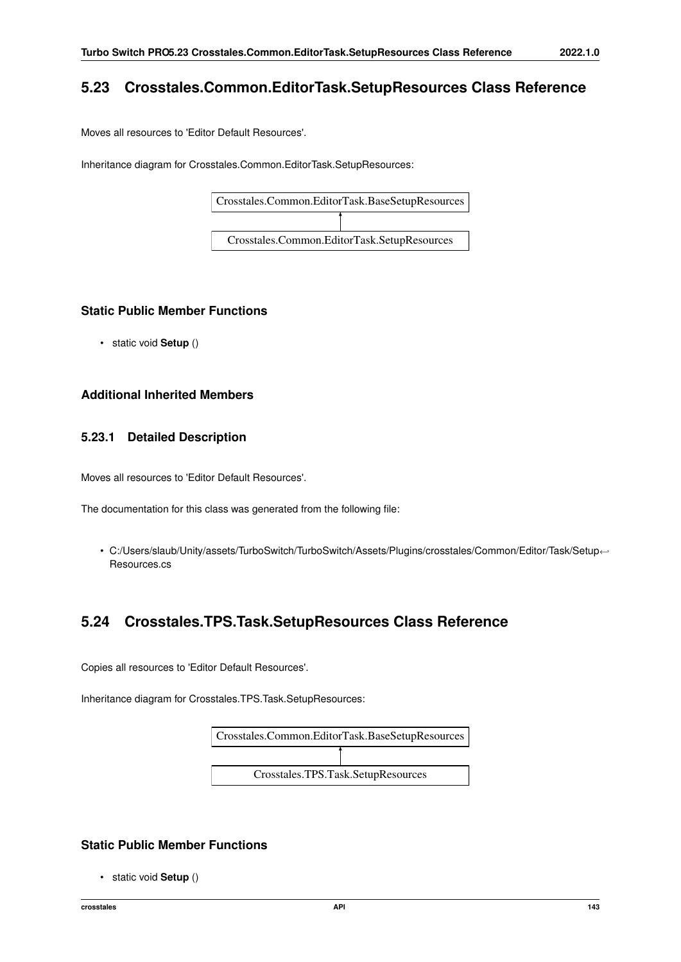# <span id="page-155-0"></span>**5.23 Crosstales.Common.EditorTask.SetupResources Class Reference**

Moves all resources to 'Editor Default Resources'.

Inheritance diagram for Crosstales.Common.EditorTask.SetupResources:



# **Static Public Member Functions**

• static void **Setup** ()

# **Additional Inherited Members**

# **5.23.1 Detailed Description**

Moves all resources to 'Editor Default Resources'.

The documentation for this class was generated from the following file:

• C:/Users/slaub/Unity/assets/TurboSwitch/TurboSwitch/Assets/Plugins/crosstales/Common/Editor/Task/Setup←- Resources.cs

# **5.24 Crosstales.TPS.Task.SetupResources Class Reference**

Copies all resources to 'Editor Default Resources'.

Inheritance diagram for Crosstales.TPS.Task.SetupResources:



# **Static Public Member Functions**

• static void **Setup** ()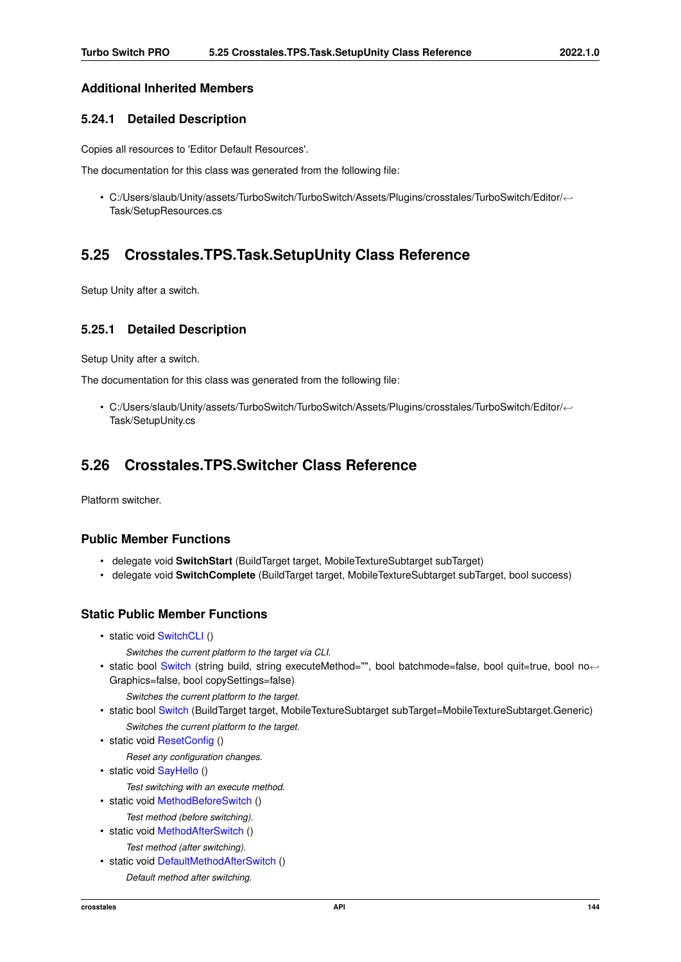# <span id="page-156-1"></span>**Additional Inherited Members**

# **5.24.1 Detailed Description**

Copies all resources to 'Editor Default Resources'.

The documentation for this class was generated from the following file:

• C:/Users/slaub/Unity/assets/TurboSwitch/TurboSwitch/Assets/Plugins/crosstales/TurboSwitch/Editor/←- Task/SetupResources.cs

# **5.25 Crosstales.TPS.Task.SetupUnity Class Reference**

Setup Unity after a switch.

### **5.25.1 Detailed Description**

Setup Unity after a switch.

The documentation for this class was generated from the following file:

• C:/Users/slaub/Unity/assets/TurboSwitch/TurboSwitch/Assets/Plugins/crosstales/TurboSwitch/Editor/←- Task/SetupUnity.cs

# <span id="page-156-0"></span>**5.26 Crosstales.TPS.Switcher Class Reference**

Platform switcher.

# **Public Member Functions**

- delegate void **SwitchStart** (BuildTarget target, MobileTextureSubtarget subTarget)
- delegate void **SwitchComplete** (BuildTarget target, MobileTextureSubtarget subTarget, bool success)

### **Static Public Member Functions**

- static void [SwitchCLI](#page-159-0) ()
	- *Switches the current platform to the target via CLI.*
- static bool [Switch](#page-158-0) (string build, string executeMethod="", bool batchmode=false, bool quit=true, bool no← Graphics=false, bool copySettings=false)

*Switches the current platform to the target.*

- static bool [Switch](#page-158-1) (BuildTarget target, MobileTextureSubtarget subTarget=MobileTextureSubtarget.Generic) *Switches the current platform to the target.*
- static void [ResetConfig](#page-157-0) ()

*Reset any configuration changes.*

• static void [SayHello](#page-158-2) ()

*Test switching with an execute method.*

- static void [MethodBeforeSwitch](#page-157-1) ()
	- *Test method (before switching).*
- static void [MethodAfterSwitch](#page-157-2) () *Test method (after switching).*
- static void [DefaultMethodAfterSwitch](#page-157-3) ()
	- *Default method after switching.*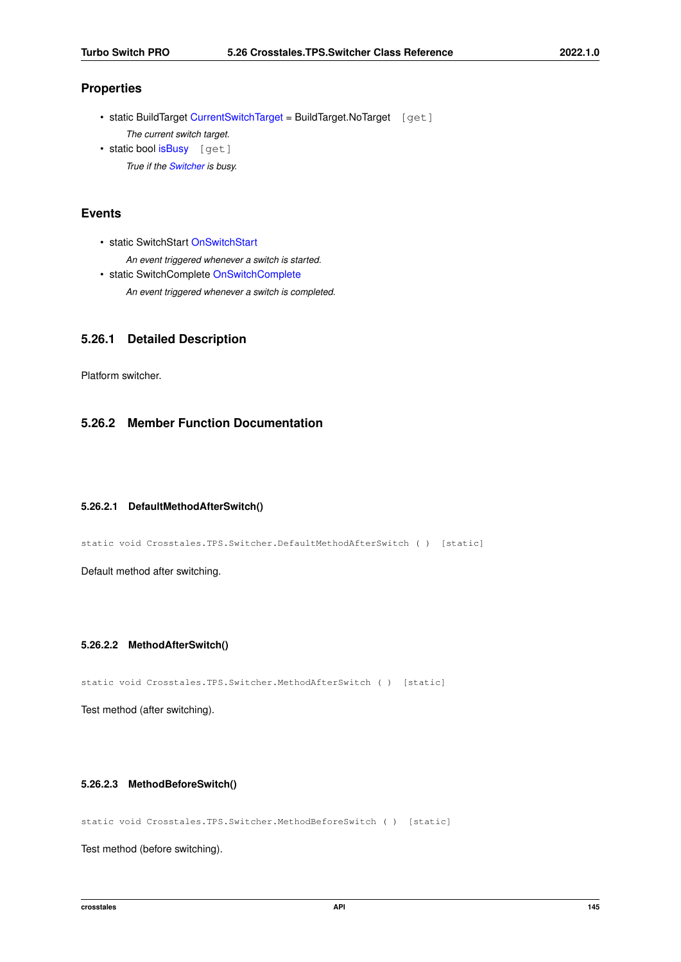# <span id="page-157-4"></span>**Properties**

- static BuildTarget [CurrentSwitchTarget](#page-159-1) = BuildTarget.NoTarget [get] *The current switch target.* • static bool [isBusy](#page-159-2) [get]
- *True if the [Switcher](#page-156-0) is busy.*

# **Events**

- static SwitchStart [OnSwitchStart](#page-160-0)
	- *An event triggered whenever a switch is started.*
- static SwitchComplete [OnSwitchComplete](#page-159-3) *An event triggered whenever a switch is completed.*

# **5.26.1 Detailed Description**

Platform switcher.

# <span id="page-157-3"></span>**5.26.2 Member Function Documentation**

### **5.26.2.1 DefaultMethodAfterSwitch()**

static void Crosstales.TPS.Switcher.DefaultMethodAfterSwitch ( ) [static]

<span id="page-157-2"></span>Default method after switching.

### **5.26.2.2 MethodAfterSwitch()**

static void Crosstales.TPS.Switcher.MethodAfterSwitch ( ) [static]

<span id="page-157-1"></span>Test method (after switching).

### **5.26.2.3 MethodBeforeSwitch()**

static void Crosstales.TPS.Switcher.MethodBeforeSwitch ( ) [static]

<span id="page-157-0"></span>Test method (before switching).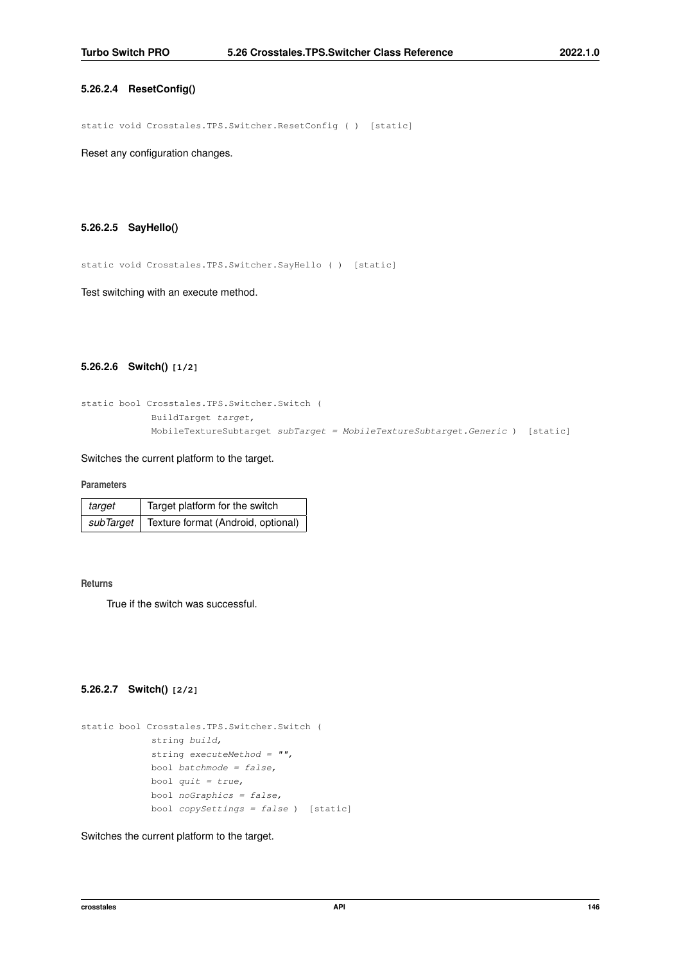#### <span id="page-158-3"></span>**5.26.2.4 ResetConfig()**

static void Crosstales.TPS.Switcher.ResetConfig ( ) [static]

<span id="page-158-2"></span>Reset any configuration changes.

#### **5.26.2.5 SayHello()**

static void Crosstales.TPS.Switcher.SayHello ( ) [static]

<span id="page-158-1"></span>Test switching with an execute method.

### **5.26.2.6 Switch() [1/2]**

```
static bool Crosstales.TPS.Switcher.Switch (
            BuildTarget target,
            MobileTextureSubtarget subTarget = MobileTextureSubtarget.Generic ) [static]
```
### Switches the current platform to the target.

**Parameters**

| target    | Target platform for the switch     |
|-----------|------------------------------------|
| subTarget | Texture format (Android, optional) |

#### **Returns**

<span id="page-158-0"></span>True if the switch was successful.

### **5.26.2.7 Switch() [2/2]**

```
static bool Crosstales.TPS.Switcher.Switch (
            string build,
            string executeMethod = "",
            bool batchmode = false,
            bool quit = true,bool noGraphics = false,
             bool copySetting = false ) [static]
```
#### Switches the current platform to the target.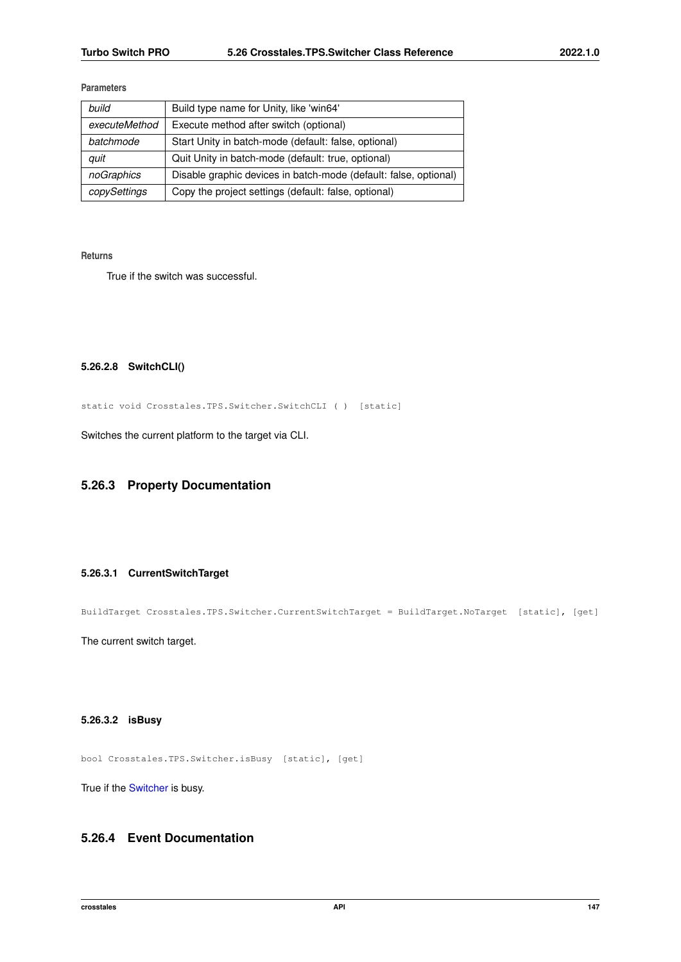### <span id="page-159-4"></span>**Parameters**

| build         | Build type name for Unity, like 'win64'                          |
|---------------|------------------------------------------------------------------|
| executeMethod | Execute method after switch (optional)                           |
| batchmode     | Start Unity in batch-mode (default: false, optional)             |
| auit          | Quit Unity in batch-mode (default: true, optional)               |
| noGraphics    | Disable graphic devices in batch-mode (default: false, optional) |
| copySettings  | Copy the project settings (default: false, optional)             |

**Returns**

<span id="page-159-0"></span>True if the switch was successful.

### **5.26.2.8 SwitchCLI()**

static void Crosstales.TPS.Switcher.SwitchCLI ( ) [static]

Switches the current platform to the target via CLI.

# <span id="page-159-1"></span>**5.26.3 Property Documentation**

### **5.26.3.1 CurrentSwitchTarget**

BuildTarget Crosstales.TPS.Switcher.CurrentSwitchTarget = BuildTarget.NoTarget [static], [get]

<span id="page-159-2"></span>The current switch target.

# **5.26.3.2 isBusy**

bool Crosstales.TPS.Switcher.isBusy [static], [get]

True if the [Switcher](#page-156-0) is busy.

# <span id="page-159-3"></span>**5.26.4 Event Documentation**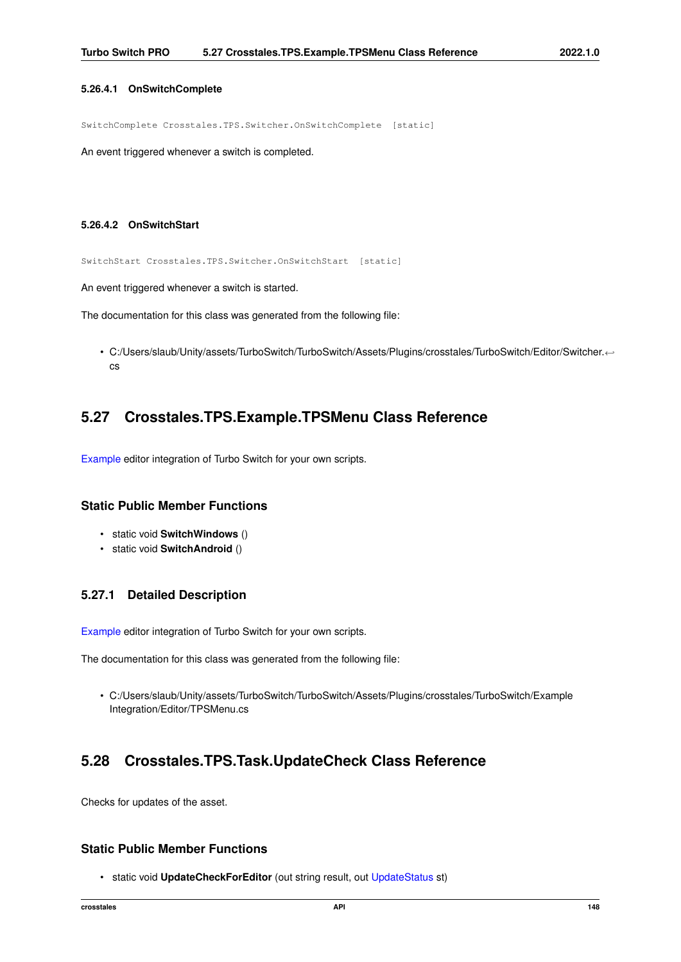### <span id="page-160-1"></span>**5.26.4.1 OnSwitchComplete**

SwitchComplete Crosstales.TPS.Switcher.OnSwitchComplete [static]

<span id="page-160-0"></span>An event triggered whenever a switch is completed.

### **5.26.4.2 OnSwitchStart**

SwitchStart Crosstales.TPS.Switcher.OnSwitchStart [static]

An event triggered whenever a switch is started.

The documentation for this class was generated from the following file:

• C:/Users/slaub/Unity/assets/TurboSwitch/TurboSwitch/Assets/Plugins/crosstales/TurboSwitch/Editor/Switcher.← cs

# **5.27 Crosstales.TPS.Example.TPSMenu Class Reference**

[Example](#page-21-0) editor integration of Turbo Switch for your own scripts.

### **Static Public Member Functions**

- static void **SwitchWindows** ()
- static void **SwitchAndroid** ()

# **5.27.1 Detailed Description**

[Example](#page-21-0) editor integration of Turbo Switch for your own scripts.

The documentation for this class was generated from the following file:

• C:/Users/slaub/Unity/assets/TurboSwitch/TurboSwitch/Assets/Plugins/crosstales/TurboSwitch/Example Integration/Editor/TPSMenu.cs

# **5.28 Crosstales.TPS.Task.UpdateCheck Class Reference**

Checks for updates of the asset.

### **Static Public Member Functions**

• static void **UpdateCheckForEditor** (out string result, out [UpdateStatus](#page-22-0) st)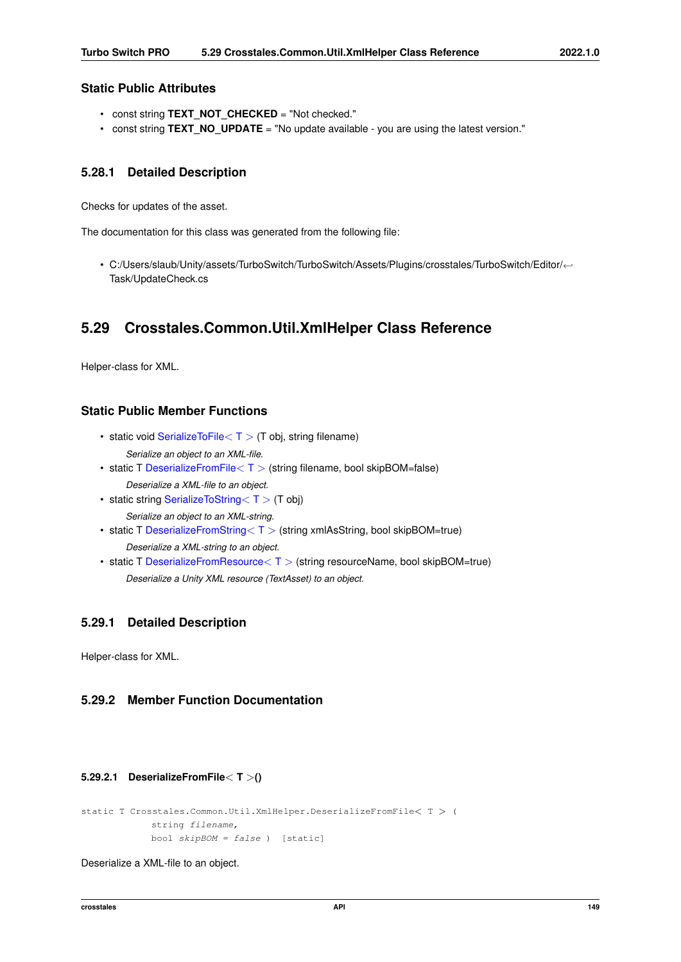### <span id="page-161-1"></span>**Static Public Attributes**

- const string **TEXT\_NOT\_CHECKED** = "Not checked."
- const string **TEXT\_NO\_UPDATE** = "No update available you are using the latest version."

# **5.28.1 Detailed Description**

Checks for updates of the asset.

The documentation for this class was generated from the following file:

• C:/Users/slaub/Unity/assets/TurboSwitch/TurboSwitch/Assets/Plugins/crosstales/TurboSwitch/Editor/←- Task/UpdateCheck.cs

# **5.29 Crosstales.Common.Util.XmlHelper Class Reference**

Helper-class for XML.

# **Static Public Member Functions**

• static void [SerializeToFile](#page-162-0) $\langle T \rangle$  (T obj, string filename)

*Serialize an object to an XML-file.*

- static T [DeserializeFromFile](#page-161-0)< T > (string filename, bool skipBOM=false) *Deserialize a XML-file to an object.*
- static string [SerializeToString](#page-163-0) $<$  T  $>$  (T obj)

*Serialize an object to an XML-string.*

• static T [DeserializeFromString](#page-162-1)< T > (string xmlAsString, bool skipBOM=true)

*Deserialize a XML-string to an object.*

• static T [DeserializeFromResource](#page-162-2) $<$  T  $>$  (string resourceName, bool skipBOM=true) *Deserialize a Unity XML resource (TextAsset) to an object.*

# **5.29.1 Detailed Description**

Helper-class for XML.

# <span id="page-161-0"></span>**5.29.2 Member Function Documentation**

### **5.29.2.1 DeserializeFromFile**< **T** >**()**

```
static T Crosstales.Common.Util.XmlHelper.DeserializeFromFile< T > (
            string filename,
            bool skipBOM = false ) [static]
```
Deserialize a XML-file to an object.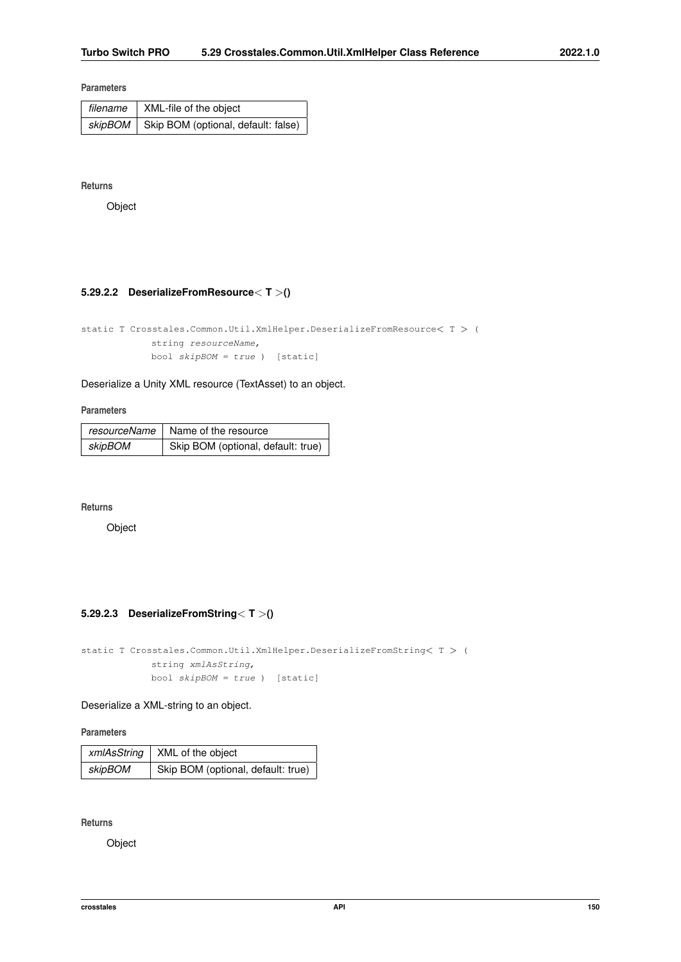### <span id="page-162-3"></span>**Parameters**

| filename | XML-file of the object                        |
|----------|-----------------------------------------------|
|          | skipBOM   Skip BOM (optional, default: false) |

**Returns**

<span id="page-162-2"></span>Object

### **5.29.2.2 DeserializeFromResource**< **T** >**()**

static T Crosstales.Common.Util.XmlHelper.DeserializeFromResource< T > ( string resourceName, bool skipBOM = true ) [static]

Deserialize a Unity XML resource (TextAsset) to an object.

**Parameters**

|         | resourceName   Name of the resource |
|---------|-------------------------------------|
| skipBOM | Skip BOM (optional, default: true)  |

**Returns**

<span id="page-162-1"></span>Object

### **5.29.2.3 DeserializeFromString**< **T** >**()**

static T Crosstales.Common.Util.XmlHelper.DeserializeFromString< T > ( string xmlAsString, bool skipBOM = true ) [static]

Deserialize a XML-string to an object.

**Parameters**

|         | xmlAsString   XML of the object    |
|---------|------------------------------------|
| skipBOM | Skip BOM (optional, default: true) |

**Returns**

<span id="page-162-0"></span>Object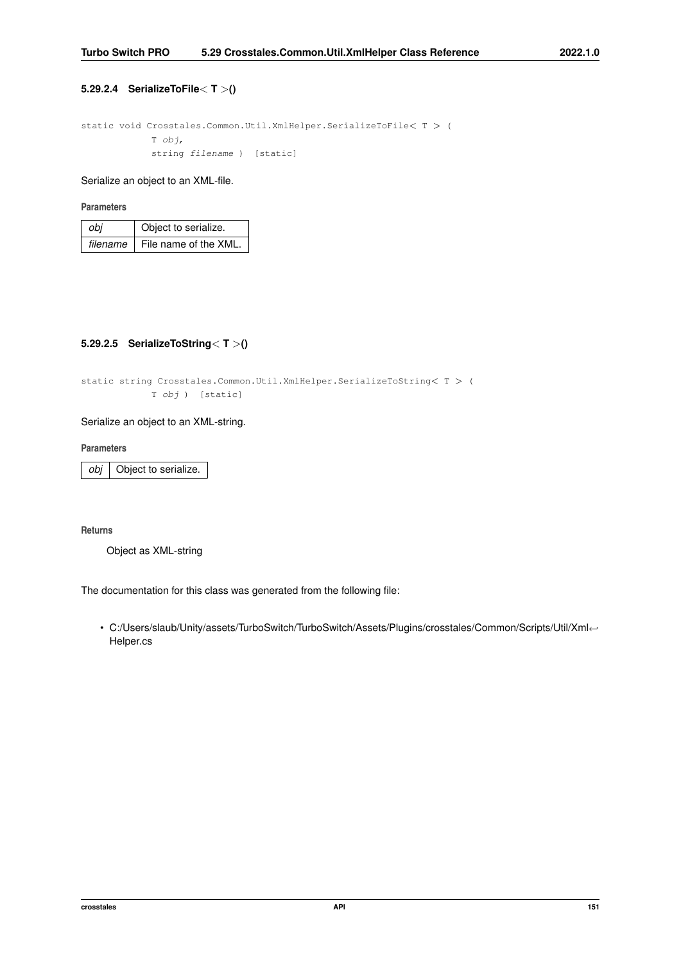### <span id="page-163-1"></span>**5.29.2.4 SerializeToFile**< **T** >**()**

```
static void Crosstales.Common.Util.XmlHelper.SerializeToFile< T > (
            T obj,
            string filename ) [static]
```
Serialize an object to an XML-file.

### **Parameters**

| obi | Object to serialize.                  |
|-----|---------------------------------------|
|     | $filename \mid File name$ of the XML. |

### <span id="page-163-0"></span>**5.29.2.5 SerializeToString**< **T** >**()**

static string Crosstales.Common.Util.XmlHelper.SerializeToString< T > ( T obj ) [static]

### Serialize an object to an XML-string.

### **Parameters**

*obj* Object to serialize.

### **Returns**

Object as XML-string

The documentation for this class was generated from the following file:

• C:/Users/slaub/Unity/assets/TurboSwitch/TurboSwitch/Assets/Plugins/crosstales/Common/Scripts/Util/Xml←- Helper.cs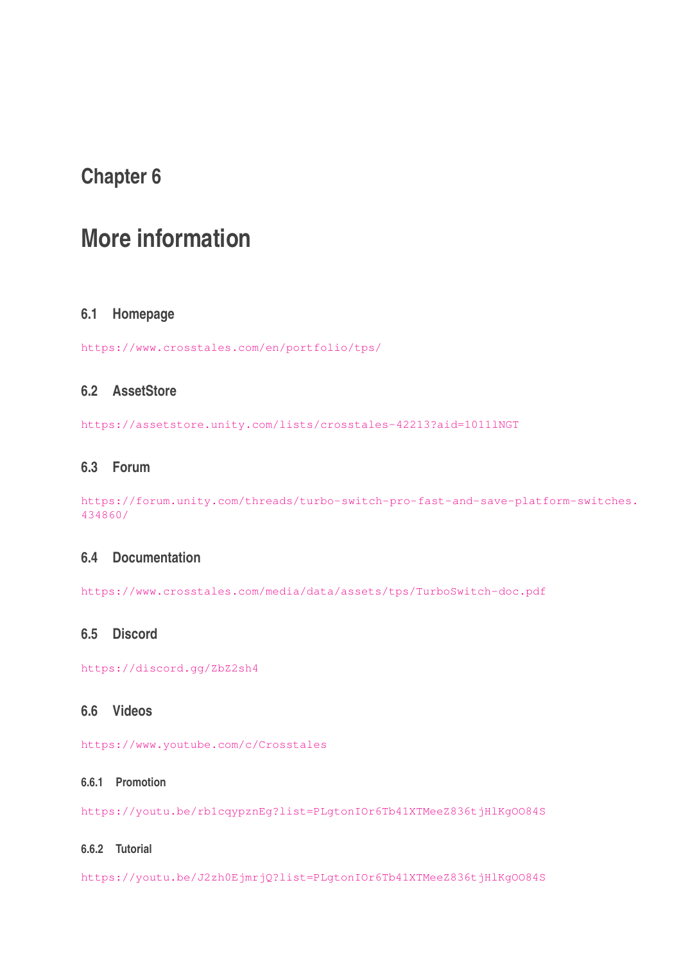# **Chapter 6**

# **More information**

# **6.1 Homepage**

<https://www.crosstales.com/en/portfolio/tps/>

# **6.2 AssetStore**

<https://assetstore.unity.com/lists/crosstales-42213?aid=1011lNGT>

# **6.3 Forum**

[https://forum.unity.com/threads/turbo-switch-pro-fast-and-save-platform-swit](https://forum.unity.com/threads/turbo-switch-pro-fast-and-save-platform-switches.434860/)ches. [434860/](https://forum.unity.com/threads/turbo-switch-pro-fast-and-save-platform-switches.434860/)

# **6.4 Documentation**

<https://www.crosstales.com/media/data/assets/tps/TurboSwitch-doc.pdf>

# **6.5 Discord**

<https://discord.gg/ZbZ2sh4>

# **6.6 Videos**

<https://www.youtube.com/c/Crosstales>

# **6.6.1 Promotion**

<https://youtu.be/rb1cqypznEg?list=PLgtonIOr6Tb41XTMeeZ836tjHlKgOO84S>

# **6.6.2 Tutorial**

<https://youtu.be/J2zh0EjmrjQ?list=PLgtonIOr6Tb41XTMeeZ836tjHlKgOO84S>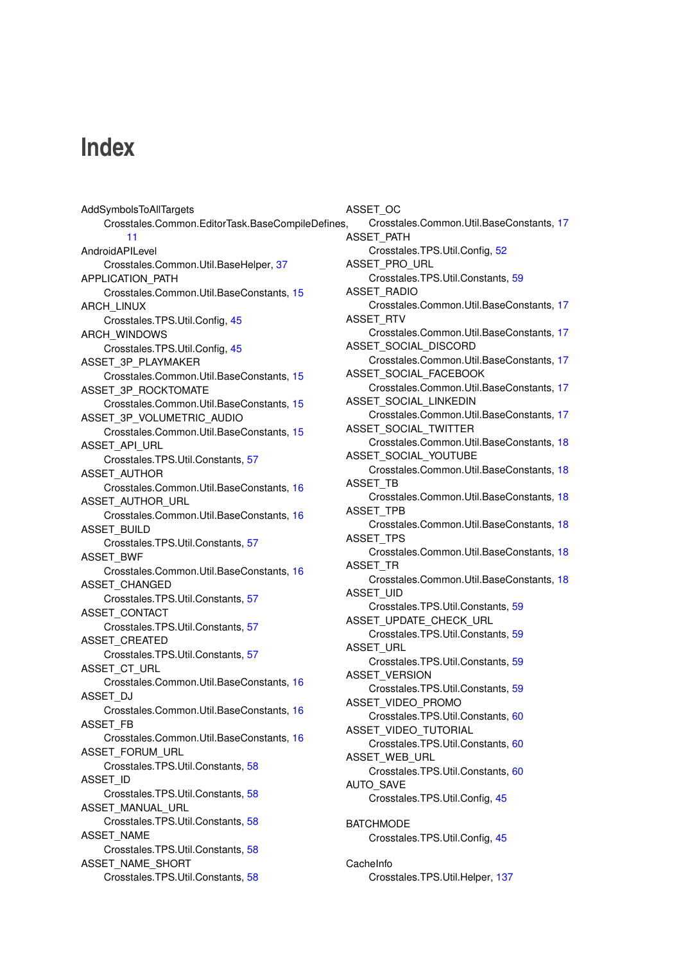# **Index**

AddSymbolsToAllTargets Crosstales.Common.EditorTask.BaseCompileDefines, [11](#page-23-0) AndroidAPILevel Crosstales.Common.Util.BaseHelper, [37](#page-49-0) APPLICATION\_PATH Crosstales.Common.Util.BaseConstants, [15](#page-27-0) ARCH\_LINUX Crosstales.TPS.Util.Config, [45](#page-57-0) ARCH\_WINDOWS Crosstales.TPS.Util.Config, [45](#page-57-0) ASSET\_3P\_PLAYMAKER Crosstales.Common.Util.BaseConstants, [15](#page-27-0) ASSET 3P ROCKTOMATE Crosstales.Common.Util.BaseConstants, [15](#page-27-0) ASSET\_3P\_VOLUMETRIC\_AUDIO Crosstales.Common.Util.BaseConstants, [15](#page-27-0) ASSET\_API\_URL Crosstales.TPS.Util.Constants, [57](#page-69-0) ASSET\_AUTHOR Crosstales.Common.Util.BaseConstants, [16](#page-28-0) ASSET\_AUTHOR\_URL Crosstales.Common.Util.BaseConstants, [16](#page-28-0) ASSET\_BUILD Crosstales.TPS.Util.Constants, [57](#page-69-0) ASSET\_BWF Crosstales.Common.Util.BaseConstants, [16](#page-28-0) ASSET\_CHANGED Crosstales.TPS.Util.Constants, [57](#page-69-0) ASSET\_CONTACT Crosstales.TPS.Util.Constants, [57](#page-69-0) ASSET\_CREATED Crosstales.TPS.Util.Constants, [57](#page-69-0) ASSET\_CT\_URL Crosstales.Common.Util.BaseConstants, [16](#page-28-0) ASSET\_DJ Crosstales.Common.Util.BaseConstants, [16](#page-28-0) ASSET\_FB Crosstales.Common.Util.BaseConstants, [16](#page-28-0) ASSET\_FORUM\_URL Crosstales.TPS.Util.Constants, [58](#page-70-0) ASSET\_ID Crosstales.TPS.Util.Constants, [58](#page-70-0) ASSET\_MANUAL\_URL Crosstales.TPS.Util.Constants, [58](#page-70-0) ASSET\_NAME Crosstales.TPS.Util.Constants, [58](#page-70-0) ASSET\_NAME\_SHORT Crosstales.TPS.Util.Constants, [58](#page-70-0)

ASSET\_OC Crosstales.Common.Util.BaseConstants, [17](#page-29-0) ASSET\_PATH Crosstales.TPS.Util.Config, [52](#page-64-0) ASSET\_PRO\_URL Crosstales.TPS.Util.Constants, [59](#page-71-0) ASSET\_RADIO Crosstales.Common.Util.BaseConstants, [17](#page-29-0) ASSET\_RTV Crosstales.Common.Util.BaseConstants, [17](#page-29-0) ASSET\_SOCIAL\_DISCORD Crosstales.Common.Util.BaseConstants, [17](#page-29-0) ASSET\_SOCIAL\_FACEBOOK Crosstales.Common.Util.BaseConstants, [17](#page-29-0) ASSET\_SOCIAL\_LINKEDIN Crosstales.Common.Util.BaseConstants, [17](#page-29-0) ASSET\_SOCIAL\_TWITTER Crosstales.Common.Util.BaseConstants, [18](#page-30-0) ASSET\_SOCIAL\_YOUTUBE Crosstales.Common.Util.BaseConstants, [18](#page-30-0) ASSET\_TB Crosstales.Common.Util.BaseConstants, [18](#page-30-0) ASSET\_TPB Crosstales.Common.Util.BaseConstants, [18](#page-30-0) ASSET\_TPS Crosstales.Common.Util.BaseConstants, [18](#page-30-0) ASSET\_TR Crosstales.Common.Util.BaseConstants, [18](#page-30-0) **ASSET\_UID** Crosstales.TPS.Util.Constants, [59](#page-71-0) ASSET\_UPDATE\_CHECK\_URL Crosstales.TPS.Util.Constants, [59](#page-71-0) ASSET\_URL Crosstales.TPS.Util.Constants, [59](#page-71-0) ASSET\_VERSION Crosstales.TPS.Util.Constants, [59](#page-71-0) ASSET\_VIDEO\_PROMO Crosstales.TPS.Util.Constants, [60](#page-72-0) ASSET\_VIDEO\_TUTORIAL Crosstales.TPS.Util.Constants, [60](#page-72-0) ASSET\_WEB\_URL Crosstales.TPS.Util.Constants, [60](#page-72-0) AUTO\_SAVE Crosstales.TPS.Util.Config, [45](#page-57-0) **BATCHMODE** Crosstales.TPS.Util.Config, [45](#page-57-0)

CacheInfo Crosstales.TPS.Util.Helper, [137](#page-149-3)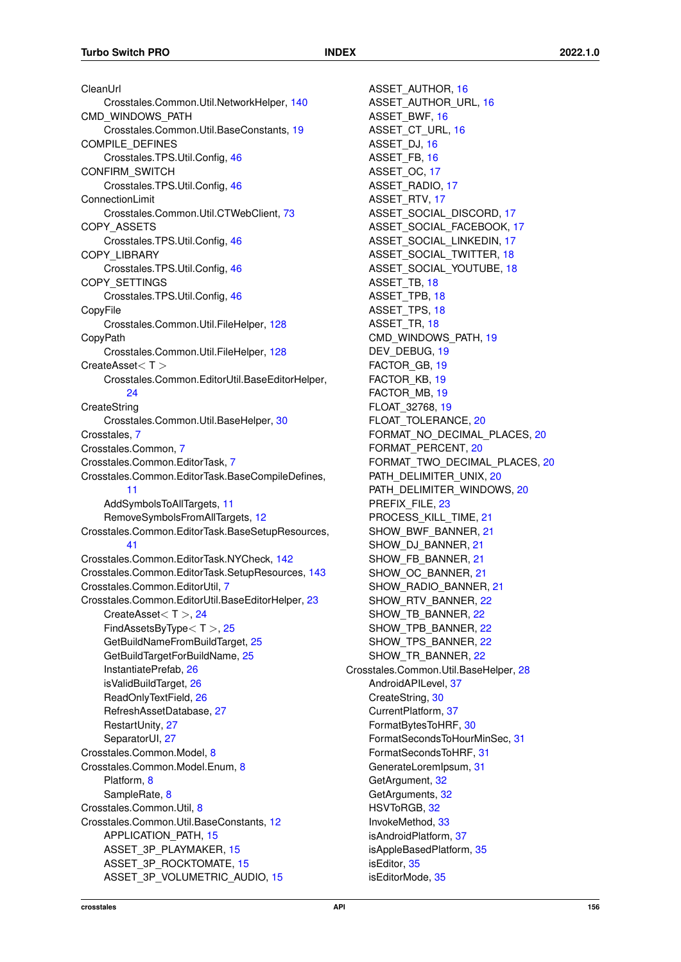CleanUrl Crosstales.Common.Util.NetworkHelper, [140](#page-152-3) CMD\_WINDOWS\_PATH Crosstales.Common.Util.BaseConstants, [19](#page-31-0) COMPILE\_DEFINES Crosstales.TPS.Util.Config, [46](#page-58-0) CONFIRM\_SWITCH Crosstales.TPS.Util.Config, [46](#page-58-0) ConnectionLimit Crosstales.Common.Util.CTWebClient, [73](#page-85-0) COPY\_ASSETS Crosstales.TPS.Util.Config, [46](#page-58-0) COPY\_LIBRARY Crosstales.TPS.Util.Config, [46](#page-58-0) COPY\_SETTINGS Crosstales.TPS.Util.Config, [46](#page-58-0) CopyFile Crosstales.Common.Util.FileHelper, [128](#page-140-0) **CopyPath** Crosstales.Common.Util.FileHelper, [128](#page-140-0) CreateAsset< T > Crosstales.Common.EditorUtil.BaseEditorHelper, [24](#page-36-0) **CreateString** Crosstales.Common.Util.BaseHelper, [30](#page-42-0) Crosstales, [7](#page-19-0) Crosstales.Common, [7](#page-19-0) Crosstales.Common.EditorTask, [7](#page-19-0) Crosstales.Common.EditorTask.BaseCompileDefines, [11](#page-23-0) AddSymbolsToAllTargets, [11](#page-23-0) RemoveSymbolsFromAllTargets, [12](#page-24-0) Crosstales.Common.EditorTask.BaseSetupResources, [41](#page-53-0) Crosstales.Common.EditorTask.NYCheck, [142](#page-154-1) Crosstales.Common.EditorTask.SetupResources, [143](#page-155-0) Crosstales.Common.EditorUtil, [7](#page-19-0) Crosstales.Common.EditorUtil.BaseEditorHelper, [23](#page-35-0) CreateAsset< T >, [24](#page-36-0) FindAssetsByType< T >, [25](#page-37-0) GetBuildNameFromBuildTarget, [25](#page-37-0) GetBuildTargetForBuildName, [25](#page-37-0) InstantiatePrefab, [26](#page-38-0) isValidBuildTarget, [26](#page-38-0) ReadOnlyTextField, [26](#page-38-0) RefreshAssetDatabase, [27](#page-39-0) RestartUnity, [27](#page-39-0) SeparatorUI, [27](#page-39-0) Crosstales.Common.Model, [8](#page-20-1) Crosstales.Common.Model.Enum, [8](#page-20-1) Platform, [8](#page-20-1) SampleRate, [8](#page-20-1) Crosstales.Common.Util, [8](#page-20-1) Crosstales.Common.Util.BaseConstants, [12](#page-24-0) APPLICATION\_PATH, [15](#page-27-0) ASSET 3P PLAYMAKER, [15](#page-27-0) ASSET 3P\_ROCKTOMATE, [15](#page-27-0) ASSET\_3P\_VOLUMETRIC\_AUDIO, [15](#page-27-0)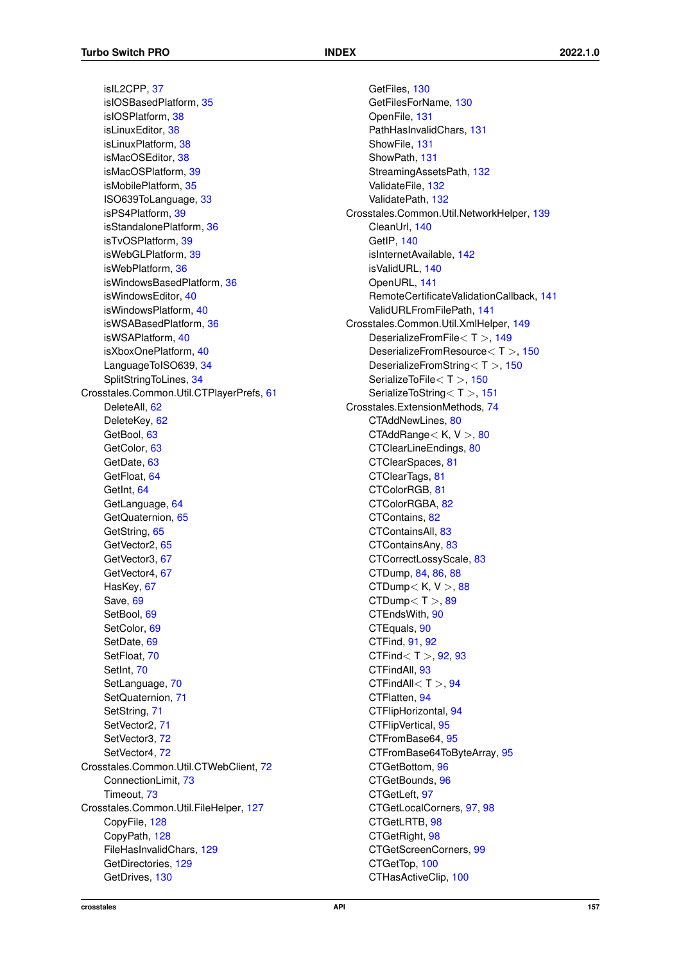isIL2CPP, [37](#page-49-0) isIOSBasedPlatform, [35](#page-47-0) isIOSPlatform, [38](#page-50-0) isLinuxEditor, [38](#page-50-0) isLinuxPlatform, [38](#page-50-0) isMacOSEditor, [38](#page-50-0) isMacOSPlatform, [39](#page-51-0) isMobilePlatform, [35](#page-47-0) ISO639ToLanguage, [33](#page-45-0) isPS4Platform, [39](#page-51-0) isStandalonePlatform, [36](#page-48-0) isTvOSPlatform, [39](#page-51-0) isWebGLPlatform, [39](#page-51-0) isWebPlatform, [36](#page-48-0) isWindowsBasedPlatform, [36](#page-48-0) isWindowsEditor, [40](#page-52-0) isWindowsPlatform, [40](#page-52-0) isWSABasedPlatform, [36](#page-48-0) isWSAPlatform, [40](#page-52-0) isXboxOnePlatform, [40](#page-52-0) LanguageToISO639, [34](#page-46-0) SplitStringToLines, [34](#page-46-0) Crosstales.Common.Util.CTPlayerPrefs, [61](#page-73-0) DeleteAll, [62](#page-74-0) DeleteKey, [62](#page-74-0) GetBool, [63](#page-75-0) GetColor, [63](#page-75-0) GetDate, [63](#page-75-0) GetFloat, [64](#page-76-0) GetInt, [64](#page-76-0) GetLanguage, [64](#page-76-0) GetQuaternion, [65](#page-77-0) GetString, [65](#page-77-0) GetVector2, [65](#page-77-0) GetVector3, [67](#page-79-0) GetVector4, [67](#page-79-0) HasKey, [67](#page-79-0) Save, [69](#page-81-0) SetBool, [69](#page-81-0) SetColor, [69](#page-81-0) SetDate, [69](#page-81-0) SetFloat, [70](#page-82-0) SetInt, [70](#page-82-0) SetLanguage, [70](#page-82-0) SetQuaternion, [71](#page-83-0) SetString, [71](#page-83-0) SetVector2, [71](#page-83-0) SetVector3, [72](#page-84-0) SetVector4, [72](#page-84-0) Crosstales.Common.Util.CTWebClient, [72](#page-84-0) ConnectionLimit, [73](#page-85-0) Timeout, [73](#page-85-0) Crosstales.Common.Util.FileHelper, [127](#page-139-0) CopyFile, [128](#page-140-0) CopyPath, [128](#page-140-0) FileHasInvalidChars, [129](#page-141-0) GetDirectories, [129](#page-141-0) GetDrives, [130](#page-142-0)

GetFiles, [130](#page-142-0) GetFilesForName, [130](#page-142-0) OpenFile, [131](#page-143-0) PathHasInvalidChars, [131](#page-143-0) ShowFile, [131](#page-143-0) ShowPath, [131](#page-143-0) StreamingAssetsPath, [132](#page-144-0) ValidateFile, [132](#page-144-0) ValidatePath, [132](#page-144-0) Crosstales.Common.Util.NetworkHelper, [139](#page-151-0) CleanUrl, [140](#page-152-3) GetIP, [140](#page-152-3) isInternetAvailable, [142](#page-154-1) isValidURL, [140](#page-152-3) OpenURL, [141](#page-153-3) RemoteCertificateValidationCallback, [141](#page-153-3) ValidURLFromFilePath, [141](#page-153-3) Crosstales.Common.Util.XmlHelper, [149](#page-161-1) DeserializeFromFile< T >, [149](#page-161-1) DeserializeFromResource< T >, [150](#page-162-3) DeserializeFromString< T >, [150](#page-162-3) SerializeToFile<T>, [150](#page-162-3) SerializeToString<T >, [151](#page-163-1) Crosstales.ExtensionMethods, [74](#page-86-0) CTAddNewLines, [80](#page-92-0) CTAddRange $<$  K, V  $>$ , [80](#page-92-0) CTClearLineEndings, [80](#page-92-0) CTClearSpaces, [81](#page-93-0) CTClearTags, [81](#page-93-0) CTColorRGB, [81](#page-93-0) CTColorRGBA, [82](#page-94-0) CTContains, [82](#page-94-0) CTContainsAll, [83](#page-95-0) CTContainsAny, [83](#page-95-0) CTCorrectLossyScale, [83](#page-95-0) CTDump, [84,](#page-96-0) [86,](#page-98-0) [88](#page-100-0) CTDump $<$  K, V $>$ , [88](#page-100-0)  $CTDump < T > 0.89$  $CTDump < T > 0.89$ CTEndsWith, [90](#page-102-0) CTEquals, [90](#page-102-0) CTFind, [91,](#page-103-0) [92](#page-104-0) CTFind $<$  T  $>$ , [92,](#page-104-0) [93](#page-105-0) CTFindAll, [93](#page-105-0) CTFindAll $<$ T $>$ . [94](#page-106-0) CTFlatten, [94](#page-106-0) CTFlipHorizontal, [94](#page-106-0) CTFlipVertical, [95](#page-107-0) CTFromBase64, [95](#page-107-0) CTFromBase64ToByteArray, [95](#page-107-0) CTGetBottom, [96](#page-108-0) CTGetBounds, [96](#page-108-0) CTGetLeft, [97](#page-109-0) CTGetLocalCorners, [97,](#page-109-0) [98](#page-110-0) CTGetLRTB, [98](#page-110-0) CTGetRight, [98](#page-110-0) CTGetScreenCorners, [99](#page-111-0) CTGetTop, [100](#page-112-0) CTHasActiveClip, [100](#page-112-0)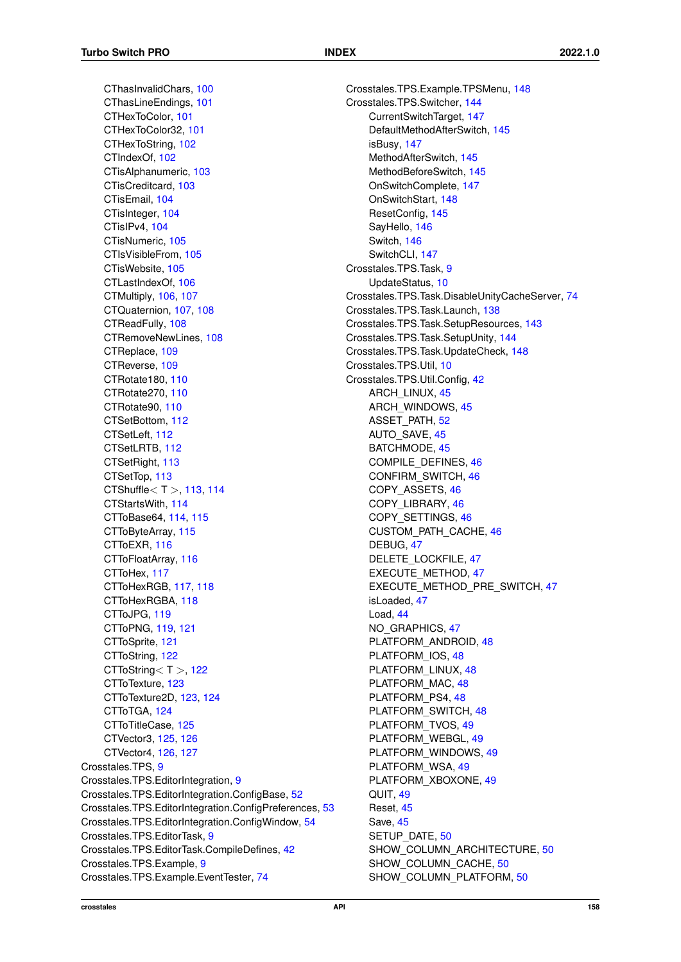CThasInvalidChars, [100](#page-112-0) CThasLineEndings, [101](#page-113-0) CTHexToColor, [101](#page-113-0) CTHexToColor32, [101](#page-113-0) CTHexToString, [102](#page-114-0) CTIndexOf, [102](#page-114-0) CTisAlphanumeric, [103](#page-115-0) CTisCreditcard, [103](#page-115-0) CTisEmail, [104](#page-116-0) CTisInteger, [104](#page-116-0) CTisIPv4, [104](#page-116-0) CTisNumeric, [105](#page-117-0) CTIsVisibleFrom, [105](#page-117-0) CTisWebsite, [105](#page-117-0) CTLastIndexOf, [106](#page-118-0) CTMultiply, [106,](#page-118-0) [107](#page-119-0) CTQuaternion, [107,](#page-119-0) [108](#page-120-0) CTReadFully, [108](#page-120-0) CTRemoveNewLines, [108](#page-120-0) CTReplace, [109](#page-121-0) CTReverse, [109](#page-121-0) CTRotate180, [110](#page-122-0) CTRotate270, [110](#page-122-0) CTRotate90, [110](#page-122-0) CTSetBottom, [112](#page-124-0) CTSetLeft, [112](#page-124-0) CTSetLRTB, [112](#page-124-0) CTSetRight, [113](#page-125-0) CTSetTop, [113](#page-125-0) CTShuffle $<$  T  $>$ , [113,](#page-125-0) [114](#page-126-0) CTStartsWith, [114](#page-126-0) CTToBase64, [114,](#page-126-0) [115](#page-127-0) CTToByteArray, [115](#page-127-0) CTToEXR, [116](#page-128-0) CTToFloatArray, [116](#page-128-0) CTToHex, [117](#page-129-0) CTToHexRGB, [117,](#page-129-0) [118](#page-130-0) CTToHexRGBA, [118](#page-130-0) CTToJPG, [119](#page-131-0) CTToPNG, [119,](#page-131-0) [121](#page-133-0) CTToSprite, [121](#page-133-0) CTToString, [122](#page-134-0) CTToString $<$ T $>$ , [122](#page-134-0) CTToTexture, [123](#page-135-0) CTToTexture2D, [123,](#page-135-0) [124](#page-136-0) CTToTGA, [124](#page-136-0) CTToTitleCase, [125](#page-137-0) CTVector3, [125,](#page-137-0) [126](#page-138-0) CTVector4, [126,](#page-138-0) [127](#page-139-0) Crosstales.TPS, [9](#page-21-1) Crosstales.TPS.EditorIntegration, [9](#page-21-1) Crosstales.TPS.EditorIntegration.ConfigBase, [52](#page-64-0) Crosstales.TPS.EditorIntegration.ConfigPreferences, [53](#page-65-0) Crosstales.TPS.EditorIntegration.ConfigWindow, [54](#page-66-0) Crosstales.TPS.EditorTask, [9](#page-21-1) Crosstales.TPS.EditorTask.CompileDefines, [42](#page-54-0) Crosstales.TPS.Example, [9](#page-21-1) Crosstales.TPS.Example.EventTester, [74](#page-86-0)

Crosstales.TPS.Example.TPSMenu, [148](#page-160-1) Crosstales.TPS.Switcher, [144](#page-156-1) CurrentSwitchTarget, [147](#page-159-4) DefaultMethodAfterSwitch, [145](#page-157-4) isBusy, [147](#page-159-4) MethodAfterSwitch, [145](#page-157-4) MethodBeforeSwitch, [145](#page-157-4) OnSwitchComplete, [147](#page-159-4) OnSwitchStart, [148](#page-160-1) ResetConfig, [145](#page-157-4) SayHello, [146](#page-158-3) Switch, [146](#page-158-3) SwitchCLI, [147](#page-159-4) Crosstales.TPS.Task, [9](#page-21-1) UpdateStatus, [10](#page-22-1) Crosstales.TPS.Task.DisableUnityCacheServer, [74](#page-86-0) Crosstales.TPS.Task.Launch, [138](#page-150-2) Crosstales.TPS.Task.SetupResources, [143](#page-155-0) Crosstales.TPS.Task.SetupUnity, [144](#page-156-1) Crosstales.TPS.Task.UpdateCheck, [148](#page-160-1) Crosstales.TPS.Util, [10](#page-22-1) Crosstales.TPS.Util.Config, [42](#page-54-0) ARCH\_LINUX, [45](#page-57-0) ARCH\_WINDOWS, [45](#page-57-0) ASSET\_PATH, [52](#page-64-0) AUTO SAVE, [45](#page-57-0) BATCHMODE, [45](#page-57-0) COMPILE\_DEFINES, [46](#page-58-0) CONFIRM\_SWITCH, [46](#page-58-0) COPY\_ASSETS, [46](#page-58-0) COPY\_LIBRARY, [46](#page-58-0) COPY\_SETTINGS, [46](#page-58-0) CUSTOM\_PATH\_CACHE, [46](#page-58-0) DEBUG, [47](#page-59-0) DELETE\_LOCKFILE, [47](#page-59-0) EXECUTE\_METHOD, [47](#page-59-0) EXECUTE\_METHOD\_PRE\_SWITCH, [47](#page-59-0) isLoaded, [47](#page-59-0) Load, [44](#page-56-0) NO\_GRAPHICS, [47](#page-59-0) PLATFORM\_ANDROID, [48](#page-60-1) PLATFORM\_IOS, [48](#page-60-1) PLATFORM\_LINUX, [48](#page-60-1) PLATFORM\_MAC, [48](#page-60-1) PLATFORM\_PS4, [48](#page-60-1) PLATFORM\_SWITCH, [48](#page-60-1) PLATFORM\_TVOS, [49](#page-61-1) PLATFORM\_WEBGL, [49](#page-61-1) PLATFORM\_WINDOWS, [49](#page-61-1) PLATFORM\_WSA, [49](#page-61-1) PLATFORM\_XBOXONE, [49](#page-61-1) QUIT, [49](#page-61-1) Reset, [45](#page-57-0) Save, [45](#page-57-0) SETUP\_DATE, [50](#page-62-0) SHOW\_COLUMN\_ARCHITECTURE, [50](#page-62-0) SHOW\_COLUMN\_CACHE, [50](#page-62-0) SHOW\_COLUMN\_PLATFORM, [50](#page-62-0)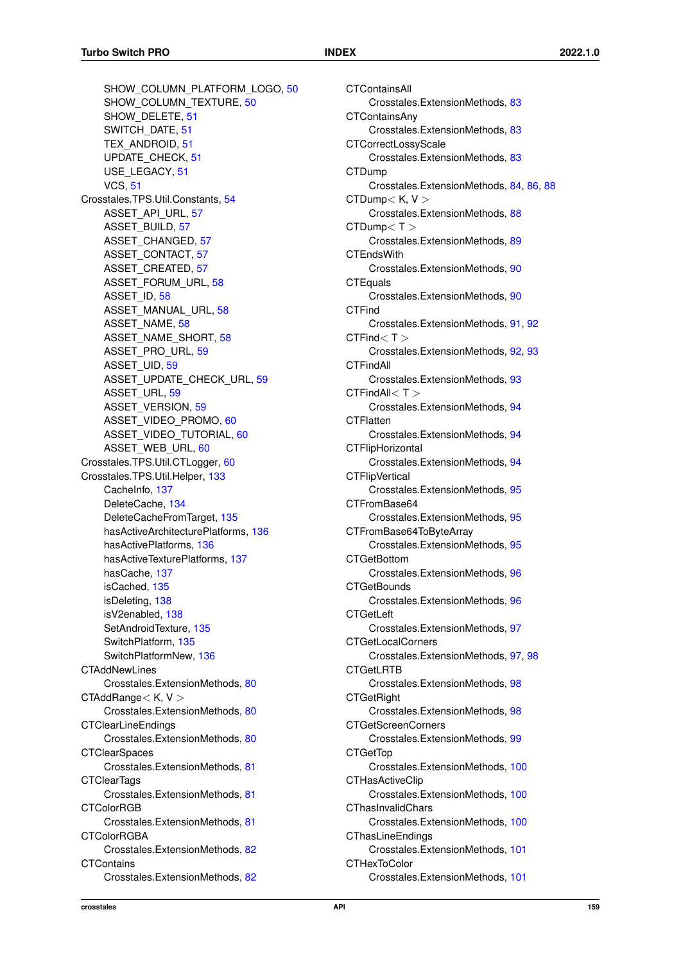SHOW\_COLUMN\_PLATFORM\_LOGO, [50](#page-62-0) SHOW COLUMN TEXTURE, [50](#page-62-0) SHOW\_DELETE, [51](#page-63-0) SWITCH\_DATE, [51](#page-63-0) TEX\_ANDROID, [51](#page-63-0) UPDATE\_CHECK, [51](#page-63-0) USE\_LEGACY, [51](#page-63-0) VCS, [51](#page-63-0) Crosstales.TPS.Util.Constants, [54](#page-66-0) ASSET API URL, [57](#page-69-0) ASSET\_BUILD, [57](#page-69-0) ASSET\_CHANGED, [57](#page-69-0) ASSET\_CONTACT, [57](#page-69-0) ASSET\_CREATED, [57](#page-69-0) ASSET\_FORUM\_URL, [58](#page-70-0) ASSET\_ID, [58](#page-70-0) ASSET\_MANUAL\_URL, [58](#page-70-0) ASSET\_NAME, [58](#page-70-0) ASSET\_NAME\_SHORT, [58](#page-70-0) ASSET\_PRO\_URL, [59](#page-71-0) ASSET\_UID, [59](#page-71-0) ASSET\_UPDATE\_CHECK\_URL, [59](#page-71-0) ASSET\_URL, [59](#page-71-0) ASSET\_VERSION, [59](#page-71-0) ASSET\_VIDEO\_PROMO, [60](#page-72-0) ASSET\_VIDEO\_TUTORIAL, [60](#page-72-0) ASSET\_WEB\_URL, [60](#page-72-0) Crosstales.TPS.Util.CTLogger, [60](#page-72-0) Crosstales.TPS.Util.Helper, [133](#page-145-1) CacheInfo, [137](#page-149-3) DeleteCache, [134](#page-146-1) DeleteCacheFromTarget, [135](#page-147-3) hasActiveArchitecturePlatforms, [136](#page-148-3) hasActivePlatforms, [136](#page-148-3) hasActiveTexturePlatforms, [137](#page-149-3) hasCache, [137](#page-149-3) isCached, [135](#page-147-3) isDeleting, [138](#page-150-2) isV2enabled, [138](#page-150-2) SetAndroidTexture, [135](#page-147-3) SwitchPlatform, [135](#page-147-3) SwitchPlatformNew, [136](#page-148-3) **CTAddNewLines** Crosstales.ExtensionMethods, [80](#page-92-0) CTAddRange< K, V > Crosstales.ExtensionMethods, [80](#page-92-0) CTClearLineEndings Crosstales.ExtensionMethods, [80](#page-92-0) **CTClearSpaces** Crosstales.ExtensionMethods, [81](#page-93-0) **CTClearTags** Crosstales.ExtensionMethods, [81](#page-93-0) CTColorRGB Crosstales.ExtensionMethods, [81](#page-93-0) **CTColorRGBA** Crosstales.ExtensionMethods, [82](#page-94-0) **CTContains** Crosstales.ExtensionMethods, [82](#page-94-0)

CTContainsAll Crosstales.ExtensionMethods, [83](#page-95-0) **CTContainsAny** Crosstales.ExtensionMethods, [83](#page-95-0) CTCorrectLossyScale Crosstales.ExtensionMethods, [83](#page-95-0) CTDump Crosstales.ExtensionMethods, [84,](#page-96-0) [86,](#page-98-0) [88](#page-100-0)  $CTDump < K, V >$ Crosstales.ExtensionMethods, [88](#page-100-0) CTDump< T > Crosstales.ExtensionMethods, [89](#page-101-0) **CTEndsWith** Crosstales.ExtensionMethods, [90](#page-102-0) **CTEquals** Crosstales.ExtensionMethods, [90](#page-102-0) **CTFind** Crosstales.ExtensionMethods, [91,](#page-103-0) [92](#page-104-0)  $CTFind < T >$ Crosstales.ExtensionMethods, [92,](#page-104-0) [93](#page-105-0) **CTFindAll** Crosstales.ExtensionMethods, [93](#page-105-0) CTFindAll< T > Crosstales.ExtensionMethods, [94](#page-106-0) **CTFlatten** Crosstales.ExtensionMethods, [94](#page-106-0) **CTFlipHorizontal** Crosstales.ExtensionMethods, [94](#page-106-0) **CTFlipVertical** Crosstales.ExtensionMethods, [95](#page-107-0) CTFromBase64 Crosstales.ExtensionMethods, [95](#page-107-0) CTFromBase64ToByteArray Crosstales.ExtensionMethods, [95](#page-107-0) **CTGetBottom** Crosstales.ExtensionMethods, [96](#page-108-0) **CTGetBounds** Crosstales.ExtensionMethods, [96](#page-108-0) **CTGetLeft** Crosstales.ExtensionMethods, [97](#page-109-0) CTGetLocalCorners Crosstales.ExtensionMethods, [97,](#page-109-0) [98](#page-110-0) CTGetLRTB Crosstales.ExtensionMethods, [98](#page-110-0) **CTGetRight** Crosstales.ExtensionMethods, [98](#page-110-0) CTGetScreenCorners Crosstales.ExtensionMethods, [99](#page-111-0) **CTGetTop** Crosstales.ExtensionMethods, [100](#page-112-0) **CTHasActiveClip** Crosstales.ExtensionMethods, [100](#page-112-0) **CThasInvalidChars** Crosstales.ExtensionMethods, [100](#page-112-0) CThasLineEndings Crosstales.ExtensionMethods, [101](#page-113-0) CTHexToColor Crosstales.ExtensionMethods, [101](#page-113-0)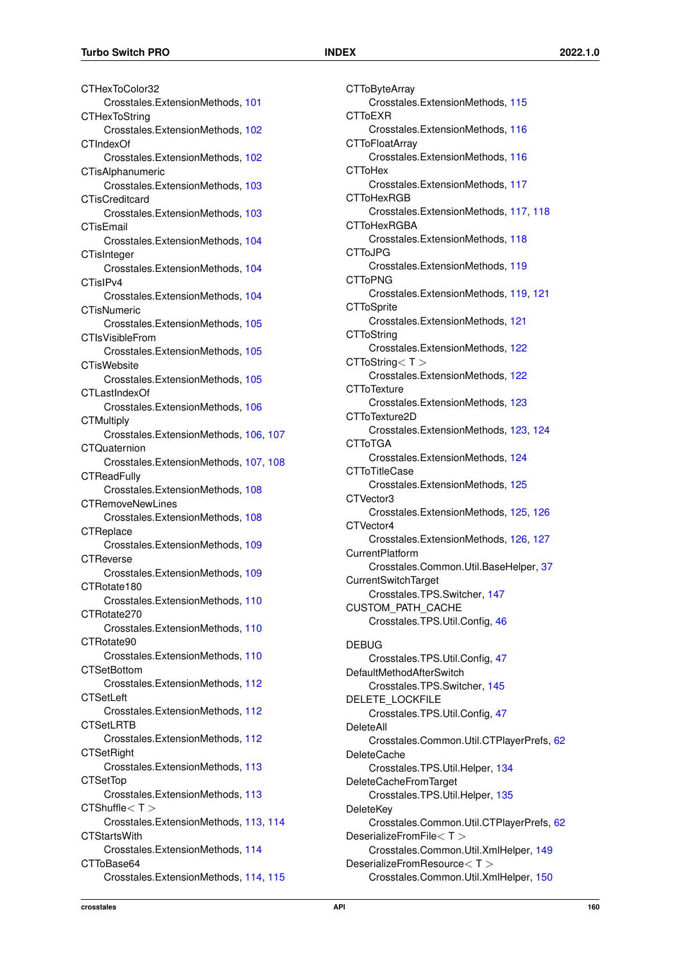CTHexToColor32 Crosstales.ExtensionMethods, [101](#page-113-0) **CTHexToString** Crosstales.ExtensionMethods, [102](#page-114-0) CTIndexOf Crosstales.ExtensionMethods, [102](#page-114-0) CTisAlphanumeric Crosstales.ExtensionMethods, [103](#page-115-0) **CTisCreditcard** Crosstales.ExtensionMethods, [103](#page-115-0) **CTisEmail** Crosstales.ExtensionMethods, [104](#page-116-0) **CTisInteger** Crosstales.ExtensionMethods, [104](#page-116-0) CTisIPv4 Crosstales.ExtensionMethods, [104](#page-116-0) **CTisNumeric** Crosstales.ExtensionMethods, [105](#page-117-0) CTIsVisibleFrom Crosstales.ExtensionMethods, [105](#page-117-0) **CTisWebsite** Crosstales.ExtensionMethods, [105](#page-117-0) CTLastIndexOf Crosstales.ExtensionMethods, [106](#page-118-0) **CTMultinly** Crosstales.ExtensionMethods, [106,](#page-118-0) [107](#page-119-0) **CTQuaternion** Crosstales.ExtensionMethods, [107,](#page-119-0) [108](#page-120-0) **CTReadFully** Crosstales.ExtensionMethods, [108](#page-120-0) **CTRemoveNewLines** Crosstales.ExtensionMethods, [108](#page-120-0) **CTReplace** Crosstales.ExtensionMethods, [109](#page-121-0) **CTReverse** Crosstales.ExtensionMethods, [109](#page-121-0) CTRotate180 Crosstales.ExtensionMethods, [110](#page-122-0) CTRotate270 Crosstales.ExtensionMethods, [110](#page-122-0) CTRotate90 Crosstales.ExtensionMethods, [110](#page-122-0) **CTSetBottom** Crosstales.ExtensionMethods, [112](#page-124-0) **CTSetLeft** Crosstales.ExtensionMethods, [112](#page-124-0) **CTSetLRTB** Crosstales.ExtensionMethods, [112](#page-124-0) **CTSetRight** Crosstales.ExtensionMethods, [113](#page-125-0) **CTSetTop** Crosstales.ExtensionMethods, [113](#page-125-0) CTShuffle< T > Crosstales.ExtensionMethods, [113,](#page-125-0) [114](#page-126-0) **CTStartsWith** Crosstales.ExtensionMethods, [114](#page-126-0) CTToBase64 Crosstales.ExtensionMethods, [114,](#page-126-0) [115](#page-127-0) **CTToByteArray** Crosstales.ExtensionMethods, [115](#page-127-0) CTToEXR Crosstales.ExtensionMethods, [116](#page-128-0) **CTToFloatArray** Crosstales.ExtensionMethods, [116](#page-128-0) **CTToHex** Crosstales.ExtensionMethods, [117](#page-129-0) CTToHexRGB Crosstales.ExtensionMethods, [117,](#page-129-0) [118](#page-130-0) **CTToHexRGBA** Crosstales.ExtensionMethods, [118](#page-130-0) CTToJPG Crosstales.ExtensionMethods, [119](#page-131-0) CTToPNG Crosstales.ExtensionMethods, [119,](#page-131-0) [121](#page-133-0) **CTToSprite** Crosstales.ExtensionMethods, [121](#page-133-0) **CTToString** Crosstales.ExtensionMethods, [122](#page-134-0)  $CTToString < T >$ Crosstales.ExtensionMethods, [122](#page-134-0) **CTToTexture** Crosstales.ExtensionMethods, [123](#page-135-0) CTToTexture2D Crosstales.ExtensionMethods, [123,](#page-135-0) [124](#page-136-0) **CTToTGA** Crosstales.ExtensionMethods, [124](#page-136-0) CTToTitleCase Crosstales.ExtensionMethods, [125](#page-137-0) CTVector3 Crosstales.ExtensionMethods, [125,](#page-137-0) [126](#page-138-0) CTVector4 Crosstales.ExtensionMethods, [126,](#page-138-0) [127](#page-139-0) CurrentPlatform Crosstales.Common.Util.BaseHelper, [37](#page-49-0) CurrentSwitchTarget Crosstales.TPS.Switcher, [147](#page-159-4) CUSTOM\_PATH\_CACHE Crosstales.TPS.Util.Config, [46](#page-58-0) DEBUG Crosstales.TPS.Util.Config, [47](#page-59-0) DefaultMethodAfterSwitch Crosstales.TPS.Switcher, [145](#page-157-4) DELETE\_LOCKFILE Crosstales.TPS.Util.Config, [47](#page-59-0) DeleteAll Crosstales.Common.Util.CTPlayerPrefs, [62](#page-74-0) DeleteCache Crosstales.TPS.Util.Helper, [134](#page-146-1) DeleteCacheFromTarget Crosstales.TPS.Util.Helper, [135](#page-147-3) **DeleteKey** Crosstales.Common.Util.CTPlayerPrefs, [62](#page-74-0) DeserializeFromFile< T > Crosstales.Common.Util.XmlHelper, [149](#page-161-1) DeserializeFromResource< T > Crosstales.Common.Util.XmlHelper, [150](#page-162-3)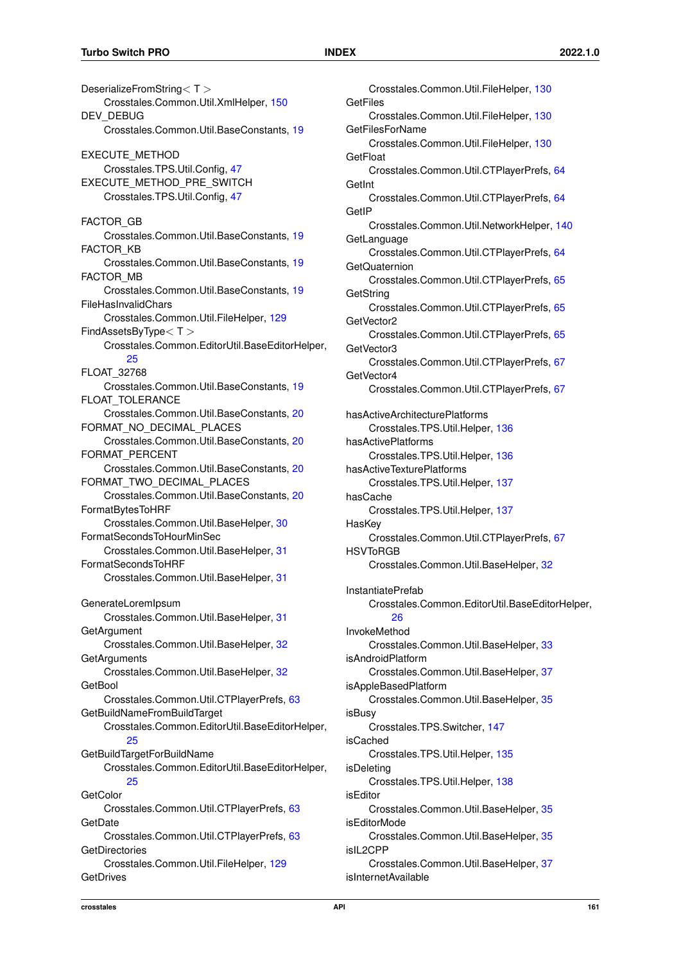DeserializeFromString< T > Crosstales.Common.Util.XmlHelper, [150](#page-162-3) DEV\_DEBUG Crosstales.Common.Util.BaseConstants, [19](#page-31-0) EXECUTE\_METHOD Crosstales.TPS.Util.Config, [47](#page-59-0) EXECUTE\_METHOD\_PRE\_SWITCH Crosstales.TPS.Util.Config, [47](#page-59-0) FACTOR\_GB Crosstales.Common.Util.BaseConstants, [19](#page-31-0) FACTOR\_KB Crosstales.Common.Util.BaseConstants, [19](#page-31-0) FACTOR\_MB Crosstales.Common.Util.BaseConstants, [19](#page-31-0) FileHasInvalidChars Crosstales.Common.Util.FileHelper, [129](#page-141-0) FindAssetsByType< T > Crosstales.Common.EditorUtil.BaseEditorHelper, [25](#page-37-0) FLOAT\_32768 Crosstales.Common.Util.BaseConstants, [19](#page-31-0) FLOAT\_TOLERANCE Crosstales.Common.Util.BaseConstants, [20](#page-32-0) FORMAT\_NO\_DECIMAL\_PLACES Crosstales.Common.Util.BaseConstants, [20](#page-32-0) FORMAT\_PERCENT Crosstales.Common.Util.BaseConstants, [20](#page-32-0) FORMAT\_TWO\_DECIMAL\_PLACES Crosstales.Common.Util.BaseConstants, [20](#page-32-0) FormatBytesToHRF Crosstales.Common.Util.BaseHelper, [30](#page-42-0) FormatSecondsToHourMinSec Crosstales.Common.Util.BaseHelper, [31](#page-43-0) FormatSecondsToHRF Crosstales.Common.Util.BaseHelper, [31](#page-43-0) GenerateLoremIpsum Crosstales.Common.Util.BaseHelper, [31](#page-43-0) **GetArgument** Crosstales.Common.Util.BaseHelper, [32](#page-44-0) **GetArguments** Crosstales.Common.Util.BaseHelper, [32](#page-44-0) **GetBool** Crosstales.Common.Util.CTPlayerPrefs, [63](#page-75-0) GetBuildNameFromBuildTarget Crosstales.Common.EditorUtil.BaseEditorHelper, [25](#page-37-0) GetBuildTargetForBuildName Crosstales.Common.EditorUtil.BaseEditorHelper, [25](#page-37-0) **GetColor** Crosstales.Common.Util.CTPlayerPrefs, [63](#page-75-0) **GetDate** Crosstales.Common.Util.CTPlayerPrefs, [63](#page-75-0) **GetDirectories** Crosstales.Common.Util.FileHelper, [129](#page-141-0) **GetDrives** 

Crosstales.Common.Util.FileHelper, [130](#page-142-0) **GetFiles** Crosstales.Common.Util.FileHelper, [130](#page-142-0) GetFilesForName Crosstales.Common.Util.FileHelper, [130](#page-142-0) **GetFloat** Crosstales.Common.Util.CTPlayerPrefs, [64](#page-76-0) **GetInt** Crosstales.Common.Util.CTPlayerPrefs, [64](#page-76-0) **GetIP** Crosstales.Common.Util.NetworkHelper, [140](#page-152-3) **GetLanguage** Crosstales.Common.Util.CTPlayerPrefs, [64](#page-76-0) **GetQuaternion** Crosstales.Common.Util.CTPlayerPrefs, [65](#page-77-0) **GetString** Crosstales.Common.Util.CTPlayerPrefs, [65](#page-77-0) GetVector2 Crosstales.Common.Util.CTPlayerPrefs, [65](#page-77-0) GetVector3 Crosstales.Common.Util.CTPlayerPrefs, [67](#page-79-0) GetVector4 Crosstales.Common.Util.CTPlayerPrefs, [67](#page-79-0) hasActiveArchitecturePlatforms Crosstales.TPS.Util.Helper, [136](#page-148-3) hasActivePlatforms Crosstales.TPS.Util.Helper, [136](#page-148-3) hasActiveTexturePlatforms Crosstales.TPS.Util.Helper, [137](#page-149-3) hasCache Crosstales.TPS.Util.Helper, [137](#page-149-3) **HasKey** Crosstales.Common.Util.CTPlayerPrefs, [67](#page-79-0) HSVToRGB Crosstales.Common.Util.BaseHelper, [32](#page-44-0) InstantiatePrefab Crosstales.Common.EditorUtil.BaseEditorHelper, [26](#page-38-0) InvokeMethod Crosstales.Common.Util.BaseHelper, [33](#page-45-0) isAndroidPlatform Crosstales.Common.Util.BaseHelper, [37](#page-49-0) isAppleBasedPlatform Crosstales.Common.Util.BaseHelper, [35](#page-47-0) isBusy Crosstales.TPS.Switcher, [147](#page-159-4) isCached Crosstales.TPS.Util.Helper, [135](#page-147-3) isDeleting Crosstales.TPS.Util.Helper, [138](#page-150-2) isEditor Crosstales.Common.Util.BaseHelper, [35](#page-47-0) isEditorMode Crosstales.Common.Util.BaseHelper, [35](#page-47-0) isIL2CPP Crosstales.Common.Util.BaseHelper, [37](#page-49-0) isInternetAvailable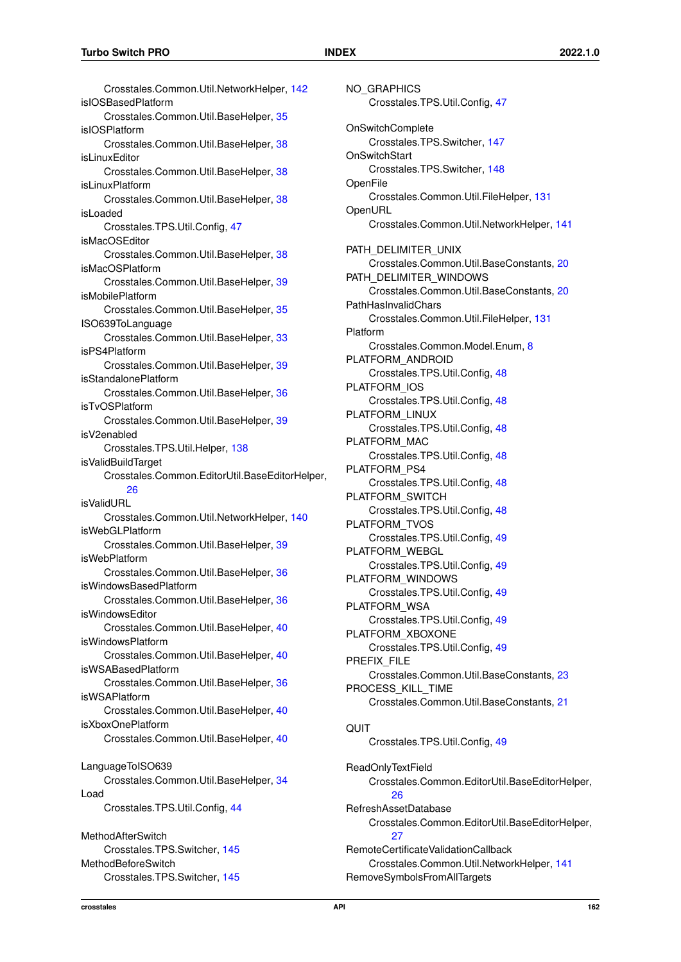Crosstales.Common.Util.NetworkHelper, [142](#page-154-1) isIOSBasedPlatform Crosstales.Common.Util.BaseHelper, [35](#page-47-0) isIOSPlatform Crosstales.Common.Util.BaseHelper, [38](#page-50-0) isLinuxEditor Crosstales.Common.Util.BaseHelper, [38](#page-50-0) isl inuxPlatform Crosstales.Common.Util.BaseHelper, [38](#page-50-0) isLoaded Crosstales.TPS.Util.Config, [47](#page-59-0) isMacOSEditor Crosstales.Common.Util.BaseHelper, [38](#page-50-0) isMacOSPlatform Crosstales.Common.Util.BaseHelper, [39](#page-51-0) isMobilePlatform Crosstales.Common.Util.BaseHelper, [35](#page-47-0) ISO639ToLanguage Crosstales.Common.Util.BaseHelper, [33](#page-45-0) isPS4Platform Crosstales.Common.Util.BaseHelper, [39](#page-51-0) isStandalonePlatform Crosstales.Common.Util.BaseHelper, [36](#page-48-0) isTvOSPlatform Crosstales.Common.Util.BaseHelper, [39](#page-51-0) isV2enabled Crosstales.TPS.Util.Helper, [138](#page-150-2) isValidBuildTarget Crosstales.Common.EditorUtil.BaseEditorHelper, [26](#page-38-0) isValidURL Crosstales.Common.Util.NetworkHelper, [140](#page-152-3) isWebGLPlatform Crosstales.Common.Util.BaseHelper, [39](#page-51-0) isWebPlatform Crosstales.Common.Util.BaseHelper, [36](#page-48-0) isWindowsBasedPlatform Crosstales.Common.Util.BaseHelper, [36](#page-48-0) isWindowsEditor Crosstales.Common.Util.BaseHelper, [40](#page-52-0) isWindowsPlatform Crosstales.Common.Util.BaseHelper, [40](#page-52-0) isWSABasedPlatform Crosstales.Common.Util.BaseHelper, [36](#page-48-0) isWSAPlatform Crosstales.Common.Util.BaseHelper, [40](#page-52-0) isXboxOnePlatform Crosstales.Common.Util.BaseHelper, [40](#page-52-0) LanguageToISO639 Crosstales.Common.Util.BaseHelper, [34](#page-46-0) Load Crosstales.TPS.Util.Config, [44](#page-56-0) MethodAfterSwitch Crosstales.TPS.Switcher, [145](#page-157-4) MethodBeforeSwitch

NO\_GRAPHICS Crosstales.TPS.Util.Config, [47](#page-59-0) OnSwitchComplete Crosstales.TPS.Switcher, [147](#page-159-4) **OnSwitchStart** Crosstales.TPS.Switcher, [148](#page-160-1) **OpenFile** Crosstales.Common.Util.FileHelper, [131](#page-143-0) **OpenURL** Crosstales.Common.Util.NetworkHelper, [141](#page-153-3) PATH\_DELIMITER\_UNIX Crosstales.Common.Util.BaseConstants, [20](#page-32-0) PATH\_DELIMITER\_WINDOWS Crosstales.Common.Util.BaseConstants, [20](#page-32-0) PathHasInvalidChars Crosstales.Common.Util.FileHelper, [131](#page-143-0) Platform Crosstales.Common.Model.Enum, [8](#page-20-1) PLATFORM\_ANDROID Crosstales.TPS.Util.Config, [48](#page-60-1) PLATFORM\_IOS Crosstales.TPS.Util.Config, [48](#page-60-1) PLATFORM\_LINUX Crosstales.TPS.Util.Config, [48](#page-60-1) PLATFORM\_MAC Crosstales.TPS.Util.Config, [48](#page-60-1) PLATFORM\_PS4 Crosstales.TPS.Util.Config, [48](#page-60-1) PLATFORM\_SWITCH Crosstales.TPS.Util.Config, [48](#page-60-1) PLATFORM\_TVOS Crosstales.TPS.Util.Config, [49](#page-61-1) PLATFORM\_WEBGL Crosstales.TPS.Util.Config, [49](#page-61-1) PLATFORM\_WINDOWS Crosstales.TPS.Util.Config, [49](#page-61-1) PLATFORM\_WSA Crosstales.TPS.Util.Config, [49](#page-61-1) PLATFORM\_XBOXONE Crosstales.TPS.Util.Config, [49](#page-61-1) PREFIX\_FILE Crosstales.Common.Util.BaseConstants, [23](#page-35-0) PROCESS\_KILL\_TIME Crosstales.Common.Util.BaseConstants, [21](#page-33-0) **QUIT** Crosstales.TPS.Util.Config, [49](#page-61-1) ReadOnlyTextField Crosstales.Common.EditorUtil.BaseEditorHelper, [26](#page-38-0) RefreshAssetDatabase Crosstales.Common.EditorUtil.BaseEditorHelper,  $27$ 

RemoteCertificateValidationCallback Crosstales.Common.Util.NetworkHelper, [141](#page-153-3) RemoveSymbolsFromAllTargets

Crosstales.TPS.Switcher, [145](#page-157-4)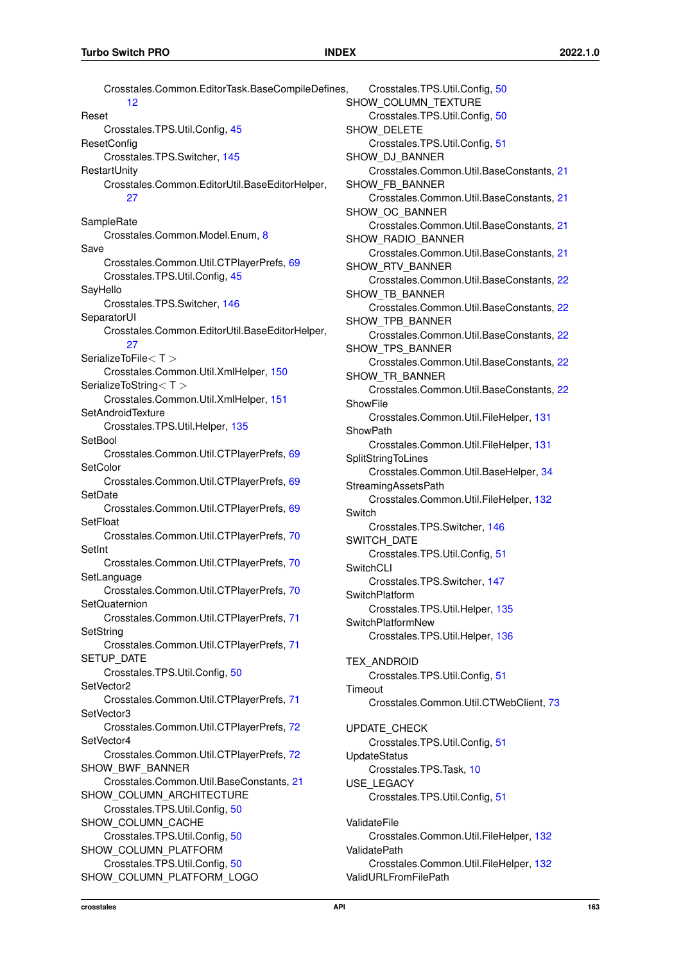Crosstales.Common.EditorTask.BaseCompileDefines, [12](#page-24-0) Reset Crosstales.TPS.Util.Config, [45](#page-57-0) **ResetConfig** Crosstales.TPS.Switcher, [145](#page-157-4) **RestartUnity** Crosstales.Common.EditorUtil.BaseEditorHelper, [27](#page-39-0) **SampleRate** Crosstales.Common.Model.Enum, [8](#page-20-1) Save Crosstales.Common.Util.CTPlayerPrefs, [69](#page-81-0) Crosstales.TPS.Util.Config, [45](#page-57-0) SayHello Crosstales.TPS.Switcher, [146](#page-158-3) **SeparatorUI** Crosstales.Common.EditorUtil.BaseEditorHelper, [27](#page-39-0) SerializeToFile< T > Crosstales.Common.Util.XmlHelper, [150](#page-162-3) SerializeToString<T > Crosstales.Common.Util.XmlHelper, [151](#page-163-1) **SetAndroidTexture** Crosstales.TPS.Util.Helper, [135](#page-147-3) **SetBool** Crosstales.Common.Util.CTPlayerPrefs, [69](#page-81-0) **SetColor** Crosstales.Common.Util.CTPlayerPrefs, [69](#page-81-0) **SetDate** Crosstales.Common.Util.CTPlayerPrefs, [69](#page-81-0) **SetFloat** Crosstales.Common.Util.CTPlayerPrefs, [70](#page-82-0) **SetInt** Crosstales.Common.Util.CTPlayerPrefs, [70](#page-82-0) SetLanguage Crosstales.Common.Util.CTPlayerPrefs, [70](#page-82-0) **SetQuaternion** Crosstales.Common.Util.CTPlayerPrefs, [71](#page-83-0) **SetString** Crosstales.Common.Util.CTPlayerPrefs, [71](#page-83-0) SETUP\_DATE Crosstales.TPS.Util.Config, [50](#page-62-0) SetVector2 Crosstales.Common.Util.CTPlayerPrefs, [71](#page-83-0) SetVector3 Crosstales.Common.Util.CTPlayerPrefs, [72](#page-84-0) SetVector4 Crosstales.Common.Util.CTPlayerPrefs, [72](#page-84-0) SHOW BWF BANNER Crosstales.Common.Util.BaseConstants, [21](#page-33-0) SHOW COLUMN ARCHITECTURE Crosstales.TPS.Util.Config, [50](#page-62-0) SHOW\_COLUMN\_CACHE Crosstales.TPS.Util.Config, [50](#page-62-0) SHOW\_COLUMN\_PLATFORM Crosstales.TPS.Util.Config, [50](#page-62-0) SHOW\_COLUMN\_PLATFORM\_LOGO Crosstales.TPS.Util.Config, [50](#page-62-0) SHOW COLUMN TEXTURE Crosstales.TPS.Util.Config, [50](#page-62-0) SHOW DELETE Crosstales.TPS.Util.Config, [51](#page-63-0) SHOW\_DJ\_BANNER Crosstales.Common.Util.BaseConstants, [21](#page-33-0) SHOW FB BANNER Crosstales.Common.Util.BaseConstants, [21](#page-33-0) SHOW\_OC\_BANNER Crosstales.Common.Util.BaseConstants, [21](#page-33-0) SHOW\_RADIO\_BANNER Crosstales.Common.Util.BaseConstants, [21](#page-33-0) SHOW\_RTV\_BANNER Crosstales.Common.Util.BaseConstants, [22](#page-34-0) SHOW\_TB\_BANNER Crosstales.Common.Util.BaseConstants, [22](#page-34-0) SHOW\_TPB\_BANNER Crosstales.Common.Util.BaseConstants, [22](#page-34-0) SHOW TPS BANNER Crosstales.Common.Util.BaseConstants, [22](#page-34-0) SHOW TR BANNER Crosstales.Common.Util.BaseConstants, [22](#page-34-0) **ShowFile** Crosstales.Common.Util.FileHelper, [131](#page-143-0) **ShowPath** Crosstales.Common.Util.FileHelper, [131](#page-143-0) **SplitStringToLines** Crosstales.Common.Util.BaseHelper, [34](#page-46-0) StreamingAssetsPath Crosstales.Common.Util.FileHelper, [132](#page-144-0) **Switch** Crosstales.TPS.Switcher, [146](#page-158-3) SWITCH\_DATE Crosstales.TPS.Util.Config, [51](#page-63-0) SwitchCLI Crosstales.TPS.Switcher, [147](#page-159-4) SwitchPlatform Crosstales.TPS.Util.Helper, [135](#page-147-3) SwitchPlatformNew Crosstales.TPS.Util.Helper, [136](#page-148-3) TEX\_ANDROID Crosstales.TPS.Util.Config, [51](#page-63-0) **Timeout** Crosstales.Common.Util.CTWebClient, [73](#page-85-0) UPDATE\_CHECK Crosstales.TPS.Util.Config, [51](#page-63-0) UpdateStatus Crosstales.TPS.Task, [10](#page-22-1) USE\_LEGACY Crosstales.TPS.Util.Config, [51](#page-63-0) ValidateFile Crosstales.Common.Util.FileHelper, [132](#page-144-0) ValidatePath Crosstales.Common.Util.FileHelper, [132](#page-144-0) ValidURLFromFilePath